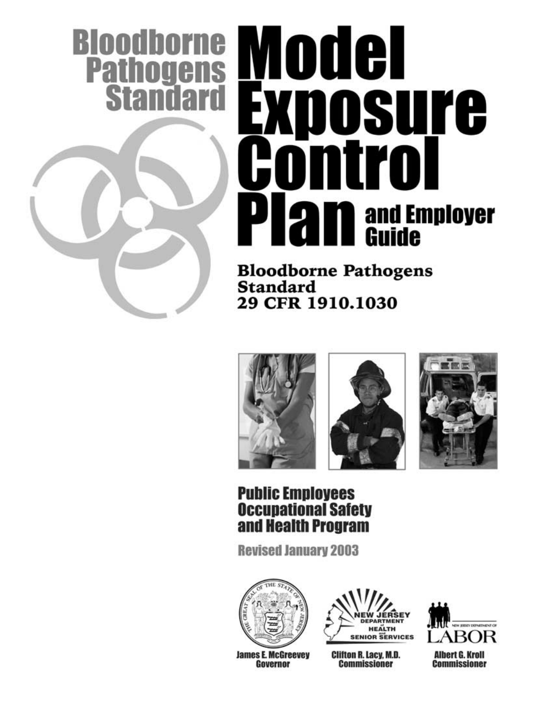# **Bloodhorne Model**<br>**Pathogens MOdel** EXI posure **TO** and Employer<br>Guide

**Bloodborne Pathogens Standard** 29 CFR 1910.1030



## **Public Employees Occupational Safety** and Health Program

**Revised January 2003** 



**James E. McGreevey** 

Governor



**Clifton R. Lacy, M.D. Commissioner** 

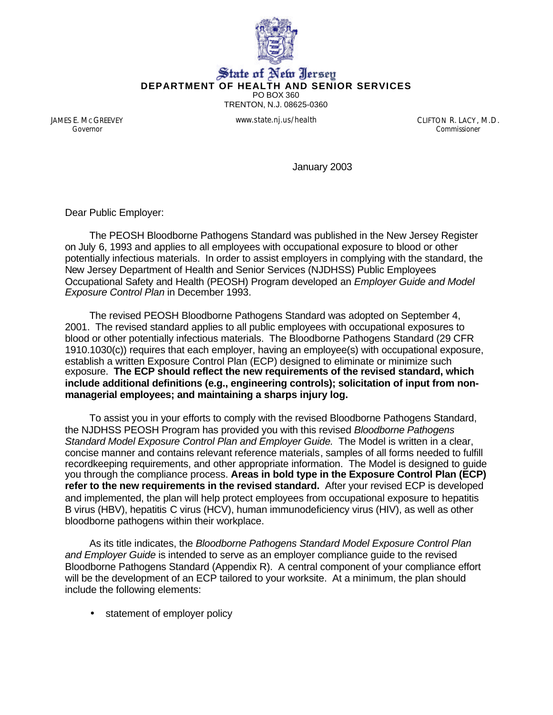

#### State of New Jersey **DEPARTMENT OF HEALTH AND SENIOR SERVICES** PO BOX 360

TRENTON, N.J. 08625-0360

**www.state.nj.us/health**

JAMES E. MCGREEVEY *Governor*

CLIFTON R. LACY, M.D. *Commissioner*

January 2003

Dear Public Employer:

The PEOSH Bloodborne Pathogens Standard was published in the New Jersey Register on July 6, 1993 and applies to all employees with occupational exposure to blood or other potentially infectious materials. In order to assist employers in complying with the standard, the New Jersey Department of Health and Senior Services (NJDHSS) Public Employees Occupational Safety and Health (PEOSH) Program developed an *Employer Guide and Model Exposure Control Plan* in December 1993.

The revised PEOSH Bloodborne Pathogens Standard was adopted on September 4, 2001. The revised standard applies to all public employees with occupational exposures to blood or other potentially infectious materials. The Bloodborne Pathogens Standard (29 CFR 1910.1030(c)) requires that each employer, having an employee(s) with occupational exposure, establish a written Exposure Control Plan (ECP) designed to eliminate or minimize such exposure. **The ECP should reflect the new requirements of the revised standard, which include additional definitions (e.g., engineering controls); solicitation of input from nonmanagerial employees; and maintaining a sharps injury log.**

To assist you in your efforts to comply with the revised Bloodborne Pathogens Standard, the NJDHSS PEOSH Program has provided you with this revised *Bloodborne Pathogens Standard Model Exposure Control Plan and Employer Guide.* The Model is written in a clear, concise manner and contains relevant reference materials, samples of all forms needed to fulfill recordkeeping requirements, and other appropriate information. The Model is designed to guide you through the compliance process. **Areas in bold type in the Exposure Control Plan (ECP) refer to the new requirements in the revised standard.** After your revised ECP is developed and implemented, the plan will help protect employees from occupational exposure to hepatitis B virus (HBV), hepatitis C virus (HCV), human immunodeficiency virus (HIV), as well as other bloodborne pathogens within their workplace.

As its title indicates, the *Bloodborne Pathogens Standard Model Exposure Control Plan and Employer Guide* is intended to serve as an employer compliance guide to the revised Bloodborne Pathogens Standard (Appendix R). A central component of your compliance effort will be the development of an ECP tailored to your worksite. At a minimum, the plan should include the following elements:

• statement of employer policy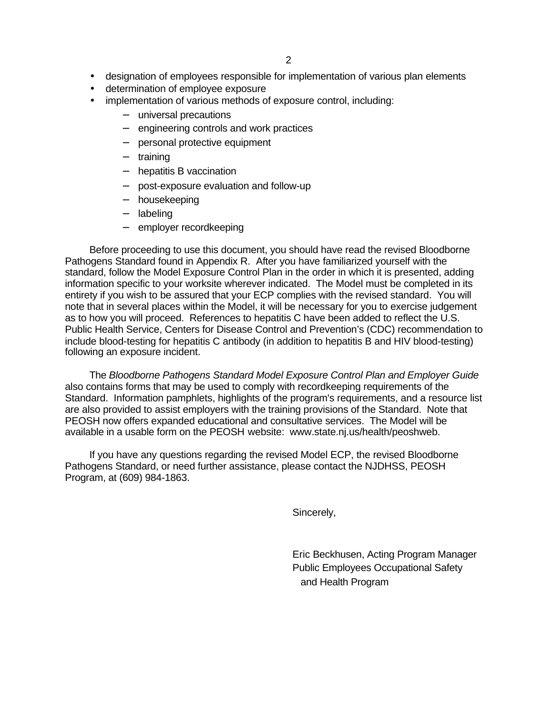- designation of employees responsible for implementation of various plan elements
- determination of employee exposure
- implementation of various methods of exposure control, including:
	- universal precautions
	- engineering controls and work practices
	- − personal protective equipment
	- − training
	- − hepatitis B vaccination
	- − post-exposure evaluation and follow-up
	- − housekeeping
	- − labeling
	- − employer recordkeeping

Before proceeding to use this document, you should have read the revised Bloodborne Pathogens Standard found in Appendix R. After you have familiarized yourself with the standard, follow the Model Exposure Control Plan in the order in which it is presented, adding information specific to your worksite wherever indicated. The Model must be completed in its entirety if you wish to be assured that your ECP complies with the revised standard. You will note that in several places within the Model, it will be necessary for you to exercise judgement as to how you will proceed. References to hepatitis C have been added to reflect the U.S. Public Health Service, Centers for Disease Control and Prevention's (CDC) recommendation to include blood-testing for hepatitis C antibody (in addition to hepatitis B and HIV blood-testing) following an exposure incident.

The *Bloodborne Pathogens Standard Model Exposure Control Plan and Employer Guide* also contains forms that may be used to comply with recordkeeping requirements of the Standard. Information pamphlets, highlights of the program's requirements, and a resource list are also provided to assist employers with the training provisions of the Standard. Note that PEOSH now offers expanded educational and consultative services. The Model will be available in a usable form on the PEOSH website: www.state.nj.us/health/peoshweb.

If you have any questions regarding the revised Model ECP, the revised Bloodborne Pathogens Standard, or need further assistance, please contact the NJDHSS, PEOSH Program, at (609) 984-1863.

Sincerely,

Eric Beckhusen, Acting Program Manager Public Employees Occupational Safety and Health Program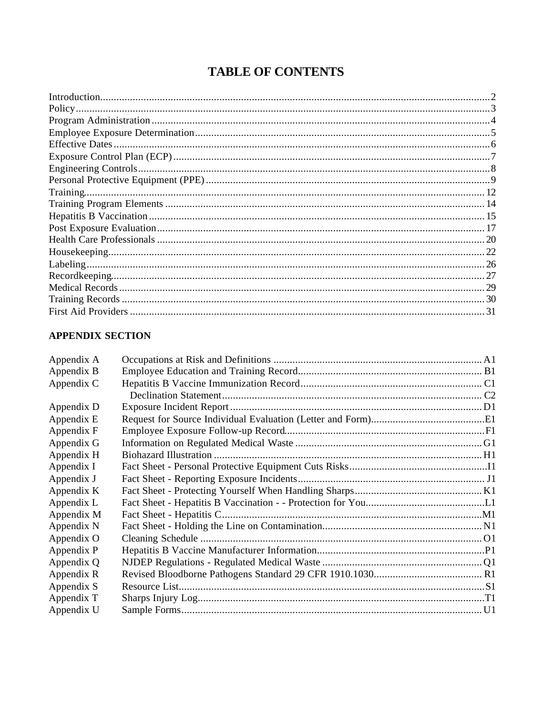## **TABLE OF CONTENTS**

### **APPENDIX SECTION**

| Appendix A |  |
|------------|--|
| Appendix B |  |
| Appendix C |  |
|            |  |
| Appendix D |  |
| Appendix E |  |
| Appendix F |  |
| Appendix G |  |
| Appendix H |  |
| Appendix I |  |
| Appendix J |  |
| Appendix K |  |
| Appendix L |  |
| Appendix M |  |
| Appendix N |  |
| Appendix O |  |
| Appendix P |  |
| Appendix Q |  |
| Appendix R |  |
| Appendix S |  |
| Appendix T |  |
| Appendix U |  |
|            |  |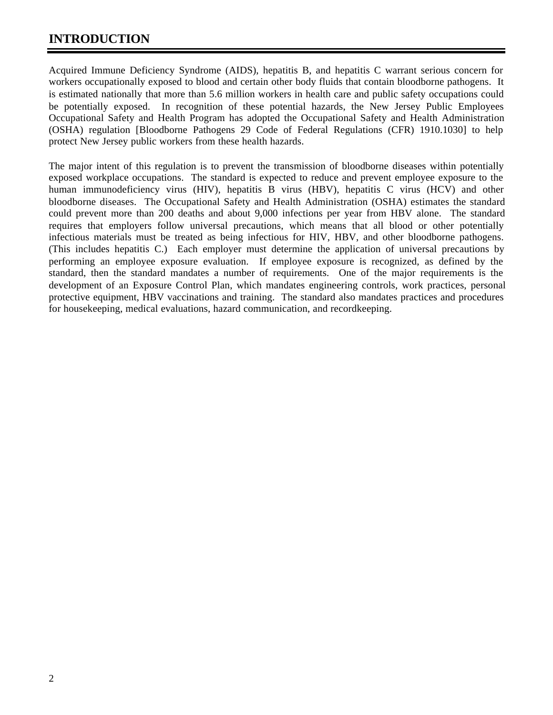Acquired Immune Deficiency Syndrome (AIDS), hepatitis B, and hepatitis C warrant serious concern for workers occupationally exposed to blood and certain other body fluids that contain bloodborne pathogens. It is estimated nationally that more than 5.6 million workers in health care and public safety occupations could be potentially exposed. In recognition of these potential hazards, the New Jersey Public Employees Occupational Safety and Health Program has adopted the Occupational Safety and Health Administration (OSHA) regulation [Bloodborne Pathogens 29 Code of Federal Regulations (CFR) 1910.1030] to help protect New Jersey public workers from these health hazards.

The major intent of this regulation is to prevent the transmission of bloodborne diseases within potentially exposed workplace occupations. The standard is expected to reduce and prevent employee exposure to the human immunodeficiency virus (HIV), hepatitis B virus (HBV), hepatitis C virus (HCV) and other bloodborne diseases. The Occupational Safety and Health Administration (OSHA) estimates the standard could prevent more than 200 deaths and about 9,000 infections per year from HBV alone. The standard requires that employers follow universal precautions, which means that all blood or other potentially infectious materials must be treated as being infectious for HIV, HBV, and other bloodborne pathogens. (This includes hepatitis C.) Each employer must determine the application of universal precautions by performing an employee exposure evaluation. If employee exposure is recognized, as defined by the standard, then the standard mandates a number of requirements. One of the major requirements is the development of an Exposure Control Plan, which mandates engineering controls, work practices, personal protective equipment, HBV vaccinations and training. The standard also mandates practices and procedures for housekeeping, medical evaluations, hazard communication, and recordkeeping.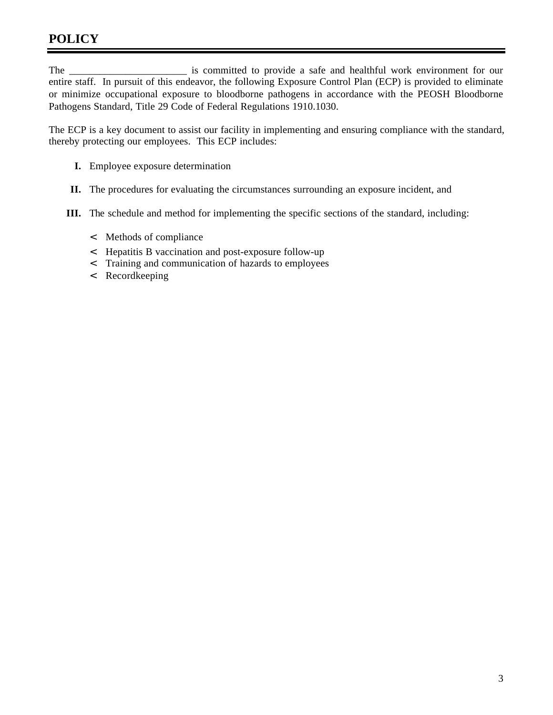## **POLICY**

The state is committed to provide a safe and healthful work environment for our entire staff. In pursuit of this endeavor, the following Exposure Control Plan (ECP) is provided to eliminate or minimize occupational exposure to bloodborne pathogens in accordance with the PEOSH Bloodborne Pathogens Standard, Title 29 Code of Federal Regulations 1910.1030.

The ECP is a key document to assist our facility in implementing and ensuring compliance with the standard, thereby protecting our employees. This ECP includes:

- **I.** Employee exposure determination
- **II.** The procedures for evaluating the circumstances surrounding an exposure incident, and
- **III.** The schedule and method for implementing the specific sections of the standard, including:
	- < Methods of compliance
	- < Hepatitis B vaccination and post-exposure follow-up
	- < Training and communication of hazards to employees
	- < Recordkeeping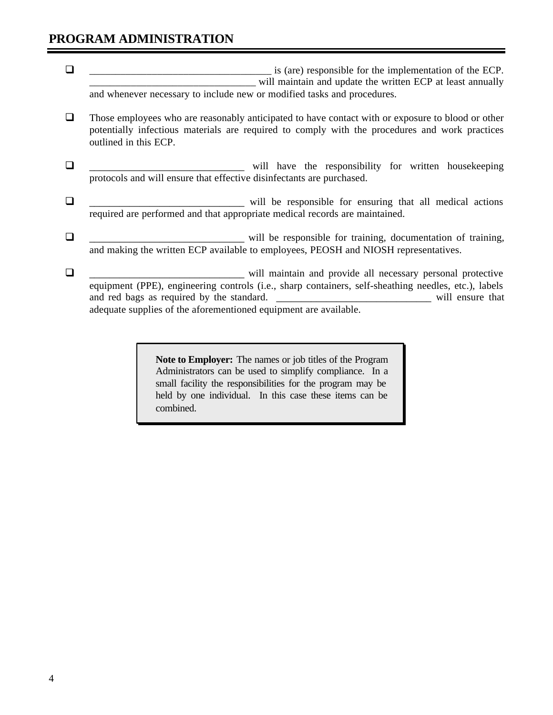## **PROGRAM ADMINISTRATION**

- $\Box$  is (are) responsible for the implementation of the ECP. \_\_\_\_\_\_\_\_\_\_\_\_\_\_\_\_\_\_\_\_\_\_\_\_\_\_\_\_\_\_\_\_ will maintain and update the written ECP at least annually and whenever necessary to include new or modified tasks and procedures.
- $\Box$  Those employees who are reasonably anticipated to have contact with or exposure to blood or other potentially infectious materials are required to comply with the procedures and work practices outlined in this ECP.
- $\square$ protocols and will ensure that effective disinfectants are purchased.
- q \_\_\_\_\_\_\_\_\_\_\_\_\_\_\_\_\_\_\_\_\_\_\_\_\_\_\_\_\_\_\_ will be responsible for ensuring that all medical actions required are performed and that appropriate medical records are maintained.
- q \_\_\_\_\_\_\_\_\_\_\_\_\_\_\_\_\_\_\_\_\_\_\_\_\_\_\_\_\_\_\_ will be responsible for training, documentation of training, and making the written ECP available to employees, PEOSH and NIOSH representatives.
- $\Box$ equipment (PPE), engineering controls (i.e., sharp containers, self-sheathing needles, etc.), labels and red bags as required by the standard. \_\_\_\_\_\_\_\_\_\_\_\_\_\_\_\_\_\_\_\_\_\_\_\_\_\_\_\_\_\_\_ will ensure that adequate supplies of the aforementioned equipment are available.

**Note to Employer:** The names or job titles of the Program Administrators can be used to simplify compliance. In a small facility the responsibilities for the program may be held by one individual. In this case these items can be combined.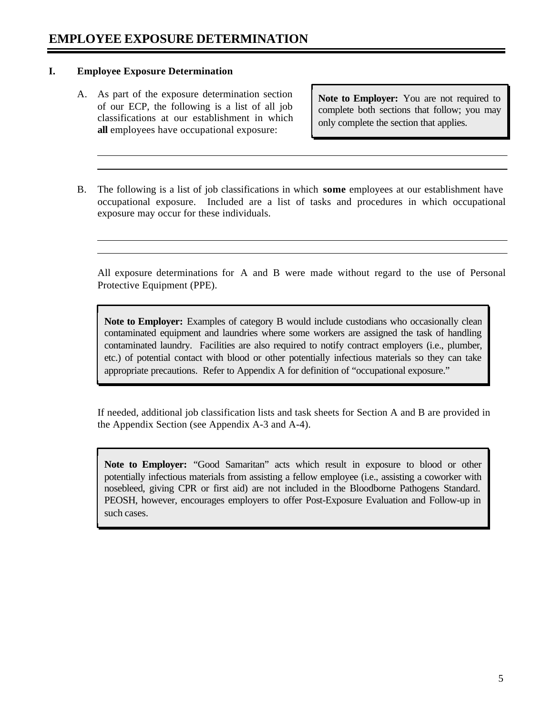## **EMPLOYEE EXPOSURE DETERMINATION**

#### **I. Employee Exposure Determination**

A. As part of the exposure determination section of our ECP, the following is a list of all job classifications at our establishment in which **all** employees have occupational exposure:

**Note to Employer:** You are not required to complete both sections that follow; you may only complete the section that applies.

B. The following is a list of job classifications in which **some** employees at our establishment have occupational exposure. Included are a list of tasks and procedures in which occupational exposure may occur for these individuals.

All exposure determinations for A and B were made without regard to the use of Personal Protective Equipment (PPE).

**Note to Employer:** Examples of category B would include custodians who occasionally clean contaminated equipment and laundries where some workers are assigned the task of handling contaminated laundry. Facilities are also required to notify contract employers (i.e., plumber, etc.) of potential contact with blood or other potentially infectious materials so they can take appropriate precautions. Refer to Appendix A for definition of "occupational exposure."

If needed, additional job classification lists and task sheets for Section A and B are provided in the Appendix Section (see Appendix A-3 and A-4).

**Note to Employer:** "Good Samaritan" acts which result in exposure to blood or other potentially infectious materials from assisting a fellow employee (i.e., assisting a coworker with nosebleed, giving CPR or first aid) are not included in the Bloodborne Pathogens Standard. PEOSH, however, encourages employers to offer Post-Exposure Evaluation and Follow-up in such cases.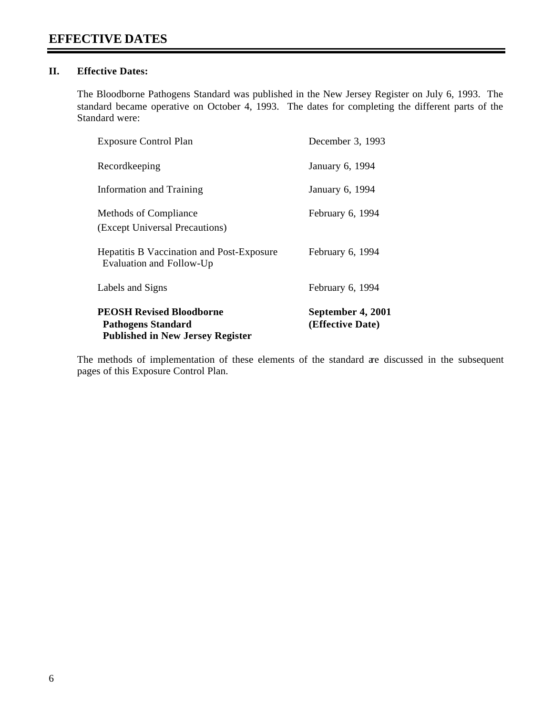#### **II. Effective Dates:**

The Bloodborne Pathogens Standard was published in the New Jersey Register on July 6, 1993. The standard became operative on October 4, 1993. The dates for completing the different parts of the Standard were:

| <b>Pathogens Standard</b><br><b>Published in New Jersey Register</b>         | (Effective Date)  |
|------------------------------------------------------------------------------|-------------------|
| <b>PEOSH Revised Bloodborne</b>                                              | September 4, 2001 |
| Labels and Signs                                                             | February 6, 1994  |
| <b>Hepatitis B Vaccination and Post-Exposure</b><br>Evaluation and Follow-Up | February 6, 1994  |
| (Except Universal Precautions)                                               |                   |
| Methods of Compliance                                                        | February 6, 1994  |
| Information and Training                                                     | January 6, 1994   |
| Recordkeeping                                                                | January 6, 1994   |
| <b>Exposure Control Plan</b>                                                 | December 3, 1993  |

The methods of implementation of these elements of the standard are discussed in the subsequent pages of this Exposure Control Plan.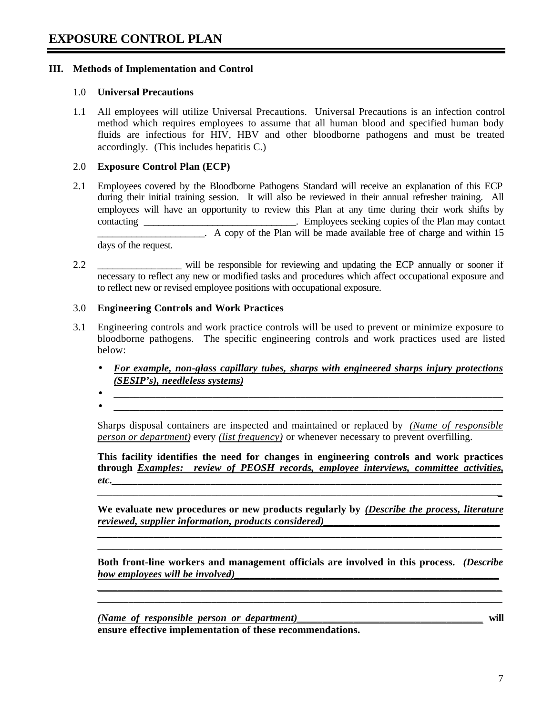#### **III. Methods of Implementation and Control**

#### 1.0 **Universal Precautions**

1.1 All employees will utilize Universal Precautions. Universal Precautions is an infection control method which requires employees to assume that all human blood and specified human body fluids are infectious for HIV, HBV and other bloodborne pathogens and must be treated accordingly. (This includes hepatitis C.)

#### 2.0 **Exposure Control Plan (ECP)**

- 2.1 Employees covered by the Bloodborne Pathogens Standard will receive an explanation of this ECP during their initial training session. It will also be reviewed in their annual refresher training. All employees will have an opportunity to review this Plan at any time during their work shifts by contacting \_\_\_\_\_\_\_\_\_\_\_\_\_\_\_\_\_\_\_\_\_\_\_\_\_\_\_\_\_\_\_. Employees seeking copies of the Plan may contact A copy of the Plan will be made available free of charge and within 15 days of the request.
- 2.2 \_\_\_\_\_\_\_\_\_\_\_\_\_\_\_\_\_ will be responsible for reviewing and updating the ECP annually or sooner if necessary to reflect any new or modified tasks and procedures which affect occupational exposure and to reflect new or revised employee positions with occupational exposure.

#### 3.0 **Engineering Controls and Work Practices**

- 3.1 Engineering controls and work practice controls will be used to prevent or minimize exposure to bloodborne pathogens. The specific engineering controls and work practices used are listed below:
	- *For example, non-glass capillary tubes, sharps with engineered sharps injury protections (SESIP's), needleless systems)*
	- **\_\_\_\_\_\_\_\_\_\_\_\_\_\_\_\_\_\_\_\_\_\_\_\_\_\_\_\_\_\_\_\_\_\_\_\_\_\_\_\_\_\_\_\_\_\_\_\_\_\_\_\_\_\_\_\_\_\_\_\_\_\_\_\_\_\_\_\_\_\_\_\_\_\_\_**

Sharps disposal containers are inspected and maintained or replaced by *(Name of responsible person or department)* every *(list frequency)* or whenever necessary to prevent overfilling.

**This facility identifies the need for changes in engineering controls and work practices through** *Examples: review of PEOSH records, employee interviews, committee activities, etc.\_\_\_\_\_\_\_\_\_\_\_\_\_\_\_\_\_\_\_\_\_\_\_\_\_\_\_\_\_\_\_\_\_\_\_\_\_\_\_\_\_\_\_\_\_\_\_\_\_\_\_\_\_\_\_\_\_\_\_\_\_\_\_\_\_\_\_\_\_\_\_\_\_\_\_*

**We evaluate new procedures or new products regularly by** *(Describe the process, literature reviewed, supplier information, products considered) \_\_\_\_\_\_\_\_\_\_\_\_\_\_\_\_\_\_\_\_\_\_\_\_\_\_\_\_\_\_\_\_\_\_\_\_\_\_\_\_\_\_\_\_\_\_\_\_\_\_\_\_\_\_\_\_\_\_\_\_\_\_\_\_\_\_\_\_\_\_\_\_\_\_\_\_\_\_*

*\_\_\_\_\_\_\_\_\_\_\_\_\_\_\_\_\_\_\_\_\_\_\_\_\_\_\_\_\_\_\_\_\_\_\_\_\_\_\_\_\_\_\_\_\_\_\_\_\_\_\_\_\_\_\_\_\_\_\_\_\_\_\_\_\_\_\_\_\_\_\_\_\_\_\_\_\_\_*

**Both front-line workers and management officials are involved in this process.** *(Describe how employees will be involved)* 

*\_\_\_\_\_\_\_\_\_\_\_\_\_\_\_\_\_\_\_\_\_\_\_\_\_\_\_\_\_\_\_\_\_\_\_\_\_\_\_\_\_\_\_\_\_\_\_\_\_\_\_\_\_\_\_\_\_\_\_\_\_\_\_\_\_\_\_\_\_\_\_\_\_\_\_\_\_\_* **\_\_\_\_\_\_\_\_\_\_\_\_\_\_\_\_\_\_\_\_\_\_\_\_\_\_\_\_\_\_\_\_\_\_\_\_\_\_\_\_\_\_\_\_\_\_\_\_\_\_\_\_\_\_\_\_\_\_\_\_\_\_\_\_\_\_\_\_\_\_\_\_\_\_\_\_\_\_**

**\_\_\_\_\_\_\_\_\_\_\_\_\_\_\_\_\_\_\_\_\_\_\_\_\_\_\_\_\_\_\_\_\_\_\_\_\_\_\_\_\_\_\_\_\_\_\_\_\_\_\_\_\_\_\_\_\_\_\_\_\_\_\_\_\_\_\_\_\_\_\_\_\_\_\_\_\_\_**

*(Name of responsible person or department)\_\_\_\_\_\_\_\_\_\_\_\_\_\_\_\_\_\_\_\_\_\_\_\_\_\_\_\_\_\_\_\_\_\_\_\_* **will**

**ensure effective implementation of these recommendations.**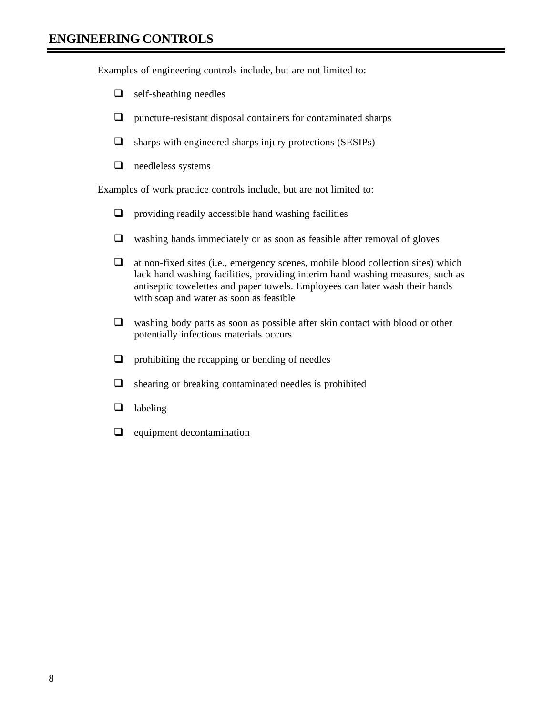Examples of engineering controls include, but are not limited to:

- $\Box$  self-sheathing needles
- $\Box$  puncture-resistant disposal containers for contaminated sharps
- $\Box$  sharps with engineered sharps injury protections (SESIPs)
- $\Box$  needleless systems

Examples of work practice controls include, but are not limited to:

- $\Box$  providing readily accessible hand washing facilities
- $\Box$  washing hands immediately or as soon as feasible after removal of gloves
- $\Box$  at non-fixed sites (i.e., emergency scenes, mobile blood collection sites) which lack hand washing facilities, providing interim hand washing measures, such as antiseptic towelettes and paper towels. Employees can later wash their hands with soap and water as soon as feasible
- $\Box$  washing body parts as soon as possible after skin contact with blood or other potentially infectious materials occurs
- $\Box$  prohibiting the recapping or bending of needles
- $\Box$  shearing or breaking contaminated needles is prohibited
- $\Box$  labeling
- $\Box$  equipment decontamination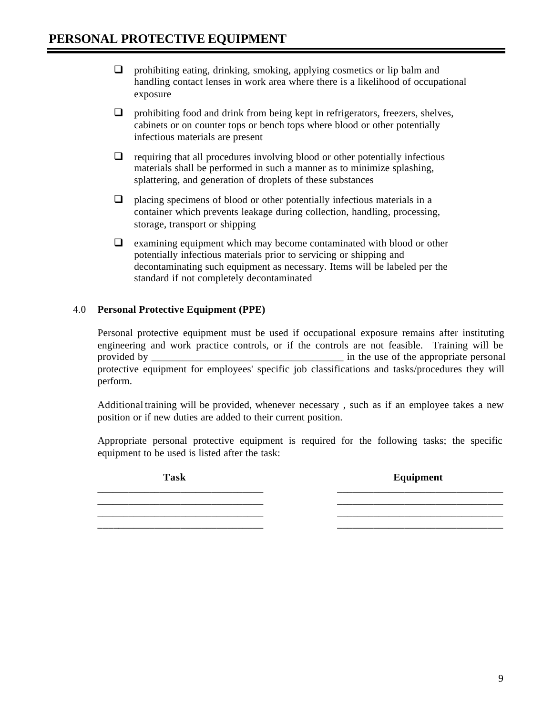- $\Box$  prohibiting eating, drinking, smoking, applying cosmetics or lip balm and handling contact lenses in work area where there is a likelihood of occupational exposure
- $\Box$  prohibiting food and drink from being kept in refrigerators, freezers, shelves, cabinets or on counter tops or bench tops where blood or other potentially infectious materials are present
- $\Box$  requiring that all procedures involving blood or other potentially infectious materials shall be performed in such a manner as to minimize splashing, splattering, and generation of droplets of these substances
- $\Box$  placing specimens of blood or other potentially infectious materials in a container which prevents leakage during collection, handling, processing, storage, transport or shipping
- $\Box$  examining equipment which may become contaminated with blood or other potentially infectious materials prior to servicing or shipping and decontaminating such equipment as necessary. Items will be labeled per the standard if not completely decontaminated

#### 4.0 **Personal Protective Equipment (PPE)**

Personal protective equipment must be used if occupational exposure remains after instituting engineering and work practice controls, or if the controls are not feasible. Training will be provided by \_\_\_\_\_\_\_\_\_\_\_\_\_\_\_\_\_\_\_\_\_\_\_\_\_\_\_\_\_\_\_\_\_\_\_\_\_ in the use of the appropriate personal protective equipment for employees' specific job classifications and tasks/procedures they will perform.

Additional training will be provided, whenever necessary , such as if an employee takes a new position or if new duties are added to their current position.

Appropriate personal protective equipment is required for the following tasks; the specific equipment to be used is listed after the task:

\_\_\_\_\_\_\_\_\_\_\_\_\_\_\_\_\_\_\_\_\_\_\_\_\_\_\_\_\_\_\_\_ \_\_\_\_\_\_\_\_\_\_\_\_\_\_\_\_\_\_\_\_\_\_\_\_\_\_\_\_\_\_\_\_

| Task | Equipment |
|------|-----------|
|      |           |

\_\_\_\_\_\_\_\_\_\_\_\_\_\_\_\_\_\_\_\_\_\_\_\_\_\_\_\_\_\_\_\_ \_\_\_\_\_\_\_\_\_\_\_\_\_\_\_\_\_\_\_\_\_\_\_\_\_\_\_\_\_\_\_\_ \_\_\_\_\_\_\_\_\_\_\_\_\_\_\_\_\_\_\_\_\_\_\_\_\_\_\_\_\_\_\_\_ \_\_\_\_\_\_\_\_\_\_\_\_\_\_\_\_\_\_\_\_\_\_\_\_\_\_\_\_\_\_\_\_ \_\_\_\_\_\_\_\_\_\_\_\_\_\_\_\_\_\_\_\_\_\_\_\_\_\_\_\_\_\_\_\_ \_\_\_\_\_\_\_\_\_\_\_\_\_\_\_\_\_\_\_\_\_\_\_\_\_\_\_\_\_\_\_\_

9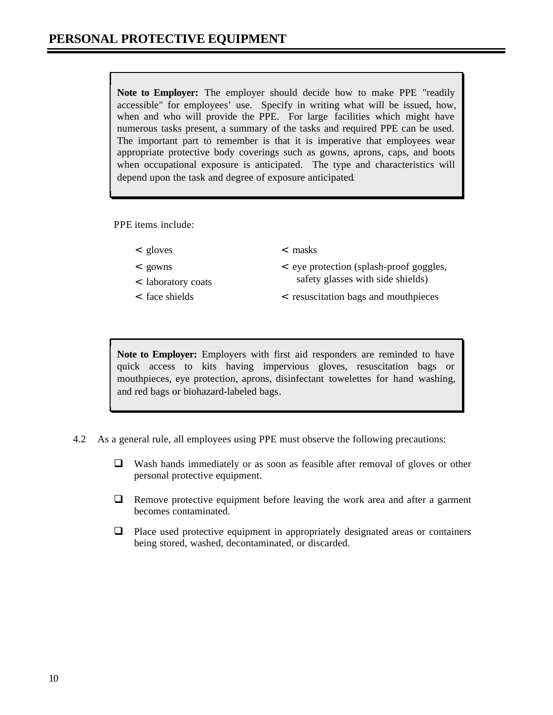**Note to Employer:** The employer should decide how to make PPE "readily accessible" for employees' use. Specify in writing what will be issued, how, when and who will provide the PPE. For large facilities which might have numerous tasks present, a summary of the tasks and required PPE can be used. The important part to remember is that it is imperative that employees wear appropriate protective body coverings such as gowns, aprons, caps, and boots when occupational exposure is anticipated. The type and characteristics will depend upon the task and degree of exposure anticipated.

PPE items include:

- < gloves < masks
- < gowns
- < laboratory coats
- 
- 
- < eye protection (splash-proof goggles, safety glasses with side shields)
- < face shields < resuscitation bags and mouthpieces

**Note to Employer:** Employers with first aid responders are reminded to have quick access to kits having impervious gloves, resuscitation bags or mouthpieces, eye protection, aprons, disinfectant towelettes for hand washing, and red bags or biohazard-labeled bags.

- 4.2 As a general rule, all employees using PPE must observe the following precautions:
	- $\Box$  Wash hands immediately or as soon as feasible after removal of gloves or other personal protective equipment.
	- $\Box$  Remove protective equipment before leaving the work area and after a garment becomes contaminated.
	- $\Box$  Place used protective equipment in appropriately designated areas or containers being stored, washed, decontaminated, or discarded.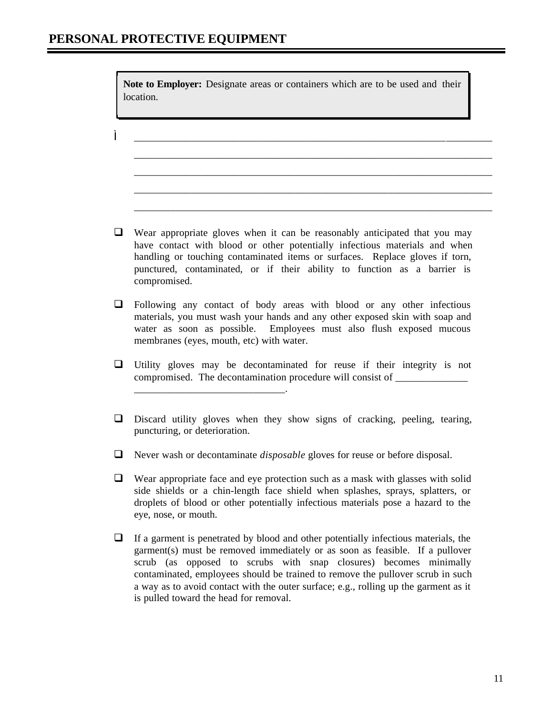**Note to Employer:** Designate areas or containers which are to be used and their location.

- í \_\_\_\_\_\_\_\_\_\_\_\_\_\_\_\_\_\_\_\_\_\_\_\_\_\_\_\_\_\_\_\_\_\_\_\_\_\_\_\_\_\_\_\_\_\_\_\_\_\_\_\_\_\_\_\_\_\_\_\_\_\_\_\_\_\_\_\_\_ \_\_\_\_\_\_\_\_\_\_\_\_\_\_\_\_\_\_\_\_\_\_\_\_\_\_\_\_\_\_\_\_\_\_\_\_\_\_\_\_\_\_\_\_\_\_\_\_\_\_\_\_\_\_\_\_\_\_\_\_\_\_\_\_\_\_\_\_\_ \_\_\_\_\_\_\_\_\_\_\_\_\_\_\_\_\_\_\_\_\_\_\_\_\_\_\_\_\_\_\_\_\_\_\_\_\_\_\_\_\_\_\_\_\_\_\_\_\_\_\_\_\_\_\_\_\_\_\_\_\_\_\_\_\_\_\_\_\_ \_\_\_\_\_\_\_\_\_\_\_\_\_\_\_\_\_\_\_\_\_\_\_\_\_\_\_\_\_\_\_\_\_\_\_\_\_\_\_\_\_\_\_\_\_\_\_\_\_\_\_\_\_\_\_\_\_\_\_\_\_\_\_\_\_\_\_\_\_ \_\_\_\_\_\_\_\_\_\_\_\_\_\_\_\_\_\_\_\_\_\_\_\_\_\_\_\_\_\_\_\_\_\_\_\_\_\_\_\_\_\_\_\_\_\_\_\_\_\_\_\_\_\_\_\_\_\_\_\_\_\_\_\_\_\_\_\_\_  $\Box$  Wear appropriate gloves when it can be reasonably anticipated that you may
- have contact with blood or other potentially infectious materials and when handling or touching contaminated items or surfaces. Replace gloves if torn, punctured, contaminated, or if their ability to function as a barrier is compromised.
- $\Box$  Following any contact of body areas with blood or any other infectious materials, you must wash your hands and any other exposed skin with soap and water as soon as possible. Employees must also flush exposed mucous membranes (eyes, mouth, etc) with water.
- $\Box$  Utility gloves may be decontaminated for reuse if their integrity is not compromised. The decontamination procedure will consist of \_\_\_\_\_\_\_\_\_\_\_\_\_\_\_\_\_\_\_\_\_
- $\Box$  Discard utility gloves when they show signs of cracking, peeling, tearing, puncturing, or deterioration.
- **Q** Never wash or decontaminate *disposable* gloves for reuse or before disposal.

\_\_\_\_\_\_\_\_\_\_\_\_\_\_\_\_\_\_\_\_\_\_\_\_\_\_\_\_\_.

- $\Box$  Wear appropriate face and eye protection such as a mask with glasses with solid side shields or a chin-length face shield when splashes, sprays, splatters, or droplets of blood or other potentially infectious materials pose a hazard to the eye, nose, or mouth.
- $\Box$  If a garment is penetrated by blood and other potentially infectious materials, the garment(s) must be removed immediately or as soon as feasible. If a pullover scrub (as opposed to scrubs with snap closures) becomes minimally contaminated, employees should be trained to remove the pullover scrub in such a way as to avoid contact with the outer surface; e.g., rolling up the garment as it is pulled toward the head for removal.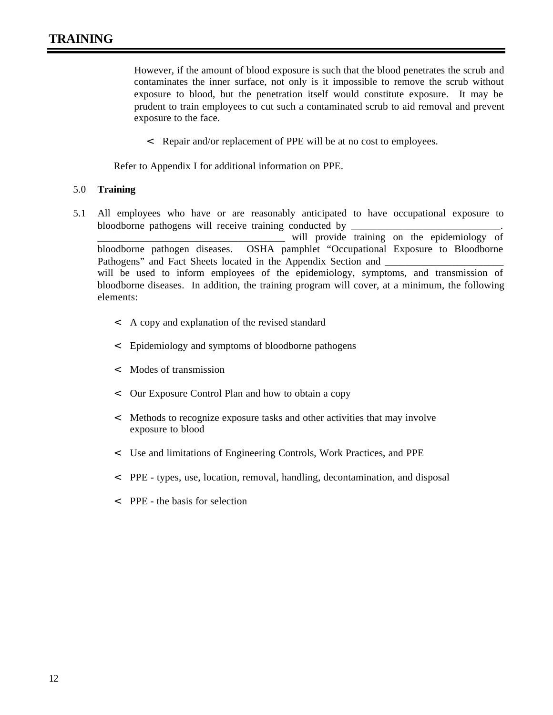However, if the amount of blood exposure is such that the blood penetrates the scrub and contaminates the inner surface, not only is it impossible to remove the scrub without exposure to blood, but the penetration itself would constitute exposure. It may be prudent to train employees to cut such a contaminated scrub to aid removal and prevent exposure to the face.

< Repair and/or replacement of PPE will be at no cost to employees.

Refer to Appendix I for additional information on PPE.

#### 5.0 **Training**

5.1 All employees who have or are reasonably anticipated to have occupational exposure to bloodborne pathogens will receive training conducted by

\_\_\_\_\_\_\_\_\_\_\_\_\_\_\_\_\_\_\_\_\_\_\_\_\_\_\_\_\_\_\_\_\_\_\_\_ will provide training on the epidemiology of bloodborne pathogen diseases. OSHA pamphlet "Occupational Exposure to Bloodborne Pathogens" and Fact Sheets located in the Appendix Section and will be used to inform employees of the epidemiology, symptoms, and transmission of bloodborne diseases. In addition, the training program will cover, at a minimum, the following elements:

- < A copy and explanation of the revised standard
- < Epidemiology and symptoms of bloodborne pathogens
- < Modes of transmission
- < Our Exposure Control Plan and how to obtain a copy
- < Methods to recognize exposure tasks and other activities that may involve exposure to blood
- < Use and limitations of Engineering Controls, Work Practices, and PPE
- < PPE types, use, location, removal, handling, decontamination, and disposal
- < PPE the basis for selection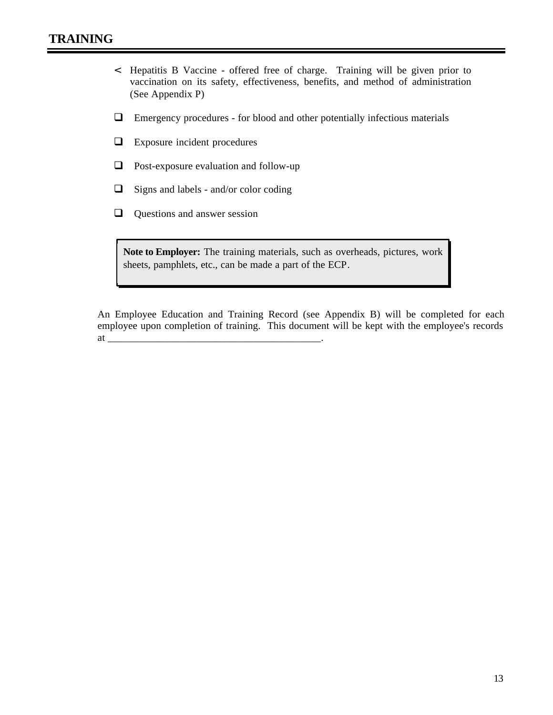- < Hepatitis B Vaccine offered free of charge. Training will be given prior to vaccination on its safety, effectiveness, benefits, and method of administration (See Appendix P)
- $\Box$  Emergency procedures for blood and other potentially infectious materials
- $\Box$  Exposure incident procedures
- $\Box$  Post-exposure evaluation and follow-up
- $\Box$  Signs and labels and/or color coding
- $\Box$  Questions and answer session

**Note to Employer:** The training materials, such as overheads, pictures, work sheets, pamphlets, etc., can be made a part of the ECP.

An Employee Education and Training Record (see Appendix B) will be completed for each employee upon completion of training. This document will be kept with the employee's records  $at$   $\qquad \qquad$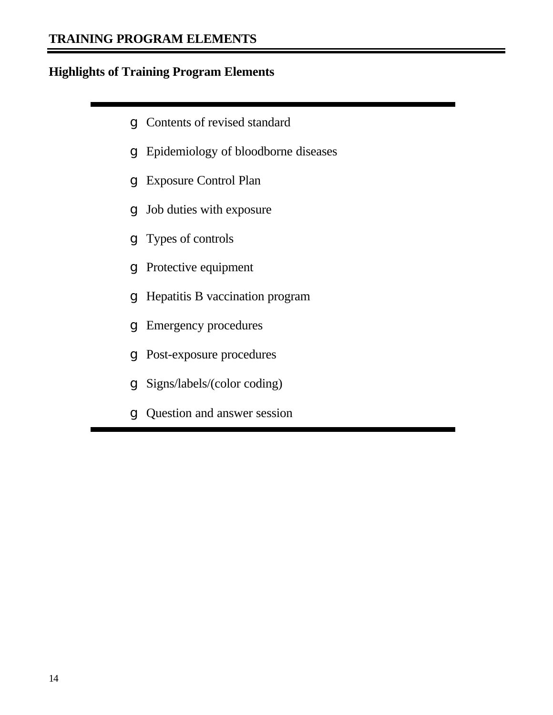## **TRAINING PROGRAM ELEMENTS**

## **Highlights of Training Program Elements**

- g Contents of revised standard
- g Epidemiology of bloodborne diseases
- g Exposure Control Plan
- g Job duties with exposure
- g Types of controls
- g Protective equipment
- g Hepatitis B vaccination program
- g Emergency procedures
- g Post-exposure procedures
- g Signs/labels/(color coding)
- g Question and answer session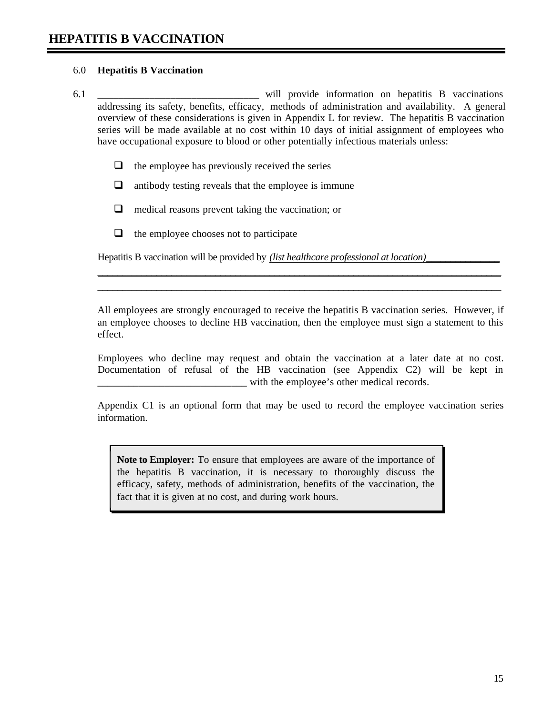#### 6.0 **Hepatitis B Vaccination**

- 6.1 \_\_\_\_\_\_\_\_\_\_\_\_\_\_\_\_\_\_\_\_\_\_\_\_\_\_\_\_\_\_\_ will provide information on hepatitis B vaccinations addressing its safety, benefits, efficacy, methods of administration and availability. A general overview of these considerations is given in Appendix L for review. The hepatitis B vaccination series will be made available at no cost within 10 days of initial assignment of employees who have occupational exposure to blood or other potentially infectious materials unless:
	- $\Box$  the employee has previously received the series
	- $\Box$  antibody testing reveals that the employee is immune
	- $\Box$  medical reasons prevent taking the vaccination; or
	- $\Box$  the employee chooses not to participate

Hepatitis B vaccination will be provided by *(list healthcare professional at location)\_* 

All employees are strongly encouraged to receive the hepatitis B vaccination series. However, if an employee chooses to decline HB vaccination, then the employee must sign a statement to this effect.

\_\_\_\_\_\_\_\_\_\_\_\_\_\_\_\_\_\_\_\_\_\_\_\_\_\_\_\_\_\_\_\_\_\_\_\_\_\_\_\_\_\_\_\_\_\_\_\_\_\_\_\_\_\_\_\_\_\_\_\_\_\_\_\_\_\_\_\_\_\_\_\_\_\_\_\_\_\_\_\_\_\_ \_\_\_\_\_\_\_\_\_\_\_\_\_\_\_\_\_\_\_\_\_\_\_\_\_\_\_\_\_\_\_\_\_\_\_\_\_\_\_\_\_\_\_\_\_\_\_\_\_\_\_\_\_\_\_\_\_\_\_\_\_\_\_\_\_\_\_\_\_\_\_\_\_\_\_\_\_\_\_\_\_\_

Employees who decline may request and obtain the vaccination at a later date at no cost. Documentation of refusal of the HB vaccination (see Appendix C2) will be kept in \_\_\_\_\_\_\_\_\_\_\_\_\_\_\_\_\_\_\_\_\_\_\_\_\_\_\_\_\_ with the employee's other medical records.

Appendix C1 is an optional form that may be used to record the employee vaccination series information.

**Note to Employer:** To ensure that employees are aware of the importance of the hepatitis B vaccination, it is necessary to thoroughly discuss the efficacy, safety, methods of administration, benefits of the vaccination, the fact that it is given at no cost, and during work hours.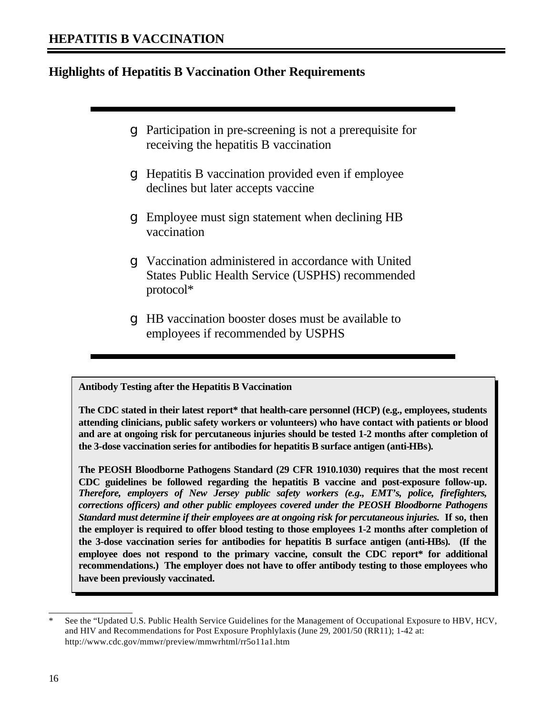## **Highlights of Hepatitis B Vaccination Other Requirements**

- g Participation in pre-screening is not a prerequisite for receiving the hepatitis B vaccination
- g Hepatitis B vaccination provided even if employee declines but later accepts vaccine
- g Employee must sign statement when declining HB vaccination
- g Vaccination administered in accordance with United States Public Health Service (USPHS) recommended protocol\*
- g HB vaccination booster doses must be available to employees if recommended by USPHS

**Antibody Testing after the Hepatitis B Vaccination**

**The CDC stated in their latest report\* that health-care personnel (HCP) (e.g., employees, students attending clinicians, public safety workers or volunteers) who have contact with patients or blood and are at ongoing risk for percutaneous injuries should be tested 1-2 months after completion of the 3-dose vaccination series for antibodies for hepatitis B surface antigen (anti-HBs).**

**The PEOSH Bloodborne Pathogens Standard (29 CFR 1910.1030) requires that the most recent CDC guidelines be followed regarding the hepatitis B vaccine and post-exposure follow-up.** *Therefore, employers of New Jersey public safety workers (e.g., EMT's, police, firefighters, corrections officers) and other public employees covered under the PEOSH Bloodborne Pathogens Standard must determine if their employees are at ongoing risk for percutaneous injuries.* **If so, then the employer is required to offer blood testing to those employees 1-2 months after completion of the 3-dose vaccination series for antibodies for hepatitis B surface antigen (anti-HBs). (If the employee does not respond to the primary vaccine, consult the CDC report\* for additional recommendations.) The employer does not have to offer antibody testing to those employees who have been previously vaccinated.**

\_\_\_\_\_\_\_\_\_\_\_\_\_\_\_\_

See the "Updated U.S. Public Health Service Guidelines for the Management of Occupational Exposure to HBV, HCV, and HIV and Recommendations for Post Exposure Prophlylaxis (June 29, 2001/50 (RR11); 1-42 at: http://www.cdc.gov/mmwr/preview/mmwrhtml/rr5o11a1.htm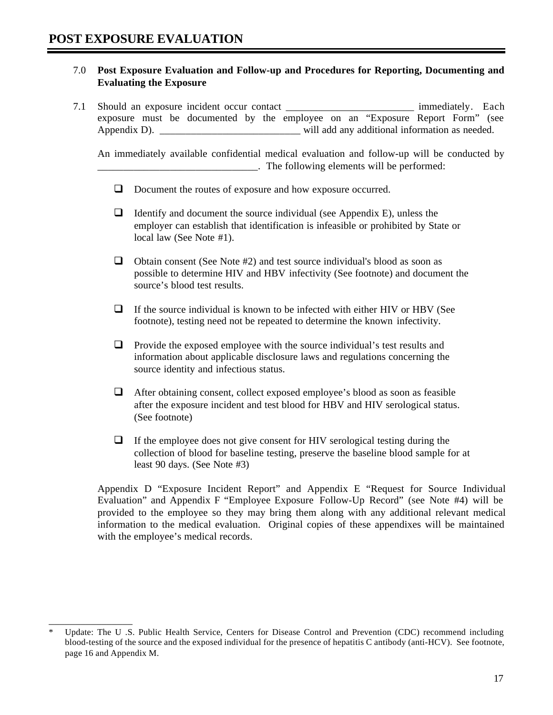\_\_\_\_\_\_\_\_\_\_\_\_\_\_\_\_

#### 7.0 **Post Exposure Evaluation and Follow-up and Procedures for Reporting, Documenting and Evaluating the Exposure**

7.1 Should an exposure incident occur contact \_\_\_\_\_\_\_\_\_\_\_\_\_\_\_\_\_\_\_\_\_\_\_\_\_ immediately. Each exposure must be documented by the employee on an "Exposure Report Form" (see Appendix D).  $\omega$  will add any additional information as needed.

An immediately available confidential medical evaluation and follow-up will be conducted by . The following elements will be performed:

- $\Box$  Document the routes of exposure and how exposure occurred.
- $\Box$  Identify and document the source individual (see Appendix E), unless the employer can establish that identification is infeasible or prohibited by State or local law (See Note #1).
- $\Box$  Obtain consent (See Note #2) and test source individual's blood as soon as possible to determine HIV and HBV infectivity (See footnote) and document the source's blood test results.
- $\Box$  If the source individual is known to be infected with either HIV or HBV (See footnote), testing need not be repeated to determine the known infectivity.
- $\Box$  Provide the exposed employee with the source individual's test results and information about applicable disclosure laws and regulations concerning the source identity and infectious status.
- $\Box$  After obtaining consent, collect exposed employee's blood as soon as feasible after the exposure incident and test blood for HBV and HIV serological status. (See footnote)
- $\Box$  If the employee does not give consent for HIV serological testing during the collection of blood for baseline testing, preserve the baseline blood sample for at least 90 days. (See Note #3)

Appendix D "Exposure Incident Report" and Appendix E "Request for Source Individual Evaluation" and Appendix F "Employee Exposure Follow-Up Record" (see Note #4) will be provided to the employee so they may bring them along with any additional relevant medical information to the medical evaluation. Original copies of these appendixes will be maintained with the employee's medical records.

Update: The U .S. Public Health Service, Centers for Disease Control and Prevention (CDC) recommend including blood-testing of the source and the exposed individual for the presence of hepatitis C antibody (anti-HCV). See footnote, page 16 and Appendix M.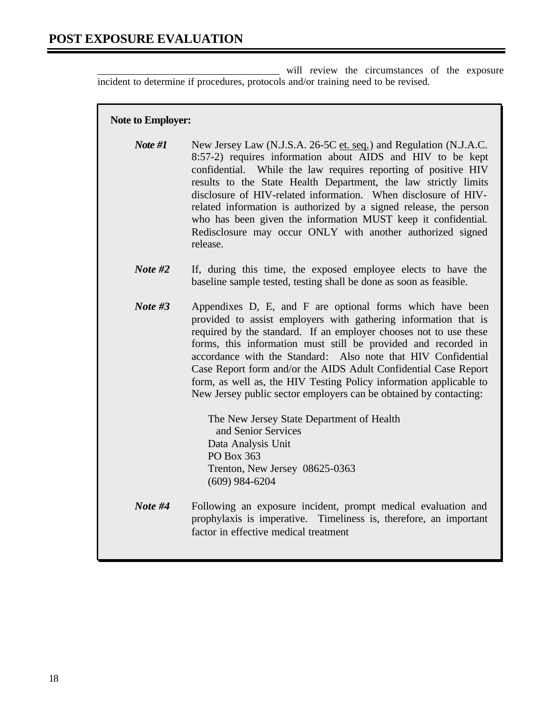will review the circumstances of the exposure incident to determine if procedures, protocols and/or training need to be revised.

#### **Note to Employer:**

- *Note #1* New Jersey Law (N.J.S.A. 26-5C et. seq.) and Regulation (N.J.A.C. 8:57-2) requires information about AIDS and HIV to be kept confidential. While the law requires reporting of positive HIV results to the State Health Department, the law strictly limits disclosure of HIV-related information. When disclosure of HIVrelated information is authorized by a signed release, the person who has been given the information MUST keep it confidential. Redisclosure may occur ONLY with another authorized signed release.
- *Note* #2 If, during this time, the exposed employee elects to have the baseline sample tested, testing shall be done as soon as feasible.
- *Note #3* Appendixes D, E, and F are optional forms which have been provided to assist employers with gathering information that is required by the standard. If an employer chooses not to use these forms, this information must still be provided and recorded in accordance with the Standard: Also note that HIV Confidential Case Report form and/or the AIDS Adult Confidential Case Report form, as well as, the HIV Testing Policy information applicable to New Jersey public sector employers can be obtained by contacting:

The New Jersey State Department of Health and Senior Services Data Analysis Unit PO Box 363 Trenton, New Jersey 08625-0363 (609) 984-6204

*Note #4* Following an exposure incident, prompt medical evaluation and prophylaxis is imperative. Timeliness is, therefore, an important factor in effective medical treatment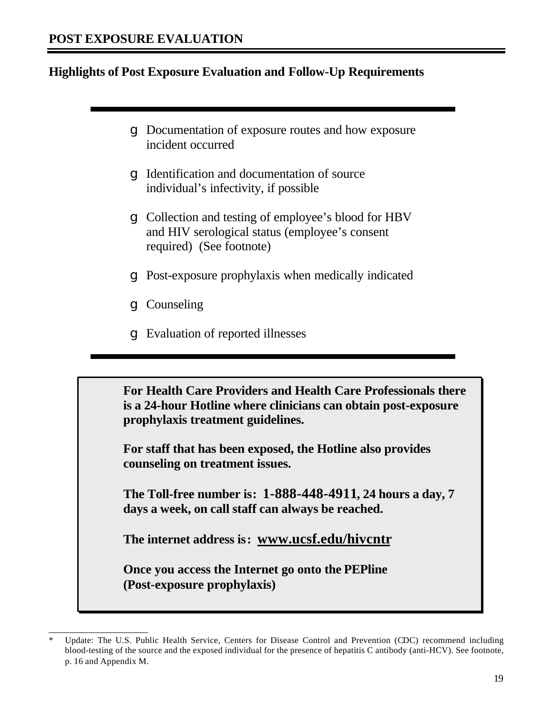## **Highlights of Post Exposure Evaluation and Follow-Up Requirements**

- g Documentation of exposure routes and how exposure incident occurred
- g Identification and documentation of source individual's infectivity, if possible
- g Collection and testing of employee's blood for HBV and HIV serological status (employee's consent required) (See footnote)
- g Post-exposure prophylaxis when medically indicated
- g Counseling

\_\_\_\_\_\_\_\_\_\_\_\_\_\_\_\_\_\_\_

g Evaluation of reported illnesses

**For Health Care Providers and Health Care Professionals there is a 24-hour Hotline where clinicians can obtain post-exposure prophylaxis treatment guidelines.**

**For staff that has been exposed, the Hotline also provides counseling on treatment issues.**

**The Toll-free number is: 1-888-448-4911, 24 hours a day, 7 days a week, on call staff can always be reached.**

**The internet address is: www.ucsf.edu/hivcntr**

**Once you access the Internet go onto the PEPline (Post-exposure prophylaxis)**

Update: The U.S. Public Health Service, Centers for Disease Control and Prevention (CDC) recommend including blood-testing of the source and the exposed individual for the presence of hepatitis C antibody (anti-HCV). See footnote, p. 16 and Appendix M.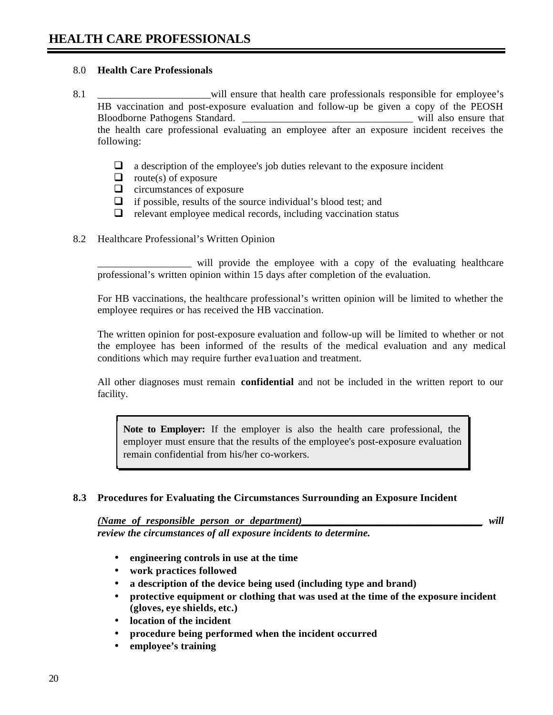#### 8.0 **Health Care Professionals**

- 8.1 \_\_\_\_\_\_\_\_\_\_\_\_\_\_\_\_\_\_\_\_\_\_\_will ensure that health care professionals responsible for employee's HB vaccination and post-exposure evaluation and follow-up be given a copy of the PEOSH Bloodborne Pathogens Standard. \_\_\_\_\_\_\_\_\_\_\_\_\_\_\_\_\_\_\_\_\_\_\_\_\_\_\_\_\_\_\_\_\_ will also ensure that the health care professional evaluating an employee after an exposure incident receives the following:
	- $\Box$  a description of the employee's job duties relevant to the exposure incident
	- $\Box$  route(s) of exposure
	- $\Box$  circumstances of exposure
	- $\Box$  if possible, results of the source individual's blood test; and
	- $\Box$  relevant employee medical records, including vaccination status
- 8.2 Healthcare Professional's Written Opinion

\_\_\_\_\_\_\_\_\_\_\_\_\_\_\_\_\_\_ will provide the employee with a copy of the evaluating healthcare professional's written opinion within 15 days after completion of the evaluation.

For HB vaccinations, the healthcare professional's written opinion will be limited to whether the employee requires or has received the HB vaccination.

The written opinion for post-exposure evaluation and follow-up will be limited to whether or not the employee has been informed of the results of the medical evaluation and any medical conditions which may require further eva1uation and treatment.

All other diagnoses must remain **confidential** and not be included in the written report to our facility.

**Note to Employer:** If the employer is also the health care professional, the employer must ensure that the results of the employee's post-exposure evaluation remain confidential from his/her co-workers.

#### **8.3 Procedures for Evaluating the Circumstances Surrounding an Exposure Incident**

*(Name of responsible person or department)\_\_\_\_\_\_\_\_\_\_\_\_\_\_\_\_\_\_\_\_\_\_\_\_\_\_\_\_\_\_\_\_\_\_\_ will review the circumstances of all exposure incidents to determine.*

- **engineering controls in use at the time**
- **work practices followed**
- **a description of the device being used (including type and brand)**
- **protective equipment or clothing that was used at the time of the exposure incident (gloves, eye shields, etc.)**
- **location of the incident**
- **procedure being performed when the incident occurred**
- **employee's training**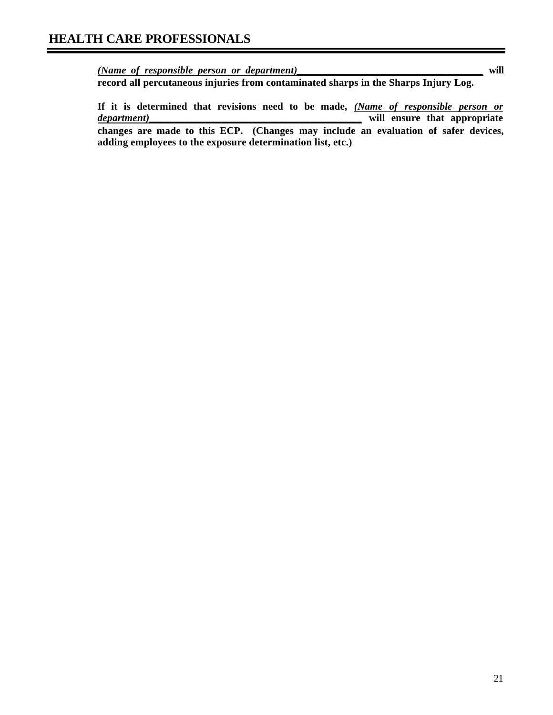*(Name of responsible person or department)\_\_\_\_\_\_\_\_\_\_\_\_\_\_\_\_\_\_\_\_\_\_\_\_\_\_\_\_\_\_\_\_\_\_\_\_* **will record all percutaneous injuries from contaminated sharps in the Sharps Injury Log.**

**If it is determined that revisions need to be made,** *(Name of responsible person or department)\_\_\_\_\_\_\_\_\_\_\_\_\_\_\_\_\_\_\_\_\_\_\_\_\_\_\_\_\_\_\_\_\_\_\_\_\_\_\_\_\_* **will ensure that appropriate changes are made to this ECP.****(Changes may include an evaluation of safer devices, adding employees to the exposure determination list, etc.)**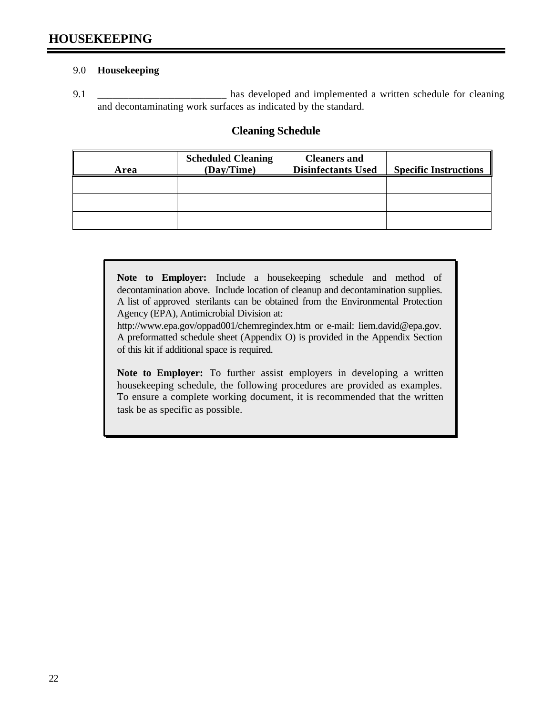#### 9.0 **Housekeeping**

9.1 \_\_\_\_\_\_\_\_\_\_\_\_\_\_\_\_\_\_\_\_\_\_\_\_\_ has developed and implemented a written schedule for cleaning and decontaminating work surfaces as indicated by the standard.

#### **Cleaning Schedule**

| Area | <b>Scheduled Cleaning</b><br>(Day/Time) | <b>Cleaners and</b><br><b>Disinfectants Used</b> | <b>Specific Instructions</b> |
|------|-----------------------------------------|--------------------------------------------------|------------------------------|
|      |                                         |                                                  |                              |
|      |                                         |                                                  |                              |
|      |                                         |                                                  |                              |

**Note to Employer:** Include a housekeeping schedule and method of decontamination above. Include location of cleanup and decontamination supplies. A list of approved sterilants can be obtained from the Environmental Protection Agency (EPA), Antimicrobial Division at:

http://www.epa.gov/oppad001/chemregindex.htm or e-mail: liem.david@epa.gov. A preformatted schedule sheet (Appendix O) is provided in the Appendix Section of this kit if additional space is required.

**Note to Employer:** To further assist employers in developing a written housekeeping schedule, the following procedures are provided as examples. To ensure a complete working document, it is recommended that the written task be as specific as possible.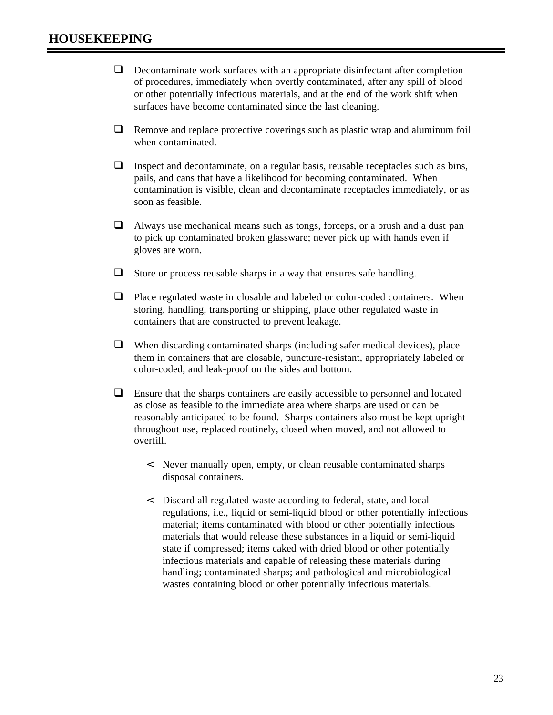- $\Box$  Decontaminate work surfaces with an appropriate disinfectant after completion of procedures, immediately when overtly contaminated, after any spill of blood or other potentially infectious materials, and at the end of the work shift when surfaces have become contaminated since the last cleaning.
- $\Box$  Remove and replace protective coverings such as plastic wrap and aluminum foil when contaminated.
- $\Box$  Inspect and decontaminate, on a regular basis, reusable receptacles such as bins, pails, and cans that have a likelihood for becoming contaminated. When contamination is visible, clean and decontaminate receptacles immediately, or as soon as feasible.
- $\Box$  Always use mechanical means such as tongs, forceps, or a brush and a dust pan to pick up contaminated broken glassware; never pick up with hands even if gloves are worn.
- $\Box$  Store or process reusable sharps in a way that ensures safe handling.
- $\Box$  Place regulated waste in closable and labeled or color-coded containers. When storing, handling, transporting or shipping, place other regulated waste in containers that are constructed to prevent leakage.
- $\Box$  When discarding contaminated sharps (including safer medical devices), place them in containers that are closable, puncture-resistant, appropriately labeled or color-coded, and leak-proof on the sides and bottom.
- $\Box$  Ensure that the sharps containers are easily accessible to personnel and located as close as feasible to the immediate area where sharps are used or can be reasonably anticipated to be found. Sharps containers also must be kept upright throughout use, replaced routinely, closed when moved, and not allowed to overfill.
	- < Never manually open, empty, or clean reusable contaminated sharps disposal containers.
	- < Discard all regulated waste according to federal, state, and local regulations, i.e., liquid or semi-liquid blood or other potentially infectious material; items contaminated with blood or other potentially infectious materials that would release these substances in a liquid or semi-liquid state if compressed; items caked with dried blood or other potentially infectious materials and capable of releasing these materials during handling; contaminated sharps; and pathological and microbiological wastes containing blood or other potentially infectious materials.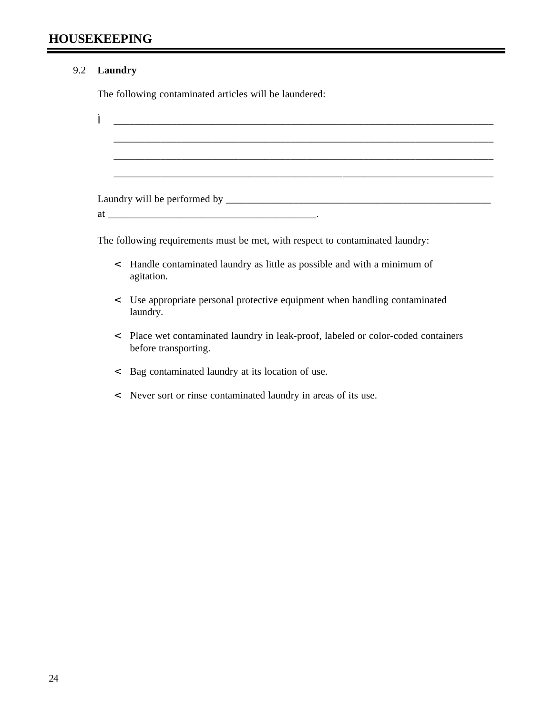#### 9.2 **Laundry**

The following contaminated articles will be laundered:

| at | <u> 1989 - Johann Harry Harry Harry Harry Harry Harry Harry Harry Harry Harry Harry Harry Harry Harry Harry Harry</u> |  |  |
|----|-----------------------------------------------------------------------------------------------------------------------|--|--|

The following requirements must be met, with respect to contaminated laundry:

- < Handle contaminated laundry as little as possible and with a minimum of agitation.
- < Use appropriate personal protective equipment when handling contaminated laundry.
- < Place wet contaminated laundry in leak-proof, labeled or color-coded containers before transporting.
- < Bag contaminated laundry at its location of use.
- < Never sort or rinse contaminated laundry in areas of its use.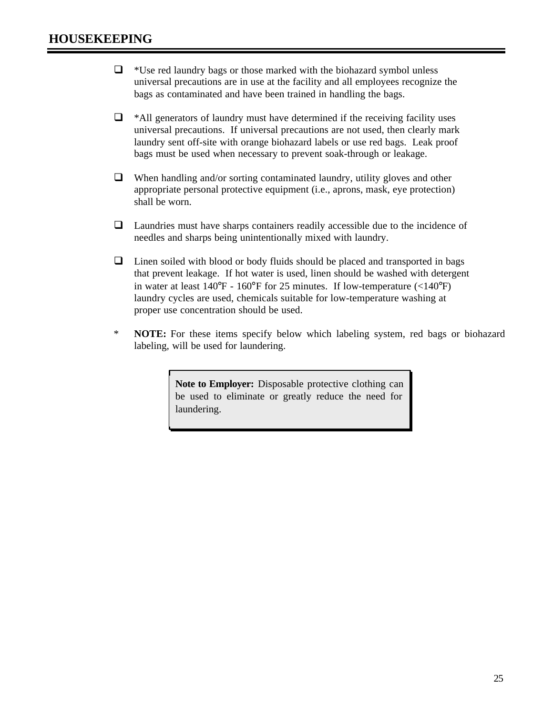- $\Box$  \*Use red laundry bags or those marked with the biohazard symbol unless universal precautions are in use at the facility and all employees recognize the bags as contaminated and have been trained in handling the bags.
- $\Box$  \*All generators of laundry must have determined if the receiving facility uses universal precautions. If universal precautions are not used, then clearly mark laundry sent off-site with orange biohazard labels or use red bags. Leak proof bags must be used when necessary to prevent soak-through or leakage.
- $\Box$  When handling and/or sorting contaminated laundry, utility gloves and other appropriate personal protective equipment (i.e., aprons, mask, eye protection) shall be worn.
- $\Box$  Laundries must have sharps containers readily accessible due to the incidence of needles and sharps being unintentionally mixed with laundry.
- $\Box$  Linen soiled with blood or body fluids should be placed and transported in bags that prevent leakage. If hot water is used, linen should be washed with detergent in water at least  $140^{\circ}$ F -  $160^{\circ}$ F for 25 minutes. If low-temperature (<140 $^{\circ}$ F) laundry cycles are used, chemicals suitable for low-temperature washing at proper use concentration should be used.
- \* **NOTE:** For these items specify below which labeling system, red bags or biohazard labeling, will be used for laundering.

**Note to Employer:** Disposable protective clothing can be used to eliminate or greatly reduce the need for laundering.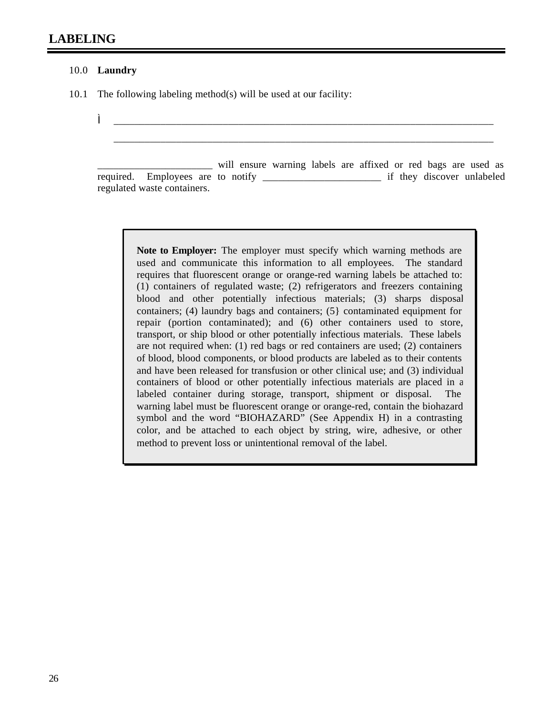#### 10.0 **Laundry**

10.1 The following labeling method(s) will be used at our facility:

í \_\_\_\_\_\_\_\_\_\_\_\_\_\_\_\_\_\_\_\_\_\_\_\_\_\_\_\_\_\_\_\_\_\_\_\_\_\_\_\_\_\_\_\_\_\_\_\_\_\_\_\_\_\_\_\_\_\_\_\_\_\_\_\_\_\_\_\_\_\_\_\_\_

will ensure warning labels are affixed or red bags are used as required. Employees are to notify \_\_\_\_\_\_\_\_\_\_\_\_\_\_\_\_\_\_\_\_\_\_\_ if they discover unlabeled regulated waste containers.

\_\_\_\_\_\_\_\_\_\_\_\_\_\_\_\_\_\_\_\_\_\_\_\_\_\_\_\_\_\_\_\_\_\_\_\_\_\_\_\_\_\_\_\_\_\_\_\_\_\_\_\_\_\_\_\_\_\_\_\_\_\_\_\_\_\_\_\_\_\_\_\_\_

**Note to Employer:** The employer must specify which warning methods are used and communicate this information to all employees. The standard requires that fluorescent orange or orange-red warning labels be attached to: (1) containers of regulated waste; (2) refrigerators and freezers containing blood and other potentially infectious materials; (3) sharps disposal containers; (4) laundry bags and containers; (5} contaminated equipment for repair (portion contaminated); and (6) other containers used to store, transport, or ship blood or other potentially infectious materials. These labels are not required when: (1) red bags or red containers are used; (2) containers of blood, blood components, or blood products are labeled as to their contents and have been released for transfusion or other clinical use; and (3) individual containers of blood or other potentially infectious materials are placed in a labeled container during storage, transport, shipment or disposal. The warning label must be fluorescent orange or orange-red, contain the biohazard symbol and the word "BIOHAZARD" (See Appendix H) in a contrasting color, and be attached to each object by string, wire, adhesive, or other method to prevent loss or unintentional removal of the label.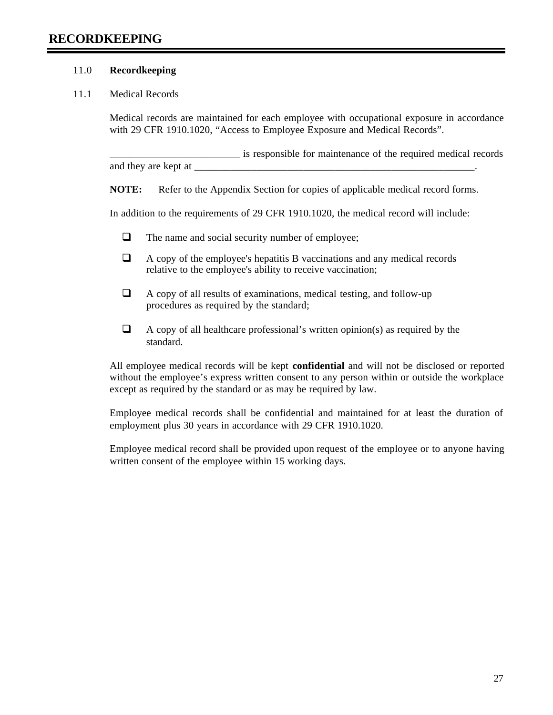#### 11.0 **Recordkeeping**

#### 11.1 Medical Records

Medical records are maintained for each employee with occupational exposure in accordance with 29 CFR 1910.1020, "Access to Employee Exposure and Medical Records".

\_\_\_\_\_\_\_\_\_\_\_\_\_\_\_\_\_\_\_\_\_\_\_\_\_ is responsible for maintenance of the required medical records and they are kept at

**NOTE:** Refer to the Appendix Section for copies of applicable medical record forms.

In addition to the requirements of 29 CFR 1910.1020, the medical record will include:

- $\Box$  The name and social security number of employee;
- $\Box$  A copy of the employee's hepatitis B vaccinations and any medical records relative to the employee's ability to receive vaccination;
- $\Box$  A copy of all results of examinations, medical testing, and follow-up procedures as required by the standard;
- $\Box$  A copy of all healthcare professional's written opinion(s) as required by the standard.

All employee medical records will be kept **confidential** and will not be disclosed or reported without the employee's express written consent to any person within or outside the workplace except as required by the standard or as may be required by law.

Employee medical records shall be confidential and maintained for at least the duration of employment plus 30 years in accordance with 29 CFR 1910.1020.

Employee medical record shall be provided upon request of the employee or to anyone having written consent of the employee within 15 working days.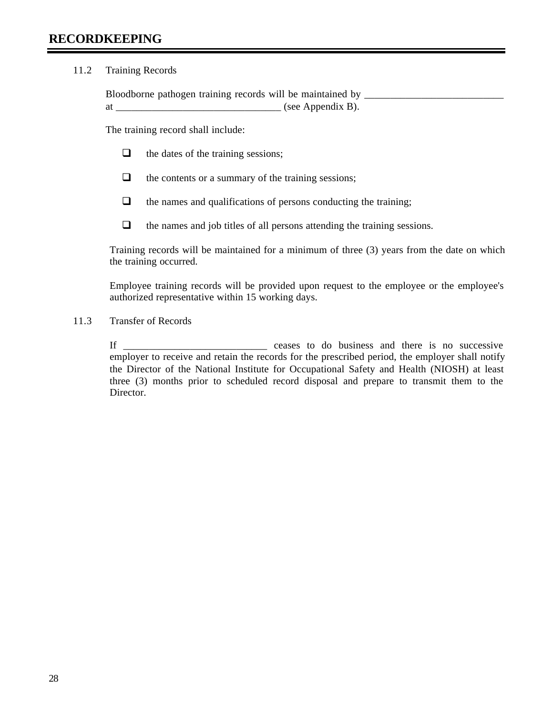#### 11.2 Training Records

Bloodborne pathogen training records will be maintained by \_\_\_\_\_\_\_\_\_\_\_\_\_\_\_\_\_\_\_\_\_\_ at  $(see Appendix B).$ 

The training record shall include:

- $\Box$  the dates of the training sessions;
- $\Box$  the contents or a summary of the training sessions;
- $\Box$  the names and qualifications of persons conducting the training;
- $\Box$  the names and job titles of all persons attending the training sessions.

Training records will be maintained for a minimum of three (3) years from the date on which the training occurred.

Employee training records will be provided upon request to the employee or the employee's authorized representative within 15 working days.

#### 11.3 Transfer of Records

If \_\_\_\_\_\_\_\_\_\_\_\_\_\_\_\_\_\_\_\_\_\_\_\_\_\_\_\_ ceases to do business and there is no successive employer to receive and retain the records for the prescribed period, the employer shall notify the Director of the National Institute for Occupational Safety and Health (NIOSH) at least three (3) months prior to scheduled record disposal and prepare to transmit them to the Director.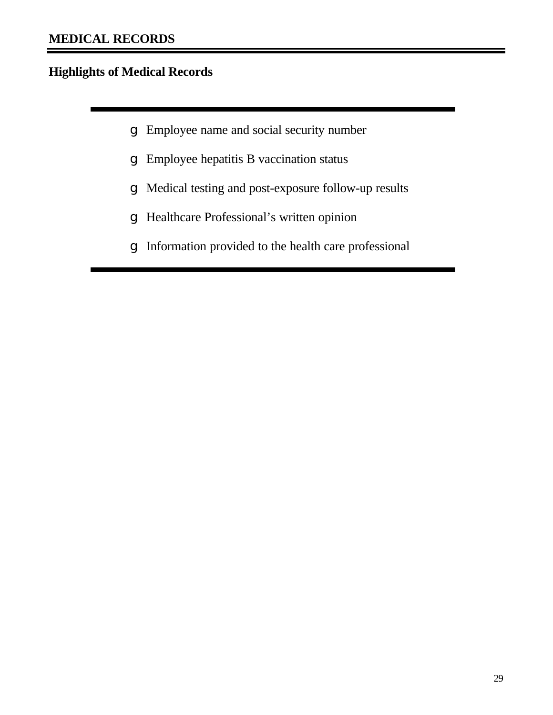## **MEDICAL RECORDS**

## **Highlights of Medical Records**

- g Employee name and social security number
- g Employee hepatitis B vaccination status
- g Medical testing and post-exposure follow-up results
- g Healthcare Professional's written opinion
- g Information provided to the health care professional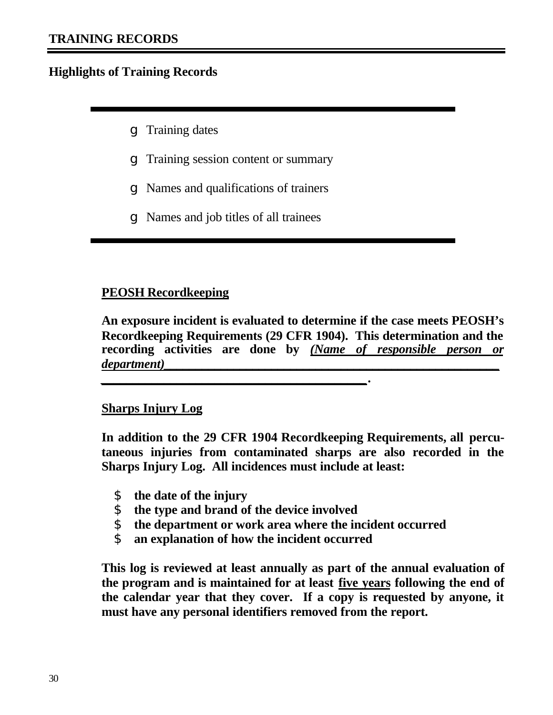## **Highlights of Training Records**

- g Training dates
- g Training session content or summary
- g Names and qualifications of trainers
- g Names and job titles of all trainees

## **PEOSH Recordkeeping**

**An exposure incident is evaluated to determine if the case meets PEOSH's Recordkeeping Requirements (29 CFR 1904). This determination and the recording activities are done by** *(Name of responsible person or department)\_\_\_\_\_\_\_\_\_\_\_\_\_\_\_\_\_\_\_\_\_\_\_\_\_\_\_\_\_\_\_\_\_\_\_\_\_\_\_\_\_\_\_\_\_\_\_\_\_\_\_\_\_*

## **Sharps Injury Log**

**In addition to the 29 CFR 1904 Recordkeeping Requirements, all percutaneous injuries from contaminated sharps are also recorded in the Sharps Injury Log. All incidences must include at least:**

- \$ **the date of the injury**
- \$ **the type and brand of the device involved**

*\_\_\_\_\_\_\_\_\_\_\_\_\_\_\_\_\_\_\_\_\_\_\_\_\_\_\_\_\_\_\_\_\_\_\_\_\_\_\_\_\_\_***.**

- the department or work area where the incident occurred
- \$ **an explanation of how the incident occurred**

**This log is reviewed at least annually as part of the annual evaluation of the program and is maintained for at least five years following the end of the calendar year that they cover. If a copy is requested by anyone, it must have any personal identifiers removed from the report.**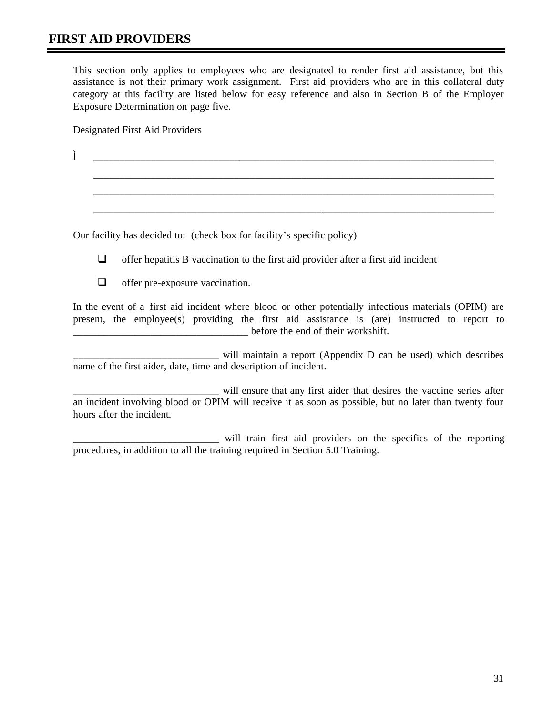This section only applies to employees who are designated to render first aid assistance, but this assistance is not their primary work assignment. First aid providers who are in this collateral duty category at this facility are listed below for easy reference and also in Section B of the Employer Exposure Determination on page five.

\_\_\_\_\_\_\_\_\_\_\_\_\_\_\_\_\_\_\_\_\_\_\_\_\_\_\_\_\_\_\_\_\_\_\_\_\_\_\_\_\_\_\_\_\_\_\_\_\_\_\_\_\_\_\_\_\_\_\_\_\_\_\_\_\_\_\_\_\_\_\_\_\_\_\_\_\_ \_\_\_\_\_\_\_\_\_\_\_\_\_\_\_\_\_\_\_\_\_\_\_\_\_\_\_\_\_\_\_\_\_\_\_\_\_\_\_\_\_\_\_\_\_\_\_\_\_\_\_\_\_\_\_\_\_\_\_\_\_\_\_\_\_\_\_\_\_\_\_\_\_\_\_\_\_ \_\_\_\_\_\_\_\_\_\_\_\_\_\_\_\_\_\_\_\_\_\_\_\_\_\_\_\_\_\_\_\_\_\_\_\_\_\_\_\_\_\_\_\_\_\_\_\_\_\_\_\_\_\_\_\_\_\_\_\_\_\_\_\_\_\_\_\_\_\_\_\_\_\_\_\_\_

Designated First Aid Providers

 $\mathbf i$ 

Our facility has decided to: (check box for facility's specific policy)

 $\Box$  offer hepatitis B vaccination to the first aid provider after a first aid incident

- 
- $\Box$  offer pre-exposure vaccination.

In the event of a first aid incident where blood or other potentially infectious materials (OPIM) are present, the employee(s) providing the first aid assistance is (are) instructed to report to \_\_\_\_\_\_\_\_\_\_\_\_\_\_\_\_\_\_\_\_\_\_\_\_\_\_\_\_\_\_\_\_\_\_ before the end of their workshift.

will maintain a report (Appendix D can be used) which describes name of the first aider, date, time and description of incident.

will ensure that any first aider that desires the vaccine series after an incident involving blood or OPIM will receive it as soon as possible, but no later than twenty four hours after the incident.

will train first aid providers on the specifics of the reporting procedures, in addition to all the training required in Section 5.0 Training.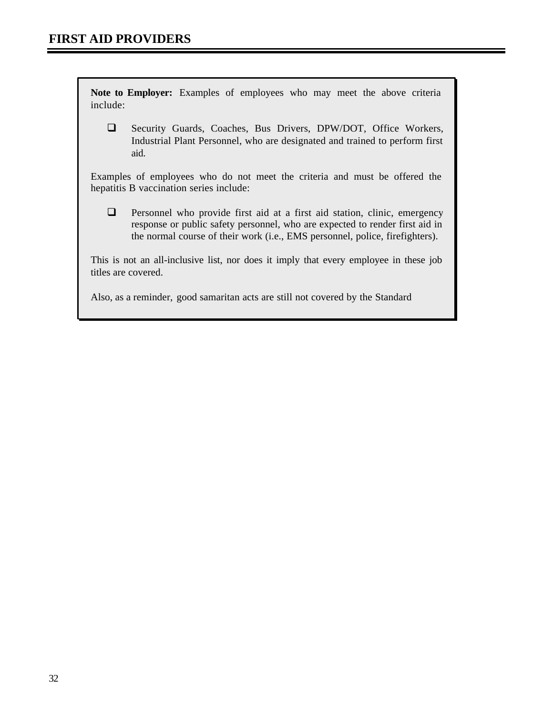**Note to Employer:** Examples of employees who may meet the above criteria include:

**Q** Security Guards, Coaches, Bus Drivers, DPW/DOT, Office Workers, Industrial Plant Personnel, who are designated and trained to perform first aid.

Examples of employees who do not meet the criteria and must be offered the hepatitis B vaccination series include:

 $\Box$  Personnel who provide first aid at a first aid station, clinic, emergency response or public safety personnel, who are expected to render first aid in the normal course of their work (i.e., EMS personnel, police, firefighters).

This is not an all-inclusive list, nor does it imply that every employee in these job titles are covered.

Also, as a reminder, good samaritan acts are still not covered by the Standard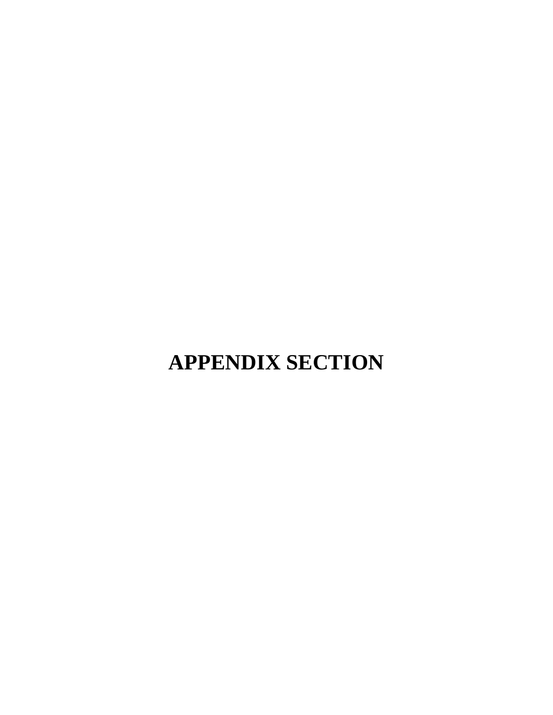## **APPENDIX SECTION**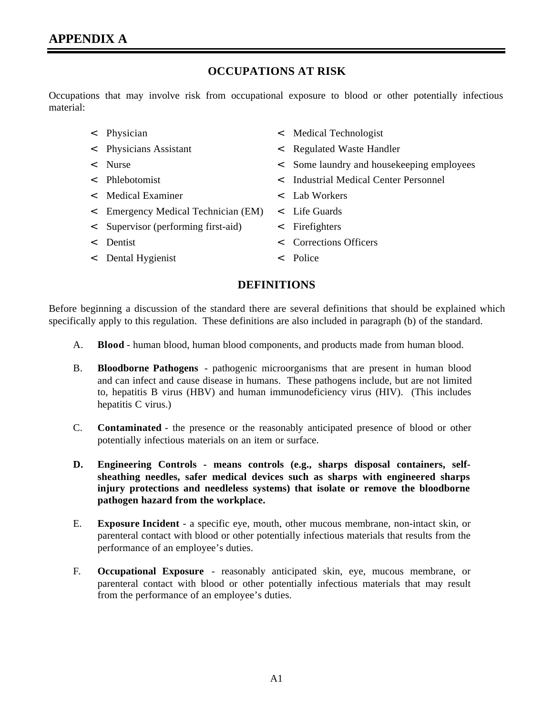## **OCCUPATIONS AT RISK**

Occupations that may involve risk from occupational exposure to blood or other potentially infectious material:

| $\lt$                    | Physician                           | $\lt$                    | Medical Technologist                       |
|--------------------------|-------------------------------------|--------------------------|--------------------------------------------|
| $\lt$                    | <b>Physicians Assistant</b>         | $\lt$                    | <b>Regulated Waste Handler</b>             |
| $\lt$                    | <b>Nurse</b>                        | $\lt$                    | Some laundry and housekeeping employees    |
| $\langle$                | Phlebotomist                        | $\overline{\phantom{a}}$ | <b>Industrial Medical Center Personnel</b> |
| $\langle$                | Medical Examiner                    | $\overline{\phantom{a}}$ | Lab Workers                                |
|                          | < Emergency Medical Technician (EM) | $\overline{a}$           | Life Guards                                |
| $\lt$                    | Supervisor (performing first-aid)   | $\,<\,$                  | Firefighters                               |
| $\overline{\phantom{a}}$ | Dentist                             | $\overline{\phantom{a}}$ | <b>Corrections Officers</b>                |
| $\lt$                    | Dental Hygienist                    | ≺                        | Police                                     |

## **DEFINITIONS**

Before beginning a discussion of the standard there are several definitions that should be explained which specifically apply to this regulation. These definitions are also included in paragraph (b) of the standard.

- A. **Blood** human blood, human blood components, and products made from human blood.
- B. **Bloodborne Pathogens** pathogenic microorganisms that are present in human blood and can infect and cause disease in humans. These pathogens include, but are not limited to, hepatitis B virus (HBV) and human immunodeficiency virus (HIV). (This includes hepatitis C virus.)
- C. **Contaminated** the presence or the reasonably anticipated presence of blood or other potentially infectious materials on an item or surface.
- **D. Engineering Controls means controls (e.g., sharps disposal containers, selfsheathing needles, safer medical devices such as sharps with engineered sharps injury protections and needleless systems) that isolate or remove the bloodborne pathogen hazard from the workplace.**
- E. **Exposure Incident** a specific eye, mouth, other mucous membrane, non-intact skin, or parenteral contact with blood or other potentially infectious materials that results from the performance of an employee's duties.
- F. **Occupational Exposure** reasonably anticipated skin, eye, mucous membrane, or parenteral contact with blood or other potentially infectious materials that may result from the performance of an employee's duties.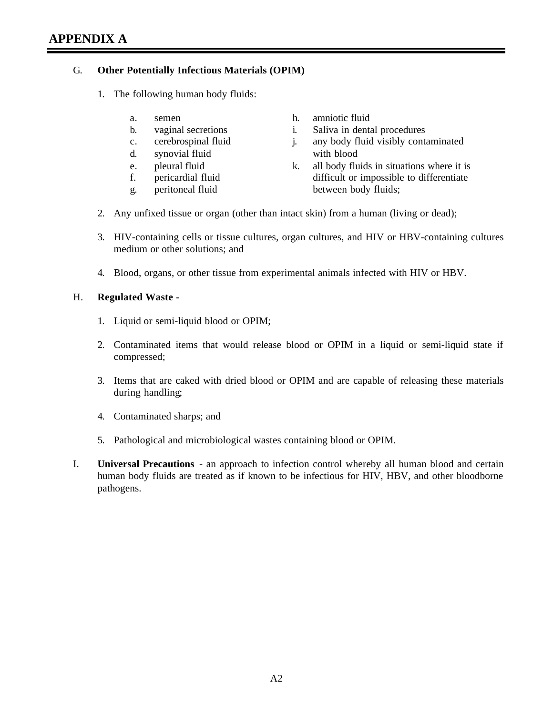## G. **Other Potentially Infectious Materials (OPIM)**

- 1. The following human body fluids:
	-
	-
	-
	- d. synovial fluid with blood
	-
	-
	-
	- a. semen h. amniotic fluid
	- b. vaginal secretions i. Saliva in dental procedures
	- c. cerebrospinal fluid j. any body fluid visibly contaminated
	- e. pleural fluid k. all body fluids in situations where it is f. pericardial fluid difficult or impossible to differentiate g. peritoneal fluid between body fluids;
- 2. Any unfixed tissue or organ (other than intact skin) from a human (living or dead);
- 3. HIV-containing cells or tissue cultures, organ cultures, and HIV or HBV-containing cultures medium or other solutions; and
- 4. Blood, organs, or other tissue from experimental animals infected with HIV or HBV.

## H. **Regulated Waste -**

- 1. Liquid or semi-liquid blood or OPIM;
- 2. Contaminated items that would release blood or OPIM in a liquid or semi-liquid state if compressed;
- 3. Items that are caked with dried blood or OPIM and are capable of releasing these materials during handling;
- 4. Contaminated sharps; and
- 5. Pathological and microbiological wastes containing blood or OPIM.
- I. **Universal Precautions** an approach to infection control whereby all human blood and certain human body fluids are treated as if known to be infectious for HIV, HBV, and other bloodborne pathogens.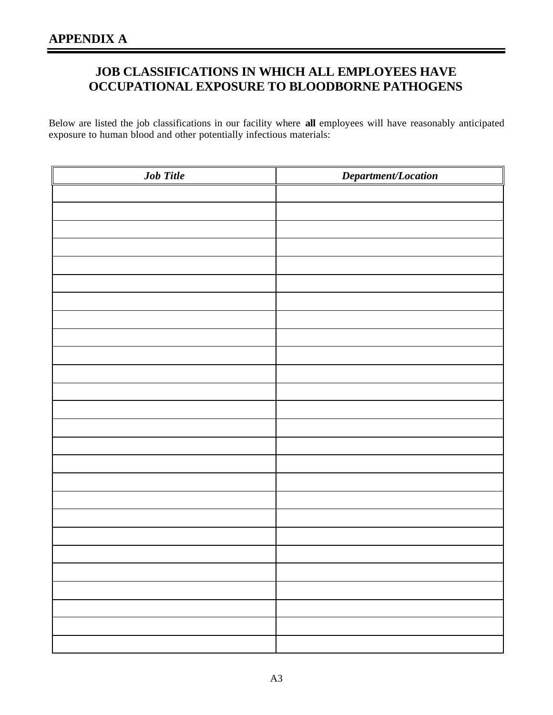# **JOB CLASSIFICATIONS IN WHICH ALL EMPLOYEES HAVE OCCUPATIONAL EXPOSURE TO BLOODBORNE PATHOGENS**

Below are listed the job classifications in our facility where **all** employees will have reasonably anticipated exposure to human blood and other potentially infectious materials:

| <b>Job Title</b> | Department/Location |
|------------------|---------------------|
|                  |                     |
|                  |                     |
|                  |                     |
|                  |                     |
|                  |                     |
|                  |                     |
|                  |                     |
|                  |                     |
|                  |                     |
|                  |                     |
|                  |                     |
|                  |                     |
|                  |                     |
|                  |                     |
|                  |                     |
|                  |                     |
|                  |                     |
|                  |                     |
|                  |                     |
|                  |                     |
|                  |                     |
|                  |                     |
|                  |                     |
|                  |                     |
|                  |                     |
|                  |                     |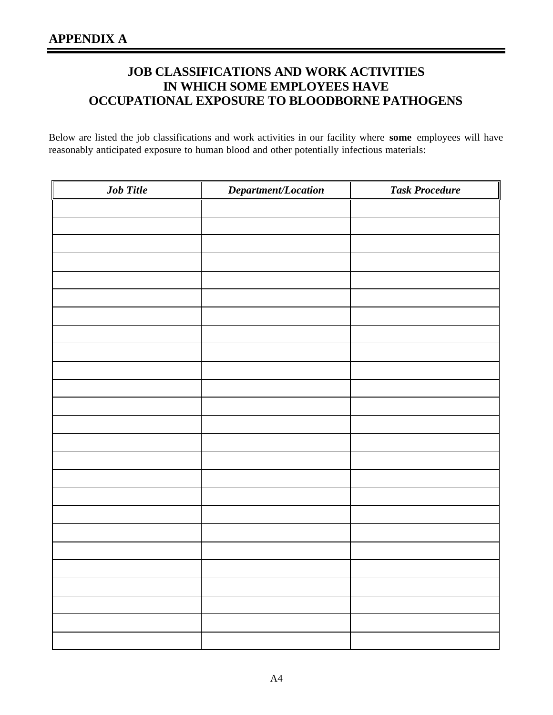# **JOB CLASSIFICATIONS AND WORK ACTIVITIES IN WHICH SOME EMPLOYEES HAVE OCCUPATIONAL EXPOSURE TO BLOODBORNE PATHOGENS**

Below are listed the job classifications and work activities in our facility where **some** employees will have reasonably anticipated exposure to human blood and other potentially infectious materials:

| Job Title | Department/Location | <b>Task Procedure</b> |
|-----------|---------------------|-----------------------|
|           |                     |                       |
|           |                     |                       |
|           |                     |                       |
|           |                     |                       |
|           |                     |                       |
|           |                     |                       |
|           |                     |                       |
|           |                     |                       |
|           |                     |                       |
|           |                     |                       |
|           |                     |                       |
|           |                     |                       |
|           |                     |                       |
|           |                     |                       |
|           |                     |                       |
|           |                     |                       |
|           |                     |                       |
|           |                     |                       |
|           |                     |                       |
|           |                     |                       |
|           |                     |                       |
|           |                     |                       |
|           |                     |                       |
|           |                     |                       |
|           |                     |                       |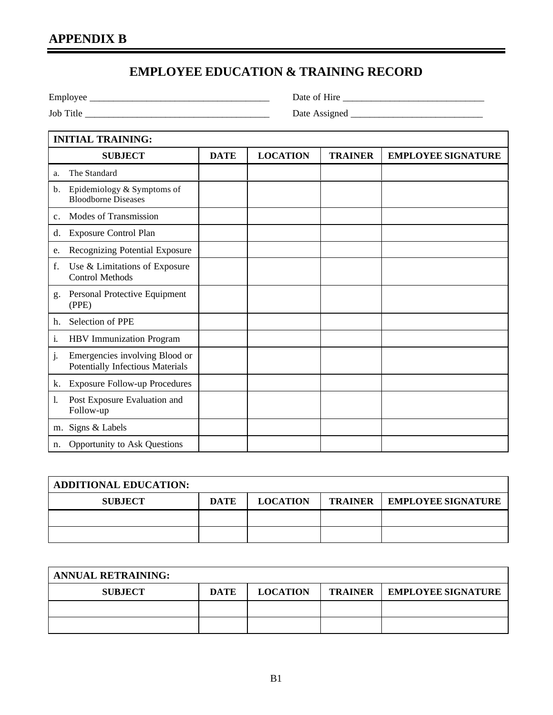# **EMPLOYEE EDUCATION & TRAINING RECORD**

 $\blacksquare$ 

Employee \_\_\_\_\_\_\_\_\_\_\_\_\_\_\_\_\_\_\_\_\_\_\_\_\_\_\_\_\_\_\_\_\_\_\_\_\_\_ Date of Hire \_\_\_\_\_\_\_\_\_\_\_\_\_\_\_\_\_\_\_\_\_\_\_\_\_\_\_\_\_\_

Job Title \_\_\_\_\_\_\_\_\_\_\_\_\_\_\_\_\_\_\_\_\_\_\_\_\_\_\_\_\_\_\_\_\_\_\_\_\_\_\_ Date Assigned \_\_\_\_\_\_\_\_\_\_\_\_\_\_\_\_\_\_\_\_\_\_\_\_\_\_\_\_

| <b>INITIAL TRAINING:</b> |                                                                           |             |                 |                |                           |
|--------------------------|---------------------------------------------------------------------------|-------------|-----------------|----------------|---------------------------|
|                          | <b>SUBJECT</b>                                                            | <b>DATE</b> | <b>LOCATION</b> | <b>TRAINER</b> | <b>EMPLOYEE SIGNATURE</b> |
| a.                       | The Standard                                                              |             |                 |                |                           |
| $\mathbf{b}$ .           | Epidemiology & Symptoms of<br><b>Bloodborne Diseases</b>                  |             |                 |                |                           |
| c.                       | Modes of Transmission                                                     |             |                 |                |                           |
| d.                       | Exposure Control Plan                                                     |             |                 |                |                           |
| e.                       | Recognizing Potential Exposure                                            |             |                 |                |                           |
| f.                       | Use & Limitations of Exposure<br><b>Control Methods</b>                   |             |                 |                |                           |
| g.                       | Personal Protective Equipment<br>(PPE)                                    |             |                 |                |                           |
| h.                       | Selection of PPE                                                          |             |                 |                |                           |
| i.                       | HBV Immunization Program                                                  |             |                 |                |                           |
| J.                       | Emergencies involving Blood or<br><b>Potentially Infectious Materials</b> |             |                 |                |                           |
| k.                       | <b>Exposure Follow-up Procedures</b>                                      |             |                 |                |                           |
| 1.                       | Post Exposure Evaluation and<br>Follow-up                                 |             |                 |                |                           |
| m.                       | Signs & Labels                                                            |             |                 |                |                           |
| n.                       | Opportunity to Ask Questions                                              |             |                 |                |                           |

| <b>ADDITIONAL EDUCATION:</b> |             |                 |         |                           |  |  |
|------------------------------|-------------|-----------------|---------|---------------------------|--|--|
| <b>SUBJECT</b>               | <b>DATE</b> | <b>LOCATION</b> | TRAINER | <b>EMPLOYEE SIGNATURE</b> |  |  |
|                              |             |                 |         |                           |  |  |
|                              |             |                 |         |                           |  |  |

| <b>ANNUAL RETRAINING:</b> |             |                 |                |                           |  |  |
|---------------------------|-------------|-----------------|----------------|---------------------------|--|--|
| <b>SUBJECT</b>            | <b>DATE</b> | <b>LOCATION</b> | <b>TRAINER</b> | <b>EMPLOYEE SIGNATURE</b> |  |  |
|                           |             |                 |                |                           |  |  |
|                           |             |                 |                |                           |  |  |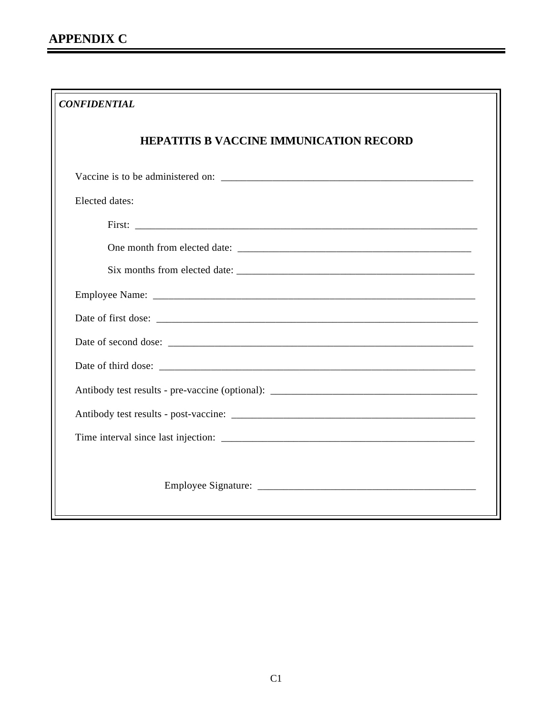| <b>CONFIDENTIAL</b>                     |
|-----------------------------------------|
| HEPATITIS B VACCINE IMMUNICATION RECORD |
|                                         |
| Elected dates:                          |
|                                         |
|                                         |
|                                         |
|                                         |
|                                         |
|                                         |
|                                         |
|                                         |
|                                         |
|                                         |
|                                         |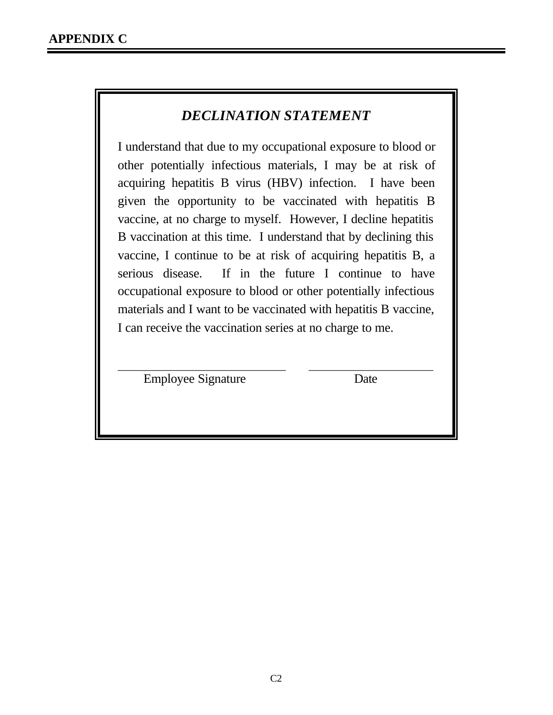# *DECLINATION STATEMENT*

I understand that due to my occupational exposure to blood or other potentially infectious materials, I may be at risk of acquiring hepatitis B virus (HBV) infection. I have been given the opportunity to be vaccinated with hepatitis B vaccine, at no charge to myself. However, I decline hepatitis B vaccination at this time. I understand that by declining this vaccine, I continue to be at risk of acquiring hepatitis B, a serious disease. If in the future I continue to have occupational exposure to blood or other potentially infectious materials and I want to be vaccinated with hepatitis B vaccine, I can receive the vaccination series at no charge to me.

\_\_\_\_\_\_\_\_\_\_\_\_\_\_\_\_\_\_\_\_\_\_\_\_\_\_\_\_\_\_\_ \_\_\_\_\_\_\_\_\_\_\_\_\_\_\_\_\_\_\_\_\_\_\_ Employee Signature Date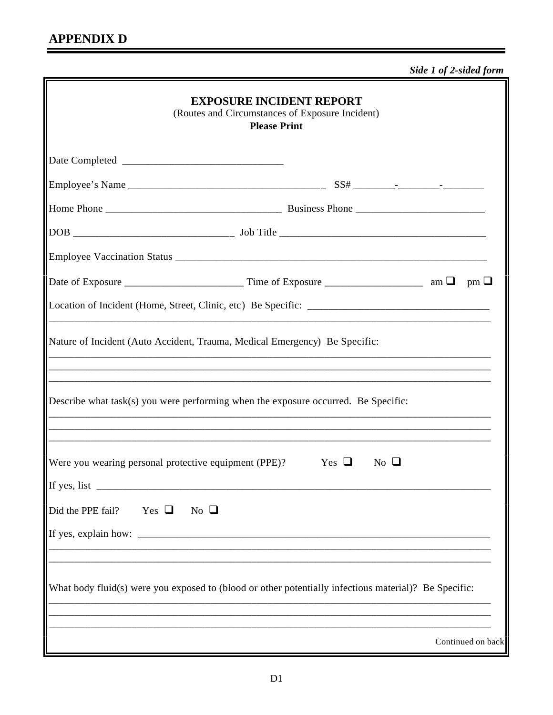Side 1 of 2-sided form

Ξ

| <b>EXPOSURE INCIDENT REPORT</b><br>(Routes and Circumstances of Exposure Incident)<br><b>Please Print</b>                                                                                                                                                                                                                                                                                                                  |                                                                                                                      |
|----------------------------------------------------------------------------------------------------------------------------------------------------------------------------------------------------------------------------------------------------------------------------------------------------------------------------------------------------------------------------------------------------------------------------|----------------------------------------------------------------------------------------------------------------------|
|                                                                                                                                                                                                                                                                                                                                                                                                                            |                                                                                                                      |
|                                                                                                                                                                                                                                                                                                                                                                                                                            |                                                                                                                      |
|                                                                                                                                                                                                                                                                                                                                                                                                                            |                                                                                                                      |
|                                                                                                                                                                                                                                                                                                                                                                                                                            |                                                                                                                      |
|                                                                                                                                                                                                                                                                                                                                                                                                                            |                                                                                                                      |
|                                                                                                                                                                                                                                                                                                                                                                                                                            | $pm \Box$                                                                                                            |
|                                                                                                                                                                                                                                                                                                                                                                                                                            |                                                                                                                      |
| Nature of Incident (Auto Accident, Trauma, Medical Emergency) Be Specific:<br>Describe what task(s) you were performing when the exposure occurred. Be Specific:<br><u> 1989 - Johann John Stone, markin film yn y brening yn y brening yn y brening yn y brening yn y brening yn y b</u><br><u> 1989 - Johann John Stone, mars et al. 1989 - John Stone, mars et al. 1989 - John Stone, mars et al. 1989 - John Stone</u> | <u> 1990 - Johann John Harry, mars ar y brening ar y brening ar y brening ar y brening ar y brening ar y brening</u> |
| Were you wearing personal protective equipment (PPE)?<br>If yes, list                                                                                                                                                                                                                                                                                                                                                      | Yes $\Box$<br>$\rm No$ $\Box$                                                                                        |
| Yes $\Box$<br>$\overline{N_0}$ $\Box$<br>Did the PPE fail?                                                                                                                                                                                                                                                                                                                                                                 |                                                                                                                      |
|                                                                                                                                                                                                                                                                                                                                                                                                                            |                                                                                                                      |
|                                                                                                                                                                                                                                                                                                                                                                                                                            |                                                                                                                      |
| What body fluid(s) were you exposed to (blood or other potentially infectious material)? Be Specific:                                                                                                                                                                                                                                                                                                                      |                                                                                                                      |
|                                                                                                                                                                                                                                                                                                                                                                                                                            | Continued on back                                                                                                    |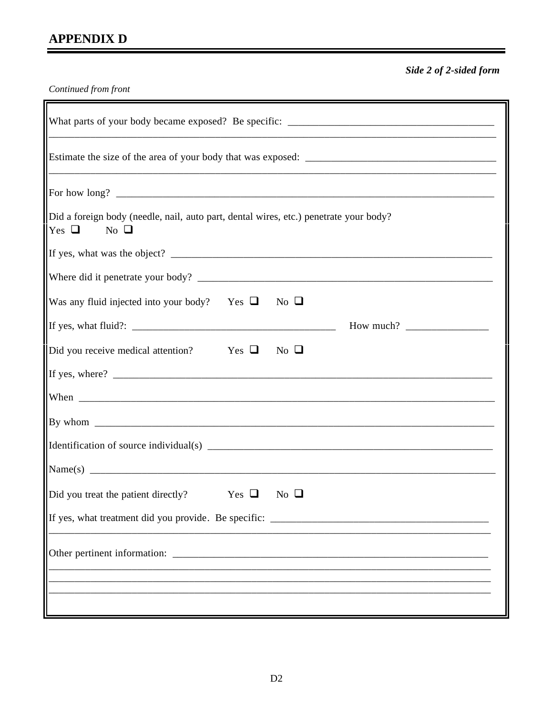# **APPENDIX D**

Side 2 of 2-sided form

Continued from front

| Did a foreign body (needle, nail, auto part, dental wires, etc.) penetrate your body?<br>Yes $\Box$<br>$\overline{N_0}$ $\Box$                                                                                                                                                                                                                                                                 |  |  |  |  |  |
|------------------------------------------------------------------------------------------------------------------------------------------------------------------------------------------------------------------------------------------------------------------------------------------------------------------------------------------------------------------------------------------------|--|--|--|--|--|
|                                                                                                                                                                                                                                                                                                                                                                                                |  |  |  |  |  |
|                                                                                                                                                                                                                                                                                                                                                                                                |  |  |  |  |  |
| Was any fluid injected into your body? Yes $\Box$ No $\Box$                                                                                                                                                                                                                                                                                                                                    |  |  |  |  |  |
| How much? $\frac{1}{\sqrt{1-\frac{1}{2}}}\left\{ \frac{1}{2} + \frac{1}{2} + \frac{1}{2} + \frac{1}{2} + \frac{1}{2} + \frac{1}{2} + \frac{1}{2} + \frac{1}{2} + \frac{1}{2} + \frac{1}{2} + \frac{1}{2} + \frac{1}{2} + \frac{1}{2} + \frac{1}{2} + \frac{1}{2} + \frac{1}{2} + \frac{1}{2} + \frac{1}{2} + \frac{1}{2} + \frac{1}{2} + \frac{1}{2} + \frac{1}{2} + \frac{1}{2} + \frac{1}{2$ |  |  |  |  |  |
| Did you receive medical attention? Yes $\Box$<br>No $\Box$                                                                                                                                                                                                                                                                                                                                     |  |  |  |  |  |
|                                                                                                                                                                                                                                                                                                                                                                                                |  |  |  |  |  |
|                                                                                                                                                                                                                                                                                                                                                                                                |  |  |  |  |  |
|                                                                                                                                                                                                                                                                                                                                                                                                |  |  |  |  |  |
|                                                                                                                                                                                                                                                                                                                                                                                                |  |  |  |  |  |
|                                                                                                                                                                                                                                                                                                                                                                                                |  |  |  |  |  |
| Did you treat the patient directly?<br>Yes $\Box$<br>$\rm No$ $\Box$                                                                                                                                                                                                                                                                                                                           |  |  |  |  |  |
|                                                                                                                                                                                                                                                                                                                                                                                                |  |  |  |  |  |
|                                                                                                                                                                                                                                                                                                                                                                                                |  |  |  |  |  |
|                                                                                                                                                                                                                                                                                                                                                                                                |  |  |  |  |  |
|                                                                                                                                                                                                                                                                                                                                                                                                |  |  |  |  |  |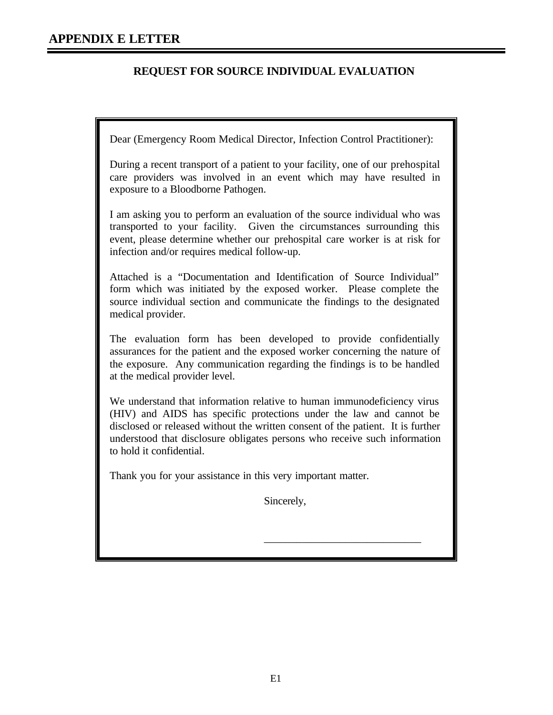## **REQUEST FOR SOURCE INDIVIDUAL EVALUATION**

Dear (Emergency Room Medical Director, Infection Control Practitioner):

During a recent transport of a patient to your facility, one of our prehospital care providers was involved in an event which may have resulted in exposure to a Bloodborne Pathogen.

I am asking you to perform an evaluation of the source individual who was transported to your facility. Given the circumstances surrounding this event, please determine whether our prehospital care worker is at risk for infection and/or requires medical follow-up.

Attached is a "Documentation and Identification of Source Individual" form which was initiated by the exposed worker. Please complete the source individual section and communicate the findings to the designated medical provider.

The evaluation form has been developed to provide confidentially assurances for the patient and the exposed worker concerning the nature of the exposure. Any communication regarding the findings is to be handled at the medical provider level.

We understand that information relative to human immunodeficiency virus (HIV) and AIDS has specific protections under the law and cannot be disclosed or released without the written consent of the patient. It is further understood that disclosure obligates persons who receive such information to hold it confidential.

Thank you for your assistance in this very important matter.

Sincerely,

\_\_\_\_\_\_\_\_\_\_\_\_\_\_\_\_\_\_\_\_\_\_\_\_\_\_\_\_\_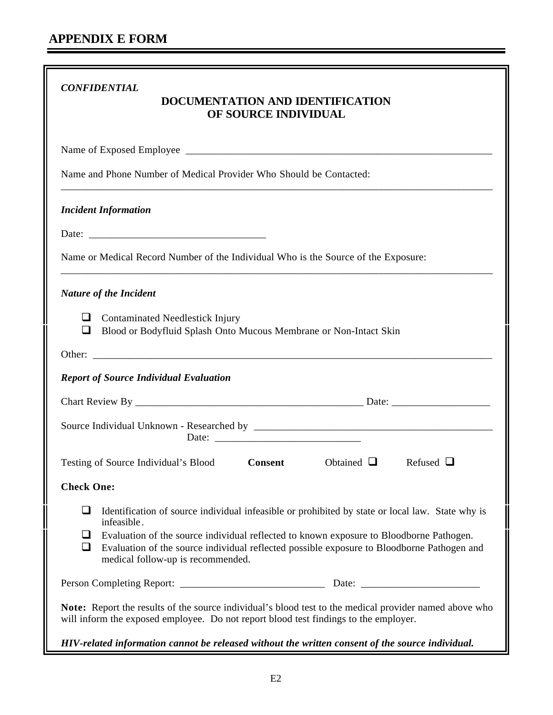| <b>CONFIDENTIAL</b><br>DOCUMENTATION AND IDENTIFICATION<br>OF SOURCE INDIVIDUAL                                                                                                                                                      |  |  |  |  |
|--------------------------------------------------------------------------------------------------------------------------------------------------------------------------------------------------------------------------------------|--|--|--|--|
|                                                                                                                                                                                                                                      |  |  |  |  |
| Name and Phone Number of Medical Provider Who Should be Contacted:                                                                                                                                                                   |  |  |  |  |
| <b>Incident Information</b>                                                                                                                                                                                                          |  |  |  |  |
|                                                                                                                                                                                                                                      |  |  |  |  |
| Name or Medical Record Number of the Individual Who is the Source of the Exposure:                                                                                                                                                   |  |  |  |  |
| <b>Nature of the Incident</b>                                                                                                                                                                                                        |  |  |  |  |
| ❏<br><b>Contaminated Needlestick Injury</b><br>Blood or Bodyfluid Splash Onto Mucous Membrane or Non-Intact Skin<br>ப<br>Other:                                                                                                      |  |  |  |  |
| <b>Report of Source Individual Evaluation</b>                                                                                                                                                                                        |  |  |  |  |
|                                                                                                                                                                                                                                      |  |  |  |  |
|                                                                                                                                                                                                                                      |  |  |  |  |
| Obtained $\Box$<br>Refused $\Box$<br>Consent<br>Testing of Source Individual's Blood                                                                                                                                                 |  |  |  |  |
| <b>Check One:</b>                                                                                                                                                                                                                    |  |  |  |  |
| ⊔<br>Identification of source individual infeasible or prohibited by state or local law. State why is<br>infeasible.                                                                                                                 |  |  |  |  |
| ⊔<br>Evaluation of the source individual reflected to known exposure to Bloodborne Pathogen.<br>❏<br>Evaluation of the source individual reflected possible exposure to Bloodborne Pathogen and<br>medical follow-up is recommended. |  |  |  |  |
| Person Completing Report:                                                                                                                                                                                                            |  |  |  |  |
| <b>Note:</b> Report the results of the source individual's blood test to the medical provider named above who<br>will inform the exposed employee. Do not report blood test findings to the employer.                                |  |  |  |  |
| HIV-related information cannot be released without the written consent of the source individual.                                                                                                                                     |  |  |  |  |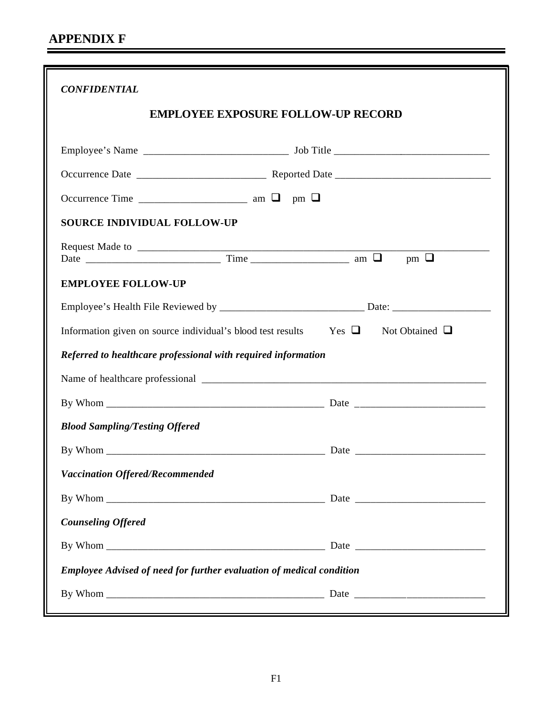# **APPENDIX F**

| <b>CONFIDENTIAL</b>                                                                        |           |  |  |  |  |
|--------------------------------------------------------------------------------------------|-----------|--|--|--|--|
| <b>EMPLOYEE EXPOSURE FOLLOW-UP RECORD</b>                                                  |           |  |  |  |  |
|                                                                                            |           |  |  |  |  |
|                                                                                            |           |  |  |  |  |
| Occurrence Time $\frac{1}{\sqrt{2}}$ am $\Box$ pm $\Box$                                   |           |  |  |  |  |
| <b>SOURCE INDIVIDUAL FOLLOW-UP</b>                                                         |           |  |  |  |  |
|                                                                                            | $pm \Box$ |  |  |  |  |
| <b>EMPLOYEE FOLLOW-UP</b>                                                                  |           |  |  |  |  |
|                                                                                            |           |  |  |  |  |
| Information given on source individual's blood test results Yes $\Box$ Not Obtained $\Box$ |           |  |  |  |  |
| Referred to healthcare professional with required information                              |           |  |  |  |  |
|                                                                                            |           |  |  |  |  |
|                                                                                            |           |  |  |  |  |
| <b>Blood Sampling/Testing Offered</b>                                                      |           |  |  |  |  |
|                                                                                            |           |  |  |  |  |
| <b>Vaccination Offered/Recommended</b>                                                     |           |  |  |  |  |
|                                                                                            |           |  |  |  |  |
| <b>Counseling Offered</b>                                                                  |           |  |  |  |  |
|                                                                                            |           |  |  |  |  |
| Employee Advised of need for further evaluation of medical condition                       |           |  |  |  |  |
|                                                                                            |           |  |  |  |  |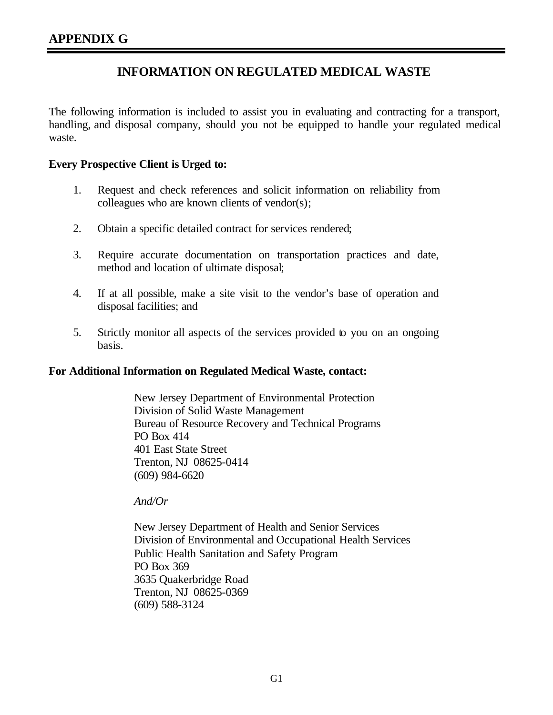# **INFORMATION ON REGULATED MEDICAL WASTE**

The following information is included to assist you in evaluating and contracting for a transport, handling, and disposal company, should you not be equipped to handle your regulated medical waste.

## **Every Prospective Client is Urged to:**

- 1. Request and check references and solicit information on reliability from colleagues who are known clients of vendor(s);
- 2. Obtain a specific detailed contract for services rendered;
- 3. Require accurate documentation on transportation practices and date, method and location of ultimate disposal;
- 4. If at all possible, make a site visit to the vendor's base of operation and disposal facilities; and
- 5. Strictly monitor all aspects of the services provided to you on an ongoing basis.

## **For Additional Information on Regulated Medical Waste, contact:**

New Jersey Department of Environmental Protection Division of Solid Waste Management Bureau of Resource Recovery and Technical Programs PO Box 414 401 East State Street Trenton, NJ 08625-0414 (609) 984-6620

*And/Or*

New Jersey Department of Health and Senior Services Division of Environmental and Occupational Health Services Public Health Sanitation and Safety Program PO Box 369 3635 Quakerbridge Road Trenton, NJ 08625-0369 (609) 588-3124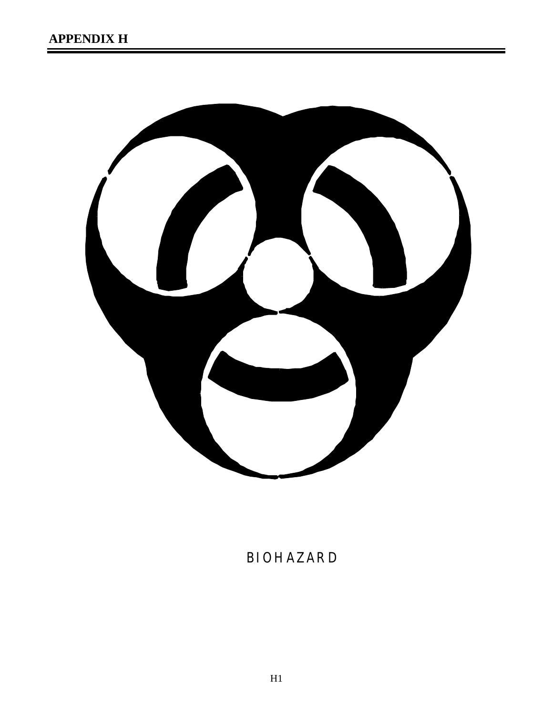

**BIOHAZARD**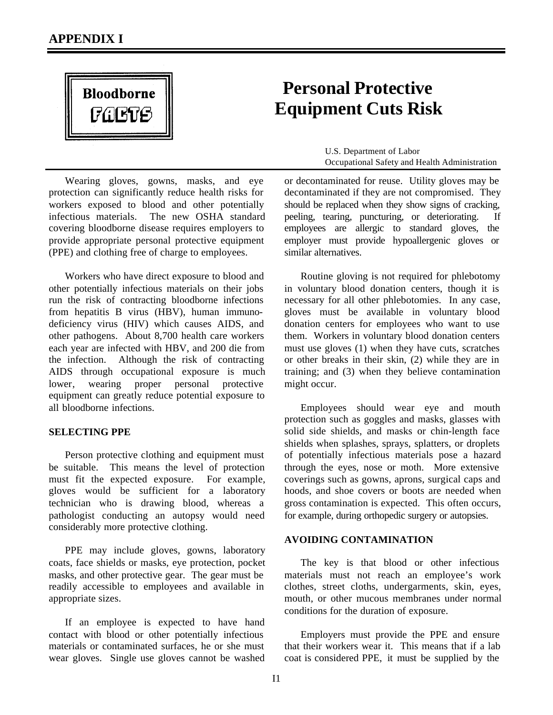

# **Personal Protective Equipment Cuts Risk**

U.S. Department of Labor Occupational Safety and Health Administration

Wearing gloves, gowns, masks, and eye protection can significantly reduce health risks for workers exposed to blood and other potentially infectious materials. The new OSHA standard covering bloodborne disease requires employers to provide appropriate personal protective equipment (PPE) and clothing free of charge to employees.

Workers who have direct exposure to blood and other potentially infectious materials on their jobs run the risk of contracting bloodborne infections from hepatitis B virus (HBV), human immunodeficiency virus (HIV) which causes AIDS, and other pathogens. About 8,700 health care workers each year are infected with HBV, and 200 die from the infection. Although the risk of contracting AIDS through occupational exposure is much lower, wearing proper personal protective equipment can greatly reduce potential exposure to all bloodborne infections.

## **SELECTING PPE**

Person protective clothing and equipment must be suitable. This means the level of protection must fit the expected exposure. For example, gloves would be sufficient for a laboratory technician who is drawing blood, whereas a pathologist conducting an autopsy would need considerably more protective clothing.

PPE may include gloves, gowns, laboratory coats, face shields or masks, eye protection, pocket masks, and other protective gear. The gear must be readily accessible to employees and available in appropriate sizes.

If an employee is expected to have hand contact with blood or other potentially infectious materials or contaminated surfaces, he or she must wear gloves. Single use gloves cannot be washed or decontaminated for reuse. Utility gloves may be decontaminated if they are not compromised. They should be replaced when they show signs of cracking, peeling, tearing, puncturing, or deteriorating. If employees are allergic to standard gloves, the employer must provide hypoallergenic gloves or similar alternatives.

Routine gloving is not required for phlebotomy in voluntary blood donation centers, though it is necessary for all other phlebotomies. In any case, gloves must be available in voluntary blood donation centers for employees who want to use them. Workers in voluntary blood donation centers must use gloves (1) when they have cuts, scratches or other breaks in their skin, (2) while they are in training; and (3) when they believe contamination might occur.

Employees should wear eye and mouth protection such as goggles and masks, glasses with solid side shields, and masks or chin-length face shields when splashes, sprays, splatters, or droplets of potentially infectious materials pose a hazard through the eyes, nose or moth. More extensive coverings such as gowns, aprons, surgical caps and hoods, and shoe covers or boots are needed when gross contamination is expected. This often occurs, for example, during orthopedic surgery or autopsies.

## **AVOIDING CONTAMINATION**

The key is that blood or other infectious materials must not reach an employee's work clothes, street cloths, undergarments, skin, eyes, mouth, or other mucous membranes under normal conditions for the duration of exposure.

Employers must provide the PPE and ensure that their workers wear it. This means that if a lab coat is considered PPE, it must be supplied by the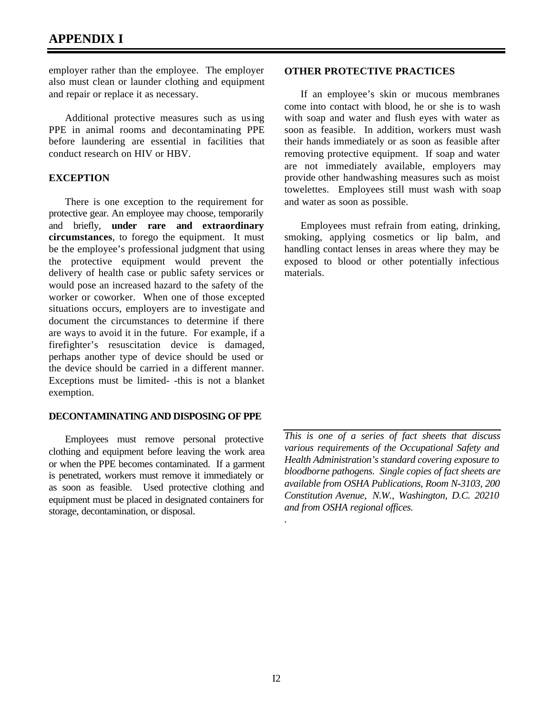employer rather than the employee. The employer also must clean or launder clothing and equipment and repair or replace it as necessary.

Additional protective measures such as using PPE in animal rooms and decontaminating PPE before laundering are essential in facilities that conduct research on HIV or HBV.

## **EXCEPTION**

There is one exception to the requirement for protective gear. An employee may choose, temporarily and briefly, **under rare and extraordinary circumstances**, to forego the equipment. It must be the employee's professional judgment that using the protective equipment would prevent the delivery of health case or public safety services or would pose an increased hazard to the safety of the worker or coworker. When one of those excepted situations occurs, employers are to investigate and document the circumstances to determine if there are ways to avoid it in the future. For example, if a firefighter's resuscitation device is damaged, perhaps another type of device should be used or the device should be carried in a different manner. Exceptions must be limited- -this is not a blanket exemption.

## **DECONTAMINATING AND DISPOSING OF PPE**

Employees must remove personal protective clothing and equipment before leaving the work area or when the PPE becomes contaminated. If a garment is penetrated, workers must remove it immediately or as soon as feasible. Used protective clothing and equipment must be placed in designated containers for storage, decontamination, or disposal.

### **OTHER PROTECTIVE PRACTICES**

If an employee's skin or mucous membranes come into contact with blood, he or she is to wash with soap and water and flush eyes with water as soon as feasible. In addition, workers must wash their hands immediately or as soon as feasible after removing protective equipment. If soap and water are not immediately available, employers may provide other handwashing measures such as moist towelettes. Employees still must wash with soap and water as soon as possible.

Employees must refrain from eating, drinking, smoking, applying cosmetics or lip balm, and handling contact lenses in areas where they may be exposed to blood or other potentially infectious materials.

*This is one of a series of fact sheets that discuss various requirements of the Occupational Safety and Health Administration's standard covering exposure to bloodborne pathogens. Single copies of fact sheets are available from OSHA Publications, Room N-3103, 200 Constitution Avenue, N.W., Washington, D.C. 20210 and from OSHA regional offices.*

*.*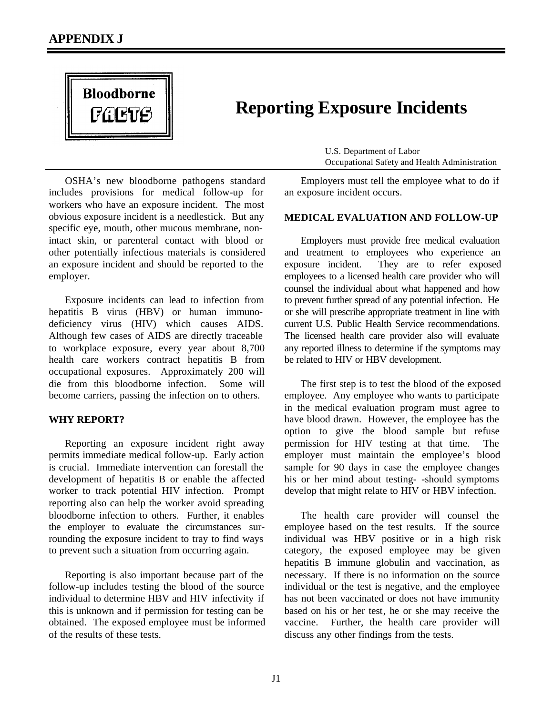

# **Reporting Exposure Incidents**

OSHA's new bloodborne pathogens standard includes provisions for medical follow-up for workers who have an exposure incident. The most obvious exposure incident is a needlestick. But any specific eye, mouth, other mucous membrane, nonintact skin, or parenteral contact with blood or other potentially infectious materials is considered an exposure incident and should be reported to the employer.

Exposure incidents can lead to infection from hepatitis B virus (HBV) or human immunodeficiency virus (HIV) which causes AIDS. Although few cases of AIDS are directly traceable to workplace exposure, every year about 8,700 health care workers contract hepatitis B from occupational exposures. Approximately 200 will die from this bloodborne infection. Some will become carriers, passing the infection on to others.

## **WHY REPORT?**

Reporting an exposure incident right away permits immediate medical follow-up. Early action is crucial. Immediate intervention can forestall the development of hepatitis B or enable the affected worker to track potential HIV infection. Prompt reporting also can help the worker avoid spreading bloodborne infection to others. Further, it enables the employer to evaluate the circumstances surrounding the exposure incident to tray to find ways to prevent such a situation from occurring again.

Reporting is also important because part of the follow-up includes testing the blood of the source individual to determine HBV and HIV infectivity if this is unknown and if permission for testing can be obtained. The exposed employee must be informed of the results of these tests.

U.S. Department of Labor Occupational Safety and Health Administration

Employers must tell the employee what to do if an exposure incident occurs.

### **MEDICAL EVALUATION AND FOLLOW-UP**

Employers must provide free medical evaluation and treatment to employees who experience an exposure incident. They are to refer exposed employees to a licensed health care provider who will counsel the individual about what happened and how to prevent further spread of any potential infection. He or she will prescribe appropriate treatment in line with current U.S. Public Health Service recommendations. The licensed health care provider also will evaluate any reported illness to determine if the symptoms may be related to HIV or HBV development.

The first step is to test the blood of the exposed employee. Any employee who wants to participate in the medical evaluation program must agree to have blood drawn. However, the employee has the option to give the blood sample but refuse permission for HIV testing at that time. The employer must maintain the employee's blood sample for 90 days in case the employee changes his or her mind about testing- -should symptoms develop that might relate to HIV or HBV infection.

The health care provider will counsel the employee based on the test results. If the source individual was HBV positive or in a high risk category, the exposed employee may be given hepatitis B immune globulin and vaccination, as necessary. If there is no information on the source individual or the test is negative, and the employee has not been vaccinated or does not have immunity based on his or her test, he or she may receive the vaccine. Further, the health care provider will discuss any other findings from the tests.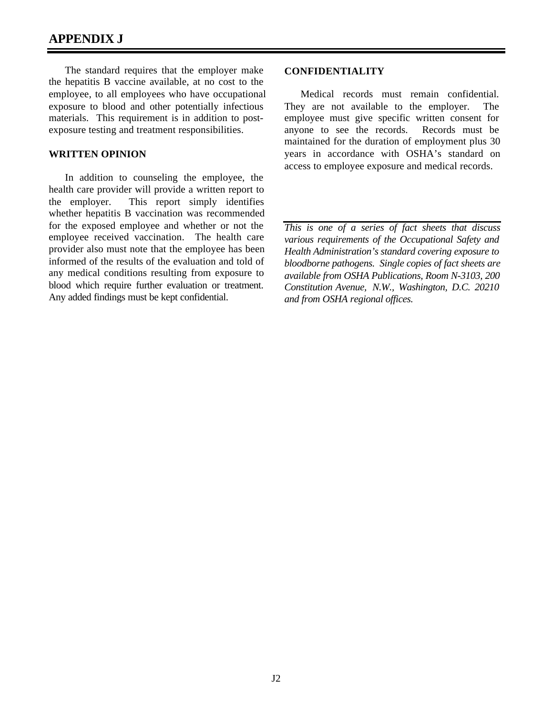The standard requires that the employer make the hepatitis B vaccine available, at no cost to the employee, to all employees who have occupational exposure to blood and other potentially infectious materials. This requirement is in addition to postexposure testing and treatment responsibilities.

### **WRITTEN OPINION**

In addition to counseling the employee, the health care provider will provide a written report to the employer. This report simply identifies whether hepatitis B vaccination was recommended for the exposed employee and whether or not the employee received vaccination. The health care provider also must note that the employee has been informed of the results of the evaluation and told of any medical conditions resulting from exposure to blood which require further evaluation or treatment. Any added findings must be kept confidential.

### **CONFIDENTIALITY**

Medical records must remain confidential. They are not available to the employer. The employee must give specific written consent for anyone to see the records. Records must be maintained for the duration of employment plus 30 years in accordance with OSHA's standard on access to employee exposure and medical records.

*This is one of a series of fact sheets that discuss various requirements of the Occupational Safety and Health Administration's standard covering exposure to bloodborne pathogens. Single copies of fact sheets are available from OSHA Publications, Room N-3103, 200 Constitution Avenue, N.W., Washington, D.C. 20210 and from OSHA regional offices.*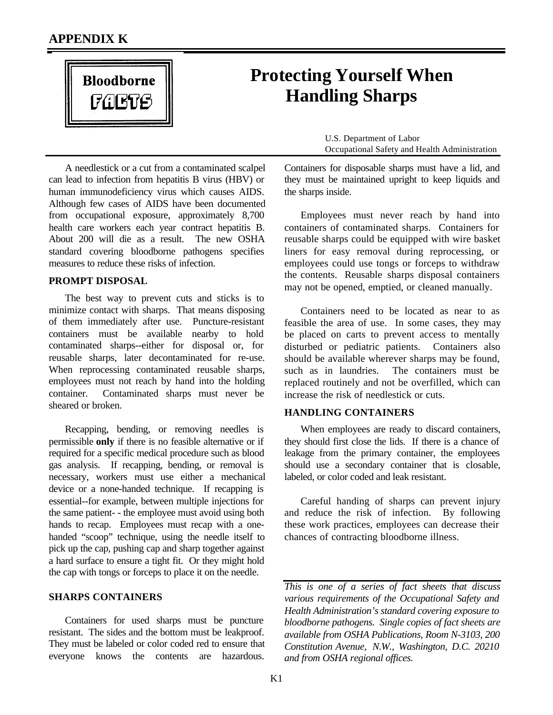

# **Protecting Yourself When Handling Sharps**

A needlestick or a cut from a contaminated scalpel can lead to infection from hepatitis B virus (HBV) or human immunodeficiency virus which causes AIDS. Although few cases of AIDS have been documented from occupational exposure, approximately 8,700 health care workers each year contract hepatitis B. About 200 will die as a result. The new OSHA standard covering bloodborne pathogens specifies measures to reduce these risks of infection.

## **PROMPT DISPOSAL**

The best way to prevent cuts and sticks is to minimize contact with sharps. That means disposing of them immediately after use. Puncture-resistant containers must be available nearby to hold contaminated sharps--either for disposal or, for reusable sharps, later decontaminated for re-use. When reprocessing contaminated reusable sharps, employees must not reach by hand into the holding container. Contaminated sharps must never be sheared or broken.

Recapping, bending, or removing needles is permissible **only** if there is no feasible alternative or if required for a specific medical procedure such as blood gas analysis. If recapping, bending, or removal is necessary, workers must use either a mechanical device or a none-handed technique. If recapping is essential--for example, between multiple injections for the same patient- - the employee must avoid using both hands to recap. Employees must recap with a onehanded "scoop" technique, using the needle itself to pick up the cap, pushing cap and sharp together against a hard surface to ensure a tight fit. Or they might hold the cap with tongs or forceps to place it on the needle.

### **SHARPS CONTAINERS**

Containers for used sharps must be puncture resistant. The sides and the bottom must be leakproof. They must be labeled or color coded red to ensure that everyone knows the contents are hazardous. U.S. Department of Labor Occupational Safety and Health Administration

Containers for disposable sharps must have a lid, and they must be maintained upright to keep liquids and the sharps inside.

Employees must never reach by hand into containers of contaminated sharps. Containers for reusable sharps could be equipped with wire basket liners for easy removal during reprocessing, or employees could use tongs or forceps to withdraw the contents. Reusable sharps disposal containers may not be opened, emptied, or cleaned manually.

Containers need to be located as near to as feasible the area of use. In some cases, they may be placed on carts to prevent access to mentally disturbed or pediatric patients. Containers also should be available wherever sharps may be found, such as in laundries. The containers must be replaced routinely and not be overfilled, which can increase the risk of needlestick or cuts.

## **HANDLING CONTAINERS**

When employees are ready to discard containers, they should first close the lids. If there is a chance of leakage from the primary container, the employees should use a secondary container that is closable, labeled, or color coded and leak resistant.

Careful handing of sharps can prevent injury and reduce the risk of infection. By following these work practices, employees can decrease their chances of contracting bloodborne illness.

*This is one of a series of fact sheets that discuss various requirements of the Occupational Safety and Health Administration's standard covering exposure to bloodborne pathogens. Single copies of fact sheets are available from OSHA Publications, Room N-3103, 200 Constitution Avenue, N.W., Washington, D.C. 20210 and from OSHA regional offices.*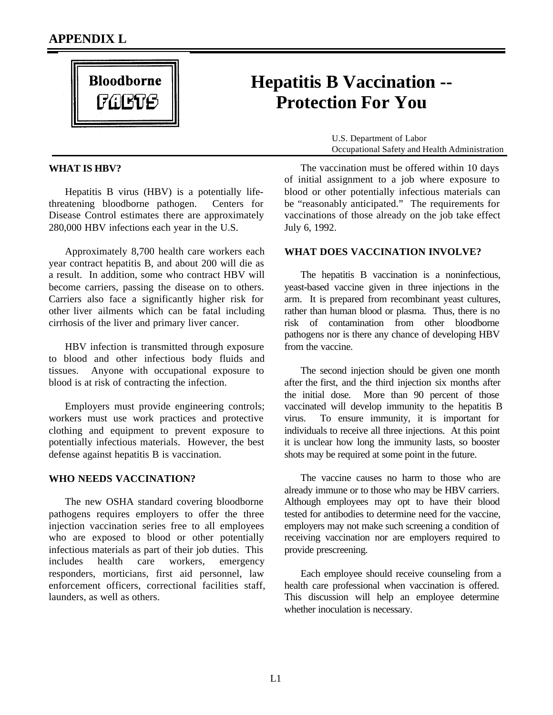

### **WHAT IS HBV?**

Hepatitis B virus (HBV) is a potentially lifethreatening bloodborne pathogen. Centers for Disease Control estimates there are approximately 280,000 HBV infections each year in the U.S.

Approximately 8,700 health care workers each year contract hepatitis B, and about 200 will die as a result. In addition, some who contract HBV will become carriers, passing the disease on to others. Carriers also face a significantly higher risk for other liver ailments which can be fatal including cirrhosis of the liver and primary liver cancer.

HBV infection is transmitted through exposure to blood and other infectious body fluids and tissues. Anyone with occupational exposure to blood is at risk of contracting the infection.

Employers must provide engineering controls; workers must use work practices and protective clothing and equipment to prevent exposure to potentially infectious materials. However, the best defense against hepatitis B is vaccination.

### **WHO NEEDS VACCINATION?**

The new OSHA standard covering bloodborne pathogens requires employers to offer the three injection vaccination series free to all employees who are exposed to blood or other potentially infectious materials as part of their job duties. This includes health care workers, emergency responders, morticians, first aid personnel, law enforcement officers, correctional facilities staff, launders, as well as others.

# **Hepatitis B Vaccination -- Protection For You**

U.S. Department of Labor Occupational Safety and Health Administration

The vaccination must be offered within 10 days of initial assignment to a job where exposure to blood or other potentially infectious materials can be "reasonably anticipated." The requirements for vaccinations of those already on the job take effect July 6, 1992.

### **WHAT DOES VACCINATION INVOLVE?**

The hepatitis B vaccination is a noninfectious, yeast-based vaccine given in three injections in the arm. It is prepared from recombinant yeast cultures, rather than human blood or plasma. Thus, there is no risk of contamination from other bloodborne pathogens nor is there any chance of developing HBV from the vaccine.

The second injection should be given one month after the first, and the third injection six months after the initial dose. More than 90 percent of those vaccinated will develop immunity to the hepatitis B virus. To ensure immunity, it is important for individuals to receive all three injections. At this point it is unclear how long the immunity lasts, so booster shots may be required at some point in the future.

The vaccine causes no harm to those who are already immune or to those who may be HBV carriers. Although employees may opt to have their blood tested for antibodies to determine need for the vaccine, employers may not make such screening a condition of receiving vaccination nor are employers required to provide prescreening.

Each employee should receive counseling from a health care professional when vaccination is offered. This discussion will help an employee determine whether inoculation is necessary.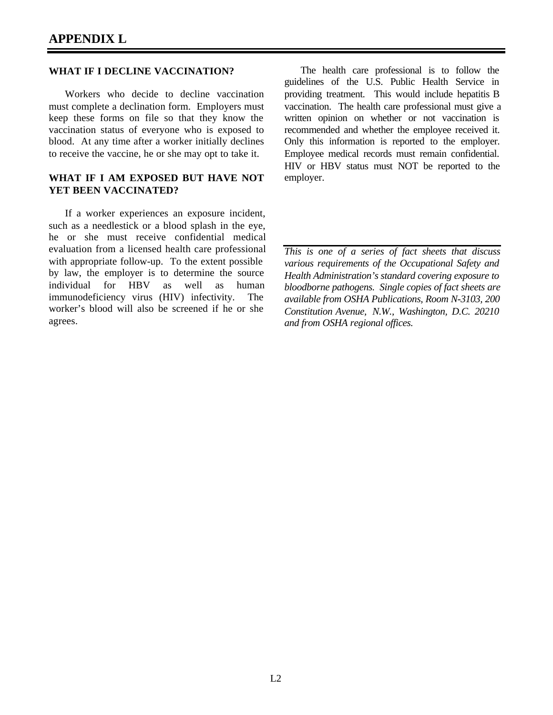### **WHAT IF I DECLINE VACCINATION?**

Workers who decide to decline vaccination must complete a declination form. Employers must keep these forms on file so that they know the vaccination status of everyone who is exposed to blood. At any time after a worker initially declines to receive the vaccine, he or she may opt to take it.

## **WHAT IF I AM EXPOSED BUT HAVE NOT YET BEEN VACCINATED?**

If a worker experiences an exposure incident, such as a needlestick or a blood splash in the eye, he or she must receive confidential medical evaluation from a licensed health care professional with appropriate follow-up. To the extent possible by law, the employer is to determine the source individual for HBV as well as human immunodeficiency virus (HIV) infectivity. The worker's blood will also be screened if he or she agrees.

The health care professional is to follow the guidelines of the U.S. Public Health Service in providing treatment. This would include hepatitis B vaccination. The health care professional must give a written opinion on whether or not vaccination is recommended and whether the employee received it. Only this information is reported to the employer. Employee medical records must remain confidential. HIV or HBV status must NOT be reported to the employer.

*This is one of a series of fact sheets that discuss various requirements of the Occupational Safety and Health Administration's standard covering exposure to bloodborne pathogens. Single copies of fact sheets are available from OSHA Publications, Room N-3103, 200 Constitution Avenue, N.W., Washington, D.C. 20210 and from OSHA regional offices.*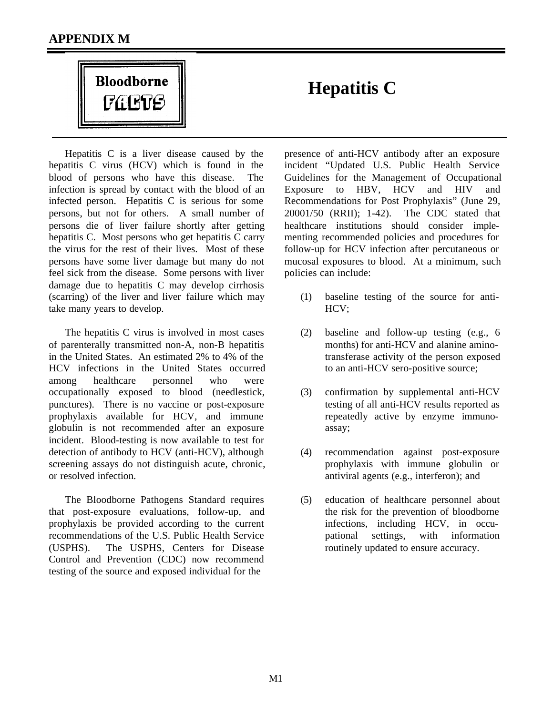

Hepatitis C is a liver disease caused by the hepatitis C virus (HCV) which is found in the blood of persons who have this disease. The infection is spread by contact with the blood of an infected person. Hepatitis C is serious for some persons, but not for others. A small number of persons die of liver failure shortly after getting hepatitis C. Most persons who get hepatitis C carry the virus for the rest of their lives. Most of these persons have some liver damage but many do not feel sick from the disease. Some persons with liver damage due to hepatitis C may develop cirrhosis (scarring) of the liver and liver failure which may take many years to develop.

The hepatitis C virus is involved in most cases of parenterally transmitted non-A, non-B hepatitis in the United States. An estimated 2% to 4% of the HCV infections in the United States occurred among healthcare personnel who were occupationally exposed to blood (needlestick, punctures). There is no vaccine or post-exposure prophylaxis available for HCV, and immune globulin is not recommended after an exposure incident. Blood-testing is now available to test for detection of antibody to HCV (anti-HCV), although screening assays do not distinguish acute, chronic, or resolved infection.

The Bloodborne Pathogens Standard requires that post-exposure evaluations, follow-up, and prophylaxis be provided according to the current recommendations of the U.S. Public Health Service (USPHS). The USPHS, Centers for Disease Control and Prevention (CDC) now recommend testing of the source and exposed individual for the

# **Hepatitis C**

presence of anti-HCV antibody after an exposure incident "Updated U.S. Public Health Service Guidelines for the Management of Occupational Exposure to HBV, HCV and HIV and Recommendations for Post Prophylaxis" (June 29, 20001/50 (RRII); 1-42). The CDC stated that healthcare institutions should consider implementing recommended policies and procedures for follow-up for HCV infection after percutaneous or mucosal exposures to blood. At a minimum, such policies can include:

- (1) baseline testing of the source for anti-HCV;
- (2) baseline and follow-up testing (e.g., 6 months) for anti-HCV and alanine aminotransferase activity of the person exposed to an anti-HCV sero-positive source;
- (3) confirmation by supplemental anti-HCV testing of all anti-HCV results reported as repeatedly active by enzyme immunoassay;
- (4) recommendation against post-exposure prophylaxis with immune globulin or antiviral agents (e.g., interferon); and
- (5) education of healthcare personnel about the risk for the prevention of bloodborne infections, including HCV, in occupational settings, with information routinely updated to ensure accuracy.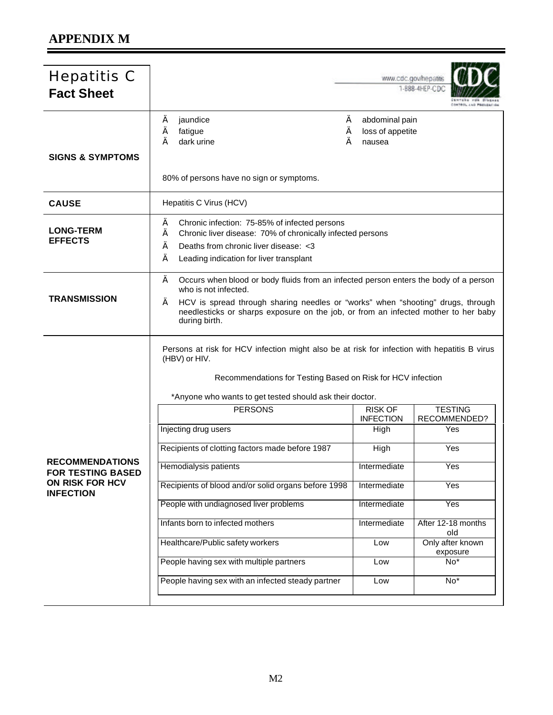# **APPENDIX M**

| Hepatitis C<br><b>Fact Sheet</b>                                                          |                                                                                                                                                                                                                                                                                                                                                                                                                                                                                                                                                                                                                                          |                                                                                                                                         | www.cdc.gov/hepatitis<br>1-888-4HEP-CDC<br>GATEDL LUD PREVENT:                                                                                 |  |  |  |
|-------------------------------------------------------------------------------------------|------------------------------------------------------------------------------------------------------------------------------------------------------------------------------------------------------------------------------------------------------------------------------------------------------------------------------------------------------------------------------------------------------------------------------------------------------------------------------------------------------------------------------------------------------------------------------------------------------------------------------------------|-----------------------------------------------------------------------------------------------------------------------------------------|------------------------------------------------------------------------------------------------------------------------------------------------|--|--|--|
| <b>SIGNS &amp; SYMPTOMS</b>                                                               | jaundice<br>€<br>€<br>fatigue<br>€<br>€<br>€<br>dark urine<br>€<br>80% of persons have no sign or symptoms.                                                                                                                                                                                                                                                                                                                                                                                                                                                                                                                              | abdominal pain<br>loss of appetite<br>nausea                                                                                            |                                                                                                                                                |  |  |  |
| <b>CAUSE</b>                                                                              | Hepatitis C Virus (HCV)                                                                                                                                                                                                                                                                                                                                                                                                                                                                                                                                                                                                                  |                                                                                                                                         |                                                                                                                                                |  |  |  |
| <b>LONG-TERM</b><br><b>EFFECTS</b>                                                        | Chronic infection: 75-85% of infected persons<br>€<br>€<br>Chronic liver disease: 70% of chronically infected persons<br>Deaths from chronic liver disease: < 3<br>€<br>€<br>Leading indication for liver transplant                                                                                                                                                                                                                                                                                                                                                                                                                     |                                                                                                                                         |                                                                                                                                                |  |  |  |
| <b>TRANSMISSION</b>                                                                       | Occurs when blood or body fluids from an infected person enters the body of a person<br>€<br>who is not infected.<br>HCV is spread through sharing needles or "works" when "shooting" drugs, through<br>€<br>needlesticks or sharps exposure on the job, or from an infected mother to her baby<br>during birth.                                                                                                                                                                                                                                                                                                                         |                                                                                                                                         |                                                                                                                                                |  |  |  |
| <b>RECOMMENDATIONS</b><br><b>FOR TESTING BASED</b><br>ON RISK FOR HCV<br><b>INFECTION</b> | Persons at risk for HCV infection might also be at risk for infection with hepatitis B virus<br>(HBV) or HIV.<br>Recommendations for Testing Based on Risk for HCV infection<br>*Anyone who wants to get tested should ask their doctor.<br><b>PERSONS</b><br>Injecting drug users<br>Recipients of clotting factors made before 1987<br>Hemodialysis patients<br>Recipients of blood and/or solid organs before 1998<br>People with undiagnosed liver problems<br>Infants born to infected mothers<br>Healthcare/Public safety workers<br>People having sex with multiple partners<br>People having sex with an infected steady partner | <b>RISK OF</b><br><b>INFECTION</b><br>High<br>High<br>Intermediate<br>Intermediate<br>Intermediate<br>Intermediate<br>Low<br>Low<br>Low | <b>TESTING</b><br>RECOMMENDED?<br>Yes<br>Yes<br>Yes<br>Yes<br>Yes<br>After 12-18 months<br>old<br>Only after known<br>exposure<br>$No*$<br>No* |  |  |  |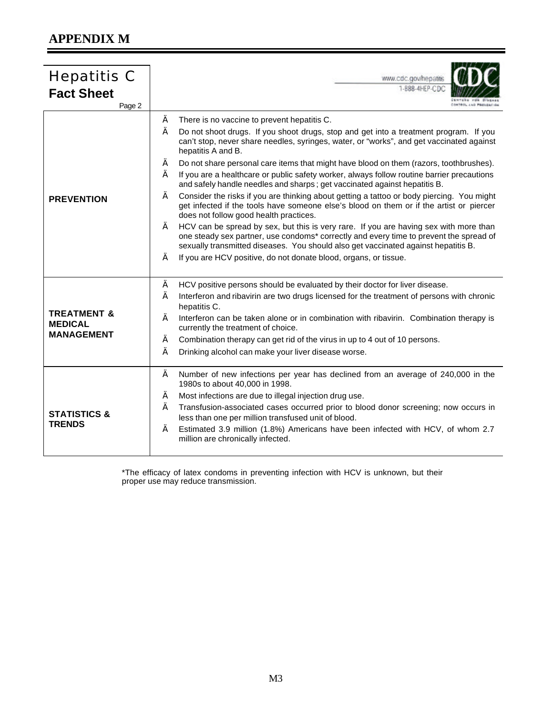# **APPENDIX M**

| Hepatitis C                                                   | www.cdc.gov/hepatitis                                                                                                                                                                                                                                                      |  |  |
|---------------------------------------------------------------|----------------------------------------------------------------------------------------------------------------------------------------------------------------------------------------------------------------------------------------------------------------------------|--|--|
| <b>Fact Sheet</b>                                             | 1-888-4HEP-CDC                                                                                                                                                                                                                                                             |  |  |
| Page 2                                                        | CONTROL LND PREVEN                                                                                                                                                                                                                                                         |  |  |
| <b>PREVENTION</b>                                             | €<br>There is no vaccine to prevent hepatitis C.                                                                                                                                                                                                                           |  |  |
|                                                               | €<br>Do not shoot drugs. If you shoot drugs, stop and get into a treatment program. If you<br>can't stop, never share needles, syringes, water, or "works", and get vaccinated against<br>hepatitis A and B.                                                               |  |  |
|                                                               | Do not share personal care items that might have blood on them (razors, toothbrushes).<br>€                                                                                                                                                                                |  |  |
|                                                               | If you are a healthcare or public safety worker, always follow routine barrier precautions<br>€<br>and safely handle needles and sharps; get vaccinated against hepatitis B.                                                                                               |  |  |
|                                                               | Consider the risks if you are thinking about getting a tattoo or body piercing. You might<br>€<br>get infected if the tools have someone else's blood on them or if the artist or piercer<br>does not follow good health practices.                                        |  |  |
|                                                               | HCV can be spread by sex, but this is very rare. If you are having sex with more than<br>€<br>one steady sex partner, use condoms* correctly and every time to prevent the spread of<br>sexually transmitted diseases. You should also get vaccinated against hepatitis B. |  |  |
|                                                               | If you are HCV positive, do not donate blood, organs, or tissue.<br>€                                                                                                                                                                                                      |  |  |
| <b>TREATMENT &amp;</b><br><b>MEDICAL</b><br><b>MANAGEMENT</b> | HCV positive persons should be evaluated by their doctor for liver disease.<br>€                                                                                                                                                                                           |  |  |
|                                                               | €<br>Interferon and ribavirin are two drugs licensed for the treatment of persons with chronic<br>hepatitis C.                                                                                                                                                             |  |  |
|                                                               | Interferon can be taken alone or in combination with ribavirin. Combination therapy is<br>€<br>currently the treatment of choice.                                                                                                                                          |  |  |
|                                                               | Combination therapy can get rid of the virus in up to 4 out of 10 persons.<br>€                                                                                                                                                                                            |  |  |
|                                                               | €<br>Drinking alcohol can make your liver disease worse.                                                                                                                                                                                                                   |  |  |
| <b>STATISTICS &amp;</b><br><b>TRENDS</b>                      | €<br>Number of new infections per year has declined from an average of 240,000 in the<br>1980s to about 40,000 in 1998.                                                                                                                                                    |  |  |
|                                                               | Most infections are due to illegal injection drug use.<br>€                                                                                                                                                                                                                |  |  |
|                                                               | Transfusion-associated cases occurred prior to blood donor screening; now occurs in<br>€<br>less than one per million transfused unit of blood.                                                                                                                            |  |  |
|                                                               | Estimated 3.9 million (1.8%) Americans have been infected with HCV, of whom 2.7<br>€<br>million are chronically infected.                                                                                                                                                  |  |  |
|                                                               |                                                                                                                                                                                                                                                                            |  |  |

\*The efficacy of latex condoms in preventing infection with HCV is unknown, but their proper use may reduce transmission.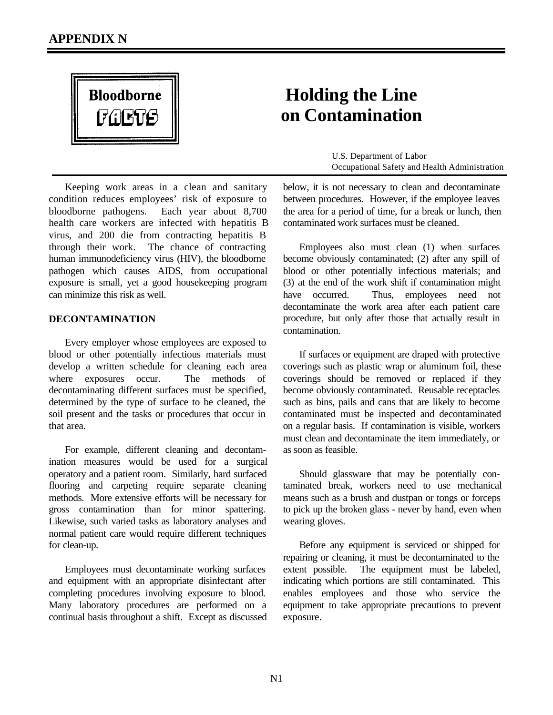

Keeping work areas in a clean and sanitary condition reduces employees' risk of exposure to bloodborne pathogens. Each year about 8,700 health care workers are infected with hepatitis B virus, and 200 die from contracting hepatitis B through their work. The chance of contracting human immunodeficiency virus (HIV), the bloodborne pathogen which causes AIDS, from occupational exposure is small, yet a good housekeeping program can minimize this risk as well.

## **DECONTAMINATION**

Every employer whose employees are exposed to blood or other potentially infectious materials must develop a written schedule for cleaning each area where exposures occur. The methods of decontaminating different surfaces must be specified, determined by the type of surface to be cleaned, the soil present and the tasks or procedures that occur in that area.

For example, different cleaning and decontamination measures would be used for a surgical operatory and a patient room. Similarly, hard surfaced flooring and carpeting require separate cleaning methods. More extensive efforts will be necessary for gross contamination than for minor spattering. Likewise, such varied tasks as laboratory analyses and normal patient care would require different techniques for clean-up.

Employees must decontaminate working surfaces and equipment with an appropriate disinfectant after completing procedures involving exposure to blood. Many laboratory procedures are performed on a continual basis throughout a shift. Except as discussed

# **Holding the Line on Contamination**

U.S. Department of Labor Occupational Safety and Health Administration

below, it is not necessary to clean and decontaminate between procedures. However, if the employee leaves the area for a period of time, for a break or lunch, then contaminated work surfaces must be cleaned.

Employees also must clean (1) when surfaces become obviously contaminated; (2) after any spill of blood or other potentially infectious materials; and (3) at the end of the work shift if contamination might have occurred. Thus, employees need not decontaminate the work area after each patient care procedure, but only after those that actually result in contamination.

If surfaces or equipment are draped with protective coverings such as plastic wrap or aluminum foil, these coverings should be removed or replaced if they become obviously contaminated. Reusable receptacles such as bins, pails and cans that are likely to become contaminated must be inspected and decontaminated on a regular basis. If contamination is visible, workers must clean and decontaminate the item immediately, or as soon as feasible.

Should glassware that may be potentially contaminated break, workers need to use mechanical means such as a brush and dustpan or tongs or forceps to pick up the broken glass - never by hand, even when wearing gloves.

Before any equipment is serviced or shipped for repairing or cleaning, it must be decontaminated to the extent possible. The equipment must be labeled, indicating which portions are still contaminated. This enables employees and those who service the equipment to take appropriate precautions to prevent exposure.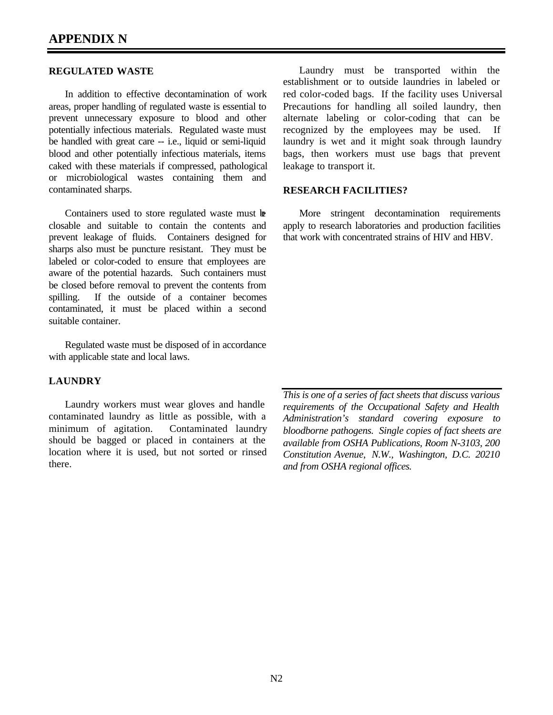### **REGULATED WASTE**

In addition to effective decontamination of work areas, proper handling of regulated waste is essential to prevent unnecessary exposure to blood and other potentially infectious materials. Regulated waste must be handled with great care -- i.e., liquid or semi-liquid blood and other potentially infectious materials, items caked with these materials if compressed, pathological or microbiological wastes containing them and contaminated sharps.

Containers used to store regulated waste must be closable and suitable to contain the contents and prevent leakage of fluids. Containers designed for sharps also must be puncture resistant. They must be labeled or color-coded to ensure that employees are aware of the potential hazards. Such containers must be closed before removal to prevent the contents from spilling. If the outside of a container becomes contaminated, it must be placed within a second suitable container.

Regulated waste must be disposed of in accordance with applicable state and local laws.

## **LAUNDRY**

Laundry workers must wear gloves and handle contaminated laundry as little as possible, with a minimum of agitation. should be bagged or placed in containers at the location where it is used, but not sorted or rinsed there.

Laundry must be transported within the establishment or to outside laundries in labeled or red color-coded bags. If the facility uses Universal Precautions for handling all soiled laundry, then alternate labeling or color-coding that can be recognized by the employees may be used. If laundry is wet and it might soak through laundry bags, then workers must use bags that prevent leakage to transport it.

## **RESEARCH FACILITIES?**

More stringent decontamination requirements apply to research laboratories and production facilities that work with concentrated strains of HIV and HBV.

*This is one of a series of fact sheets that discuss various requirements of the Occupational Safety and Health Administration's standard covering exposure to bloodborne pathogens. Single copies of fact sheets are available from OSHA Publications, Room N-3103, 200 Constitution Avenue, N.W., Washington, D.C. 20210 and from OSHA regional offices.*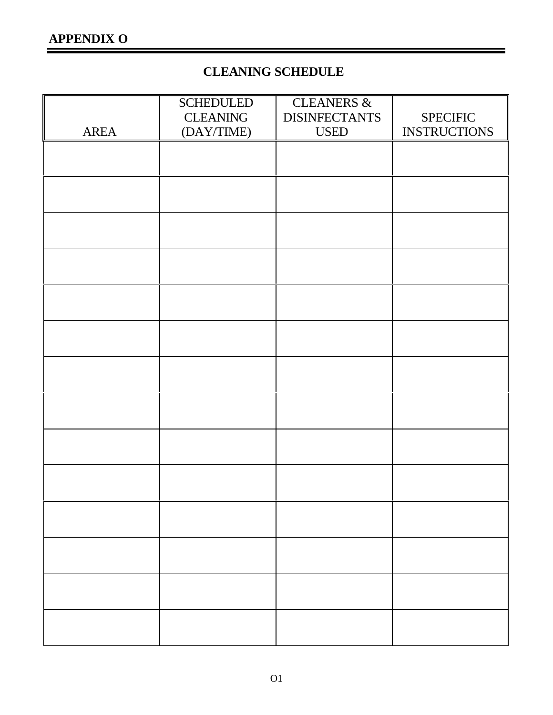# **CLEANING SCHEDULE**

|             | <b>SCHEDULED</b> | <b>CLEANERS &amp;</b> |                     |
|-------------|------------------|-----------------------|---------------------|
|             | <b>CLEANING</b>  | <b>DISINFECTANTS</b>  | <b>SPECIFIC</b>     |
| <b>AREA</b> | (DAY/TIME)       | <b>USED</b>           | <b>INSTRUCTIONS</b> |
|             |                  |                       |                     |
|             |                  |                       |                     |
|             |                  |                       |                     |
|             |                  |                       |                     |
|             |                  |                       |                     |
|             |                  |                       |                     |
|             |                  |                       |                     |
|             |                  |                       |                     |
|             |                  |                       |                     |
|             |                  |                       |                     |
|             |                  |                       |                     |
|             |                  |                       |                     |
|             |                  |                       |                     |
|             |                  |                       |                     |
|             |                  |                       |                     |
|             |                  |                       |                     |
|             |                  |                       |                     |
|             |                  |                       |                     |
|             |                  |                       |                     |
|             |                  |                       |                     |
|             |                  |                       |                     |
|             |                  |                       |                     |
|             |                  |                       |                     |
|             |                  |                       |                     |
|             |                  |                       |                     |
|             |                  |                       |                     |
|             |                  |                       |                     |
|             |                  |                       |                     |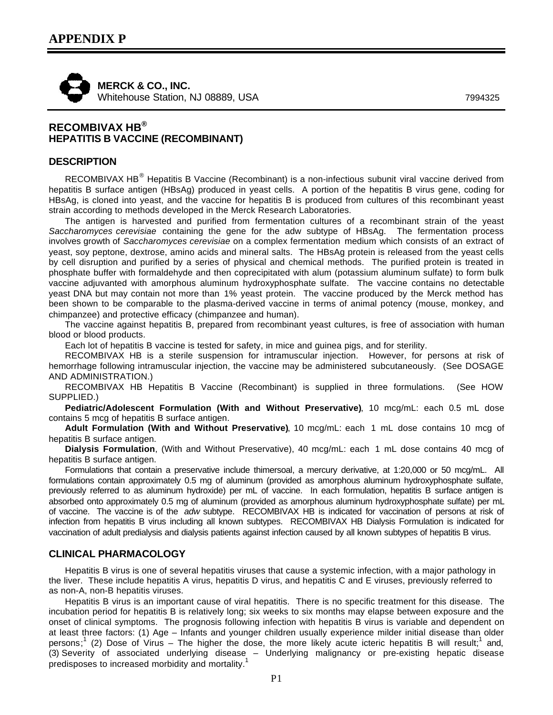

## **RECOMBIVAX HB® HEPATITIS B VACCINE (RECOMBINANT)**

#### **DESCRIPTION**

RECOMBIVAX HB<sup>®</sup> Hepatitis B Vaccine (Recombinant) is a non-infectious subunit viral vaccine derived from hepatitis B surface antigen (HBsAg) produced in yeast cells. A portion of the hepatitis B virus gene, coding for HBsAg, is cloned into yeast, and the vaccine for hepatitis B is produced from cultures of this recombinant yeast strain according to methods developed in the Merck Research Laboratories.

The antigen is harvested and purified from fermentation cultures of a recombinant strain of the yeast *Saccharomyces cerevisiae* containing the gene for the adw subtype of HBsAg. The fermentation process involves growth of *Saccharomyces cerevisiae* on a complex fermentation medium which consists of an extract of yeast, soy peptone, dextrose, amino acids and mineral salts. The HBsAg protein is released from the yeast cells by cell disruption and purified by a series of physical and chemical methods. The purified protein is treated in phosphate buffer with formaldehyde and then coprecipitated with alum (potassium aluminum sulfate) to form bulk vaccine adjuvanted with amorphous aluminum hydroxyphosphate sulfate. The vaccine contains no detectable yeast DNA but may contain not more than 1% yeast protein. The vaccine produced by the Merck method has been shown to be comparable to the plasma-derived vaccine in terms of animal potency (mouse, monkey, and chimpanzee) and protective efficacy (chimpanzee and human).

The vaccine against hepatitis B, prepared from recombinant yeast cultures, is free of association with human blood or blood products.

Each lot of hepatitis B vaccine is tested for safety, in mice and guinea pigs, and for sterility.

RECOMBIVAX HB is a sterile suspension for intramuscular injection. However, for persons at risk of hemorrhage following intramuscular injection, the vaccine may be administered subcutaneously. (See DOSAGE AND ADMINISTRATION.)

RECOMBIVAX HB Hepatitis B Vaccine (Recombinant) is supplied in three formulations. (See HOW SUPPLIED.)

**Pediatric/Adolescent Formulation (With and Without Preservative)**, 10 mcg/mL: each 0.5 mL dose contains 5 mcg of hepatitis B surface antigen.

**Adult Formulation (With and Without Preservative)**, 10 mcg/mL: each 1 mL dose contains 10 mcg of hepatitis B surface antigen.

**Dialysis Formulation**, (With and Without Preservative), 40 mcg/mL: each 1 mL dose contains 40 mcg of hepatitis B surface antigen.

Formulations that contain a preservative include thimersoal, a mercury derivative, at 1:20,000 or 50 mcg/mL. All formulations contain approximately 0.5 mg of aluminum (provided as amorphous aluminum hydroxyphosphate sulfate, previously referred to as aluminum hydroxide) per mL of vaccine. In each formulation, hepatitis B surface antigen is absorbed onto approximately 0.5 mg of aluminum (provided as amorphous aluminum hydroxyphosphate sulfate) per mL of vaccine. The vaccine is of the *adw* subtype. RECOMBIVAX HB is indicated for vaccination of persons at risk of infection from hepatitis B virus including all known subtypes. RECOMBIVAX HB Dialysis Formulation is indicated for vaccination of adult predialysis and dialysis patients against infection caused by all known subtypes of hepatitis B virus.

### **CLINICAL PHARMACOLOGY**

Hepatitis B virus is one of several hepatitis viruses that cause a systemic infection, with a major pathology in the liver. These include hepatitis A virus, hepatitis D virus, and hepatitis C and E viruses, previously referred to as non-A, non-B hepatitis viruses.

Hepatitis B virus is an important cause of viral hepatitis. There is no specific treatment for this disease. The incubation period for hepatitis B is relatively long; six weeks to six months may elapse between exposure and the onset of clinical symptoms. The prognosis following infection with hepatitis B virus is variable and dependent on at least three factors: (1) Age – Infants and younger children usually experience milder initial disease than older persons;<sup>1</sup> (2) Dose of Virus – The higher the dose, the more likely acute icteric hepatitis B will result;<sup>1</sup> and, (3) Severity of associated underlying disease – Underlying malignancy or pre-existing hepatic disease predisposes to increased morbidity and mortality.<sup>1</sup>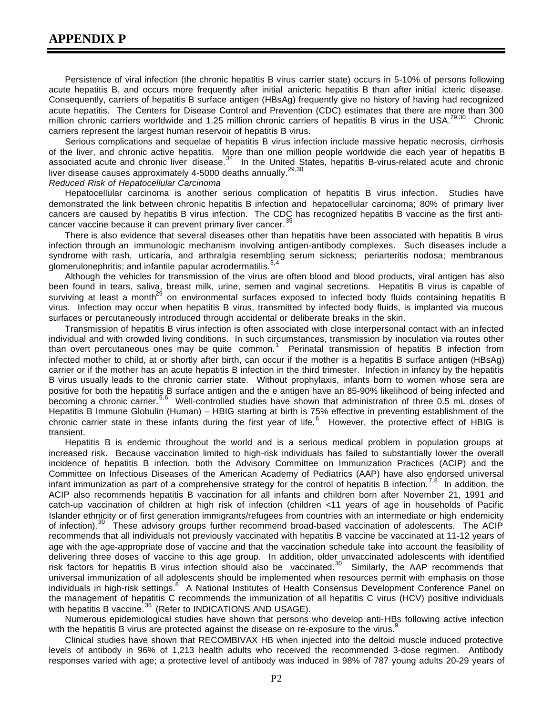Persistence of viral infection (the chronic hepatitis B virus carrier state) occurs in 5-10% of persons following acute hepatitis B, and occurs more frequently after initial anicteric hepatitis B than after initial icteric disease. Consequently, carriers of hepatitis B surface antigen (HBsAg) frequently give no history of having had recognized acute hepatitis. The Centers for Disease Control and Prevention (CDC) estimates that there are more than 300 million chronic carriers worldwide and 1.25 million chronic carriers of hepatitis B virus in the USA. $^{29,30}$  Chronic carriers represent the largest human reservoir of hepatitis B virus.

Serious complications and sequelae of hepatitis B virus infection include massive hepatic necrosis, cirrhosis of the liver, and chronic active hepatitis. More than one million people worldwide die each year of hepatitis B associated acute and chronic liver disease.<sup>34</sup> In the United States, hepatitis B-virus-related acute and chronic liver disease causes approximately 4-5000 deaths annually.<sup>29,30</sup>

#### *Reduced Risk of Hepatocellular Carcinoma*

Hepatocellular carcinoma is another serious complication of hepatitis B virus infection. Studies have demonstrated the link between chronic hepatitis B infection and hepatocellular carcinoma; 80% of primary liver cancers are caused by hepatitis B virus infection. The CDC has recognized hepatitis B vaccine as the first anticancer vaccine because it can prevent primary liver cancer.<sup>35</sup>

There is also evidence that several diseases other than hepatitis have been associated with hepatitis B virus infection through an immunologic mechanism involving antigen-antibody complexes. Such diseases include a syndrome with rash, urticaria, and arthralgia resembling serum sickness; periarteritis nodosa; membranous glomerulonephritis; and infantile papular acrodermatilis.<sup>3,4</sup>

Although the vehicles for transmission of the virus are often blood and blood products, viral antigen has also been found in tears, saliva, breast milk, urine, semen and vaginal secretions. Hepatitis B virus is capable of surviving at least a month<sup>29</sup> on environmental surfaces exposed to infected body fluids containing hepatitis B virus. Infection may occur when hepatitis B virus, transmitted by infected body fluids, is implanted via mucous surfaces or percutaneously introduced through accidental or deliberate breaks in the skin.

Transmission of hepatitis B virus infection is often associated with close interpersonal contact with an infected individual and with crowded living conditions. In such circumstances, transmission by inoculation via routes other than overt percutaneous ones may be quite common.<sup>1</sup> Perinatal transmission of hepatitis B infection from infected mother to child, at or shortly after birth, can occur if the mother is a hepatitis B surface antigen (HBsAg) carrier or if the mother has an acute hepatitis B infection in the third trimester. Infection in infancy by the hepatitis B virus usually leads to the chronic carrier state. Without prophylaxis, infants born to women whose sera are positive for both the hepatitis B surface antigen and the e antigen have an 85-90% likelihood of being infected and becoming a chronic carrier.<sup>5,6</sup> Well-controlled studies have shown that administration of three 0.5 mL doses of Hepatitis B Immune Globulin (Human) – HBIG starting at birth is 75% effective in preventing establishment of the chronic carrier state in these infants during the first year of life.<sup>6</sup> However, the protective effect of HBIG is transient.

Hepatitis B is endemic throughout the world and is a serious medical problem in population groups at increased risk. Because vaccination limited to high-risk individuals has failed to substantially lower the overall incidence of hepatitis B infection, both the Advisory Committee on Immunization Practices (ACIP) and the Committee on Infectious Diseases of the American Academy of Pediatrics (AAP) have also endorsed universal infant immunization as part of a comprehensive strategy for the control of hepatitis B infection.<sup>7,8</sup> In addition, the ACIP also recommends hepatitis B vaccination for all infants and children born after November 21, 1991 and catch-up vaccination of children at high risk of infection (children <11 years of age in households of Pacific Islander ethnicity or of first generation immigrants/refugees from countries with an intermediate or high endemicity of infection).<sup>30</sup> These advisory groups further recommend broad-based vaccination of adolescents. The ACIP recommends that all individuals not previously vaccinated with hepatitis B vaccine be vaccinated at 11-12 years of age with the age-appropriate dose of vaccine and that the vaccination schedule take into account the feasibility of delivering three doses of vaccine to this age group. In addition, older unvaccinated adolescents with identified risk factors for hepatitis B virus infection should also be vaccinated.<sup>30</sup> Similarly, the AAP recommends that universal immunization of all adolescents should be implemented when resources permit with emphasis on those individuals in high-risk settings.<sup>8</sup> A National Institutes of Health Consensus Development Conference Panel on the management of hepatitis C recommends the immunization of all hepatitis C virus (HCV) positive individuals with hepatitis B vaccine.<sup>36</sup> (Refer to INDICATIONS AND USAGE).

Numerous epidemiological studies have shown that persons who develop anti-HBs following active infection with the hepatitis B virus are protected against the disease on re-exposure to the virus.<sup>8</sup>

Clinical studies have shown that RECOMBIVAX HB when injected into the deltoid muscle induced protective levels of antibody in 96% of 1,213 health adults who received the recommended 3-dose regimen. Antibody responses varied with age; a protective level of antibody was induced in 98% of 787 young adults 20-29 years of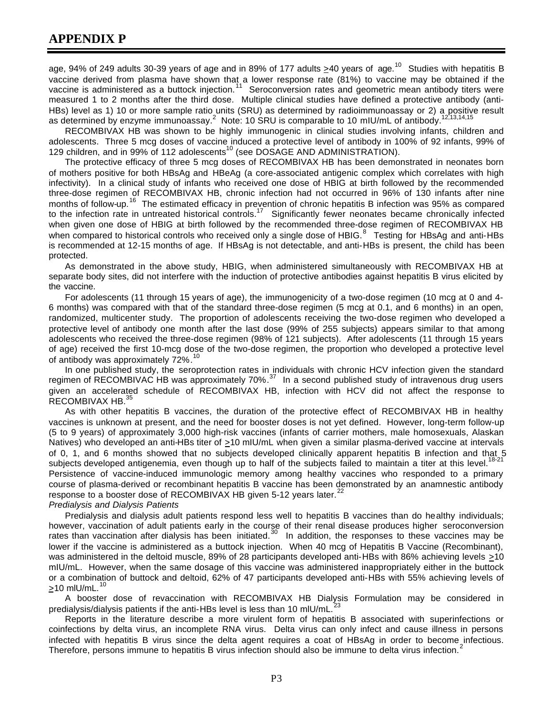age, 94% of 249 adults 30-39 years of age and in 89% of 177 adults <u>></u>40 years of  $a$ ge.<sup>10</sup> Studies with hepatitis B vaccine derived from plasma have shown that a lower response rate (81%) to vaccine may be obtained if the vaccine is administered as a buttock injection.<sup>11</sup> Seroconversion rates and geometric mean antibody titers were measured 1 to 2 months after the third dose. Multiple clinical studies have defined a protective antibody (anti-HBs) level as 1) 10 or more sample ratio units (SRU) as determined by radioimmunoassay or 2) a positive result as determined by enzyme immunoassay.<sup>2</sup> Note: 10 SRU is comparable to 10 mIU/mL of antibody.<sup>12,13,14,15</sup>

RECOMBIVAX HB was shown to be highly immunogenic in clinical studies involving infants, children and adolescents. Three 5 mcg doses of vaccine induced a protective level of antibody in 100% of 92 infants, 99% of 129 children, and in 99% of 112 adolescents<sup>10</sup> (see DOSAGE AND ADMINISTRATION).

The protective efficacy of three 5 mcg doses of RECOMBIVAX HB has been demonstrated in neonates born of mothers positive for both HBsAg and HBeAg (a core-associated antigenic complex which correlates with high infectivity). In a clinical study of infants who received one dose of HBIG at birth followed by the recommended three-dose regimen of RECOMBIVAX HB, chronic infection had not occurred in 96% of 130 infants after nine months of follow-up.<sup>16</sup> The estimated efficacy in prevention of chronic hepatitis B infection was 95% as compared to the infection rate in untreated historical controls.<sup>17</sup> Significantly fewer neonates became chronically infected when given one dose of HBIG at birth followed by the recommended three-dose regimen of RECOMBIVAX HB when compared to historical controls who received only a single dose of HBIG.<sup>8</sup> Testing for HBsAg and anti-HBs is recommended at 12-15 months of age. If HBsAg is not detectable, and anti-HBs is present, the child has been protected.

As demonstrated in the above study, HBIG, when administered simultaneously with RECOMBIVAX HB at separate body sites, did not interfere with the induction of protective antibodies against hepatitis B virus elicited by the vaccine.

For adolescents (11 through 15 years of age), the immunogenicity of a two-dose regimen (10 mcg at 0 and 4- 6 months) was compared with that of the standard three-dose regimen (5 mcg at 0.1, and 6 months) in an open, randomized, multicenter study. The proportion of adolescents receiving the two-dose regimen who developed a protective level of antibody one month after the last dose (99% of 255 subjects) appears similar to that among adolescents who received the three-dose regimen (98% of 121 subjects). After adolescents (11 through 15 years of age) received the first 10-mcg dose of the two-dose regimen, the proportion who developed a protective level of antibody was approximately 72%.<sup>10</sup>

In one published study, the seroprotection rates in individuals with chronic HCV infection given the standard regimen of RECOMBIVAC HB was approximately 70%.<sup>37</sup> In a second published study of intravenous drug users given an accelerated schedule of RECOMBIVAX HB, infection with HCV did not affect the response to RECOMBIVAX HB.

As with other hepatitis B vaccines, the duration of the protective effect of RECOMBIVAX HB in healthy vaccines is unknown at present, and the need for booster doses is not yet defined. However, long-term follow-up (5 to 9 years) of approximately 3,000 high-risk vaccines (infants of carrier mothers, male homosexuals, Alaskan Natives) who developed an anti-HBs titer of  $\geq$ 10 mIU/mL when given a similar plasma-derived vaccine at intervals of 0, 1, and 6 months showed that no subjects developed clinically apparent hepatitis B infection and that 5 subjects developed antigenemia, even though up to half of the subjects failed to maintain a titer at this level.<sup>18-21</sup> Persistence of vaccine-induced immunologic memory among healthy vaccines who responded to a primary

course of plasma-derived or recombinant hepatitis B vaccine has been demonstrated by an anamnestic antibody response to a booster dose of RECOMBIVAX HB given 5-12 years later.<sup>22</sup>

*Predialysis and Dialysis Patients*

Predialysis and dialysis adult patients respond less well to hepatitis B vaccines than do healthy individuals; however, vaccination of adult patients early in the course of their renal disease produces higher seroconversion rates than vaccination after dialysis has been initiated. $30$  In addition, the responses to these vaccines may be lower if the vaccine is administered as a buttock injection. When 40 mcg of Hepatitis B Vaccine (Recombinant), was administered in the deltoid muscle, 89% of 28 participants developed anti-HBs with 86% achieving levels >10 mIU/mL. However, when the same dosage of this vaccine was administered inappropriately either in the buttock or a combination of buttock and deltoid, 62% of 47 participants developed anti-HBs with 55% achieving levels of  $>10$  mlU/mL.<sup>1</sup>

A booster dose of revaccination with RECOMBIVAX HB Dialysis Formulation may be considered in predialysis/dialysis patients if the anti-HBs level is less than 10 mIU/mL.

Reports in the literature describe a more virulent form of hepatitis B associated with superinfections or coinfections by delta virus, an incomplete RNA virus. Delta virus can only infect and cause illness in persons infected with hepatitis B virus since the delta agent requires a coat of HBsAg in order to become infectious. Therefore, persons immune to hepatitis B virus infection should also be immune to delta virus infection.<sup>2</sup>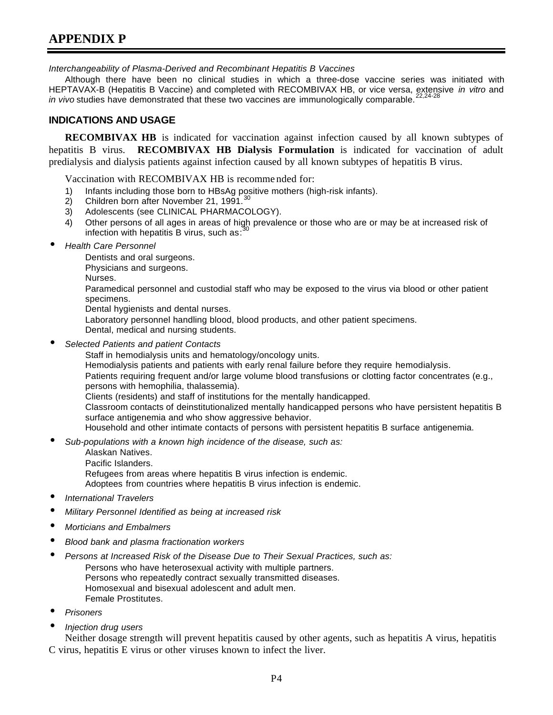*Interchangeability of Plasma-Derived and Recombinant Hepatitis B Vaccines*

Although there have been no clinical studies in which a three-dose vaccine series was initiated with HEPTAVAX-B (Hepatitis B Vaccine) and completed with RECOMBIVAX HB, or vice versa, extensive *in vitro* and *in vivo* studies have demonstrated that these two vaccines are immunologically comparable.<sup>22,24-28</sup>

## **INDICATIONS AND USAGE**

**RECOMBIVAX HB** is indicated for vaccination against infection caused by all known subtypes of hepatitis B virus. **RECOMBIVAX HB Dialysis Formulation** is indicated for vaccination of adult predialysis and dialysis patients against infection caused by all known subtypes of hepatitis B virus.

Vaccination with RECOMBIVAX HB is recomme nded for:

- 1) Infants including those born to HBsAg positive mothers (high-risk infants).
- 2) Children born after November 21, 1991. $\overline{3}$
- 3) Adolescents (see CLINICAL PHARMACOLOGY).
- 4) Other persons of all ages in areas of high prevalence or those who are or may be at increased risk of infection with hepatitis B virus, such as:
- *Health Care Personnel*

Dentists and oral surgeons.

Physicians and surgeons.

Nurses.

Paramedical personnel and custodial staff who may be exposed to the virus via blood or other patient specimens.

Dental hygienists and dental nurses.

Laboratory personnel handling blood, blood products, and other patient specimens.

Dental, medical and nursing students.

• *Selected Patients and patient Contacts*

Staff in hemodialysis units and hematology/oncology units. Hemodialysis patients and patients with early renal failure before they require hemodialysis. Patients requiring frequent and/or large volume blood transfusions or clotting factor concentrates (e.g., persons with hemophilia, thalassemia).

Clients (residents) and staff of institutions for the mentally handicapped.

Classroom contacts of deinstitutionalized mentally handicapped persons who have persistent hepatitis B surface antigenemia and who show aggressive behavior.

Household and other intimate contacts of persons with persistent hepatitis B surface antigenemia.

- *Sub-populations with a known high incidence of the disease, such as:*
	- Alaskan Natives.
	- Pacific Islanders.

Refugees from areas where hepatitis B virus infection is endemic.

Adoptees from countries where hepatitis B virus infection is endemic.

- *International Travelers*
- *Military Personnel Identified as being at increased risk*
- *Morticians and Embalmers*
- *Blood bank and plasma fractionation workers*
- *Persons at Increased Risk of the Disease Due to Their Sexual Practices, such as:*
	- Persons who have heterosexual activity with multiple partners. Persons who repeatedly contract sexually transmitted diseases. Homosexual and bisexual adolescent and adult men. Female Prostitutes.
- *Prisoners*
- *Injection drug users*

Neither dosage strength will prevent hepatitis caused by other agents, such as hepatitis A virus, hepatitis C virus, hepatitis E virus or other viruses known to infect the liver.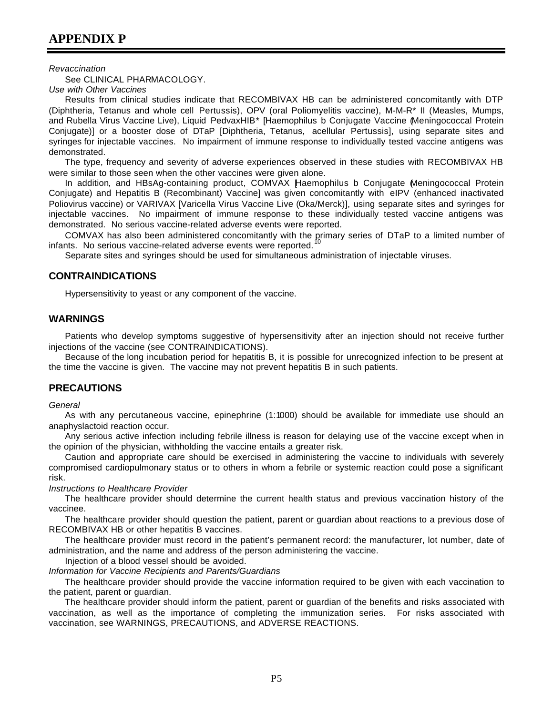### *Revaccination*

See CLINICAL PHARMACOLOGY.

*Use with Other Vaccines*

Results from clinical studies indicate that RECOMBIVAX HB can be administered concomitantly with DTP (Diphtheria, Tetanus and whole cell Pertussis), OPV (oral Poliomyelitis vaccine), M-M-R\* II (Measles, Mumps, and Rubella Virus Vaccine Live), Liquid PedvaxHIB\* [Haemophilus b Conjugate Vaccine (Meningococcal Protein Conjugate)] or a booster dose of DTaP [Diphtheria, Tetanus, acellular Pertussis], using separate sites and syringes for injectable vaccines. No impairment of immune response to individually tested vaccine antigens was demonstrated.

The type, frequency and severity of adverse experiences observed in these studies with RECOMBIVAX HB were similar to those seen when the other vaccines were given alone.

In addition, and HBsAg-containing product, COMVAX Haemophilus b Conjugate Meningococcal Protein Conjugate) and Hepatitis B (Recombinant) Vaccine] was given concomitantly with eIPV (enhanced inactivated Poliovirus vaccine) or VARIVAX [Varicella Virus Vaccine Live (Oka/Merck)], using separate sites and syringes for injectable vaccines. No impairment of immune response to these individually tested vaccine antigens was demonstrated. No serious vaccine-related adverse events were reported.

COMVAX has also been administered concomitantly with the primary series of DTaP to a limited number of infants. No serious vaccine-related adverse events were reported.<sup>1</sup>

Separate sites and syringes should be used for simultaneous administration of injectable viruses.

## **CONTRAINDICATIONS**

Hypersensitivity to yeast or any component of the vaccine.

## **WARNINGS**

Patients who develop symptoms suggestive of hypersensitivity after an injection should not receive further injections of the vaccine (see CONTRAINDICATIONS).

Because of the long incubation period for hepatitis B, it is possible for unrecognized infection to be present at the time the vaccine is given. The vaccine may not prevent hepatitis B in such patients.

## **PRECAUTIONS**

*General*

As with any percutaneous vaccine, epinephrine (1:1000) should be available for immediate use should an anaphyslactoid reaction occur.

Any serious active infection including febrile illness is reason for delaying use of the vaccine except when in the opinion of the physician, withholding the vaccine entails a greater risk.

Caution and appropriate care should be exercised in administering the vaccine to individuals with severely compromised cardiopulmonary status or to others in whom a febrile or systemic reaction could pose a significant risk.

*Instructions to Healthcare Provider*

The healthcare provider should determine the current health status and previous vaccination history of the vaccinee.

The healthcare provider should question the patient, parent or guardian about reactions to a previous dose of RECOMBIVAX HB or other hepatitis B vaccines.

The healthcare provider must record in the patient's permanent record: the manufacturer, lot number, date of administration, and the name and address of the person administering the vaccine.

Injection of a blood vessel should be avoided.

*Information for Vaccine Recipients and Parents/Guardians*

The healthcare provider should provide the vaccine information required to be given with each vaccination to the patient, parent or guardian.

The healthcare provider should inform the patient, parent or guardian of the benefits and risks associated with vaccination, as well as the importance of completing the immunization series. For risks associated with vaccination, see WARNINGS, PRECAUTIONS, and ADVERSE REACTIONS.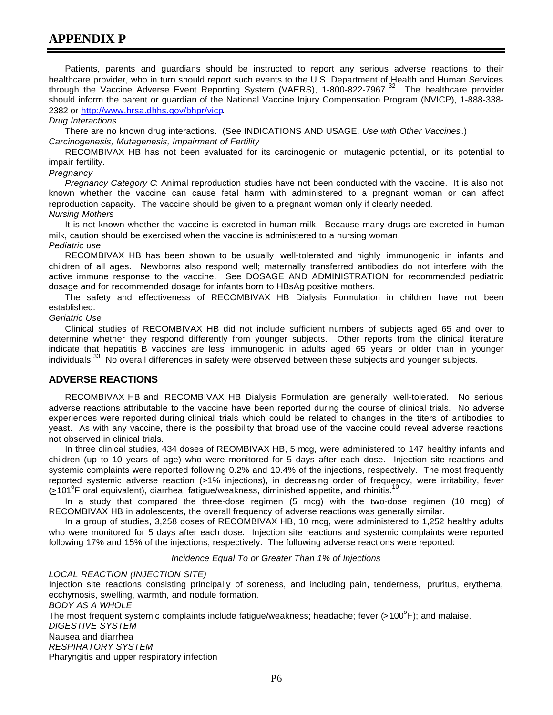## **APPENDIX P**

Patients, parents and guardians should be instructed to report any serious adverse reactions to their healthcare provider, who in turn should report such events to the U.S. Department of Health and Human Services through the Vaccine Adverse Event Reporting System (VAERS), 1-800-822-7967.<sup>32</sup> The healthcare provider should inform the parent or guardian of the National Vaccine Injury Compensation Program (NVICP), 1-888-338- 2382 or http://www.hrsa.dhhs.gov/bhpr/vicp.

#### *Drug Interactions*

There are no known drug interactions. (See INDICATIONS AND USAGE, *Use with Other Vaccines*.) *Carcinogenesis, Mutagenesis, Impairment of Fertility*

RECOMBIVAX HB has not been evaluated for its carcinogenic or mutagenic potential, or its potential to impair fertility.

#### *Pregnancy*

*Pregnancy Category C*: Animal reproduction studies have not been conducted with the vaccine. It is also not known whether the vaccine can cause fetal harm with administered to a pregnant woman or can affect reproduction capacity. The vaccine should be given to a pregnant woman only if clearly needed. *Nursing Mothers*

It is not known whether the vaccine is excreted in human milk. Because many drugs are excreted in human milk, caution should be exercised when the vaccine is administered to a nursing woman.

### *Pediatric use*

RECOMBIVAX HB has been shown to be usually well-tolerated and highly immunogenic in infants and children of all ages. Newborns also respond well; maternally transferred antibodies do not interfere with the active immune response to the vaccine. See DOSAGE AND ADMINISTRATION for recommended pediatric dosage and for recommended dosage for infants born to HBsAg positive mothers.

The safety and effectiveness of RECOMBIVAX HB Dialysis Formulation in children have not been established.

### *Geriatric Use*

Clinical studies of RECOMBIVAX HB did not include sufficient numbers of subjects aged 65 and over to determine whether they respond differently from younger subjects. Other reports from the clinical literature indicate that hepatitis B vaccines are less immunogenic in adults aged 65 years or older than in younger individuals.<sup>33</sup> No overall differences in safety were observed between these subjects and younger subjects.

### **ADVERSE REACTIONS**

RECOMBIVAX HB and RECOMBIVAX HB Dialysis Formulation are generally well-tolerated. No serious adverse reactions attributable to the vaccine have been reported during the course of clinical trials. No adverse experiences were reported during clinical trials which could be related to changes in the titers of antibodies to yeast. As with any vaccine, there is the possibility that broad use of the vaccine could reveal adverse reactions not observed in clinical trials.

In three clinical studies, 434 doses of REOMBIVAX HB, 5 mcg, were administered to 147 healthy infants and children (up to 10 years of age) who were monitored for 5 days after each dose. Injection site reactions and systemic complaints were reported following 0.2% and 10.4% of the injections, respectively. The most frequently reported systemic adverse reaction (>1% injections), in decreasing order of frequency, were irritability, fever (>101<sup>o</sup>F oral equivalent), diarrhea, fatigue/weakness, diminished appetite, and rhinitis.<sup>10</sup>

In a study that compared the three-dose regimen (5 mcg) with the two-dose regimen (10 mcg) of RECOMBIVAX HB in adolescents, the overall frequency of adverse reactions was generally similar.

In a group of studies, 3,258 doses of RECOMBIVAX HB, 10 mcg, were administered to 1,252 healthy adults who were monitored for 5 days after each dose. Injection site reactions and systemic complaints were reported following 17% and 15% of the injections, respectively. The following adverse reactions were reported:

*Incidence Equal To or Greater Than 1% of Injections*

#### *LOCAL REACTION (INJECTION SITE)*

Injection site reactions consisting principally of soreness, and including pain, tenderness, pruritus, erythema, ecchymosis, swelling, warmth, and nodule formation. *BODY AS A WHOLE* The most frequent systemic complaints include fatigue/weakness; headache; fever  $( \geq 100^\circ \text{F})$ ; and malaise. *DIGESTIVE SYSTEM* Nausea and diarrhea *RESPIRATORY SYSTEM* Pharyngitis and upper respiratory infection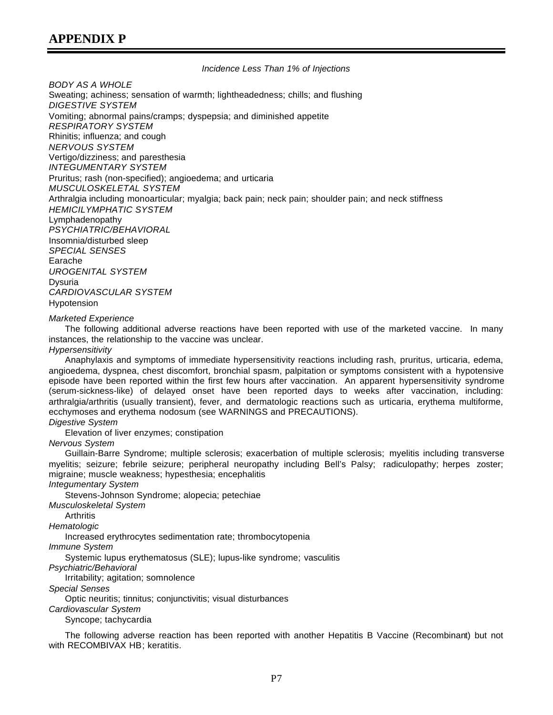# **APPENDIX P**

### *Incidence Less Than 1% of Injections*

*BODY AS A WHOLE* Sweating; achiness; sensation of warmth; lightheadedness; chills; and flushing *DIGESTIVE SYSTEM* Vomiting; abnormal pains/cramps; dyspepsia; and diminished appetite *RESPIRATORY SYSTEM* Rhinitis; influenza; and cough *NERVOUS SYSTEM* Vertigo/dizziness; and paresthesia *INTEGUMENTARY SYSTEM* Pruritus; rash (non-specified); angioedema; and urticaria *MUSCULOSKELETAL SYSTEM* Arthralgia including monoarticular; myalgia; back pain; neck pain; shoulder pain; and neck stiffness *HEMICILYMPHATIC SYSTEM* Lymphadenopathy *PSYCHIATRIC/BEHAVIORAL* Insomnia/disturbed sleep *SPECIAL SENSES* Earache *UROGENITAL SYSTEM* Dysuria *CARDIOVASCULAR SYSTEM* Hypotension

#### *Marketed Experience*

The following additional adverse reactions have been reported with use of the marketed vaccine. In many instances, the relationship to the vaccine was unclear.

#### *Hypersensitivity*

Anaphylaxis and symptoms of immediate hypersensitivity reactions including rash, pruritus, urticaria, edema, angioedema, dyspnea, chest discomfort, bronchial spasm, palpitation or symptoms consistent with a hypotensive episode have been reported within the first few hours after vaccination. An apparent hypersensitivity syndrome (serum-sickness-like) of delayed onset have been reported days to weeks after vaccination, including: arthralgia/arthritis (usually transient), fever, and dermatologic reactions such as urticaria, erythema multiforme, ecchymoses and erythema nodosum (see WARNINGS and PRECAUTIONS).

### *Digestive System*

Elevation of liver enzymes; constipation

*Nervous System*

Guillain-Barre Syndrome; multiple sclerosis; exacerbation of multiple sclerosis; myelitis including transverse myelitis; seizure; febrile seizure; peripheral neuropathy including Bell's Palsy; radiculopathy; herpes zoster; migraine; muscle weakness; hypesthesia; encephalitis

*Integumentary System*

Stevens-Johnson Syndrome; alopecia; petechiae

*Musculoskeletal System*

**Arthritis** 

*Hematologic*

Increased erythrocytes sedimentation rate; thrombocytopenia

*Immune System*

Systemic lupus erythematosus (SLE); lupus-like syndrome; vasculitis

*Psychiatric/Behavioral* Irritability; agitation; somnolence

*Special Senses*

Optic neuritis; tinnitus; conjunctivitis; visual disturbances

*Cardiovascular System*

Syncope; tachycardia

The following adverse reaction has been reported with another Hepatitis B Vaccine (Recombinant) but not with RECOMBIVAX HB; keratitis.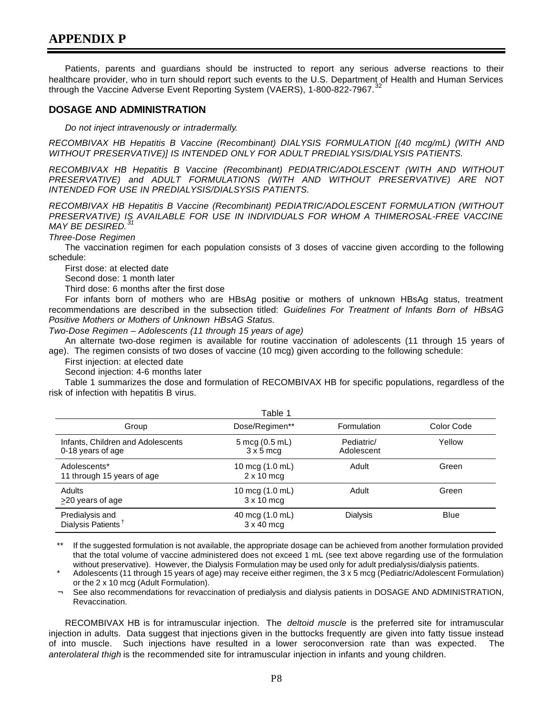## **APPENDIX P**

Patients, parents and guardians should be instructed to report any serious adverse reactions to their healthcare provider, who in turn should report such events to the U.S. Department of Health and Human Services through the Vaccine Adverse Event Reporting System (VAERS), 1-800-822-7967.<sup>32</sup>

## **DOSAGE AND ADMINISTRATION**

*Do not inject intravenously or intradermally*.

*RECOMBIVAX HB Hepatitis B Vaccine (Recombinant) DIALYSIS FORMULATION [(40 mcg/mL) (WITH AND WITHOUT PRESERVATIVE)] IS INTENDED ONLY FOR ADULT PREDIALYSIS/DIALYSIS PATIENTS.*

*RECOMBIVAX HB Hepatitis B Vaccine (Recombinant) PEDIATRIC/ADOLESCENT (WITH AND WITHOUT PRESERVATIVE) and ADULT FORMULATIONS (WITH AND WITHOUT PRESERVATIVE) ARE NOT INTENDED FOR USE IN PREDIALYSIS/DIALSYSIS PATIENTS.*

*RECOMBIVAX HB Hepatitis B Vaccine (Recombinant) PEDIATRIC/ADOLESCENT FORMULATION (WITHOUT PRESERVATIVE) IS AVAILABLE FOR USE IN INDIVIDUALS FOR WHOM A THIMEROSAL-FREE VACCINE MAY BE DESIRED.*<sup>3</sup>

*Three-Dose Regimen*

The vaccination regimen for each population consists of 3 doses of vaccine given according to the following schedule:

First dose: at elected date

Second dose: 1 month later

Third dose: 6 months after the first dose

For infants born of mothers who are HBsAg positive or mothers of unknown HBsAg status, treatment recommendations are described in the subsection titled: *Guidelines For Treatment of Infants Born of HBsAG Positive Mothers or Mothers of Unknown HBsAG Status.*

*Two-Dose Regimen – Adolescents (11 through 15 years of age)*

An alternate two-dose regimen is available for routine vaccination of adolescents (11 through 15 years of age). The regimen consists of two doses of vaccine (10 mcg) given according to the following schedule:

First injection: at elected date

Second injection: 4-6 months later

Table 1 summarizes the dose and formulation of RECOMBIVAX HB for specific populations, regardless of the risk of infection with hepatitis B virus.

|                                                        | Table 1                                              |                          |             |
|--------------------------------------------------------|------------------------------------------------------|--------------------------|-------------|
| Group                                                  | Dose/Regimen**                                       | Formulation              | Color Code  |
| Infants, Children and Adolescents<br>0-18 years of age | $5 \text{ mcg} (0.5 \text{ mL})$<br>$3 \times 5$ mcg | Pediatric/<br>Adolescent | Yellow      |
| Adolescents*<br>11 through 15 years of age             | 10 mcg $(1.0$ mL)<br>$2 \times 10$ mcg               | Adult                    | Green       |
| <b>Adults</b><br>>20 years of age                      | 10 mcg (1.0 mL)<br>$3 \times 10$ mcg                 | Adult                    | Green       |
| Predialysis and<br>Dialysis Patients <sup>+</sup>      | 40 mcg (1.0 mL)<br>$3x40$ mcg                        | <b>Dialysis</b>          | <b>Blue</b> |

\*\* If the suggested formulation is not available, the appropriate dosage can be achieved from another formulation provided that the total volume of vaccine administered does not exceed 1 mL (see text above regarding use of the formulation without preservative). However, the Dialysis Formulation may be used only for adult predialysis/dialysis patients.

Adolescents (11 through 15 years of age) may receive either regimen, the 3 x 5 mcg (Pediatric/Adolescent Formulation) or the 2 x 10 mcg (Adult Formulation).

 $\hat{A}$  See also recommendations for revaccination of predialysis and dialysis patients in DOSAGE AND ADMINISTRATION, Revaccination.

RECOMBIVAX HB is for intramuscular injection. The *deltoid muscle* is the preferred site for intramuscular injection in adults. Data suggest that injections given in the buttocks frequently are given into fatty tissue instead of into muscle. Such injections have resulted in a lower seroconversion rate than was expected. The *anterolateral thigh* is the recommended site for intramuscular injection in infants and young children.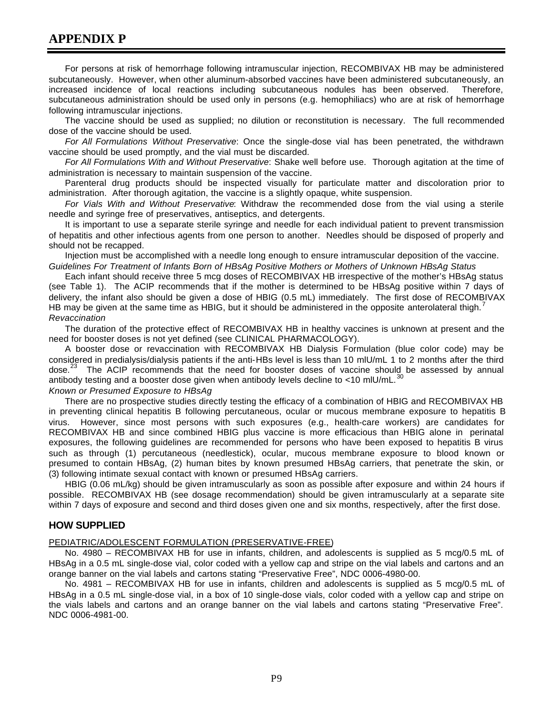# **APPENDIX P**

For persons at risk of hemorrhage following intramuscular injection, RECOMBIVAX HB may be administered subcutaneously. However, when other aluminum-absorbed vaccines have been administered subcutaneously, an increased incidence of local reactions including subcutaneous nodules has been observed. Therefore, subcutaneous administration should be used only in persons (e.g. hemophiliacs) who are at risk of hemorrhage following intramuscular injections.

The vaccine should be used as supplied; no dilution or reconstitution is necessary. The full recommended dose of the vaccine should be used.

*For All Formulations Without Preservative*: Once the single-dose vial has been penetrated, the withdrawn vaccine should be used promptly, and the vial must be discarded.

*For All Formulations With and Without Preservative*: Shake well before use. Thorough agitation at the time of administration is necessary to maintain suspension of the vaccine.

Parenteral drug products should be inspected visually for particulate matter and discoloration prior to administration. After thorough agitation, the vaccine is a slightly opaque, white suspension.

*For Vials With and Without Preservative*: Withdraw the recommended dose from the vial using a sterile needle and syringe free of preservatives, antiseptics, and detergents.

It is important to use a separate sterile syringe and needle for each individual patient to prevent transmission of hepatitis and other infectious agents from one person to another. Needles should be disposed of properly and should not be recapped.

Injection must be accomplished with a needle long enough to ensure intramuscular deposition of the vaccine. *Guidelines For Treatment of Infants Born of HBsAg Positive Mothers or Mothers of Unknown HBsAg Status*

Each infant should receive three 5 mcg doses of RECOMBIVAX HB irrespective of the mother's HBsAg status (see Table 1). The ACIP recommends that if the mother is determined to be HBsAg positive within 7 days of delivery, the infant also should be given a dose of HBIG (0.5 mL) immediately. The first dose of RECOMBIVAX HB may be given at the same time as HBIG, but it should be administered in the opposite anterolateral thigh. *Revaccination*

The duration of the protective effect of RECOMBIVAX HB in healthy vaccines is unknown at present and the need for booster doses is not yet defined (see CLINICAL PHARMACOLOGY).

A booster dose or revaccination with RECOMBIVAX HB Dialysis Formulation (blue color code) may be considered in predialysis/dialysis patients if the anti-HBs level is less than 10 mlU/mL 1 to 2 months after the third dose.<sup>23</sup> The ACIP recommends that the need for booster doses of vaccine should be assessed by annual antibody testing and a booster dose given when antibody levels decline to  $<10$  mlU/mL.

#### *Known or Presumed Exposure to HBsAg*

There are no prospective studies directly testing the efficacy of a combination of HBIG and RECOMBIVAX HB in preventing clinical hepatitis B following percutaneous, ocular or mucous membrane exposure to hepatitis B virus. However, since most persons with such exposures (e.g., health-care workers) are candidates for RECOMBIVAX HB and since combined HBIG plus vaccine is more efficacious than HBIG alone in perinatal exposures, the following guidelines are recommended for persons who have been exposed to hepatitis B virus such as through (1) percutaneous (needlestick), ocular, mucous membrane exposure to blood known or presumed to contain HBsAg, (2) human bites by known presumed HBsAg carriers, that penetrate the skin, or (3) following intimate sexual contact with known or presumed HBsAg carriers.

HBIG (0.06 mL/kg) should be given intramuscularly as soon as possible after exposure and within 24 hours if possible. RECOMBIVAX HB (see dosage recommendation) should be given intramuscularly at a separate site within 7 days of exposure and second and third doses given one and six months, respectively, after the first dose.

#### **HOW SUPPLIED**

#### PEDIATRIC/ADOLESCENT FORMULATION (PRESERVATIVE-FREE)

No. 4980 – RECOMBIVAX HB for use in infants, children, and adolescents is supplied as 5 mcg/0.5 mL of HBsAg in a 0.5 mL single-dose vial, color coded with a yellow cap and stripe on the vial labels and cartons and an orange banner on the vial labels and cartons stating "Preservative Free", NDC 0006-4980-00.

No. 4981 – RECOMBIVAX HB for use in infants, children and adolescents is supplied as 5 mcg/0.5 mL of HBsAg in a 0.5 mL single-dose vial, in a box of 10 single-dose vials, color coded with a yellow cap and stripe on the vials labels and cartons and an orange banner on the vial labels and cartons stating "Preservative Free". NDC 0006-4981-00.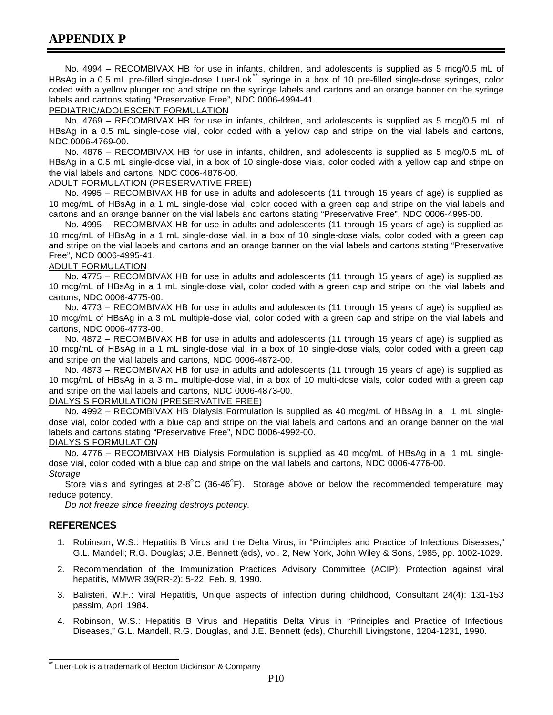No. 4994 – RECOMBIVAX HB for use in infants, children, and adolescents is supplied as 5 mcg/0.5 mL of HBsAg in a 0.5 mL pre-filled single-dose Luer-Lok<sup>\*\*</sup> syringe in a box of 10 pre-filled single-dose syringes, color coded with a yellow plunger rod and stripe on the syringe labels and cartons and an orange banner on the syringe labels and cartons stating "Preservative Free", NDC 0006-4994-41.

#### PEDIATRIC/ADOLESCENT FORMULATION

No. 4769 – RECOMBIVAX HB for use in infants, children, and adolescents is supplied as 5 mcg/0.5 mL of HBsAg in a 0.5 mL single-dose vial, color coded with a yellow cap and stripe on the vial labels and cartons, NDC 0006-4769-00.

No. 4876 – RECOMBIVAX HB for use in infants, children, and adolescents is supplied as 5 mcg/0.5 mL of HBsAg in a 0.5 mL single-dose vial, in a box of 10 single-dose vials, color coded with a yellow cap and stripe on the vial labels and cartons, NDC 0006-4876-00.

#### ADULT FORMULATION (PRESERVATIVE FREE)

No. 4995 – RECOMBIVAX HB for use in adults and adolescents (11 through 15 years of age) is supplied as 10 mcg/mL of HBsAg in a 1 mL single-dose vial, color coded with a green cap and stripe on the vial labels and cartons and an orange banner on the vial labels and cartons stating "Preservative Free", NDC 0006-4995-00.

No. 4995 – RECOMBIVAX HB for use in adults and adolescents (11 through 15 years of age) is supplied as 10 mcg/mL of HBsAg in a 1 mL single-dose vial, in a box of 10 single-dose vials, color coded with a green cap and stripe on the vial labels and cartons and an orange banner on the vial labels and cartons stating "Preservative Free", NCD 0006-4995-41.

#### ADULT FORMULATION

No. 4775 – RECOMBIVAX HB for use in adults and adolescents (11 through 15 years of age) is supplied as 10 mcg/mL of HBsAg in a 1 mL single-dose vial, color coded with a green cap and stripe on the vial labels and cartons, NDC 0006-4775-00.

No. 4773 – RECOMBIVAX HB for use in adults and adolescents (11 through 15 years of age) is supplied as 10 mcg/mL of HBsAg in a 3 mL multiple-dose vial, color coded with a green cap and stripe on the vial labels and cartons, NDC 0006-4773-00.

No. 4872 – RECOMBIVAX HB for use in adults and adolescents (11 through 15 years of age) is supplied as 10 mcg/mL of HBsAg in a 1 mL single-dose vial, in a box of 10 single-dose vials, color coded with a green cap and stripe on the vial labels and cartons, NDC 0006-4872-00.

No. 4873 – RECOMBIVAX HB for use in adults and adolescents (11 through 15 years of age) is supplied as 10 mcg/mL of HBsAg in a 3 mL multiple-dose vial, in a box of 10 multi-dose vials, color coded with a green cap and stripe on the vial labels and cartons, NDC 0006-4873-00.

#### DIALYSIS FORMULATION (PRESERVATIVE FREE)

No. 4992 – RECOMBIVAX HB Dialysis Formulation is supplied as 40 mcg/mL of HBsAg in a 1 mL singledose vial, color coded with a blue cap and stripe on the vial labels and cartons and an orange banner on the vial labels and cartons stating "Preservative Free", NDC 0006-4992-00.

#### DIALYSIS FORMULATION

No. 4776 – RECOMBIVAX HB Dialysis Formulation is supplied as 40 mcg/mL of HBsAg in a 1 mL singledose vial, color coded with a blue cap and stripe on the vial labels and cartons, NDC 0006-4776-00. *Storage*

Store vials and syringes at 2-8 $^{\circ}$ C (36-46 $^{\circ}$ F). Storage above or below the recommended temperature may reduce potency.

*Do not freeze since freezing destroys potency.*

#### **REFERENCES**

l

- 1. Robinson, W.S.: Hepatitis B Virus and the Delta Virus, in "Principles and Practice of Infectious Diseases," G.L. Mandell; R.G. Douglas; J.E. Bennett (eds), vol. 2, New York, John Wiley & Sons, 1985, pp. 1002-1029.
- 2. Recommendation of the Immunization Practices Advisory Committee (ACIP): Protection against viral hepatitis, MMWR 39(RR-2): 5-22, Feb. 9, 1990.
- 3. Balisteri, W.F.: Viral Hepatitis, Unique aspects of infection during childhood, Consultant 24(4): 131-153 passlm, April 1984.
- 4. Robinson, W.S.: Hepatitis B Virus and Hepatitis Delta Virus in "Principles and Practice of Infectious Diseases," G.L. Mandell, R.G. Douglas, and J.E. Bennett (eds), Churchill Livingstone, 1204-1231, 1990.

<sup>\*\*</sup> Luer-Lok is a trademark of Becton Dickinson & Company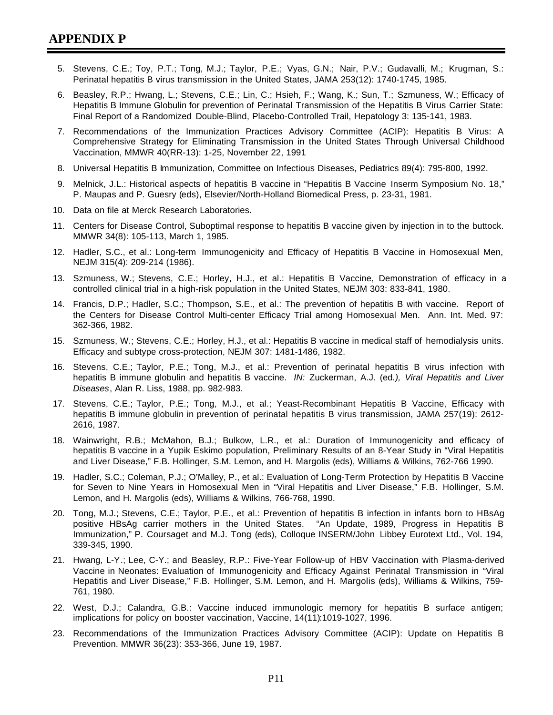# **APPENDIX P**

- 5. Stevens, C.E.; Toy, P.T.; Tong, M.J.; Taylor, P.E.; Vyas, G.N.; Nair, P.V.; Gudavalli, M.; Krugman, S.: Perinatal hepatitis B virus transmission in the United States, JAMA 253(12): 1740-1745, 1985.
- 6. Beasley, R.P.; Hwang, L.; Stevens, C.E.; Lin, C.; Hsieh, F.; Wang, K.; Sun, T.; Szmuness, W.; Efficacy of Hepatitis B Immune Globulin for prevention of Perinatal Transmission of the Hepatitis B Virus Carrier State: Final Report of a Randomized Double-Blind, Placebo-Controlled Trail, Hepatology 3: 135-141, 1983.
- 7. Recommendations of the Immunization Practices Advisory Committee (ACIP): Hepatitis B Virus: A Comprehensive Strategy for Eliminating Transmission in the United States Through Universal Childhood Vaccination, MMWR 40(RR-13): 1-25, November 22, 1991
- 8. Universal Hepatitis B Immunization, Committee on Infectious Diseases, Pediatrics 89(4): 795-800, 1992.
- 9. Melnick, J.L.: Historical aspects of hepatitis B vaccine in "Hepatitis B Vaccine Inserm Symposium No. 18," P. Maupas and P. Guesry (eds), Elsevier/North-Holland Biomedical Press, p. 23-31, 1981.
- 10. Data on file at Merck Research Laboratories.
- 11. Centers for Disease Control, Suboptimal response to hepatitis B vaccine given by injection in to the buttock. MMWR 34(8): 105-113, March 1, 1985.
- 12. Hadler, S.C., et al.: Long-term Immunogenicity and Efficacy of Hepatitis B Vaccine in Homosexual Men, NEJM 315(4): 209-214 (1986).
- 13. Szmuness, W.; Stevens, C.E.; Horley, H.J., et al.: Hepatitis B Vaccine, Demonstration of efficacy in a controlled clinical trial in a high-risk population in the United States, NEJM 303: 833-841, 1980.
- 14. Francis, D.P.; Hadler, S.C.; Thompson, S.E., et al.: The prevention of hepatitis B with vaccine. Report of the Centers for Disease Control Multi-center Efficacy Trial among Homosexual Men. Ann. Int. Med. 97: 362-366, 1982.
- 15. Szmuness, W.; Stevens, C.E.; Horley, H.J., et al.: Hepatitis B vaccine in medical staff of hemodialysis units. Efficacy and subtype cross-protection, NEJM 307: 1481-1486, 1982.
- 16. Stevens, C.E.; Taylor, P.E.; Tong, M.J., et al.: Prevention of perinatal hepatitis B virus infection with hepatitis B immune globulin and hepatitis B vaccine. *IN:* Zuckerman, A.J. (ed*.), Viral Hepatitis and Liver Diseases*, Alan R. Liss, 1988, pp. 982-983.
- 17. Stevens, C.E.; Taylor, P.E.; Tong, M.J., et al.; Yeast-Recombinant Hepatitis B Vaccine, Efficacy with hepatitis B immune globulin in prevention of perinatal hepatitis B virus transmission, JAMA 257(19): 2612- 2616, 1987.
- 18. Wainwright, R.B.; McMahon, B.J.; Bulkow, L.R., et al.: Duration of Immunogenicity and efficacy of hepatitis B vaccine in a Yupik Eskimo population, Preliminary Results of an 8-Year Study in "Viral Hepatitis and Liver Disease," F.B. Hollinger, S.M. Lemon, and H. Margolis (eds), Williams & Wilkins, 762-766 1990.
- 19. Hadler, S.C.; Coleman, P.J.; O'Malley, P., et al.: Evaluation of Long-Term Protection by Hepatitis B Vaccine for Seven to Nine Years in Homosexual Men in "Viral Hepatitis and Liver Disease," F.B. Hollinger, S.M. Lemon, and H. Margolis (eds), Williams & Wilkins, 766-768, 1990.
- 20. Tong, M.J.; Stevens, C.E.; Taylor, P.E., et al.: Prevention of hepatitis B infection in infants born to HBsAg positive HBsAg carrier mothers in the United States. "An Update, 1989, Progress in Hepatitis B Immunization," P. Coursaget and M.J. Tong (eds), Colloque INSERM/John Libbey Eurotext Ltd., Vol. 194, 339-345, 1990.
- 21. Hwang, L-Y.; Lee, C-Y.; and Beasley, R.P.: Five-Year Follow-up of HBV Vaccination with Plasma-derived Vaccine in Neonates: Evaluation of Immunogenicity and Efficacy Against Perinatal Transmission in "Viral Hepatitis and Liver Disease," F.B. Hollinger, S.M. Lemon, and H. Margolis (eds), Williams & Wilkins, 759- 761, 1980.
- 22. West, D.J.; Calandra, G.B.: Vaccine induced immunologic memory for hepatitis B surface antigen; implications for policy on booster vaccination, Vaccine, 14(11):1019-1027, 1996.
- 23. Recommendations of the Immunization Practices Advisory Committee (ACIP): Update on Hepatitis B Prevention. MMWR 36(23): 353-366, June 19, 1987.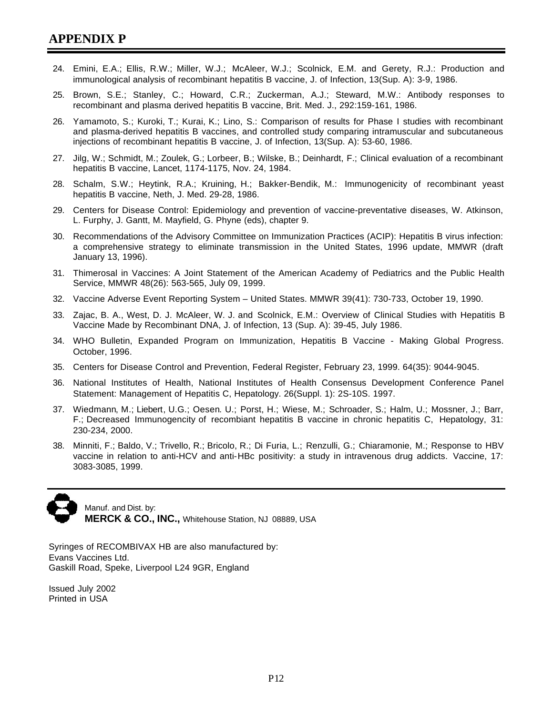# **APPENDIX P**

- 24. Emini, E.A.; Ellis, R.W.; Miller, W.J.; McAleer, W.J.; Scolnick, E.M. and Gerety, R.J.: Production and immunological analysis of recombinant hepatitis B vaccine, J. of Infection, 13(Sup. A): 3-9, 1986.
- 25. Brown, S.E.; Stanley, C.; Howard, C.R.; Zuckerman, A.J.; Steward, M.W.: Antibody responses to recombinant and plasma derived hepatitis B vaccine, Brit. Med. J., 292:159-161, 1986.
- 26. Yamamoto, S.; Kuroki, T.; Kurai, K.; Lino, S.: Comparison of results for Phase I studies with recombinant and plasma-derived hepatitis B vaccines, and controlled study comparing intramuscular and subcutaneous injections of recombinant hepatitis B vaccine, J. of Infection, 13(Sup. A): 53-60, 1986.
- 27. Jilg, W.; Schmidt, M.; Zoulek, G.; Lorbeer, B.; Wilske, B.; Deinhardt, F.; Clinical evaluation of a recombinant hepatitis B vaccine, Lancet, 1174-1175, Nov. 24, 1984.
- 28. Schalm, S.W.; Heytink, R.A.; Kruining, H.; Bakker-Bendik, M.: Immunogenicity of recombinant yeast hepatitis B vaccine, Neth, J. Med. 29-28, 1986.
- 29. Centers for Disease Control: Epidemiology and prevention of vaccine-preventative diseases, W. Atkinson, L. Furphy, J. Gantt, M. Mayfield, G. Phyne (eds), chapter 9.
- 30. Recommendations of the Advisory Committee on Immunization Practices (ACIP): Hepatitis B virus infection: a comprehensive strategy to eliminate transmission in the United States, 1996 update, MMWR (draft January 13, 1996).
- 31. Thimerosal in Vaccines: A Joint Statement of the American Academy of Pediatrics and the Public Health Service, MMWR 48(26): 563-565, July 09, 1999.
- 32. Vaccine Adverse Event Reporting System United States. MMWR 39(41): 730-733, October 19, 1990.
- 33. Zajac, B. A., West, D. J. McAleer, W. J. and Scolnick, E.M.: Overview of Clinical Studies with Hepatitis B Vaccine Made by Recombinant DNA, J. of Infection, 13 (Sup. A): 39-45, July 1986.
- 34. WHO Bulletin, Expanded Program on Immunization, Hepatitis B Vaccine Making Global Progress. October, 1996.
- 35. Centers for Disease Control and Prevention, Federal Register, February 23, 1999. 64(35): 9044-9045.
- 36. National Institutes of Health, National Institutes of Health Consensus Development Conference Panel Statement: Management of Hepatitis C, Hepatology. 26(Suppl. 1): 2S-10S. 1997.
- 37. Wiedmann, M.; Liebert, U.G.; Oesen. U.; Porst, H.; Wiese, M.; Schroader, S.; Halm, U.; Mossner, J.; Barr, F.; Decreased Immunogencity of recombiant hepatitis B vaccine in chronic hepatitis C, Hepatology, 31: 230-234, 2000.
- 38. Minniti, F.; Baldo, V.; Trivello, R.; Bricolo, R.; Di Furia, L.; Renzulli, G.; Chiaramonie, M.; Response to HBV vaccine in relation to anti-HCV and anti-HBc positivity: a study in intravenous drug addicts. Vaccine, 17: 3083-3085, 1999.



Manuf. and Dist. by: **MERCK & CO., INC.,** Whitehouse Station, NJ 08889, USA

Syringes of RECOMBIVAX HB are also manufactured by: Evans Vaccines Ltd. Gaskill Road, Speke, Liverpool L24 9GR, England

Issued July 2002 Printed in USA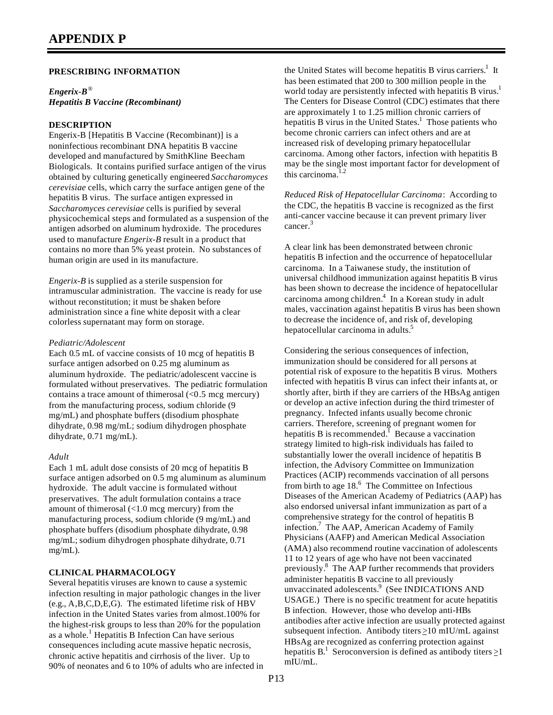#### **PRESCRIBING INFORMATION**

*Engerix-B*® *Hepatitis B Vaccine (Recombinant)*

#### **DESCRIPTION**

Engerix-B [Hepatitis B Vaccine (Recombinant)] is a noninfectious recombinant DNA hepatitis B vaccine developed and manufactured by SmithKline Beecham Biologicals. It contains purified surface antigen of the virus obtained by culturing genetically engineered *Saccharomyces cerevisiae* cells, which carry the surface antigen gene of the hepatitis B virus. The surface antigen expressed in *Saccharomyces cerevisiae* cells is purified by several physicochemical steps and formulated as a suspension of the antigen adsorbed on aluminum hydroxide. The procedures used to manufacture *Engerix-B* result in a product that contains no more than 5% yeast protein. No substances of human origin are used in its manufacture.

*Engerix-B* is supplied as a sterile suspension for intramuscular administration. The vaccine is ready for use without reconstitution; it must be shaken before administration since a fine white deposit with a clear colorless supernatant may form on storage.

#### *Pediatric/Adolescent*

Each 0.5 mL of vaccine consists of 10 mcg of hepatitis B surface antigen adsorbed on 0.25 mg aluminum as aluminum hydroxide. The pediatric/adolescent vaccine is formulated without preservatives. The pediatric formulation contains a trace amount of thimerosal  $(< 0.5$  mcg mercury) from the manufacturing process, sodium chloride (9 mg/mL) and phosphate buffers (disodium phosphate dihydrate, 0.98 mg/mL; sodium dihydrogen phosphate dihydrate, 0.71 mg/mL).

#### *Adult*

Each 1 mL adult dose consists of 20 mcg of hepatitis B surface antigen adsorbed on 0.5 mg aluminum as aluminum hydroxide. The adult vaccine is formulated without preservatives. The adult formulation contains a trace amount of thimerosal (<1.0 mcg mercury) from the manufacturing process, sodium chloride (9 mg/mL) and phosphate buffers (disodium phosphate dihydrate, 0.98 mg/mL; sodium dihydrogen phosphate dihydrate, 0.71 mg/mL).

#### **CLINICAL PHARMACOLOGY**

Several hepatitis viruses are known to cause a systemic infection resulting in major pathologic changes in the liver (e.g., A,B,C,D,E,G). The estimated lifetime risk of HBV infection in the United States varies from almost.100% for the highest-risk groups to less than 20% for the population as a whole.<sup>1</sup> Hepatitis B Infection Can have serious consequences including acute massive hepatic necrosis, chronic active hepatitis and cirrhosis of the liver. Up to 90% of neonates and 6 to 10% of adults who are infected in

the United States will become hepatitis B virus carriers.<sup>1</sup> It has been estimated that 200 to 300 million people in the world today are persistently infected with hepatitis B virus.<sup>1</sup> The Centers for Disease Control (CDC) estimates that there are approximately 1 to 1.25 million chronic carriers of hepatitis B virus in the United States.<sup>1</sup> Those patients who become chronic carriers can infect others and are at increased risk of developing primary hepatocellular carcinoma. Among other factors, infection with hepatitis B may be the single most important factor for development of this carcinoma.<sup>1.2</sup>

*Reduced Risk of Hepatocellular Carcinoma*: According to the CDC, the hepatitis B vaccine is recognized as the first anti-cancer vaccine because it can prevent primary liver cancer. 3

A clear link has been demonstrated between chronic hepatitis B infection and the occurrence of hepatocellular carcinoma. In a Taiwanese study, the institution of universal childhood immunization against hepatitis B virus has been shown to decrease the incidence of hepatocellular carcinoma among children.<sup>4</sup> In a Korean study in adult males, vaccination against hepatitis B virus has been shown to decrease the incidence of, and risk of, developing hepatocellular carcinoma in adults. $5$ 

Considering the serious consequences of infection, immunization should be considered for all persons at potential risk of exposure to the hepatitis B virus. Mothers infected with hepatitis B virus can infect their infants at, or shortly after, birth if they are carriers of the HBsAg antigen or develop an active infection during the third trimester of pregnancy. Infected infants usually become chronic carriers. Therefore, screening of pregnant women for hepatitis B is recommended.<sup>1</sup> Because a vaccination strategy limited to high-risk individuals has failed to substantially lower the overall incidence of hepatitis B infection, the Advisory Committee on Immunization Practices (ACIP) recommends vaccination of all persons from birth to age  $18<sup>6</sup>$ . The Committee on Infectious Diseases of the American Academy of Pediatrics (AAP) has also endorsed universal infant immunization as part of a comprehensive strategy for the control of hepatitis B infection.<sup>7</sup> The AAP, American Academy of Family Physicians (AAFP) and American Medical Association (AMA) also recommend routine vaccination of adolescents 11 to 12 years of age who have not been vaccinated previously.<sup>8</sup> The AAP further recommends that providers administer hepatitis B vaccine to all previously unvaccinated adolescents.<sup>9</sup> (See INDICATIONS AND USAGE.) There is no specific treatment for acute hepatitis B infection. However, those who develop anti-HBs antibodies after active infection are usually protected against subsequent infection. Antibody titers  $\geq 10$  mIU/mL against HBsAg are recognized as conferring protection against hepatitis B.<sup>1</sup> Seroconversion is defined as antibody titers  $\geq$ 1 mIU/mL.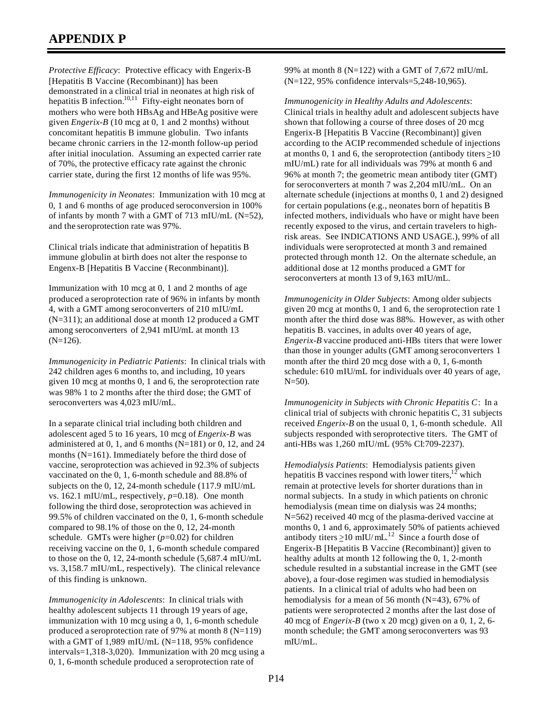*Protective Efficacy*: Protective efficacy with Engerix-B [Hepatitis B Vaccine (Recombinant)] has been demonstrated in a clinical trial in neonates at high risk of hepatitis B infection.<sup>10,11</sup> Fifty-eight neonates born of mothers who were both HBsAg and HBeAg positive were given *Engerix-B* (10 mcg at 0, 1 and 2 months) without concomitant hepatitis B immune globulin. Two infants became chronic carriers in the 12-month follow-up period after initial inoculation. Assuming an expected carrier rate of 70%, the protective efficacy rate against the chronic carrier state, during the first 12 months of life was 95%.

*Immunogenicity in Neonates*: Immunization with 10 mcg at 0, 1 and 6 months of age produced seroconversion in 100% of infants by month 7 with a GMT of 713 mIU/mL (N=52), and the seroprotection rate was 97%.

Clinical trials indicate that administration of hepatitis B immune globulin at birth does not alter the response to Engenx-B [Hepatitis B Vaccine (Reconmbinant)].

Immunization with 10 mcg at 0, 1 and 2 months of age produced a seroprotection rate of 96% in infants by month 4, with a GMT among seroconverters of 210 mIU/mL (N=311); an additional dose at month 12 produced a GMT among seroconverters of 2,941 mIU/mL at month 13 (N=126).

*Immunogenicity in Pediatric Patients*: In clinical trials with 242 children ages 6 months to, and including, 10 years given 10 mcg at months 0, 1 and 6, the seroprotection rate was 98% 1 to 2 months after the third dose; the GMT of seroconverters was 4,023 mIU/mL.

In a separate clinical trial including both children and adolescent aged 5 to 16 years, 10 mcg of *Engerix-B* was administered at 0, 1, and 6 months ( $N=181$ ) or 0, 12, and 24 months (N=161). Immediately before the third dose of vaccine, seroprotection was achieved in 92.3% of subjects vaccinated on the 0, 1, 6-month schedule and 88.8% of subjects on the 0, 12, 24-month schedule (117.9 mIU/mL vs. 162.1 mIU/mL, respectively, *p*=0.18). One month following the third dose, seroprotection was achieved in 99.5% of children vaccinated on the 0, 1, 6-month schedule compared to 98.1% of those on the 0, 12, 24-month schedule. GMTs were higher (*p*=0.02) for children receiving vaccine on the 0, 1, 6-month schedule compared to those on the 0, 12, 24-month schedule (5,687.4 mIU/mL vs. 3,158.7 mIU/mL, respectively). The clinical relevance of this finding is unknown.

*Immunogenicity in Adolescents*: In clinical trials with healthy adolescent subjects 11 through 19 years of age, immunization with 10 mcg using a 0, 1, 6-month schedule produced a seroprotection rate of 97% at month 8 (N=119) with a GMT of 1,989 mIU/mL (N=118, 95% confidence intervals=1,318-3,020). Immunization with 20 mcg using a 0, 1, 6-month schedule produced a seroprotection rate of

99% at month 8 (N=122) with a GMT of 7,672 mIU/mL (N=122, 95% confidence intervals=5,248-10,965).

*Immunogenicity in Healthy Adults and Adolescents*: Clinical trials in healthy adult and adolescent subjects have shown that following a course of three doses of 20 mcg Engerix-B [Hepatitis B Vaccine (Recombinant)] given according to the ACIP recommended schedule of injections at months 0, 1 and 6, the seroprotection (antibody titers  $\geq 10$ mIU/mL) rate for all individuals was 79% at month 6 and 96% at month 7; the geometric mean antibody titer (GMT) for seroconverters at month 7 was 2,204 mIU/mL. On an alternate schedule (injections at months 0, 1 and 2) designed for certain populations (e.g., neonates born of hepatitis B infected mothers, individuals who have or might have been recently exposed to the virus, and certain travelers to highrisk areas. See INDICATIONS AND USAGE.), 99% of all individuals were seroprotected at month 3 and remained protected through month 12. On the alternate schedule, an additional dose at 12 months produced a GMT for seroconverters at month 13 of 9,163 mIU/mL.

*Immunogenicity in Older Subjects*: Among older subjects given 20 mcg at months 0, 1 and 6, the seroprotection rate 1 month after the third dose was 88%. However, as with other hepatitis B. vaccines, in adults over 40 years of age, *Engerix-B* vaccine produced anti-HBs titers that were lower than those in younger adults (GMT among seroconverters 1 month after the third 20 mcg dose with a 0, 1, 6-month schedule: 610 mIU/mL for individuals over 40 years of age, N=50).

*Immunogenicity in Subjects with Chronic Hepatitis C*: In a clinical trial of subjects with chronic hepatitis C, 31 subjects received *Engerix-B* on the usual 0, 1, 6-month schedule. All subjects responded with seroprotective titers. The GMT of anti-HBs was 1,260 mIU/mL (95% CI:709-2237).

*Hemodialysis Patients*: Hemodialysis patients given hepatitis B vaccines respond with lower titers, $12$  which remain at protective levels for shorter durations than in normal subjects. In a study in which patients on chronic hemodialysis (mean time on dialysis was 24 months; N=562) received 40 mcg of the plasma-derived vaccine at months 0, 1 and 6, approximately 50% of patients achieved antibody titers  $\geq$ 10 mIU/mL<sup>12</sup> Since a fourth dose of Engerix-B [Hepatitis B Vaccine (Recombinant)] given to healthy adults at month 12 following the 0, 1, 2-month schedule resulted in a substantial increase in the GMT (see above), a four-dose regimen was studied in hemodialysis patients. In a clinical trial of adults who had been on hemodialysis for a mean of 56 month (N=43), 67% of patients were seroprotected 2 months after the last dose of 40 mcg of *Engerix-B* (two x 20 mcg) given on a 0, 1, 2, 6 month schedule; the GMT among seroconverters was 93 mIU/mL.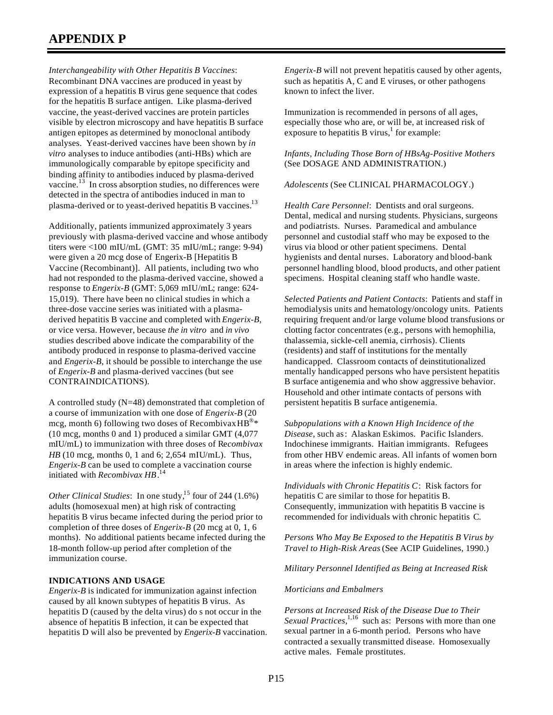*Interchangeability with Other Hepatitis B Vaccines*: Recombinant DNA vaccines are produced in yeast by expression of a hepatitis B virus gene sequence that codes for the hepatitis B surface antigen. Like plasma-derived vaccine, the yeast-derived vaccines are protein particles visible by electron microscopy and have hepatitis B surface antigen epitopes as determined by monoclonal antibody analyses. Yeast-derived vaccines have been shown by *in vitro* analyses to induce antibodies (anti-HBs) which are immunologically comparable by epitope specificity and binding affinity to antibodies induced by plasma-derived vaccine.<sup>13</sup> In cross absorption studies, no differences were detected in the spectra of antibodies induced in man to plasma-derived or to yeast-derived hepatitis B vaccines.<sup>13</sup>

Additionally, patients immunized approximately 3 years previously with plasma-derived vaccine and whose antibody titers were <100 mIU/mL (GMT: 35 mIU/mL; range: 9-94) were given a 20 mcg dose of Engerix-B [Hepatitis B Vaccine (Recombinant)]. All patients, including two who had not responded to the plasma-derived vaccine, showed a response to *Engerix-B* (GMT: 5,069 mIU/mL; range: 624- 15,019). There have been no clinical studies in which a three-dose vaccine series was initiated with a plasmaderived hepatitis B vaccine and completed with *Engerix-B*, or vice versa. However, because *the in vitro* and *in vivo* studies described above indicate the comparability of the antibody produced in response to plasma-derived vaccine and *Engerix-B*, it should be possible to interchange the use of *Engerix-B* and plasma-derived vaccines (but see CONTRAINDICATIONS).

A controlled study (N=48) demonstrated that completion of a course of immunization with one dose of *Engerix-B* (20 mcg, month 6) following two doses of Recombivax  $\text{HB}^{\circledR_*}$ (10 mcg, months 0 and 1) produced a similar GMT (4,077 mIU/mL) to immunization with three doses of Re*combivax HB* (10 mcg, months 0, 1 and 6; 2,654 mIU/mL). Thus, *Engerix-B* can be used to complete a vaccination course initiated with *Recombivax HB*. 14

*Other Clinical Studies*: In one study,<sup>15</sup> four of 244 (1.6%) adults (homosexual men) at high risk of contracting hepatitis B virus became infected during the period prior to completion of three doses of *Engerix-B* (20 mcg at 0, 1, 6 months). No additional patients became infected during the 18-month follow-up period after completion of the immunization course.

#### **INDICATIONS AND USAGE**

*Engerix-B* is indicated for immunization against infection caused by all known subtypes of hepatitis B virus. As hepatitis D (caused by the delta virus) do s not occur in the absence of hepatitis B infection, it can be expected that hepatitis D will also be prevented by *Engerix-B* vaccination. *Engerix-B* will not prevent hepatitis caused by other agents, such as hepatitis A, C and E viruses, or other pathogens known to infect the liver.

Immunization is recommended in persons of all ages, especially those who are, or will be, at increased risk of exposure to hepatitis B virus, 1 for example:

#### *Infants, Including Those Born of HBsAg-Positive Mothers* (See DOSAGE AND ADMINISTRATION.)

#### *Adolescents* (See CLINICAL PHARMACOLOGY.)

*Health Care Personnel*: Dentists and oral surgeons. Dental, medical and nursing students. Physicians, surgeons and podiatrists. Nurses. Paramedical and ambulance personnel and custodial staff who may be exposed to the virus via blood or other patient specimens. Dental hygienists and dental nurses. Laboratory and blood-bank personnel handling blood, blood products, and other patient specimens. Hospital cleaning staff who handle waste.

*Selected Patients and Patient Contacts*: Patients and staff in hemodialysis units and hematology/oncology units. Patients requiring frequent and/or large volume blood transfusions or clotting factor concentrates (e.g., persons with hemophilia, thalassemia, sickle-cell anemia, cirrhosis). Clients (residents) and staff of institutions for the mentally handicapped. Classroom contacts of deinstitutionalized mentally handicapped persons who have persistent hepatitis B surface antigenemia and who show aggressive behavior. Household and other intimate contacts of persons with persistent hepatitis B surface antigenemia.

*Subpopulations with a Known High Incidence of the Disease*, such as: Alaskan Eskimos. Pacific Islanders. Indochinese immigrants. Haitian immigrants. Refugees from other HBV endemic areas. All infants of women born in areas where the infection is highly endemic.

*Individuals with Chronic Hepatitis C*: Risk factors for hepatitis C are similar to those for hepatitis B. Consequently, immunization with hepatitis B vaccine is recommended for individuals with chronic hepatitis C.

*Persons Who May Be Exposed to the Hepatitis B Virus by Travel to High-Risk Areas* (See ACIP Guidelines, 1990.)

*Military Personnel Identified as Being at Increased Risk*

#### *Morticians and Embalmers*

*Persons at Increased Risk of the Disease Due to Their* Sexual Practices,<sup>1,16</sup> such as: Persons with more than one sexual partner in a 6-month period. Persons who have contracted a sexually transmitted disease. Homosexually active males. Female prostitutes.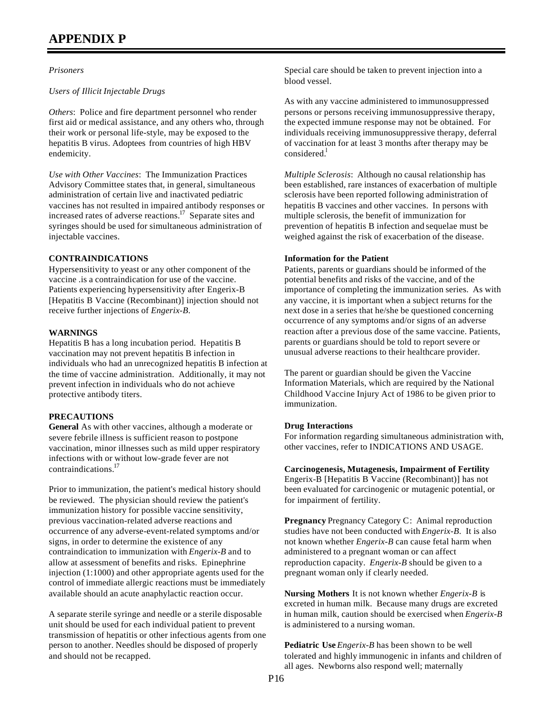#### *Prisoners*

#### *Users of Illicit Injectable Drugs*

*Others*: Police and fire department personnel who render first aid or medical assistance, and any others who, through their work or personal life-style, may be exposed to the hepatitis B virus. Adoptees from countries of high HBV endemicity.

*Use with Other Vaccines*: The Immunization Practices Advisory Committee states that, in general, simultaneous administration of certain live and inactivated pediatric vaccines has not resulted in impaired antibody responses or increased rates of adverse reactions.<sup>17</sup> Separate sites and syringes should be used for simultaneous administration of injectable vaccines.

#### **CONTRAINDICATIONS**

Hypersensitivity to yeast or any other component of the vaccine .is a contraindication for use of the vaccine. Patients experiencing hypersensitivity after Engerix-B [Hepatitis B Vaccine (Recombinant)] injection should not receive further injections of *Engerix-B*.

#### **WARNINGS**

Hepatitis B has a long incubation period. Hepatitis B vaccination may not prevent hepatitis B infection in individuals who had an unrecognized hepatitis B infection at the time of vaccine administration. Additionally, it may not prevent infection in individuals who do not achieve protective antibody titers.

#### **PRECAUTIONS**

**General** As with other vaccines, although a moderate or severe febrile illness is sufficient reason to postpone vaccination, minor illnesses such as mild upper respiratory infections with or without low-grade fever are not contraindications.<sup>17</sup>

Prior to immunization, the patient's medical history should be reviewed. The physician should review the patient's immunization history for possible vaccine sensitivity, previous vaccination-related adverse reactions and occurrence of any adverse-event-related symptoms and/or signs, in order to determine the existence of any contraindication to immunization with *Engerix-B* and to allow at assessment of benefits and risks. Epinephrine injection (1:1000) and other appropriate agents used for the control of immediate allergic reactions must be immediately available should an acute anaphylactic reaction occur.

A separate sterile syringe and needle or a sterile disposable unit should be used for each individual patient to prevent transmission of hepatitis or other infectious agents from one person to another. Needles should be disposed of properly and should not be recapped.

Special care should be taken to prevent injection into a blood vessel.

As with any vaccine administered to immunosuppressed persons or persons receiving immunosuppressive therapy, the expected immune response may not be obtained. For individuals receiving immunosuppressive therapy, deferral of vaccination for at least 3 months after therapy may be  $considered<sup>1</sup>$ 

*Multiple Sclerosis*: Although no causal relationship has been established, rare instances of exacerbation of multiple sclerosis have been reported following administration of hepatitis B vaccines and other vaccines. In persons with multiple sclerosis, the benefit of immunization for prevention of hepatitis B infection and sequelae must be weighed against the risk of exacerbation of the disease.

#### **Information for the Patient**

Patients, parents or guardians should be informed of the potential benefits and risks of the vaccine, and of the importance of completing the immunization series. As with any vaccine, it is important when a subject returns for the next dose in a series that he/she be questioned concerning occurrence of any symptoms and/or signs of an adverse reaction after a previous dose of the same vaccine. Patients, parents or guardians should be told to report severe or unusual adverse reactions to their healthcare provider.

The parent or guardian should be given the Vaccine Information Materials, which are required by the National Childhood Vaccine Injury Act of 1986 to be given prior to immunization.

#### **Drug Interactions**

For information regarding simultaneous administration with, other vaccines, refer to INDICATIONS AND USAGE.

**Carcinogenesis, Mutagenesis, Impairment of Fertility**

Engerix-B [Hepatitis B Vaccine (Recombinant)] has not been evaluated for carcinogenic or mutagenic potential, or for impairment of fertility.

**Pregnancy** Pregnancy Category C: Animal reproduction studies have not been conducted with *Engerix-B*. It is also not known whether *Engerix-B* can cause fetal harm when administered to a pregnant woman or can affect reproduction capacity. *Engerix-B* should be given to a pregnant woman only if clearly needed.

**Nursing Mothers** It is not known whether *Engerix-B* is excreted in human milk. Because many drugs are excreted in human milk, caution should be exercised when *Engerix-B* is administered to a nursing woman.

**Pediatric Use** *Engerix-B* has been shown to be well tolerated and highly immunogenic in infants and children of all ages. Newborns also respond well; maternally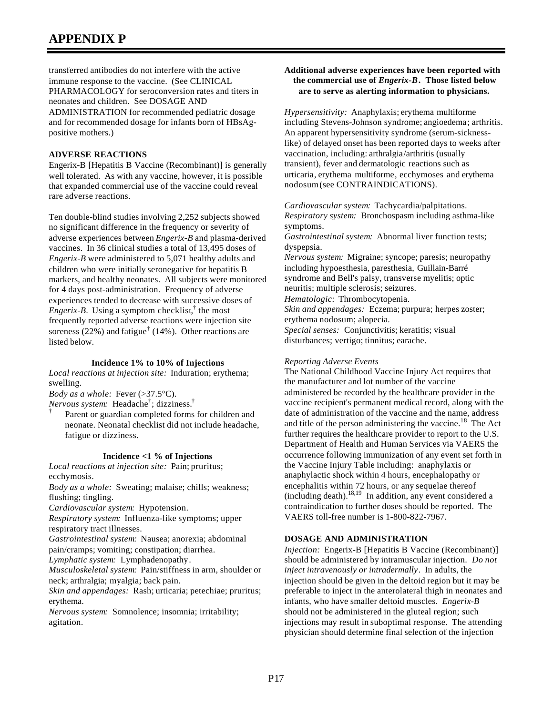transferred antibodies do not interfere with the active immune response to the vaccine. (See CLINICAL PHARMACOLOGY for seroconversion rates and titers in neonates and children. See DOSAGE AND ADMINISTRATION for recommended pediatric dosage and for recommended dosage for infants born of HBsAgpositive mothers.)

#### **ADVERSE REACTIONS**

Engerix-B [Hepatitis B Vaccine (Recombinant)] is generally well tolerated. As with any vaccine, however, it is possible that expanded commercial use of the vaccine could reveal rare adverse reactions.

Ten double-blind studies involving 2,252 subjects showed no significant difference in the frequency or severity of adverse experiences between *Engerix-B* and plasma-derived vaccines. In 36 clinical studies a total of 13,495 doses of *Engerix-B* were administered to 5,071 healthy adults and children who were initially seronegative for hepatitis B markers, and healthy neonates. All subjects were monitored for 4 days post-administration. Frequency of adverse experiences tended to decrease with successive doses of  $\overline{E}$ *ngerix-B*. Using a symptom checklist,<sup>†</sup> the most frequently reported adverse reactions were injection site soreness (22%) and fatigue<sup>†</sup> (14%). Other reactions are listed below.

#### **Incidence 1% to 10% of Injections**

*Local reactions at injection site:* Induration; erythema; swelling.

*Body as a whole:* Fever (>37.5°C).

†

*Nervous system:* Headache† ; dizziness.†

Parent or guardian completed forms for children and neonate. Neonatal checklist did not include headache, fatigue or dizziness.

#### **Incidence <1 % of Injections**

*Local reactions at injection site:* Pain; pruritus; ecchymosis.

*Body as a whole:* Sweating; malaise; chills; weakness; flushing; tingling.

*Cardiovascular system:* Hypotension.

*Respiratory system:* Influenza-like symptoms; upper respiratory tract illnesses.

*Gastrointestinal system:* Nausea; anorexia; abdominal pain/cramps; vomiting; constipation; diarrhea.

*Lymphatic system:* Lymphadenopathy.

*Musculoskeletal system:* Pain/stiffness in arm, shoulder or neck; arthralgia; myalgia; back pain.

*Skin and appendages:* Rash; urticaria; petechiae; pruritus; erythema.

*Nervous system:* Somnolence; insomnia; irritability; agitation.

#### **Additional adverse experiences have been reported with the commercial use of** *Engerix-B***. Those listed below are to serve as alerting information to physicians.**

*Hypersensitivity:* Anaphylaxis; erythema multiforme including Stevens-Johnson syndrome; angioedema; arthritis. An apparent hypersensitivity syndrome (serum-sicknesslike) of delayed onset has been reported days to weeks after vaccination, including: arthralgia/arthritis (usually transient), fever and dermatologic reactions such as urticaria, erythema multiforme, ecchymoses and erythema nodosum (see CONTRAINDICATIONS).

*Cardiovascular system:* Tachycardia/palpitations. *Respiratory system:* Bronchospasm including asthma-like symptoms.

*Gastrointestinal system:* Abnormal liver function tests; dyspepsia.

*Nervous system:* Migraine; syncope; paresis; neuropathy including hypoesthesia, paresthesia, Guillain-Barré syndrome and Bell's palsy, transverse myelitis; optic neuritis; multiple sclerosis; seizures.

*Hematologic:* Thrombocytopenia.

*Skin and appendages:* Eczema; purpura; herpes zoster; erythema nodosum; alopecia.

*Special senses:* Conjunctivitis; keratitis; visual disturbances; vertigo; tinnitus; earache.

#### *Reporting Adverse Events*

The National Childhood Vaccine Injury Act requires that the manufacturer and lot number of the vaccine administered be recorded by the healthcare provider in the vaccine recipient's permanent medical record, along with the date of administration of the vaccine and the name, address and title of the person administering the vaccine.<sup>18</sup> The Act further requires the healthcare provider to report to the U.S. Department of Health and Human Services via VAERS the occurrence following immunization of any event set forth in the Vaccine Injury Table including: anaphylaxis or anaphylactic shock within 4 hours, encephalopathy or encephalitis within 72 hours, or any sequelae thereof  $(including death).<sup>18,19</sup>$  In addition, any event considered a contraindication to further doses should be reported. The VAERS toll-free number is 1-800-822-7967.

#### **DOSAGE AND ADMINISTRATION**

*Injection:* Engerix-B [Hepatitis B Vaccine (Recombinant)] should be administered by intramuscular injection. *Do not inject intravenously or intradermally*. In adults, the injection should be given in the deltoid region but it may be preferable to inject in the anterolateral thigh in neonates and infants, who have smaller deltoid muscles. *Engerix-B* should not be administered in the gluteal region; such injections may result in suboptimal response. The attending physician should determine final selection of the injection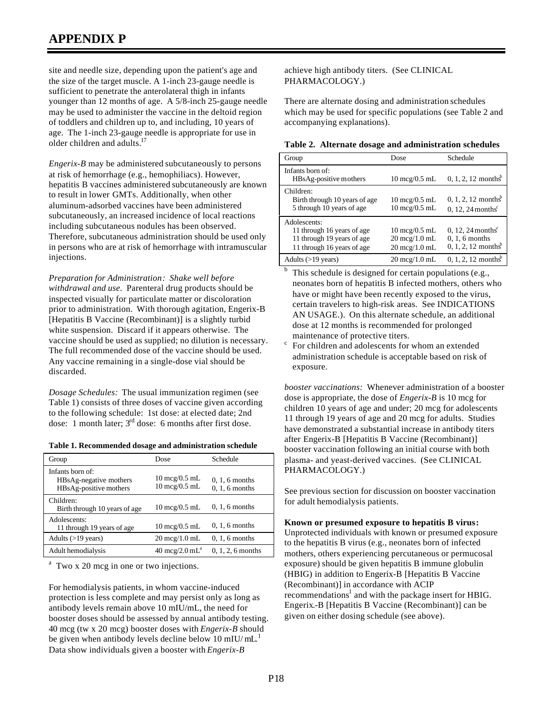site and needle size, depending upon the patient's age and the size of the target muscle. A 1-inch 23-gauge needle is sufficient to penetrate the anterolateral thigh in infants younger than 12 months of age. A 5/8-inch 25-gauge needle may be used to administer the vaccine in the deltoid region of toddlers and children up to, and including, 10 years of age. The 1-inch 23-gauge needle is appropriate for use in older children and adults.<sup>17</sup>

*Engerix-B* may be administered subcutaneously to persons at risk of hemorrhage (e.g., hemophiliacs). However, hepatitis B vaccines administered subcutaneously are known to result in lower GMTs. Additionally, when other aluminum-adsorbed vaccines have been administered subcutaneously, an increased incidence of local reactions including subcutaneous nodules has been observed. Therefore, subcutaneous administration should be used only in persons who are at risk of hemorrhage with intramuscular injections.

*Preparation for Administration: Shake well before withdrawal and use.* Parenteral drug products should be inspected visually for particulate matter or discoloration prior to administration. With thorough agitation, Engerix-B [Hepatitis B Vaccine (Recombinant)] is a slightly turbid white suspension. Discard if it appears otherwise. The vaccine should be used as supplied; no dilution is necessary. The full recommended dose of the vaccine should be used. Any vaccine remaining in a single-dose vial should be discarded.

*Dosage Schedules:* The usual immunization regimen (see Table 1) consists of three doses of vaccine given according to the following schedule: 1st dose: at elected date; 2nd dose: 1 month later; 3<sup>rd</sup> dose: 6 months after first dose.

|  | Table 1. Recommended dosage and administration schedule |  |
|--|---------------------------------------------------------|--|
|  |                                                         |  |

| Group                                                                | Dose                                                               | Schedule                             |
|----------------------------------------------------------------------|--------------------------------------------------------------------|--------------------------------------|
| Infants born of:<br>HBsAg-negative mothers<br>HBsAg-positive mothers | $10 \text{~mcg}/0.5 \text{~mL}$<br>$10 \text{~mcg}/0.5 \text{~mL}$ | $0, 1, 6$ months<br>$0, 1, 6$ months |
| Children:<br>Birth through 10 years of age                           | 10 mcg/0.5 mL                                                      | $0, 1, 6$ months                     |
| Adolescents:<br>11 through 19 years of age                           | $10 \text{~mcg}/0.5 \text{~mL}$                                    | $0, 1, 6$ months                     |
| Adults $(>19$ years)                                                 | $20 \text{~mcg}/1.0 \text{~mL}$                                    | $0, 1, 6$ months                     |
| Adult hemodialysis                                                   | 40 mcg/2.0 mL <sup>a</sup>                                         | $0, 1, 2, 6$ months                  |

<sup>a</sup> Two x 20 mcg in one or two injections.

For hemodialysis patients, in whom vaccine-induced protection is less complete and may persist only as long as antibody levels remain above 10 mIU/mL, the need for booster doses should be assessed by annual antibody testing. 40 mcg (tw x 20 mcg) booster doses with *Engerix-B* should be given when antibody levels decline below 10 mIU/ mL $^{1}$ Data show individuals given a booster with *Engerix-B*

achieve high antibody titers. (See CLINICAL PHARMACOLOGY.)

There are alternate dosing and administration schedules which may be used for specific populations (see Table 2 and accompanying explanations).

|  |  |  | Table 2. Alternate dosage and administration schedules |  |
|--|--|--|--------------------------------------------------------|--|
|--|--|--|--------------------------------------------------------|--|

| Group                                                                                                  | Dose                                                                                                  | Schedule                                                                                 |
|--------------------------------------------------------------------------------------------------------|-------------------------------------------------------------------------------------------------------|------------------------------------------------------------------------------------------|
| Infants born of:<br>HBsAg-positive mothers                                                             | $10 \text{~mcg}/0.5 \text{~mL}$                                                                       | $0, 1, 2, 12$ months <sup>b</sup>                                                        |
| Children:<br>Birth through 10 years of age<br>5 through 10 years of age                                | $10 \text{~mcg}/0.5 \text{~mL}$<br>$10 \text{~mcg}/0.5 \text{~mL}$                                    | $0, 1, 2, 12$ months <sup>b</sup><br>$0, 12, 24$ months <sup>c</sup>                     |
| Adolescents:<br>11 through 16 years of age<br>11 through 19 years of age<br>11 through 16 years of age | $10 \text{~mcg}/0.5 \text{~mL}$<br>$20 \text{~mcg}/1.0 \text{~mL}$<br>$20 \text{~mcg}/1.0 \text{~mL}$ | $0, 12, 24$ months <sup>c</sup><br>$0, 1, 6$ months<br>$0, 1, 2, 12$ months <sup>b</sup> |
| Adults (>19 years)                                                                                     | $20 \text{~mcg}/1.0 \text{~mL}$                                                                       | $0, 1, 2, 12$ months <sup>b</sup>                                                        |

b This schedule is designed for certain populations (e.g., neonates born of hepatitis B infected mothers, others who have or might have been recently exposed to the virus, certain travelers to high-risk areas. See INDICATIONS AN USAGE.). On this alternate schedule, an additional dose at 12 months is recommended for prolonged maintenance of protective titers.

c For children and adolescents for whom an extended administration schedule is acceptable based on risk of exposure.

*booster vaccinations:* Whenever administration of a booster dose is appropriate, the dose of *Engerix-B* is 10 mcg for children 10 years of age and under; 20 mcg for adolescents 11 through 19 years of age and 20 mcg for adults. Studies have demonstrated a substantial increase in antibody titers after Engerix-B [Hepatitis B Vaccine (Recombinant)] booster vaccination following an initial course with both plasma- and yeast-derived vaccines. (See CLINICAL PHARMACOLOGY.)

See previous section for discussion on booster vaccination for adult hemodialysis patients.

**Known or presumed exposure to hepatitis B virus:**

Unprotected individuals with known or presumed exposure to the hepatitis B virus (e.g., neonates born of infected mothers, others experiencing percutaneous or permucosal exposure) should be given hepatitis B immune globulin (HBIG) in addition to Engerix-B [Hepatitis B Vaccine (Recombinant)] in accordance with ACIP recommendations<sup>1</sup> and with the package insert for HBIG. Engerix.-B [Hepatitis B Vaccine (Recombinant)] can be given on either dosing schedule (see above).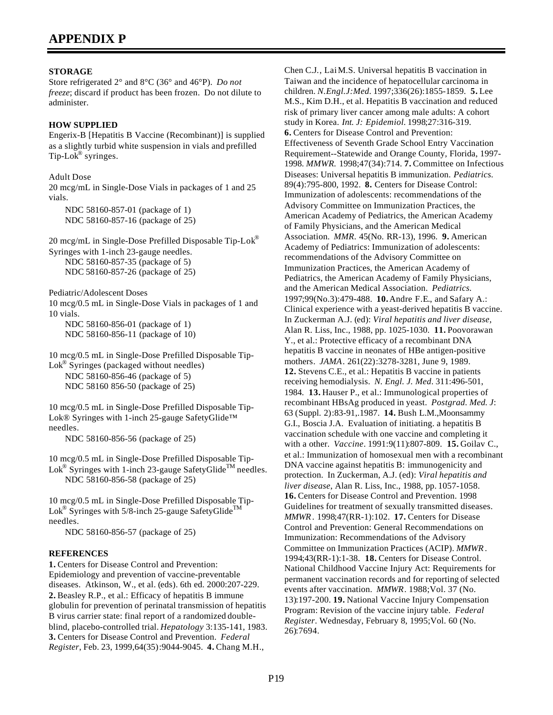#### **STORAGE**

Store refrigerated 2° and 8°C (36° and 46°P). *Do not freeze*; discard if product has been frozen. Do not dilute to administer.

#### **HOW SUPPLIED**

Engerix-B [Hepatitis B Vaccine (Recombinant)] is supplied as a slightly turbid white suspension in vials and prefilled Tip-Lok® syringes.

Adult Dose 20 mcg/mL in Single-Dose Vials in packages of 1 and 25 vials.

NDC 58160-857-01 (package of 1) NDC 58160-857-16 (package of 25)

20 mcg/mL in Single-Dose Prefilled Disposable Tip-Lok® Syringes with 1-inch 23-gauge needles. NDC 58160-857-35 (package of 5) NDC 58160-857-26 (package of 25)

Pediatric/Adolescent Doses 10 mcg/0.5 mL in Single-Dose Vials in packages of 1 and 10 vials.

NDC 58160-856-01 (package of 1) NDC 58160-856-11 (package of 10)

10 mcg/0.5 mL in Single-Dose Prefilled Disposable Tip-Lok<sup>®</sup> Syringes (packaged without needles) NDC 58160-856-46 (package of 5) NDC 58160 856-50 (package of 25)

10 mcg/0.5 mL in Single-Dose Prefilled Disposable Tip-Lok® Syringes with 1-inch 25-gauge SafetyGlide™ needles.

NDC 58160-856-56 (package of 25)

10 mcg/0.5 mL in Single-Dose Prefilled Disposable Tip-Lok<sup>®</sup> Syringes with 1-inch 23-gauge SafetyGlide<sup>TM</sup> needles. NDC 58160-856-58 (package of 25)

10 mcg/0.5 mL in Single-Dose Prefilled Disposable Tip-Lok<sup>®</sup> Syringes with 5/8-inch 25-gauge SafetyGlide<sup>TM</sup> needles.

NDC 58160-856-57 (package of 25)

#### **REFERENCES**

**1.** Centers for Disease Control and Prevention: Epidemiology and prevention of vaccine-preventable diseases. Atkinson, W., et al. (eds). 6th ed. 2000:207-229. **2.** Beasley R.P., et al.: Efficacy of hepatitis B immune globulin for prevention of perinatal transmission of hepatitis B virus carrier state: final report of a randomized doubleblind, placebo-controlled trial. *Hepatology* 3:135-141, 1983. **3.** Centers for Disease Control and Prevention. *Federal Register*, Feb. 23, 1999,64(35):9044-9045. **4.** Chang M.H.,

Chen C.J., LaiM.S. Universal hepatitis B vaccination in Taiwan and the incidence of hepatocellular carcinoma in children. *N.Engl.J:Med.* 1997;336(26):1855-1859. **5.** Lee M.S., Kim D.H., et al. Hepatitis B vaccination and reduced risk of primary liver cancer among male adults: A cohort study in Korea. *Int. J: Epidemiol.* 1998;27:316-319. **6.** Centers for Disease Control and Prevention: Effectiveness of Seventh Grade School Entry Vaccination Requirement--Statewide and Orange County, Florida, 1997- 1998. *MMWR.* 1998;47(34):714. **7.** Committee on Infectious Diseases: Universal hepatitis B immunization. *Pediatrics.* 89(4):795-800, 1992. **8.** Centers for Disease Control: Immunization of adolescents: recommendations of the Advisory Committee on Immunization Practices, the American Academy of Pediatrics, the American Academy of Family Physicians, and the American Medical Association*. MMR*. 45(No. RR-13), 1996. **9.** American Academy of Pediatrics: Immunization of adolescents: recommendations of the Advisory Committee on Immunization Practices, the American Academy of Pediatrics, the American Academy of Family Physicians, and the American Medical Association. *Pediatrics.* 1997;99(No.3):479-488. **10.**Andre F.E., and Safary A.: Clinical experience with a yeast-derived hepatitis B vaccine. In Zuckerman A.J. (ed): *Viral hepatitis and liver disease*, Alan R. Liss, Inc., 1988, pp. 1025-1030. **11.** Poovorawan Y., et al.: Protective efficacy of a recombinant DNA hepatitis B vaccine in neonates of HBe antigen-positive mothers*. JAMA*. 261(22):3278-3281, June 9, 1989. **12.** Stevens C.E., et al.: Hepatitis B vaccine in patients receiving hemodialysis. *N. Engl. J. Med*. 311:496-501, 1984. **13.** Hauser P., et al.: Immunological properties of recombinant HBsAg produced in yeast. *Postgrad. Med. J*: 63 (Suppl. 2):83-91,.1987. **14.** Bush L.M.,Moonsammy G.I., Boscia J.A. Evaluation of initiating. a hepatitis B vaccination schedule with one vaccine and completing it with a other. *Vaccine*. 1991:9(11):807-809. **15.** Goilav C., et al.: Immunization of homosexual men with a recombinant DNA vaccine against hepatitis B: immunogenicity and protection. In Zuckerman, A.J. (ed): *Viral hepatitis and liver disease*, Alan R. Liss, Inc., 1988, pp. 1057-1058. **16.** Centers for Disease Control and Prevention. 1998 Guidelines for treatment of sexually transmitted diseases. *MMWR*. 1998;47(RR-1):102. **17.** Centers for Disease Control and Prevention: General Recommendations on Immunization: Recommendations of the Advisory Committee on Immunization Practices (ACIP). *MMWR*. 1994;43(RR-1):1-38. **18.** Centers for Disease Control. National Childhood Vaccine Injury Act: Requirements for permanent vaccination records and for reporting of selected events after vaccination. *MMWR*. 1988;Vol. 37 (No. 13):197-200. **19.** National Vaccine Injury Compensation Program: Revision of the vaccine injury table. *Federal Register*. Wednesday, February 8, 1995;Vol. 60 (No. 26):7694.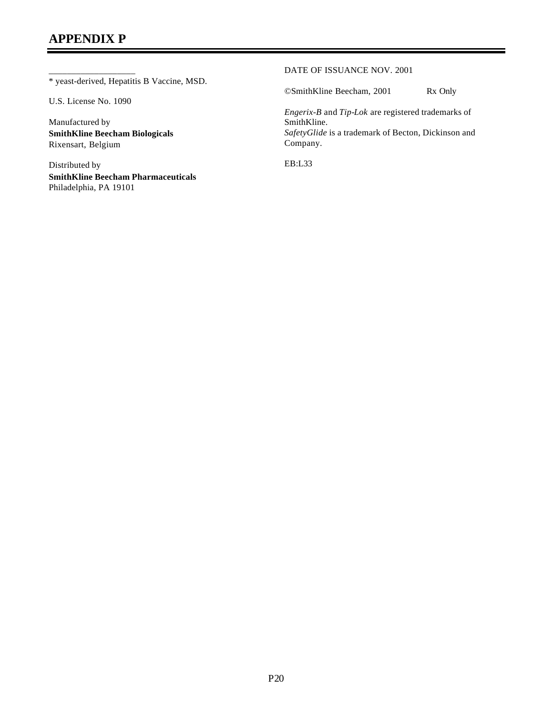\* yeast-derived, Hepatitis B Vaccine, MSD.

U.S. License No. 1090

\_\_\_\_\_\_\_\_\_\_\_\_\_\_\_\_\_\_\_

Manufactured by **SmithKline Beecham Biologicals** Rixensart, Belgium

Distributed by **SmithKline Beecham Pharmaceuticals** Philadelphia, PA 19101

DATE OF ISSUANCE NOV. 2001

©SmithKline Beecham, 2001 Rx Only

*Engerix-B* and *Tip-Lok* are registered trademarks of SmithKline. *SafetyGlide* is a trademark of Becton, Dickinson and Company.

EB:L33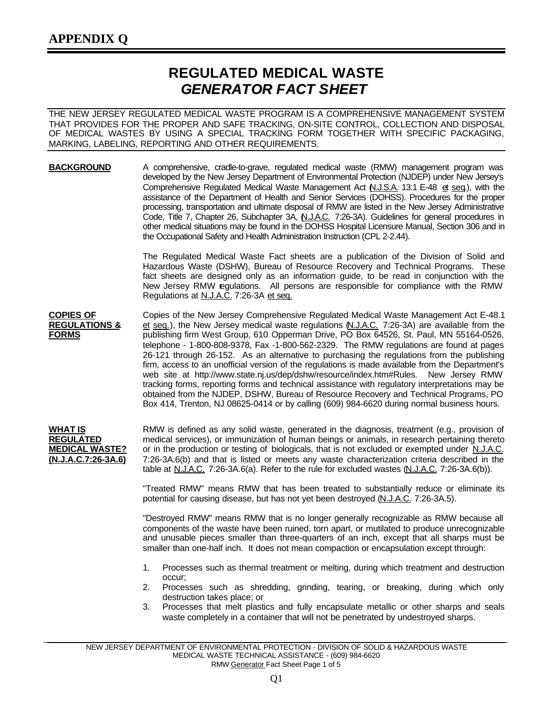# **REGULATED MEDICAL WASTE** *GENERATOR FACT SHEET*

THE NEW JERSEY REGULATED MEDICAL WASTE PROGRAM IS A COMPREHENSIVE MANAGEMENT SYSTEM THAT PROVIDES FOR THE PROPER AND SAFE TRACKING, ON-SITE CONTROL, COLLECTION AND DISPOSAL OF MEDICAL WASTES BY USING A SPECIAL TRACKING FORM TOGETHER WITH SPECIFIC PACKAGING, MARKING, LABELING, REPORTING AND OTHER REQUIREMENTS.

| <b>BACKGROUND</b> | A comprehensive, cradle-to-grave, regulated medical waste (RMW) management program was<br>developed by the New Jersey Department of Environmental Protection (NJDEP) under New Jersey's<br>Comprehensive Regulated Medical Waste Management Act N.J.S.A. 13:1 E-48 et seg.), with the<br>assistance of the Department of Health and Senior Services (DOHSS). Procedures for the proper<br>processing, transportation and ultimate disposal of RMW are listed in the New Jersey Administrative<br>Code, Title 7, Chapter 26, Subchapter 3A, N.J.A.C. 7:26-3A). Guidelines for general procedures in |
|-------------------|----------------------------------------------------------------------------------------------------------------------------------------------------------------------------------------------------------------------------------------------------------------------------------------------------------------------------------------------------------------------------------------------------------------------------------------------------------------------------------------------------------------------------------------------------------------------------------------------------|
|                   | other medical situations may be found in the DOHSS Hospital Licensure Manual, Section 306 and in<br>the Occupational Safety and Health Administration Instruction (CPL 2-2.44).                                                                                                                                                                                                                                                                                                                                                                                                                    |

The Regulated Medical Waste Fact sheets are a publication of the Division of Solid and Hazardous Waste (DSHW), Bureau of Resource Recovery and Technical Programs. These fact sheets are designed only as an information guide, to be read in conjunction with the New Jersey RMW regulations. All persons are responsible for compliance with the RMW Regulations at N.J.A.C. 7:26-3A et seq.

**COPIES OF REGULATIONS & FORMS** Copies of the New Jersey Comprehensive Regulated Medical Waste Management Act E-48.1 et seq.), the New Jersey medical waste regulations  $(N.L.A.C. 7:26-3A)$  are available from the publishing firm West Group, 610 Opperman Drive, PO Box 64526, St. Paul, MN 55164-0526, telephone - 1-800-808-9378, Fax -1-800-562-2329. The RMW regulations are found at pages 26-121 through 26-152. As an alternative to purchasing the regulations from the publishing firm, access to an unofficial version of the regulations is made available from the Department's web site at http://www.state.nj.us/dep/dshw/resource/index.htm#Rules. New Jersey RMW tracking forms, reporting forms and technical assistance with regulatory interpretations may be obtained from the NJDEP, DSHW, Bureau of Resource Recovery and Technical Programs, PO Box 414, Trenton, NJ 08625-0414 or by calling (609) 984-6620 during normal business hours.

| WHAT IS               | RMW is defined as any solid waste, generated in the diagnosis, treatment (e.g., provision of    |
|-----------------------|-------------------------------------------------------------------------------------------------|
| <b>REGULATED</b>      | medical services), or immunization of human beings or animals, in research pertaining thereto   |
| <b>MEDICAL WASTE?</b> | or in the production or testing of biologicals, that is not excluded or exempted under N.J.A.C. |
| (N.J.A.C.7:26-3A.6)   | 7:26-3A.6(b) and that is listed or meets any waste characterization criteria described in the   |
|                       | table at N.J.A.C. 7:26-3A.6(a). Refer to the rule for excluded wastes (N.J.A.C. 7:26-3A.6(b)).  |

"Treated RMW" means RMW that has been treated to substantially reduce or eliminate its potential for causing disease, but has not yet been destroyed (N.J.A.C. 7:26-3A.5).

"Destroyed RMW" means RMW that is no longer generally recognizable as RMW because all components of the waste have been ruined, torn apart, or mutilated to produce unrecognizable and unusable pieces smaller than three-quarters of an inch, except that all sharps must be smaller than one-half inch. It does not mean compaction or encapsulation except through:

- 1. Processes such as thermal treatment or melting, during which treatment and destruction occur;
- 2. Processes such as shredding, grinding, tearing, or breaking, during which only destruction takes place; or
- 3. Processes that melt plastics and fully encapsulate metallic or other sharps and seals waste completely in a container that will not be penetrated by undestroyed sharps.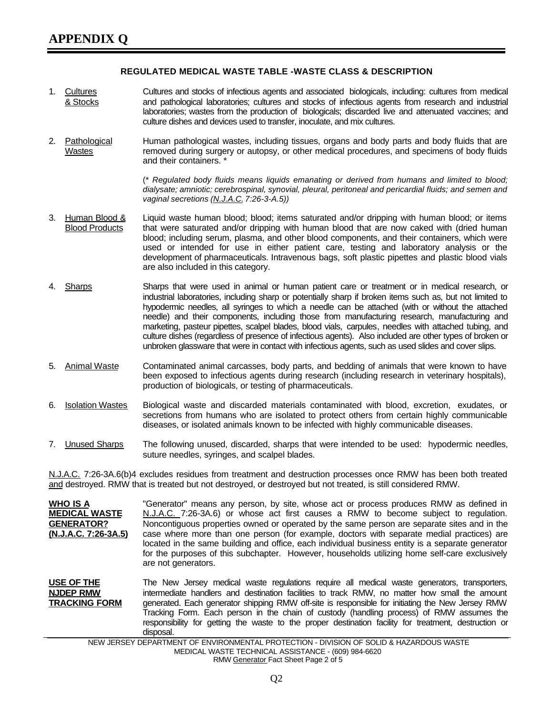#### **REGULATED MEDICAL WASTE TABLE -WASTE CLASS & DESCRIPTION**

- 1. Cultures & Stocks Cultures and stocks of infectious agents and associated biologicals, including: cultures from medical and pathological laboratories; cultures and stocks of infectious agents from research and industrial laboratories; wastes from the production of biologicals; discarded live and attenuated vaccines; and culture dishes and devices used to transfer, inoculate, and mix cultures.
- 2. Pathological Wastes Human pathological wastes, including tissues, organs and body parts and body fluids that are removed during surgery or autopsy, or other medical procedures, and specimens of body fluids and their containers. \*

(\* *Regulated body fluids means liquids emanating or derived from humans and limited to blood; dialysate; amniotic; cerebrospinal, synovial, pleural, peritoneal and pericardial fluids; and semen and vaginal secretions (N.J.A.C. 7:26-3-A.5))*

- 3. Human Blood & Blood Products Liquid waste human blood; blood; items saturated and/or dripping with human blood; or items that were saturated and/or dripping with human blood that are now caked with (dried human blood; including serum, plasma, and other blood components, and their containers, which were used or intended for use in either patient care, testing and laboratory analysis or the development of pharmaceuticals. Intravenous bags, soft plastic pipettes and plastic blood vials are also included in this category.
- 4. Sharps Sharps that were used in animal or human patient care or treatment or in medical research, or industrial laboratories, including sharp or potentially sharp if broken items such as, but not limited to hypodermic needles, all syringes to which a needle can be attached (with or without the attached needle) and their components, including those from manufacturing research, manufacturing and marketing, pasteur pipettes, scalpel blades, blood vials, carpules, needles with attached tubing, and culture dishes (regardless of presence of infectious agents). Also included are other types of broken or unbroken glassware that were in contact with infectious agents, such as used slides and cover slips.
- 5. Animal Waste Contaminated animal carcasses, body parts, and bedding of animals that were known to have been exposed to infectious agents during research (including research in veterinary hospitals), production of biologicals, or testing of pharmaceuticals.
- 6. Isolation Wastes Biological waste and discarded materials contaminated with blood, excretion, exudates, or secretions from humans who are isolated to protect others from certain highly communicable diseases, or isolated animals known to be infected with highly communicable diseases.
- 7. Unused Sharps The following unused, discarded, sharps that were intended to be used: hypodermic needles, suture needles, syringes, and scalpel blades.

N.J.A.C. 7:26-3A.6(b)4 excludes residues from treatment and destruction processes once RMW has been both treated and destroyed. RMW that is treated but not destroyed, or destroyed but not treated, is still considered RMW.

**WHO IS A MEDICAL WASTE GENERATOR? (N.J.A.C. 7:26-3A.5)** "Generator" means any person, by site, whose act or process produces RMW as defined in N.J.A.C. 7:26-3A.6) or whose act first causes a RMW to become subject to regulation. Noncontiguous properties owned or operated by the same person are separate sites and in the case where more than one person (for example, doctors with separate medial practices) are located in the same building and office, each individual business entity is a separate generator for the purposes of this subchapter. However, households utilizing home self-care exclusively are not generators.

**USE OF THE NJDEP RMW TRACKING FORM** The New Jersey medical waste regulations require all medical waste generators, transporters, intermediate handlers and destination facilities to track RMW, no matter how small the amount generated. Each generator shipping RMW off-site is responsible for initiating the New Jersey RMW Tracking Form. Each person in the chain of custody (handling process) of RMW assumes the responsibility for getting the waste to the proper destination facility for treatment, destruction or disposal.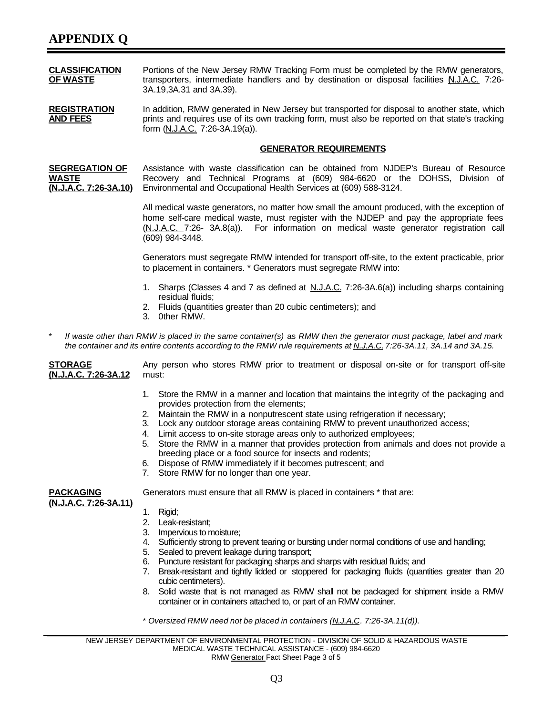**CLASSIFICATION OF WASTE** Portions of the New Jersey RMW Tracking Form must be completed by the RMW generators, transporters, intermediate handlers and by destination or disposal facilities (N.J.A.C. 7:26- 3A.19,3A.31 and 3A.39).

**REGISTRATION AND FEES** In addition, RMW generated in New Jersey but transported for disposal to another state, which prints and requires use of its own tracking form, must also be reported on that state's tracking form (N.J.A.C. 7:26-3A.19(a)).

#### **GENERATOR REQUIREMENTS**

**SEGREGATION OF WASTE (N.J.A.C. 7:26-3A.10)** Assistance with waste classification can be obtained from NJDEP's Bureau of Resource Recovery and Technical Programs at (609) 984-6620 or the DOHSS, Division of Environmental and Occupational Health Services at (609) 588-3124.

> All medical waste generators, no matter how small the amount produced, with the exception of home self-care medical waste, must register with the NJDEP and pay the appropriate fees (N.J.A.C. 7:26- 3A.8(a)). For information on medical waste generator registration call (609) 984-3448.

> Generators must segregate RMW intended for transport off-site, to the extent practicable, prior to placement in containers. \* Generators must segregate RMW into:

- 1. Sharps (Classes 4 and 7 as defined at N.J.A.C. 7:26-3A.6(a)) including sharps containing residual fluids;
- 2. Fluids (quantities greater than 20 cubic centimeters); and
- 3. 0ther RMW.
- \* *If waste other than RMW is placed in the same container(s)* as *RMW then the generator must package, label and mark the container and its entire contents according to the RMW rule requirements at N.J.A.C. 7:26-3A.11, 3A.14 and 3A.15.*

**STORAGE (N.J.A.C. 7:26-3A.12** Any person who stores RMW prior to treatment or disposal on-site or for transport off-site must:

- 1. Store the RMW in a manner and location that maintains the integrity of the packaging and provides protection from the elements;
- 2. Maintain the RMW in a nonputrescent state using refrigeration if necessary;
- 3. Lock any outdoor storage areas containing RMW to prevent unauthorized access;
- 4. Limit access to on-site storage areas only to authorized employees;
- 5. Store the RMW in a manner that provides protection from animals and does not provide a breeding place or a food source for insects and rodents;
- 6. Dispose of RMW immediately if it becomes putrescent; and
- 7. Store RMW for no longer than one year.

**PACKAGING**

**(N.J.A.C. 7:26-3A.11)**

Generators must ensure that all RMW is placed in containers \* that are:

- 1. Rigid;
- 2. Leak-resistant;
- 3. Impervious to moisture;
- 4. Sufficiently strong to prevent tearing or bursting under normal conditions of use and handling;
- 5. Sealed to prevent leakage during transport;
- 6. Puncture resistant for packaging sharps and sharps with residual fluids; and
- 7. Break-resistant and tightly lidded or stoppered for packaging fluids (quantities greater than 20 cubic centimeters).
- 8. Solid waste that is not managed as RMW shall not be packaged for shipment inside a RMW container or in containers attached to, or part of an RMW container.

\* *Oversized RMW need not be placed in containers (N.J.A.C. 7:26-3A.11(d)).*

NEW JERSEY DEPARTMENT OF ENVIRONMENTAL PROTECTION - DIVISION OF SOLID & HAZARDOUS WASTE MEDICAL WASTE TECHNICAL ASSISTANCE - (609) 984-6620 RMW Generator Fact Sheet Page 3 of 5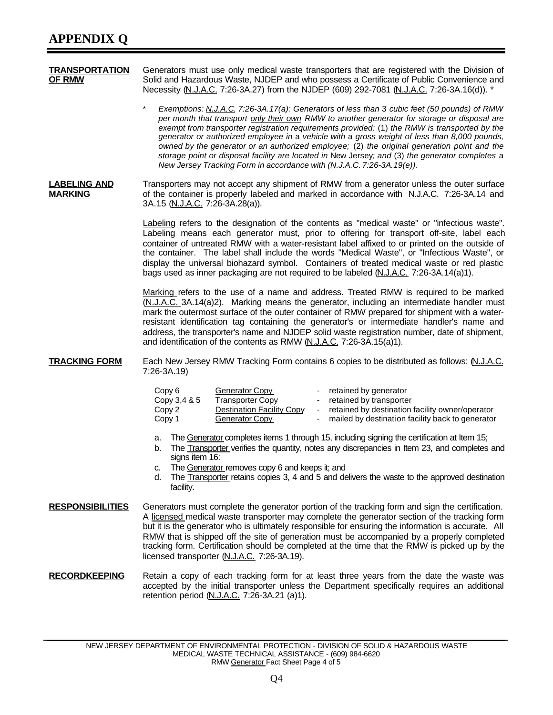| <b>TRANSPORTATION</b><br>OF RMW       | Generators must use only medical waste transporters that are registered with the Division of<br>Solid and Hazardous Waste, NJDEP and who possess a Certificate of Public Convenience and<br>Necessity (N.J.A.C. 7:26-3A.27) from the NJDEP (609) 292-7081 (N.J.A.C. 7:26-3A.16(d)). *                                                                                                                                                                                                                                                                                                                                                                                              |  |  |
|---------------------------------------|------------------------------------------------------------------------------------------------------------------------------------------------------------------------------------------------------------------------------------------------------------------------------------------------------------------------------------------------------------------------------------------------------------------------------------------------------------------------------------------------------------------------------------------------------------------------------------------------------------------------------------------------------------------------------------|--|--|
|                                       | $\star$<br>Exemptions: N.J.A.C. 7:26-3A.17(a): Generators of less than 3 cubic feet (50 pounds) of RMW<br>per month that transport only their own RMW to another generator for storage or disposal are<br>exempt from transporter registration requirements provided: (1) the RMW is transported by the<br>generator or authorized employee in a vehicle with a gross weight of less than 8,000 pounds,<br>owned by the generator or an authorized employee; (2) the original generation point and the<br>storage point or disposal facility are located in New Jersey; and (3) the generator completes a<br>New Jersey Tracking Form in accordance with (N.J.A.C. 7:26-3A.19(e)). |  |  |
| <b>LABELING AND</b><br><b>MARKING</b> | Transporters may not accept any shipment of RMW from a generator unless the outer surface<br>of the container is properly labeled and marked in accordance with N.J.A.C. 7:26-3A.14 and<br>3A.15 (N.J.A.C. 7:26-3A.28(a)).                                                                                                                                                                                                                                                                                                                                                                                                                                                         |  |  |
|                                       | Labeling refers to the designation of the contents as "medical waste" or "infectious waste".<br>Labeling means each generator must, prior to offering for transport off-site, label each<br>container of untreated RMW with a water-resistant label affixed to or printed on the outside of<br>the container. The label shall include the words "Medical Waste", or "Infectious Waste", or<br>display the universal biohazard symbol. Containers of treated medical waste or red plastic<br>bags used as inner packaging are not required to be labeled (N.J.A.C. 7:26-3A.14(a)1).                                                                                                 |  |  |
|                                       | Marking refers to the use of a name and address. Treated RMW is required to be marked<br>(N.J.A.C. 3A.14(a)2). Marking means the generator, including an intermediate handler must<br>mark the outermost surface of the outer container of RMW prepared for shipment with a water-<br>resistant identification tag containing the generator's or intermediate handler's name and<br>address, the transporter's name and NJDEP solid waste registration number, date of shipment,<br>and identification of the contents as RMW (N.J.A.C. 7:26-3A.15(a)1).                                                                                                                           |  |  |
| <b>TRACKING FORM</b>                  | Each New Jersey RMW Tracking Form contains 6 copies to be distributed as follows: N.J.A.C.<br>7:26-3A.19)                                                                                                                                                                                                                                                                                                                                                                                                                                                                                                                                                                          |  |  |
|                                       | Copy 6<br><b>Generator Copy</b><br>retained by generator<br>retained by transporter<br>Copy 3,4 & 5<br><b>Transporter Copy</b><br>Copy 2<br><b>Destination Facility Copy</b><br>retained by destination facility owner/operator<br>$\sim$<br>mailed by destination facility back to generator<br>Copy 1<br><b>Generator Copy</b>                                                                                                                                                                                                                                                                                                                                                   |  |  |
|                                       | The Generator completes items 1 through 15, including signing the certification at Item 15;<br>а.<br>The Transporter verifies the quantity, notes any discrepancies in Item 23, and completes and<br>b.<br>signs item 16:<br>The Generator removes copy 6 and keeps it; and<br>c.<br>The Transporter retains copies 3, 4 and 5 and delivers the waste to the approved destination<br>d.<br>facility.                                                                                                                                                                                                                                                                               |  |  |
| <b>RESPONSIBILITIES</b>               | Generators must complete the generator portion of the tracking form and sign the certification.<br>A licensed medical waste transporter may complete the generator section of the tracking form<br>but it is the generator who is ultimately responsible for ensuring the information is accurate. All<br>RMW that is shipped off the site of generation must be accompanied by a properly completed<br>tracking form. Certification should be completed at the time that the RMW is picked up by the<br>licensed transporter (N.J.A.C. 7:26-3A.19).                                                                                                                               |  |  |
| <b>RECORDKEEPING</b>                  | Retain a copy of each tracking form for at least three years from the date the waste was<br>accepted by the initial transporter unless the Department specifically requires an additional<br>retention period (N.J.A.C. 7:26-3A.21 (a)1).                                                                                                                                                                                                                                                                                                                                                                                                                                          |  |  |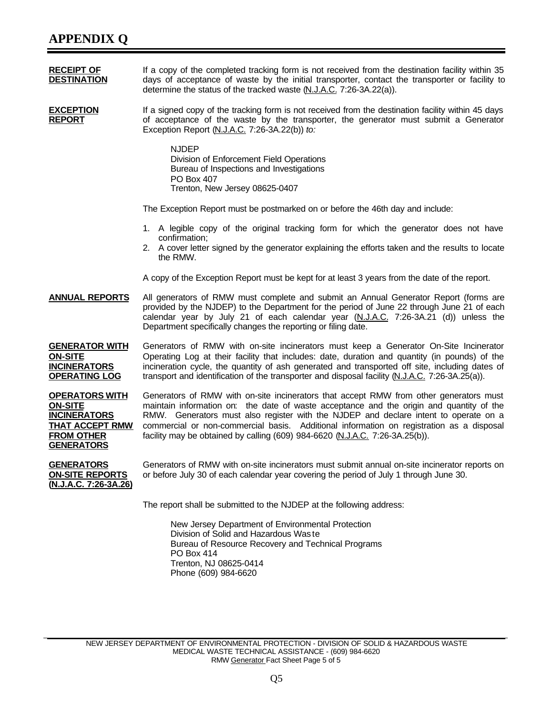| <b>RECEIPT OF</b><br><b>DESTINATION</b>                                                                                            | If a copy of the completed tracking form is not received from the destination facility within 35<br>days of acceptance of waste by the initial transporter, contact the transporter or facility to<br>determine the status of the tracked waste (N.J.A.C. 7:26-3A.22(a)).                                                                                                                                                                              |
|------------------------------------------------------------------------------------------------------------------------------------|--------------------------------------------------------------------------------------------------------------------------------------------------------------------------------------------------------------------------------------------------------------------------------------------------------------------------------------------------------------------------------------------------------------------------------------------------------|
| <b>EXCEPTION</b><br><b>REPORT</b>                                                                                                  | If a signed copy of the tracking form is not received from the destination facility within 45 days<br>of acceptance of the waste by the transporter, the generator must submit a Generator<br>Exception Report (N.J.A.C. 7:26-3A.22(b)) to:                                                                                                                                                                                                            |
|                                                                                                                                    | <b>NJDEP</b><br>Division of Enforcement Field Operations<br>Bureau of Inspections and Investigations<br>PO Box 407<br>Trenton, New Jersey 08625-0407                                                                                                                                                                                                                                                                                                   |
|                                                                                                                                    | The Exception Report must be postmarked on or before the 46th day and include:                                                                                                                                                                                                                                                                                                                                                                         |
|                                                                                                                                    | 1. A legible copy of the original tracking form for which the generator does not have<br>confirmation;<br>2. A cover letter signed by the generator explaining the efforts taken and the results to locate<br>the RMW.                                                                                                                                                                                                                                 |
|                                                                                                                                    | A copy of the Exception Report must be kept for at least 3 years from the date of the report.                                                                                                                                                                                                                                                                                                                                                          |
| <b>ANNUAL REPORTS</b>                                                                                                              | All generators of RMW must complete and submit an Annual Generator Report (forms are<br>provided by the NJDEP) to the Department for the period of June 22 through June 21 of each<br>calendar year by July 21 of each calendar year (N.J.A.C. 7:26-3A.21 (d)) unless the<br>Department specifically changes the reporting or filing date.                                                                                                             |
| <b>GENERATOR WITH</b><br><b>ON-SITE</b><br><b>INCINERATORS</b><br><b>OPERATING LOG</b>                                             | Generators of RMW with on-site incinerators must keep a Generator On-Site Incinerator<br>Operating Log at their facility that includes: date, duration and quantity (in pounds) of the<br>incineration cycle, the quantity of ash generated and transported off site, including dates of<br>transport and identification of the transporter and disposal facility $(N.J.A.C. 7:26-3A.25(a))$ .                                                         |
| <b>OPERATORS WITH</b><br><b>ON-SITE</b><br><b>INCINERATORS</b><br><b>THAT ACCEPT RMW</b><br><b>FROM OTHER</b><br><b>GENERATORS</b> | Generators of RMW with on-site incinerators that accept RMW from other generators must<br>maintain information on: the date of waste acceptance and the origin and quantity of the<br>RMW. Generators must also register with the NJDEP and declare intent to operate on a<br>commercial or non-commercial basis. Additional information on registration as a disposal<br>facility may be obtained by calling (609) 984-6620 (N.J.A.C. 7:26-3A.25(b)). |
| <b>GENERATORS</b><br><b>ON-SITE REPORTS</b><br>(N.J.A.C. 7:26-3A.26)                                                               | Generators of RMW with on-site incinerators must submit annual on-site incinerator reports on<br>or before July 30 of each calendar year covering the period of July 1 through June 30.                                                                                                                                                                                                                                                                |
|                                                                                                                                    | The report shall be submitted to the NJDEP at the following address:                                                                                                                                                                                                                                                                                                                                                                                   |
|                                                                                                                                    | New Jersey Department of Environmental Protection<br>Division of Solid and Hazardous Waste<br>Bureau of Resource Recovery and Technical Programs<br>PO Box 414                                                                                                                                                                                                                                                                                         |

Trenton, NJ 08625-0414 Phone (609) 984-6620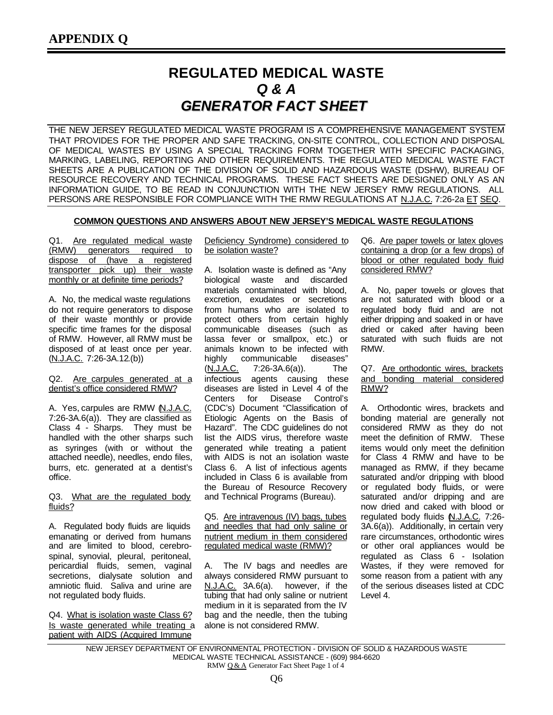# **REGULATED MEDICAL WASTE** *Q & A GENERATOR FACT SHEET*

THE NEW JERSEY REGULATED MEDICAL WASTE PROGRAM IS A COMPREHENSIVE MANAGEMENT SYSTEM THAT PROVIDES FOR THE PROPER AND SAFE TRACKING, ON-SITE CONTROL, COLLECTION AND DISPOSAL OF MEDICAL WASTES BY USING A SPECIAL TRACKING FORM TOGETHER WITH SPECIFIC PACKAGING, MARKING, LABELING, REPORTING AND OTHER REQUIREMENTS. THE REGULATED MEDICAL WASTE FACT SHEETS ARE A PUBLICATION OF THE DIVISION OF SOLID AND HAZARDOUS WASTE (DSHW), BUREAU OF RESOURCE RECOVERY AND TECHNICAL PROGRAMS. THESE FACT SHEETS ARE DESIGNED ONLY AS AN INFORMATION GUIDE, TO BE READ IN CONJUNCTION WITH THE NEW JERSEY RMW REGULATIONS. ALL PERSONS ARE RESPONSIBLE FOR COMPLIANCE WITH THE RMW REGULATIONS AT N.J.A.C. 7:26-2a ET SEQ.

#### **COMMON QUESTIONS AND ANSWERS ABOUT NEW JERSEY'S MEDICAL WASTE REGULATIONS**

Q1. Are regulated medical waste (RMW) generators required to dispose of (have a registered transporter pick up) their waste monthly or at definite time periods?

A. No, the medical waste regulations do not require generators to dispose of their waste monthly or provide specific time frames for the disposal of RMW. However, all RMW must be disposed of at least once per year. (N.J.A.C. 7:26-3A.12.(b))

Q2. Are carpules generated at a dentist's office considered RMW?

A. Yes, carpules are RMW (N.J.A.C. 7:26-3A.6(a)). They are classified as Class 4 - Sharps. They must be handled with the other sharps such as syringes (with or without the attached needle), needles, endo files, burrs, etc. generated at a dentist's office.

#### Q3. What are the regulated body fluids?

A. Regulated body fluids are liquids emanating or derived from humans and are limited to blood, cerebrospinal, synovial, pleural, peritoneal, pericardial fluids, semen, vaginal secretions, dialysate solution and amniotic fluid. Saliva and urine are not regulated body fluids.

Q4. What is isolation waste Class 6? Is waste generated while treating a patient with AIDS (Acquired Immune

Deficiency Syndrome) considered to be isolation waste?

A. Isolation waste is defined as "Any biological waste and discarded materials contaminated with blood, excretion, exudates or secretions from humans who are isolated to protect others from certain highly communicable diseases (such as lassa fever or smallpox, etc.) or animals known to be infected with<br>highly communicable diseases" highly communicable (N.J.A.C. 7:26-3A.6(a)). The infectious agents causing these diseases are listed in Level 4 of the Centers for Disease Control's (CDC's) Document "Classification of Etiologic Agents on the Basis of Hazard". The CDC guidelines do not list the AIDS virus, therefore waste generated while treating a patient with AIDS is not an isolation waste Class 6. A list of infectious agents included in Class 6 is available from the Bureau of Resource Recovery and Technical Programs (Bureau).

Q5. Are intravenous (IV) bags, tubes and needles that had only saline or nutrient medium in them considered regulated medical waste (RMW)?

A. The IV bags and needles are always considered RMW pursuant to N.J.A.C. 3A.6(a). however, if the tubing that had only saline or nutrient medium in it is separated from the IV bag and the needle, then the tubing alone is not considered RMW.

Q6. Are paper towels or latex gloves containing a drop (or a few drops) of blood or other regulated body fluid considered RMW?

A. No, paper towels or gloves that are not saturated with blood or a regulated body fluid and are not either dripping and soaked in or have dried or caked after having been saturated with such fluids are not RMW.

Q7. Are orthodontic wires, brackets and bonding material considered RMW?

A. Orthodontic wires, brackets and bonding material are generally not considered RMW as they do not meet the definition of RMW. These items would only meet the definition for Class 4 RMW and have to be managed as RMW, if they became saturated and/or dripping with blood or regulated body fluids, or were saturated and/or dripping and are now dried and caked with blood or regulated body fluids (N.J.A.C. 7:26- 3A.6(a)). Additionally, in certain very rare circumstances, orthodontic wires or other oral appliances would be regulated as Class 6 - Isolation Wastes, if they were removed for some reason from a patient with any of the serious diseases listed at CDC Level 4.

NEW JERSEY DEPARTMENT OF ENVIRONMENTAL PROTECTION - DIVISION OF SOLID & HAZARDOUS WASTE MEDICAL WASTE TECHNICAL ASSISTANCE - (609) 984-6620 RMW Q & A Generator Fact Sheet Page 1 of 4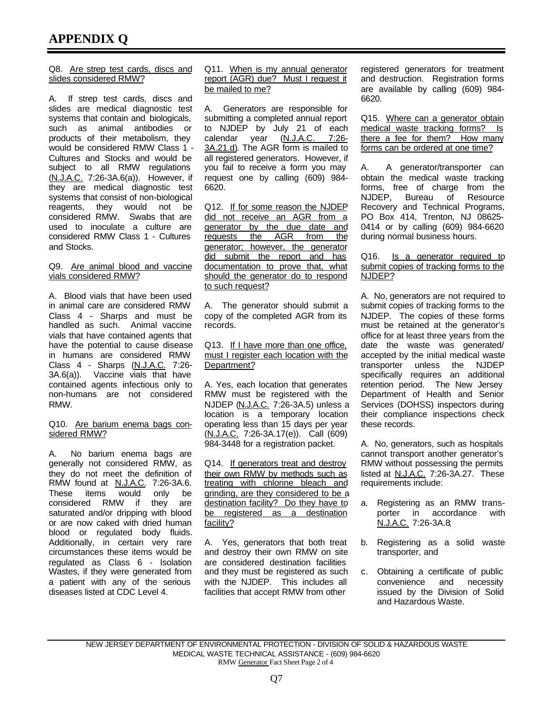Q8. Are strep test cards, discs and slides considered RMW?

A. If strep test cards, discs and slides are medical diagnostic test systems that contain and biologicals, such as animal antibodies or products of their metabolism, they would be considered RMW Class 1 - Cultures and Stocks and would be subject to all RMW regulations (N.J.A.C. 7:26-3A.6(a)). However, if they are medical diagnostic test systems that consist of non-biological reagents, they would not be considered RMW. Swabs that are used to inoculate a culture are considered RMW Class 1 - Cultures and Stocks.

#### Q9. Are animal blood and vaccine vials considered RMW?

A. Blood vials that have been used in animal care are considered RMW Class 4 - Sharps and must be handled as such. Animal vaccine vials that have contained agents that have the potential to cause disease in humans are considered RMW Class 4 - Sharps (N.J.A.C. 7:26- 3A.6(a)). Vaccine vials that have contained agents infectious only to non-humans are not considered RMW.

Q10. Are barium enema bags considered RMW?

A. No barium enema bags are generally not considered RMW, as they do not meet the definition of RMW found at N.J.A.C. 7:26-3A.6. These items would only be considered RMW if they are saturated and/or dripping with blood or are now caked with dried human blood or regulated body fluids. Additionally, in certain very rare circumstances these items would be regulated as Class 6 - Isolation Wastes, if they were generated from a patient with any of the serious diseases listed at CDC Level 4.

Q11. When is my annual generator report (AGR) due? Must I request it be mailed to me?

A. Generators are responsible for submitting a completed annual report to NJDEP by July 21 of each calendar year (N.J.A.C. 7:26-3A.21.d). The AGR form is mailed to all registered generators. However, if you fail to receive a form you may request one by calling (609) 984- 6620.

Q12. If for some reason the NJDEP did not receive an AGR from a generator by the due date and requests the AGR from the generator; however, the generator did submit the report and has documentation to prove that, what should the generator do to respond to such request?

A. The generator should submit a copy of the completed AGR from its records.

Q13. If I have more than one office, must I register each location with the Department?

A. Yes, each location that generates RMW must be registered with the NJDEP (N.J.A.C. 7:26-3A.5) unless a location is a temporary location operating less than 15 days per year (N.J.A.C. 7:26-3A.17(e)). Call (609) 984-3448 for a registration packet.

Q14. If generators treat and destroy their own RMW by methods such as treating with chlorine bleach and grinding, are they considered to be a destination facility? Do they have to be registered as a destination facility?

A. Yes, generators that both treat and destroy their own RMW on site are considered destination facilities and they must be registered as such with the NJDEP. This includes all facilities that accept RMW from other

registered generators for treatment and destruction. Registration forms are available by calling (609) 984- 6620.

Q15. Where can a generator obtain medical waste tracking forms? Is there a fee for them? How many forms can be ordered at one time?

A. A generator/transporter can obtain the medical waste tracking forms, free of charge from the NJDEP, Bureau of Resource Recovery and Technical Programs, PO Box 414, Trenton, NJ 08625- 0414 or by calling (609) 984-6620 during normal business hours.

Q16. Is a generator required to submit copies of tracking forms to the NJDEP?

A. No, generators are not required to submit copies of tracking forms to the NJDEP. The copies of these forms must be retained at the generator's office for at least three years from the date the waste was generated/ accepted by the initial medical waste transporter unless the NJDEP specifically requires an additional retention period. The New Jersey Department of Health and Senior Services (DOHSS) inspectors during their compliance inspections check these records.

A. No, generators, such as hospitals cannot transport another generator's RMW without possessing the permits listed at N.J.A.C. 7:26-3A.27. These requirements include:

- a. Registering as an RMW transporter in accordance with N.J.A.C. 7:26-3A.8;
- b. Registering as a solid waste transporter, and
- c. Obtaining a certificate of public convenience and necessity issued by the Division of Solid and Hazardous Waste.

NEW JERSEY DEPARTMENT OF ENVIRONMENTAL PROTECTION - DIVISION OF SOLID & HAZARDOUS WASTE MEDICAL WASTE TECHNICAL ASSISTANCE - (609) 984-6620 RMW Generator Fact Sheet Page 2 of 4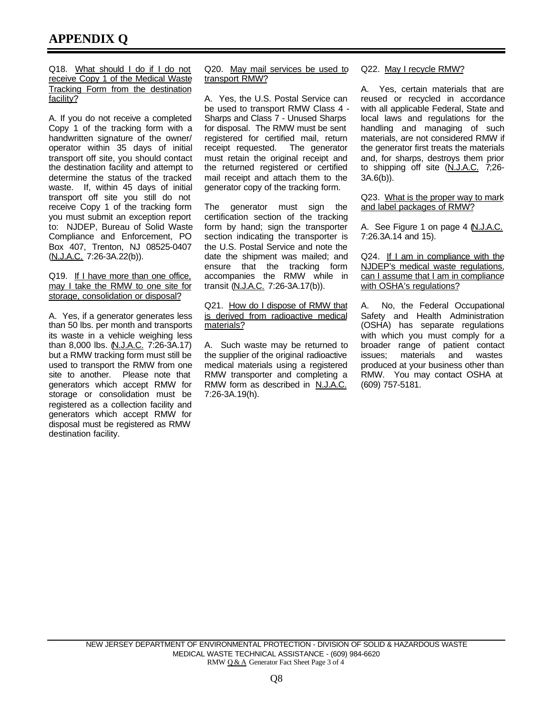Q18. What should I do if I do not receive Copy 1 of the Medical Waste Tracking Form from the destination facility?

A. If you do not receive a completed Copy 1 of the tracking form with a handwritten signature of the owner/ operator within 35 days of initial transport off site, you should contact the destination facility and attempt to determine the status of the tracked waste. If, within 45 days of initial transport off site you still do not receive Copy 1 of the tracking form you must submit an exception report to: NJDEP, Bureau of Solid Waste Compliance and Enforcement, PO Box 407, Trenton, NJ 08525-0407 (N.J.A.C. 7:26-3A.22(b)).

Q19. If I have more than one office, may I take the RMW to one site for storage, consolidation or disposal?

A. Yes, if a generator generates less than 50 lbs. per month and transports its waste in a vehicle weighing less than 8,000 lbs. (N.J.A.C. 7:26-3A.17) but a RMW tracking form must still be used to transport the RMW from one site to another. Please note that generators which accept RMW for storage or consolidation must be registered as a collection facility and generators which accept RMW for disposal must be registered as RMW destination facility.

Q20. May mail services be used to transport RMW?

A. Yes, the U.S. Postal Service can be used to transport RMW Class 4 - Sharps and Class 7 - Unused Sharps for disposal. The RMW must be sent registered for certified mail, return receipt requested. The generator must retain the original receipt and the returned registered or certified mail receipt and attach them to the generator copy of the tracking form.

The generator must sign the certification section of the tracking form by hand; sign the transporter section indicating the transporter is the U.S. Postal Service and note the date the shipment was mailed; and ensure that the tracking form accompanies the RMW while in transit (N.J.A.C. 7:26-3A.17(b)).

Q21. How do I dispose of RMW that is derived from radioactive medical materials?

A. Such waste may be returned to the supplier of the original radioactive medical materials using a registered RMW transporter and completing a RMW form as described in N.J.A.C. 7:26-3A.19(h).

Q22. May I recycle RMW?

A. Yes, certain materials that are reused or recycled in accordance with all applicable Federal, State and local laws and regulations for the handling and managing of such materials, are not considered RMW if the generator first treats the materials and, for sharps, destroys them prior to shipping off site (N.J.A.C. 7;26-3A.6(b)).

Q23. What is the proper way to mark and label packages of RMW?

A. See Figure 1 on page 4 N.J.A.C. 7:26.3A.14 and 15).

Q24. If I am in compliance with the NJDEP's medical waste regulations, can I assume that I am in compliance with OSHA's regulations?

A. No, the Federal Occupational Safety and Health Administration (OSHA) has separate regulations with which you must comply for a broader range of patient contact issues; materials and wastes produced at your business other than RMW. You may contact OSHA at (609) 757-5181.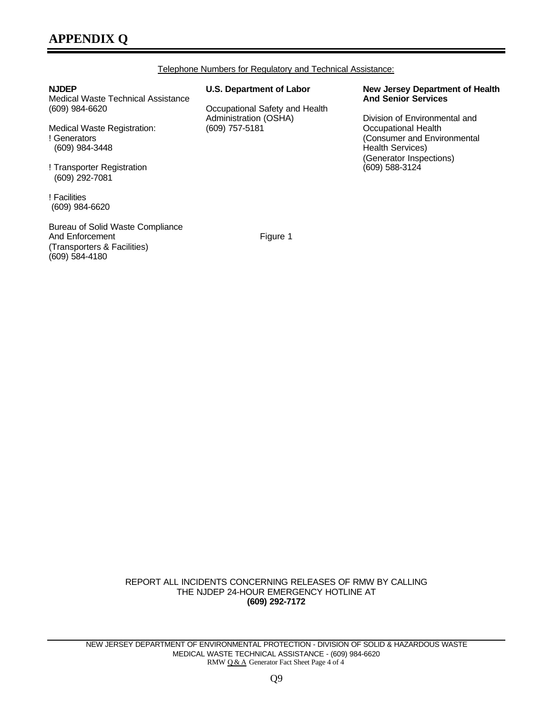| Telephone Numbers for Regulatory and Technical Assistance:                                                                                                                                            |                                                                                                              |                                                                                                                                                                                                                              |  |
|-------------------------------------------------------------------------------------------------------------------------------------------------------------------------------------------------------|--------------------------------------------------------------------------------------------------------------|------------------------------------------------------------------------------------------------------------------------------------------------------------------------------------------------------------------------------|--|
| <b>NJDEP</b><br>Medical Waste Technical Assistance<br>(609) 984-6620<br>Medical Waste Registration:<br>! Generators<br>(609) 984-3448<br>! Transporter Registration<br>(609) 292-7081<br>! Facilities | <b>U.S. Department of Labor</b><br>Occupational Safety and Health<br>Administration (OSHA)<br>(609) 757-5181 | <b>New Jersey Department of Health</b><br><b>And Senior Services</b><br>Division of Environmental and<br>Occupational Health<br>(Consumer and Environmental<br>Health Services)<br>(Generator Inspections)<br>(609) 588-3124 |  |
| (609) 984-6620<br>Bureau of Solid Waste Compliance<br>And Enforcement<br>(Transporters & Facilities)<br>(609) 584-4180                                                                                | Figure 1                                                                                                     |                                                                                                                                                                                                                              |  |

REPORT ALL INCIDENTS CONCERNING RELEASES OF RMW BY CALLING THE NJDEP 24-HOUR EMERGENCY HOTLINE AT **(609) 292-7172**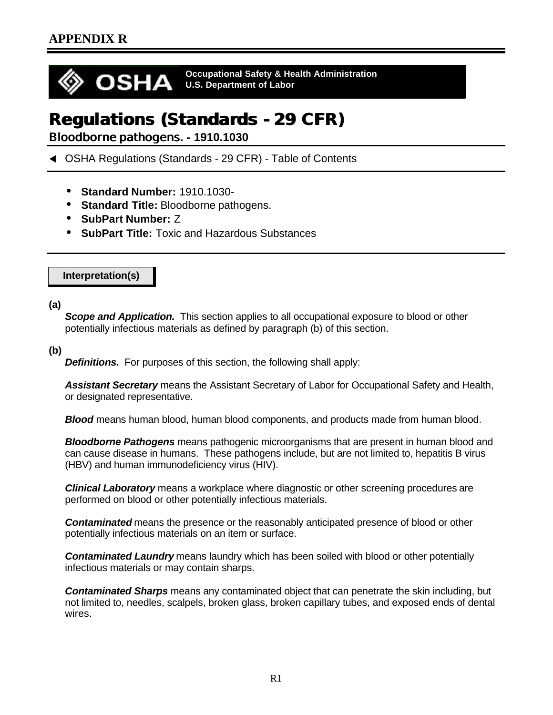

**Occupational Safety & Health Administration U.S. Department of Labor**

# **Regulations (Standards - 29 CFR)**

**Bloodborne pathogens. - 1910.1030**

t OSHA Regulations (Standards - 29 CFR) - Table of Contents

- **Standard Number:** 1910.1030-
- **Standard Title:** Bloodborne pathogens.
- **SubPart Number:** Z
- **SubPart Title:** Toxic and Hazardous Substances

## **Interpretation(s)**

#### **(a)**

**Scope and Application.** This section applies to all occupational exposure to blood or other potentially infectious materials as defined by paragraph (b) of this section.

#### **(b)**

**Definitions.** For purposes of this section, the following shall apply:

*Assistant Secretary* means the Assistant Secretary of Labor for Occupational Safety and Health, or designated representative.

**Blood** means human blood, human blood components, and products made from human blood.

*Bloodborne Pathogens* means pathogenic microorganisms that are present in human blood and can cause disease in humans. These pathogens include, but are not limited to, hepatitis B virus (HBV) and human immunodeficiency virus (HIV).

*Clinical Laboratory* means a workplace where diagnostic or other screening procedures are performed on blood or other potentially infectious materials.

*Contaminated* means the presence or the reasonably anticipated presence of blood or other potentially infectious materials on an item or surface.

*Contaminated Laundry* means laundry which has been soiled with blood or other potentially infectious materials or may contain sharps.

*Contaminated Sharps* means any contaminated object that can penetrate the skin including, but not limited to, needles, scalpels, broken glass, broken capillary tubes, and exposed ends of dental wires.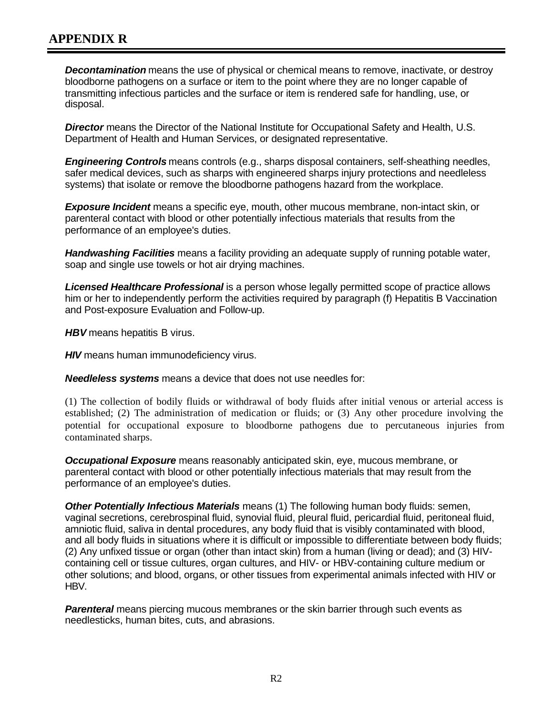# **APPENDIX R**

*Decontamination* means the use of physical or chemical means to remove, inactivate, or destroy bloodborne pathogens on a surface or item to the point where they are no longer capable of transmitting infectious particles and the surface or item is rendered safe for handling, use, or disposal.

*Director* means the Director of the National Institute for Occupational Safety and Health, U.S. Department of Health and Human Services, or designated representative.

*Engineering Controls* means controls (e.g., sharps disposal containers, self-sheathing needles, safer medical devices, such as sharps with engineered sharps injury protections and needleless systems) that isolate or remove the bloodborne pathogens hazard from the workplace.

*Exposure Incident* means a specific eye, mouth, other mucous membrane, non-intact skin, or parenteral contact with blood or other potentially infectious materials that results from the performance of an employee's duties.

*Handwashing Facilities* means a facility providing an adequate supply of running potable water, soap and single use towels or hot air drying machines.

*Licensed Healthcare Professional* is a person whose legally permitted scope of practice allows him or her to independently perform the activities required by paragraph (f) Hepatitis B Vaccination and Post-exposure Evaluation and Follow-up.

**HBV** means hepatitis B virus.

**HIV** means human immunodeficiency virus.

*Needleless systems* means a device that does not use needles for:

(1) The collection of bodily fluids or withdrawal of body fluids after initial venous or arterial access is established; (2) The administration of medication or fluids; or (3) Any other procedure involving the potential for occupational exposure to bloodborne pathogens due to percutaneous injuries from contaminated sharps.

*Occupational Exposure* means reasonably anticipated skin, eye, mucous membrane, or parenteral contact with blood or other potentially infectious materials that may result from the performance of an employee's duties.

**Other Potentially Infectious Materials** means (1) The following human body fluids: semen, vaginal secretions, cerebrospinal fluid, synovial fluid, pleural fluid, pericardial fluid, peritoneal fluid, amniotic fluid, saliva in dental procedures, any body fluid that is visibly contaminated with blood, and all body fluids in situations where it is difficult or impossible to differentiate between body fluids; (2) Any unfixed tissue or organ (other than intact skin) from a human (living or dead); and (3) HIVcontaining cell or tissue cultures, organ cultures, and HIV- or HBV-containing culture medium or other solutions; and blood, organs, or other tissues from experimental animals infected with HIV or HBV.

*Parenteral* means piercing mucous membranes or the skin barrier through such events as needlesticks, human bites, cuts, and abrasions.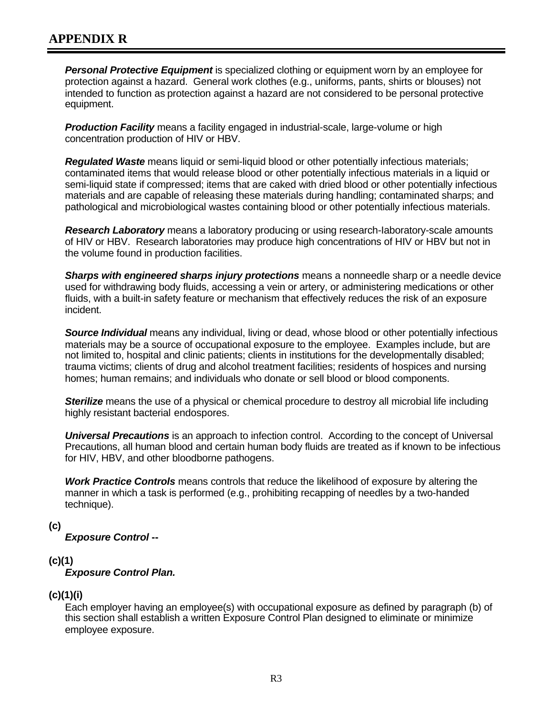*Personal Protective Equipment* is specialized clothing or equipment worn by an employee for protection against a hazard. General work clothes (e.g., uniforms, pants, shirts or blouses) not intended to function as protection against a hazard are not considered to be personal protective equipment.

*Production Facility* means a facility engaged in industrial-scale, large-volume or high concentration production of HIV or HBV.

*Regulated Waste* means liquid or semi-liquid blood or other potentially infectious materials; contaminated items that would release blood or other potentially infectious materials in a liquid or semi-liquid state if compressed; items that are caked with dried blood or other potentially infectious materials and are capable of releasing these materials during handling; contaminated sharps; and pathological and microbiological wastes containing blood or other potentially infectious materials.

*Research Laboratory* means a laboratory producing or using research-Iaboratory-scale amounts of HIV or HBV. Research laboratories may produce high concentrations of HIV or HBV but not in the volume found in production facilities.

**Sharps with engineered sharps injury protections** means a nonneedle sharp or a needle device used for withdrawing body fluids, accessing a vein or artery, or administering medications or other fluids, with a built-in safety feature or mechanism that effectively reduces the risk of an exposure incident.

*Source Individual* means any individual, living or dead, whose blood or other potentially infectious materials may be a source of occupational exposure to the employee. Examples include, but are not limited to, hospital and clinic patients; clients in institutions for the developmentally disabled; trauma victims; clients of drug and alcohol treatment facilities; residents of hospices and nursing homes; human remains; and individuals who donate or sell blood or blood components.

**Sterilize** means the use of a physical or chemical procedure to destroy all microbial life including highly resistant bacterial endospores.

**Universal Precautions** is an approach to infection control. According to the concept of Universal Precautions, all human blood and certain human body fluids are treated as if known to be infectious for HIV, HBV, and other bloodborne pathogens.

*Work Practice Controls* means controls that reduce the likelihood of exposure by altering the manner in which a task is performed (e.g., prohibiting recapping of needles by a two-handed technique).

## **(c)**

*Exposure Control* **--**

# **(c)(1)**

*Exposure Control Plan.*

# **(c)(1)(i)**

Each employer having an employee(s) with occupational exposure as defined by paragraph (b) of this section shall establish a written Exposure Control Plan designed to eliminate or minimize employee exposure.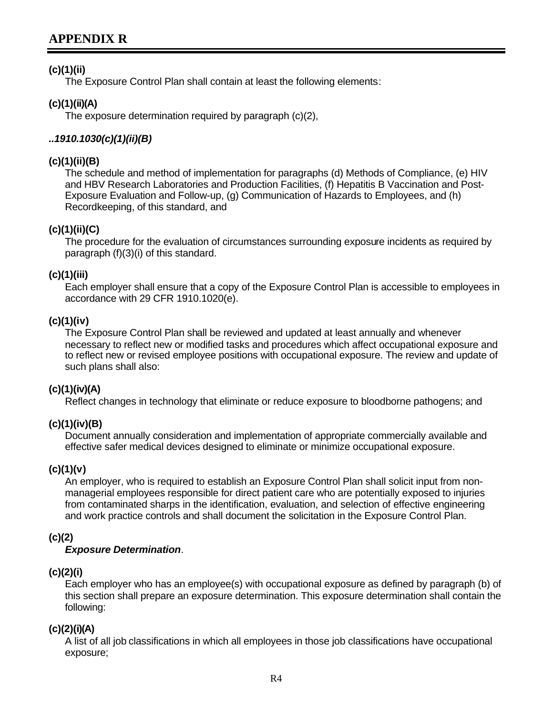# **(c)(1)(ii)**

The Exposure Control Plan shall contain at least the following elements:

# **(c)(1)(ii)(A)**

The exposure determination required by paragraph (c)(2),

# *..1910.1030(c)(1)(ii)(B)*

# **(c)(1)(ii)(B)**

The schedule and method of implementation for paragraphs (d) Methods of Compliance, (e) HIV and HBV Research Laboratories and Production Facilities, (f) Hepatitis B Vaccination and Post-Exposure Evaluation and Follow-up, (g) Communication of Hazards to Employees, and (h) Recordkeeping, of this standard, and

# **(c)(1)(ii)(C)**

The procedure for the evaluation of circumstances surrounding exposure incidents as required by paragraph (f)(3)(i) of this standard.

## **(c)(1)(iii)**

Each employer shall ensure that a copy of the Exposure Control Plan is accessible to employees in accordance with 29 CFR 1910.1020(e).

## **(c)(1)(iv)**

The Exposure Control Plan shall be reviewed and updated at least annually and whenever necessary to reflect new or modified tasks and procedures which affect occupational exposure and to reflect new or revised employee positions with occupational exposure. The review and update of such plans shall also:

# **(c)(1)(iv)(A)**

Reflect changes in technology that eliminate or reduce exposure to bloodborne pathogens; and

# **(c)(1)(iv)(B)**

Document annually consideration and implementation of appropriate commercially available and effective safer medical devices designed to eliminate or minimize occupational exposure.

## **(c)(1)(v)**

An employer, who is required to establish an Exposure Control Plan shall solicit input from nonmanagerial employees responsible for direct patient care who are potentially exposed to injuries from contaminated sharps in the identification, evaluation, and selection of effective engineering and work practice controls and shall document the solicitation in the Exposure Control Plan.

## **(c)(2)**

## *Exposure Determination*.

## **(c)(2)(i)**

Each employer who has an employee(s) with occupational exposure as defined by paragraph (b) of this section shall prepare an exposure determination. This exposure determination shall contain the following:

# **(c)(2)(i)(A)**

A list of all job classifications in which all employees in those job classifications have occupational exposure;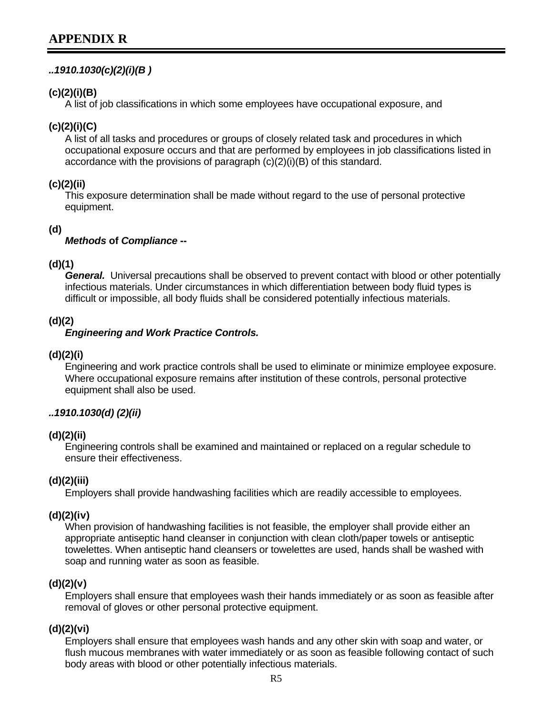# *..1910.1030(c)(2)(i)(B )*

# **(c)(2)(i)(B)**

A list of job classifications in which some employees have occupational exposure, and

# **(c)(2)(i)(C)**

A list of all tasks and procedures or groups of closely related task and procedures in which occupational exposure occurs and that are performed by employees in job classifications listed in accordance with the provisions of paragraph (c)(2)(i)(B) of this standard.

## **(c)(2)(ii)**

This exposure determination shall be made without regard to the use of personal protective equipment.

## **(d)**

## *Methods* **of** *Compliance* **--**

# **(d)(1)**

*General.* Universal precautions shall be observed to prevent contact with blood or other potentially infectious materials. Under circumstances in which differentiation between body fluid types is difficult or impossible, all body fluids shall be considered potentially infectious materials.

## **(d)(2)**

## *Engineering and Work Practice Controls.*

## **(d)(2)(i)**

Engineering and work practice controls shall be used to eliminate or minimize employee exposure. Where occupational exposure remains after institution of these controls, personal protective equipment shall also be used.

## *..1910.1030(d) (2)(ii)*

## **(d)(2)(ii)**

Engineering controls shall be examined and maintained or replaced on a regular schedule to ensure their effectiveness.

# **(d)(2)(iii)**

Employers shall provide handwashing facilities which are readily accessible to employees.

## **(d)(2)(iv)**

When provision of handwashing facilities is not feasible, the employer shall provide either an appropriate antiseptic hand cleanser in conjunction with clean cloth/paper towels or antiseptic towelettes. When antiseptic hand cleansers or towelettes are used, hands shall be washed with soap and running water as soon as feasible.

# **(d)(2)(v)**

Employers shall ensure that employees wash their hands immediately or as soon as feasible after removal of gloves or other personal protective equipment.

# **(d)(2)(vi)**

Employers shall ensure that employees wash hands and any other skin with soap and water, or flush mucous membranes with water immediately or as soon as feasible following contact of such body areas with blood or other potentially infectious materials.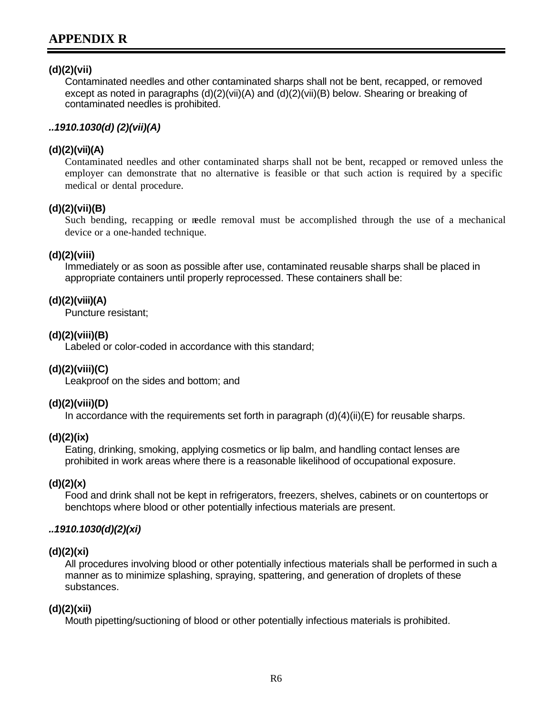# **(d)(2)(vii)**

Contaminated needles and other contaminated sharps shall not be bent, recapped, or removed except as noted in paragraphs (d)(2)(vii)(A) and (d)(2)(vii)(B) below. Shearing or breaking of contaminated needles is prohibited.

## *..1910.1030(d) (2)(vii)(A)*

## **(d)(2)(vii)(A)**

Contaminated needles and other contaminated sharps shall not be bent, recapped or removed unless the employer can demonstrate that no alternative is feasible or that such action is required by a specific medical or dental procedure.

## **(d)(2)(vii)(B)**

Such bending, recapping or needle removal must be accomplished through the use of a mechanical device or a one-handed technique.

## **(d)(2)(viii)**

Immediately or as soon as possible after use, contaminated reusable sharps shall be placed in appropriate containers until properly reprocessed. These containers shall be:

## **(d)(2)(viii)(A)**

Puncture resistant;

## **(d)(2)(viii)(B)**

Labeled or color-coded in accordance with this standard;

## **(d)(2)(viii)(C)**

Leakproof on the sides and bottom; and

## **(d)(2)(viii)(D)**

In accordance with the requirements set forth in paragraph  $(d)(4)(ii)(E)$  for reusable sharps.

## **(d)(2)(ix)**

Eating, drinking, smoking, applying cosmetics or lip balm, and handling contact lenses are prohibited in work areas where there is a reasonable likelihood of occupational exposure.

## **(d)(2)(x)**

Food and drink shall not be kept in refrigerators, freezers, shelves, cabinets or on countertops or benchtops where blood or other potentially infectious materials are present.

## *..1910.1030(d)(2)(xi)*

## **(d)(2)(xi)**

All procedures involving blood or other potentially infectious materials shall be performed in such a manner as to minimize splashing, spraying, spattering, and generation of droplets of these substances.

## **(d)(2)(xii)**

Mouth pipetting/suctioning of blood or other potentially infectious materials is prohibited.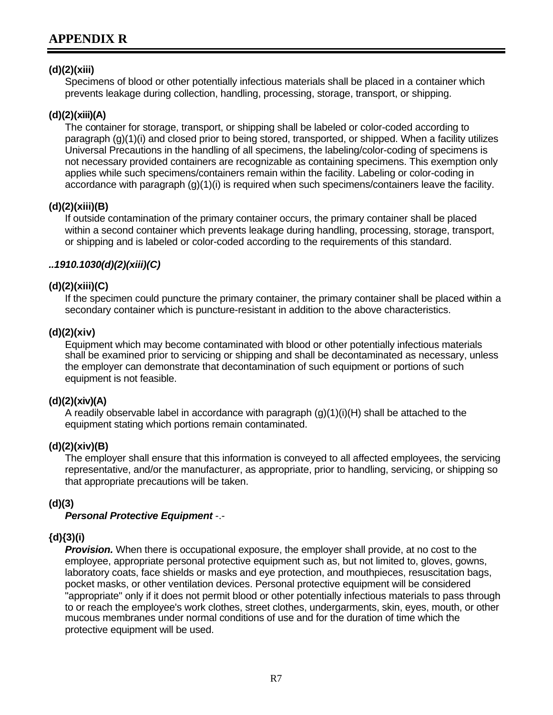# **(d)(2)(xiii)**

Specimens of blood or other potentially infectious materials shall be placed in a container which prevents leakage during collection, handling, processing, storage, transport, or shipping.

# **(d)(2)(xiii)(A)**

The container for storage, transport, or shipping shall be labeled or color-coded according to paragraph (g)(1)(i) and closed prior to being stored, transported, or shipped. When a facility utilizes Universal Precautions in the handling of all specimens, the labeling/color-coding of specimens is not necessary provided containers are recognizable as containing specimens. This exemption only applies while such specimens/containers remain within the facility. Labeling or color-coding in accordance with paragraph (g)(1)(i) is required when such specimens/containers leave the facility.

## **(d)(2)(xiii)(B)**

If outside contamination of the primary container occurs, the primary container shall be placed within a second container which prevents leakage during handling, processing, storage, transport, or shipping and is labeled or color-coded according to the requirements of this standard.

# *..1910.1030(d)(2)(xiii)(C)*

## **(d)(2)(xiii)(C)**

If the specimen could puncture the primary container, the primary container shall be placed within a secondary container which is puncture-resistant in addition to the above characteristics.

## **(d)(2)(xiv)**

Equipment which may become contaminated with blood or other potentially infectious materials shall be examined prior to servicing or shipping and shall be decontaminated as necessary, unless the employer can demonstrate that decontamination of such equipment or portions of such equipment is not feasible.

## **(d)(2)(xiv)(A)**

A readily observable label in accordance with paragraph (g)(1)(i)(H) shall be attached to the equipment stating which portions remain contaminated.

## **(d)(2)(xiv)(B)**

The employer shall ensure that this information is conveyed to all affected employees, the servicing representative, and/or the manufacturer, as appropriate, prior to handling, servicing, or shipping so that appropriate precautions will be taken.

## **(d)(3)**

## *Personal Protective Equipment* -.-

## **{d){3)(i)**

*Provision.* When there is occupational exposure, the employer shall provide, at no cost to the employee, appropriate personal protective equipment such as, but not limited to, gloves, gowns, laboratory coats, face shields or masks and eye protection, and mouthpieces, resuscitation bags, pocket masks, or other ventilation devices. Personal protective equipment will be considered "appropriate" only if it does not permit blood or other potentially infectious materials to pass through to or reach the employee's work clothes, street clothes, undergarments, skin, eyes, mouth, or other mucous membranes under normal conditions of use and for the duration of time which the protective equipment will be used.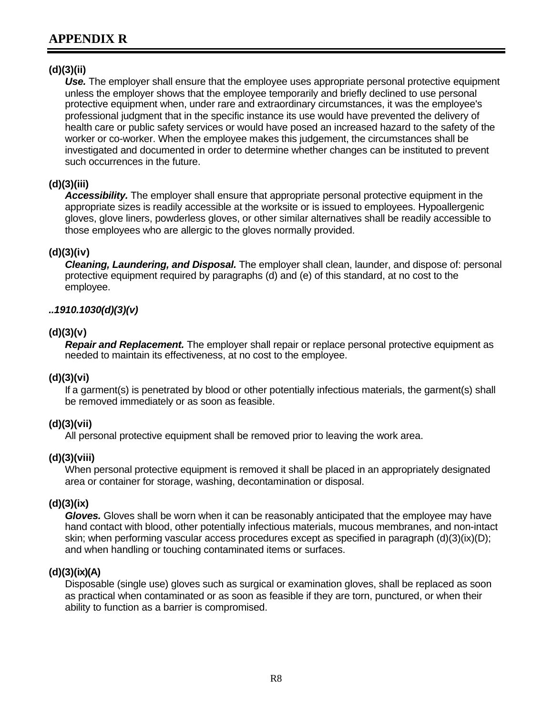# **(d)(3)(ii)**

*Use.* The employer shall ensure that the employee uses appropriate personal protective equipment unless the employer shows that the employee temporarily and briefly declined to use personal protective equipment when, under rare and extraordinary circumstances, it was the employee's professional judgment that in the specific instance its use would have prevented the delivery of health care or public safety services or would have posed an increased hazard to the safety of the worker or co-worker. When the employee makes this judgement, the circumstances shall be investigated and documented in order to determine whether changes can be instituted to prevent such occurrences in the future.

# **(d)(3)(iii)**

*Accessibility.* The employer shall ensure that appropriate personal protective equipment in the appropriate sizes is readily accessible at the worksite or is issued to employees. Hypoallergenic gloves, glove liners, powderless gloves, or other similar alternatives shall be readily accessible to those employees who are allergic to the gloves normally provided.

## **(d)(3)(iv)**

*Cleaning, Laundering, and Disposal.* The employer shall clean, launder, and dispose of: personal protective equipment required by paragraphs (d) and (e) of this standard, at no cost to the employee.

# *..1910.1030(d)(3)(v)*

# **(d)(3)(v)**

*Repair and Replacement.* The employer shall repair or replace personal protective equipment as needed to maintain its effectiveness, at no cost to the employee.

# **(d)(3)(vi)**

If a garment(s) is penetrated by blood or other potentially infectious materials, the garment(s) shall be removed immediately or as soon as feasible.

# **(d)(3)(vii)**

All personal protective equipment shall be removed prior to leaving the work area.

# **(d)(3)(viii)**

When personal protective equipment is removed it shall be placed in an appropriately designated area or container for storage, washing, decontamination or disposal.

# **(d)(3)(ix)**

*Gloves.* Gloves shall be worn when it can be reasonably anticipated that the employee may have hand contact with blood, other potentially infectious materials, mucous membranes, and non-intact skin; when performing vascular access procedures except as specified in paragraph (d)(3)(ix)(D); and when handling or touching contaminated items or surfaces.

## **(d)(3)(ix)(A)**

Disposable (single use) gloves such as surgical or examination gloves, shall be replaced as soon as practical when contaminated or as soon as feasible if they are torn, punctured, or when their ability to function as a barrier is compromised.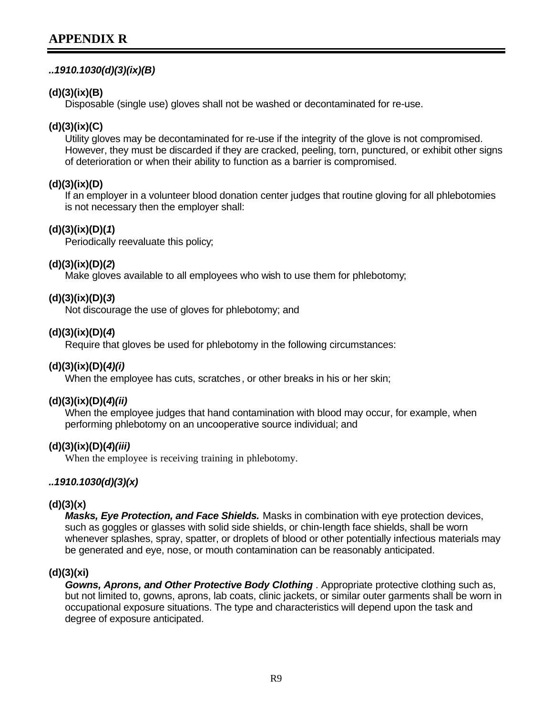# *..1910.1030(d)(3)(ix)(B)*

# **(d)(3)(ix)(B)**

Disposable (single use) gloves shall not be washed or decontaminated for re-use.

# **(d)(3)(ix)(C)**

Utility gloves may be decontaminated for re-use if the integrity of the glove is not compromised. However, they must be discarded if they are cracked, peeling, torn, punctured, or exhibit other signs of deterioration or when their ability to function as a barrier is compromised.

# **(d)(3)(ix)(D)**

If an employer in a volunteer blood donation center judges that routine gloving for all phlebotomies is not necessary then the employer shall:

# **(d)(3)(ix)(D)(***1***)**

Periodically reevaluate this policy;

# **(d)(3)(ix)(D)(***2***)**

Make gloves available to all employees who wish to use them for phlebotomy;

# **(d)(3)(ix)(D)(***3***)**

Not discourage the use of gloves for phlebotomy; and

# **(d)(3)(ix)(D)(***4***)**

Require that gloves be used for phlebotomy in the following circumstances:

# **(d)(3)(ix)(D)(***4)(i)*

When the employee has cuts, scratches, or other breaks in his or her skin;

# **(d)(3)(ix)(D)(***4***)***(ii)*

When the employee judges that hand contamination with blood may occur, for example, when performing phlebotomy on an uncooperative source individual; and

# **(d)(3)(ix)(D)(***4***)***(iii)*

When the employee is receiving training in phlebotomy.

# *..1910.1030(d)(3)(x)*

# **(d)(3)(x)**

*Masks, Eye Protection, and Face Shields.* Masks in combination with eye protection devices, such as goggles or glasses with solid side shields, or chin-Iength face shields, shall be worn whenever splashes, spray, spatter, or droplets of blood or other potentially infectious materials may be generated and eye, nose, or mouth contamination can be reasonably anticipated.

# **(d)(3)(xi)**

*Gowns, Aprons, and Other Protective Body Clothing* . Appropriate protective clothing such as, but not limited to, gowns, aprons, lab coats, clinic jackets, or similar outer garments shall be worn in occupational exposure situations. The type and characteristics will depend upon the task and degree of exposure anticipated.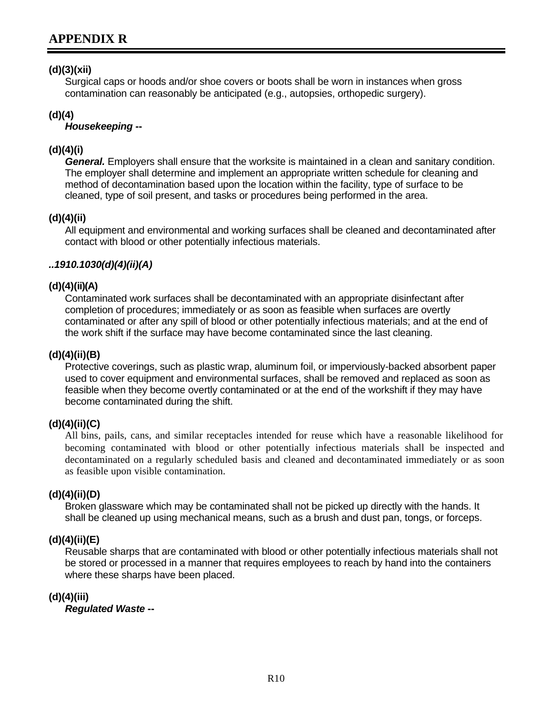# **(d)(3)(xii)**

Surgical caps or hoods and/or shoe covers or boots shall be worn in instances when gross contamination can reasonably be anticipated (e.g., autopsies, orthopedic surgery).

## **(d)(4)**

*Housekeeping* **--**

## **(d)(4)(i)**

*General.* Employers shall ensure that the worksite is maintained in a clean and sanitary condition. The employer shall determine and implement an appropriate written schedule for cleaning and method of decontamination based upon the location within the facility, type of surface to be cleaned, type of soil present, and tasks or procedures being performed in the area.

## **(d)(4)(ii)**

All equipment and environmental and working surfaces shall be cleaned and decontaminated after contact with blood or other potentially infectious materials.

## *..1910.1030(d)(4)(ii)(A)*

## **(d)(4)(ii)(A)**

Contaminated work surfaces shall be decontaminated with an appropriate disinfectant after completion of procedures; immediately or as soon as feasible when surfaces are overtly contaminated or after any spill of blood or other potentially infectious materials; and at the end of the work shift if the surface may have become contaminated since the last cleaning.

#### **(d)(4)(ii)(B)**

Protective coverings, such as plastic wrap, aluminum foil, or imperviously-backed absorbent paper used to cover equipment and environmental surfaces, shall be removed and replaced as soon as feasible when they become overtly contaminated or at the end of the workshift if they may have become contaminated during the shift.

## **(d)(4)(ii)(C)**

All bins, pails, cans, and similar receptacles intended for reuse which have a reasonable likelihood for becoming contaminated with blood or other potentially infectious materials shall be inspected and decontaminated on a regularly scheduled basis and cleaned and decontaminated immediately or as soon as feasible upon visible contamination.

## **(d)(4)(ii)(D)**

Broken glassware which may be contaminated shall not be picked up directly with the hands. It shall be cleaned up using mechanical means, such as a brush and dust pan, tongs, or forceps.

## **(d)(4)(ii)(E)**

Reusable sharps that are contaminated with blood or other potentially infectious materials shall not be stored or processed in a manner that requires employees to reach by hand into the containers where these sharps have been placed.

**(d)(4)(iii)**

*Regulated Waste* **--**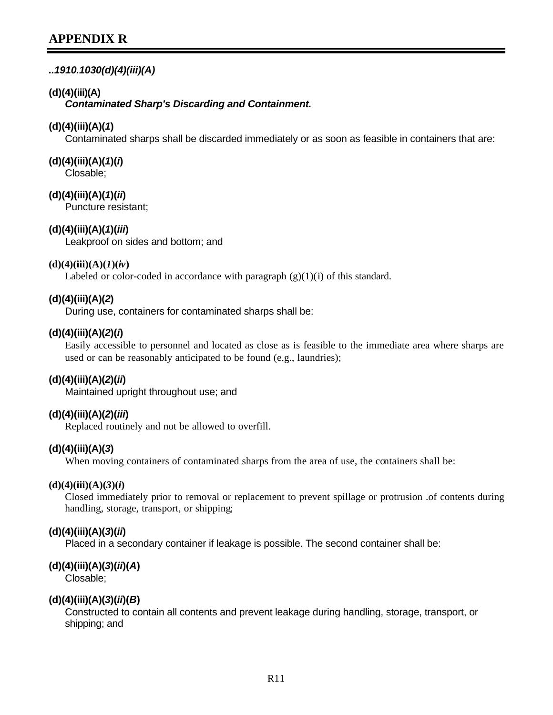# **APPENDIX R**

## *..1910.1030(d)(4)(iii)(A)*

#### **(d)(4)(iii)(A)**

*Contaminated Sharp's Discarding and Containment.*

#### **(d)(4)(iii)(A)(***1***)**

Contaminated sharps shall be discarded immediately or as soon as feasible in containers that are:

#### **(d)(4)(iii)(A)(***1***)(***i***)**

Closable;

#### **(d)(4)(iii)(A)(***1***)(***ii***)**

Puncture resistant;

#### **(d)(4)(iii)(A)(***1***)(***iii***)**

Leakproof on sides and bottom; and

#### $(d)(4)(iii)(A)(I)(iv)$

Labeled or color-coded in accordance with paragraph (g)(1)(i) of this standard.

#### **(d)(4)(iii)(A)(***2***)**

During use, containers for contaminated sharps shall be:

#### **(d)(4)(iii)(A)(***2***)(***i***)**

Easily accessible to personnel and located as close as is feasible to the immediate area where sharps are used or can be reasonably anticipated to be found (e.g., laundries);

#### **(d)(4)(iii)(A)(***2***)(***ii***)**

Maintained upright throughout use; and

#### **(d)(4)(iii)(A)(***2***)(***iii***)**

Replaced routinely and not be allowed to overfill.

#### **(d)(4)(iii)(A)(***3***)**

When moving containers of contaminated sharps from the area of use, the containers shall be:

#### $(d)(4)(iii)(A)(3)(i)$

Closed immediately prior to removal or replacement to prevent spillage or protrusion .of contents during handling, storage, transport, or shipping;

#### **(d)(4)(iii)(A)(***3***)(***ii***)**

Placed in a secondary container if leakage is possible. The second container shall be:

#### **(d)(4)(iii)(A)(***3***)(***ii***)(***A***)**

Closable;

#### **(d)(4)(iii)(A)(***3***)(***ii***)(***B***)**

Constructed to contain all contents and prevent leakage during handling, storage, transport, or shipping; and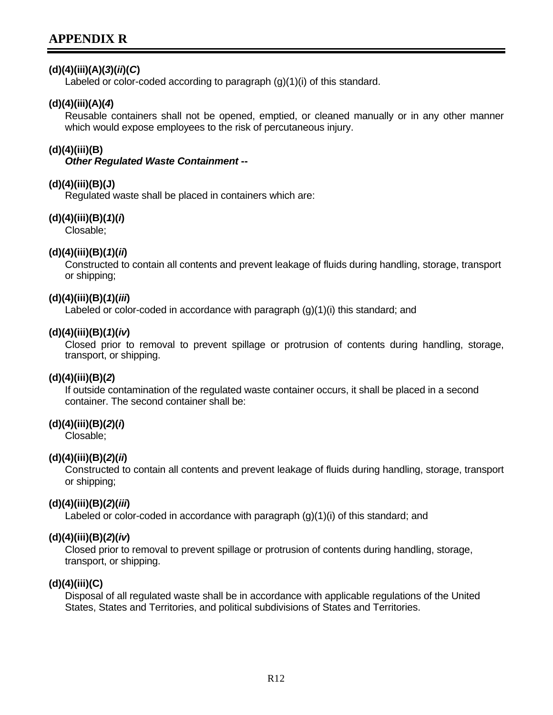## **(d)(4)(iii)(A)(***3***)(***ii***)(***C***)**

Labeled or color-coded according to paragraph (g)(1)(i) of this standard.

## **(d)(4)(iii)(A)(***4***)**

Reusable containers shall not be opened, emptied, or cleaned manually or in any other manner which would expose employees to the risk of percutaneous injury.

## **(d)(4)(iii)(B)**

#### *Other Regulated Waste Containment* **--**

## **(d)(4)(iii)(B)(J)**

Regulated waste shall be placed in containers which are:

## **(d)(4)(iii)(B)(***1***)(***i***)**

Closable;

## **(d)(4)(iii)(B)(***1***)(***ii***)**

Constructed to contain all contents and prevent leakage of fluids during handling, storage, transport or shipping;

## **(d)(4)(iii)(B)(***1***)(***iii***)**

Labeled or color-coded in accordance with paragraph  $(q)(1)(i)$  this standard; and

#### **(d)(4)(iii)(B)(***1***)(***iv***)**

Closed prior to removal to prevent spillage or protrusion of contents during handling, storage, transport, or shipping.

## **(d)(4)(iii)(B)(***2***)**

If outside contamination of the regulated waste container occurs, it shall be placed in a second container. The second container shall be:

## **(d)(4)(iii)(B)(***2***)(***i***)**

Closable;

## **(d)(4)(iii)(B)(***2***)(***ii***)**

Constructed to contain all contents and prevent leakage of fluids during handling, storage, transport or shipping;

## **(d)(4)(iii)(B)(***2***)(***iii***)**

Labeled or color-coded in accordance with paragraph (g)(1)(i) of this standard; and

## **(d)(4)(iii)(B)(***2***)(***iv***)**

Closed prior to removal to prevent spillage or protrusion of contents during handling, storage, transport, or shipping.

## **(d)(4)(iii)(C)**

Disposal of all regulated waste shall be in accordance with applicable regulations of the United States, States and Territories, and political subdivisions of States and Territories.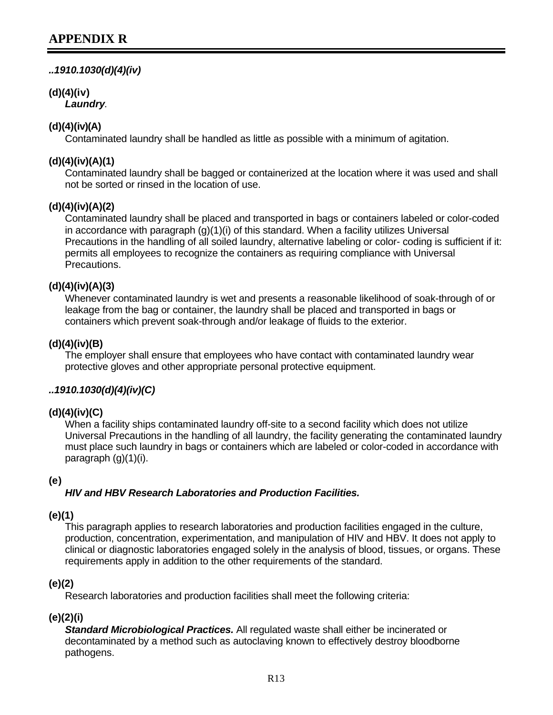# *..1910.1030(d)(4)(iv)*

# **(d)(4)(iv)**

*Laundry*.

# **(d)(4)(iv)(A)**

Contaminated laundry shall be handled as little as possible with a minimum of agitation.

# **(d)(4)(iv)(A)(1)**

Contaminated laundry shall be bagged or containerized at the location where it was used and shall not be sorted or rinsed in the location of use.

## **(d)(4)(iv)(A)(2)**

Contaminated laundry shall be placed and transported in bags or containers labeled or color-coded in accordance with paragraph (g)(1)(i) of this standard. When a facility utilizes Universal Precautions in the handling of all soiled laundry, alternative labeling or color- coding is sufficient if it: permits all employees to recognize the containers as requiring compliance with Universal Precautions.

## **(d)(4)(iv)(A)(3)**

Whenever contaminated laundry is wet and presents a reasonable likelihood of soak-through of or leakage from the bag or container, the laundry shall be placed and transported in bags or containers which prevent soak-through and/or leakage of fluids to the exterior.

## **(d)(4)(iv)(B)**

The employer shall ensure that employees who have contact with contaminated laundry wear protective gloves and other appropriate personal protective equipment.

# *..1910.1030(d)(4)(iv)(C)*

## **(d)(4)(iv)(C)**

When a facility ships contaminated laundry off-site to a second facility which does not utilize Universal Precautions in the handling of all laundry, the facility generating the contaminated laundry must place such laundry in bags or containers which are labeled or color-coded in accordance with paragraph  $(g)(1)(i)$ .

## **(e)**

## *HIV and HBV Research Laboratories and Production Facilities.*

## **(e)(1)**

This paragraph applies to research laboratories and production facilities engaged in the culture, production, concentration, experimentation, and manipulation of HIV and HBV. It does not apply to clinical or diagnostic laboratories engaged solely in the analysis of blood, tissues, or organs. These requirements apply in addition to the other requirements of the standard.

# **(e)(2)**

Research laboratories and production facilities shall meet the following criteria:

# **(e)(2)(i)**

*Standard Microbiological Practices.* All regulated waste shall either be incinerated or decontaminated by a method such as autoclaving known to effectively destroy bloodborne pathogens.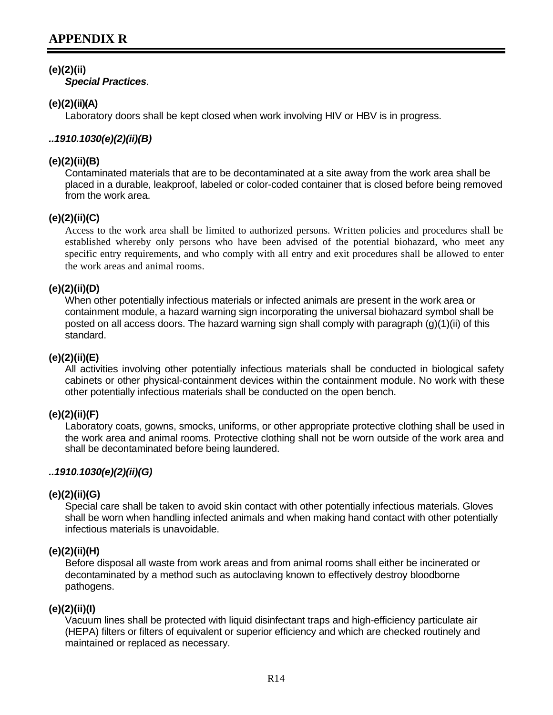# **(e)(2)(ii)**

*Special Practices*.

## **(e)(2)(ii)(A)**

Laboratory doors shall be kept closed when work involving HIV or HBV is in progress.

# *..1910.1030(e)(2)(ii)(B)*

## **(e)(2)(ii)(B)**

Contaminated materials that are to be decontaminated at a site away from the work area shall be placed in a durable, leakproof, labeled or color-coded container that is closed before being removed from the work area.

## **(e)(2)(ii)(C)**

Access to the work area shall be limited to authorized persons. Written policies and procedures shall be established whereby only persons who have been advised of the potential biohazard, who meet any specific entry requirements, and who comply with all entry and exit procedures shall be allowed to enter the work areas and animal rooms.

#### **(e)(2)(ii)(D)**

When other potentially infectious materials or infected animals are present in the work area or containment module, a hazard warning sign incorporating the universal biohazard symbol shall be posted on all access doors. The hazard warning sign shall comply with paragraph (g)(1)(ii) of this standard.

#### **(e)(2)(ii)(E)**

All activities involving other potentially infectious materials shall be conducted in biological safety cabinets or other physical-containment devices within the containment module. No work with these other potentially infectious materials shall be conducted on the open bench.

#### **(e)(2)(ii)(F)**

Laboratory coats, gowns, smocks, uniforms, or other appropriate protective clothing shall be used in the work area and animal rooms. Protective clothing shall not be worn outside of the work area and shall be decontaminated before being laundered.

#### *..1910.1030(e)(2)(ii)(G)*

#### **(e)(2)(ii)(G)**

Special care shall be taken to avoid skin contact with other potentially infectious materials. Gloves shall be worn when handling infected animals and when making hand contact with other potentially infectious materials is unavoidable.

## **(e)(2)(ii)(H)**

Before disposal all waste from work areas and from animal rooms shall either be incinerated or decontaminated by a method such as autoclaving known to effectively destroy bloodborne pathogens.

#### **(e)(2)(ii)(I)**

Vacuum lines shall be protected with liquid disinfectant traps and high-efficiency particulate air (HEPA) filters or filters of equivalent or superior efficiency and which are checked routinely and maintained or replaced as necessary.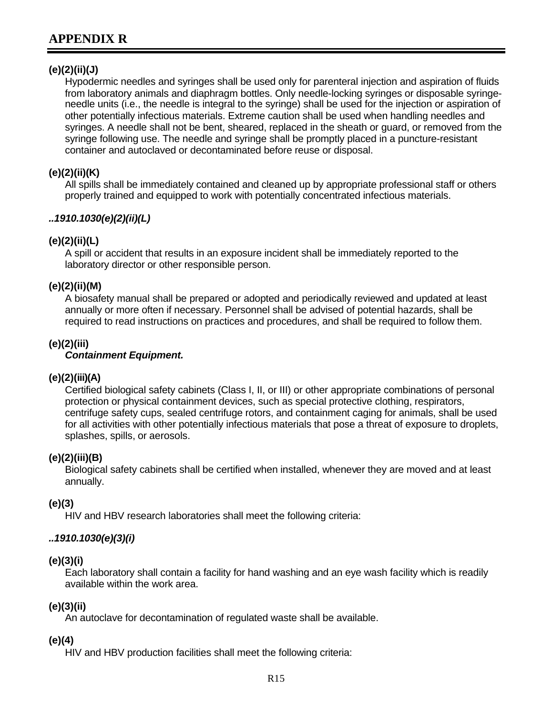# **(e)(2)(ii)(J)**

Hypodermic needles and syringes shall be used only for parenteral injection and aspiration of fluids from laboratory animals and diaphragm bottles. Only needle-locking syringes or disposable syringeneedle units (i.e., the needle is integral to the syringe) shall be used for the injection or aspiration of other potentially infectious materials. Extreme caution shall be used when handling needles and syringes. A needle shall not be bent, sheared, replaced in the sheath or guard, or removed from the syringe following use. The needle and syringe shall be promptly placed in a puncture-resistant container and autoclaved or decontaminated before reuse or disposal.

# **(e)(2)(ii)(K)**

All spills shall be immediately contained and cleaned up by appropriate professional staff or others properly trained and equipped to work with potentially concentrated infectious materials.

# *..1910.1030(e)(2)(ii)(L)*

# **(e)(2)(ii)(L)**

A spill or accident that results in an exposure incident shall be immediately reported to the laboratory director or other responsible person.

# **(e)(2)(ii)(M)**

A biosafety manual shall be prepared or adopted and periodically reviewed and updated at least annually or more often if necessary. Personnel shall be advised of potential hazards, shall be required to read instructions on practices and procedures, and shall be required to follow them.

## **(e)(2)(iii)**

## *Containment Equipment.*

## **(e)(2)(iii)(A)**

Certified biological safety cabinets (Class I, II, or III) or other appropriate combinations of personal protection or physical containment devices, such as special protective clothing, respirators, centrifuge safety cups, sealed centrifuge rotors, and containment caging for animals, shall be used for all activities with other potentially infectious materials that pose a threat of exposure to droplets, splashes, spills, or aerosols.

# **(e)(2)(iii)(B)**

Biological safety cabinets shall be certified when installed, whenever they are moved and at least annually.

# **(e)(3)**

HIV and HBV research laboratories shall meet the following criteria:

# *..1910.1030(e)(3)(i)*

## **(e)(3)(i)**

Each laboratory shall contain a facility for hand washing and an eye wash facility which is readily available within the work area.

# **(e)(3)(ii)**

An autoclave for decontamination of regulated waste shall be available.

## **(e)(4)**

HIV and HBV production facilities shall meet the following criteria: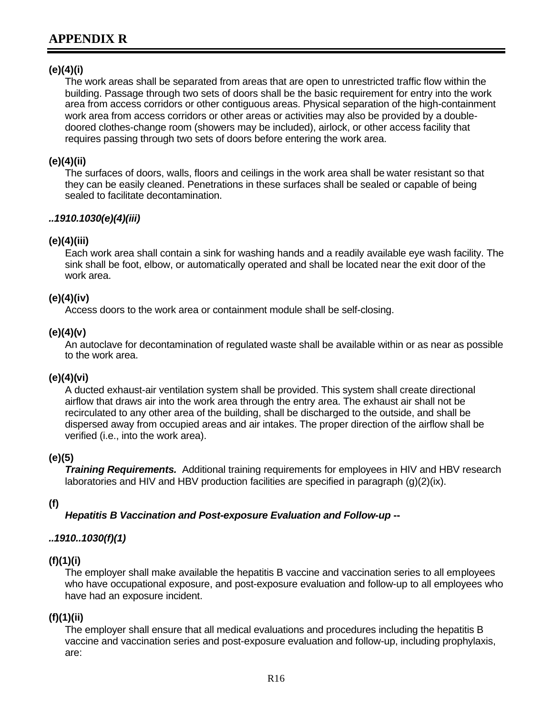# **(e)(4)(i)**

The work areas shall be separated from areas that are open to unrestricted traffic flow within the building. Passage through two sets of doors shall be the basic requirement for entry into the work area from access corridors or other contiguous areas. Physical separation of the high-containment work area from access corridors or other areas or activities may also be provided by a doubledoored clothes-change room (showers may be included), airlock, or other access facility that requires passing through two sets of doors before entering the work area.

#### **(e)(4)(ii)**

The surfaces of doors, walls, floors and ceilings in the work area shall be water resistant so that they can be easily cleaned. Penetrations in these surfaces shall be sealed or capable of being sealed to facilitate decontamination.

# *..1910.1030(e)(4)(iii)*

# **(e)(4)(iii)**

Each work area shall contain a sink for washing hands and a readily available eye wash facility. The sink shall be foot, elbow, or automatically operated and shall be located near the exit door of the work area.

# **(e)(4)(iv)**

Access doors to the work area or containment module shall be self-closing.

#### **(e)(4)(v)**

An autoclave for decontamination of regulated waste shall be available within or as near as possible to the work area.

#### **(e)(4)(vi)**

A ducted exhaust-air ventilation system shall be provided. This system shall create directional airflow that draws air into the work area through the entry area. The exhaust air shall not be recirculated to any other area of the building, shall be discharged to the outside, and shall be dispersed away from occupied areas and air intakes. The proper direction of the airflow shall be verified (i.e., into the work area).

# **(e)(5)**

**Training Requirements.** Additional training requirements for employees in HIV and HBV research laboratories and HIV and HBV production facilities are specified in paragraph (g)(2)(ix).

#### **(f)**

*Hepatitis B Vaccination and Post-exposure Evaluation and Follow-up* **--**

#### *..1910..1030(f)(1)*

#### **(f)(1)(i)**

The employer shall make available the hepatitis B vaccine and vaccination series to all employees who have occupational exposure, and post-exposure evaluation and follow-up to all employees who have had an exposure incident.

#### **(f)(1)(ii)**

The employer shall ensure that all medical evaluations and procedures including the hepatitis B vaccine and vaccination series and post-exposure evaluation and follow-up, including prophylaxis, are: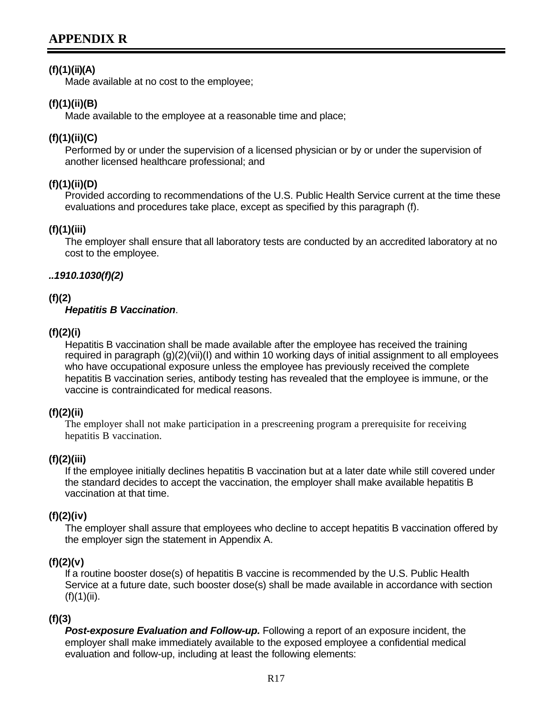# **(f)(1)(ii)(A)**

Made available at no cost to the employee;

# **(f)(1)(ii)(B)**

Made available to the employee at a reasonable time and place;

# **(f)(1)(ii)(C)**

Performed by or under the supervision of a licensed physician or by or under the supervision of another licensed healthcare professional; and

# **(f)(1)(ii)(D)**

Provided according to recommendations of the U.S. Public Health Service current at the time these evaluations and procedures take place, except as specified by this paragraph (f).

#### **(f)(1)(iii)**

The employer shall ensure that all laboratory tests are conducted by an accredited laboratory at no cost to the employee.

#### *..1910.1030(f)(2)*

# **(f)(2)**

#### *Hepatitis B Vaccination*.

#### **(f)(2)(i)**

Hepatitis B vaccination shall be made available after the employee has received the training required in paragraph (g)(2)(vii)(I) and within 10 working days of initial assignment to all employees who have occupational exposure unless the employee has previously received the complete hepatitis B vaccination series, antibody testing has revealed that the employee is immune, or the vaccine is contraindicated for medical reasons.

#### **(f)(2)(ii)**

The employer shall not make participation in a prescreening program a prerequisite for receiving hepatitis B vaccination.

#### **(f)(2)(iii)**

If the employee initially declines hepatitis B vaccination but at a later date while still covered under the standard decides to accept the vaccination, the employer shall make available hepatitis B vaccination at that time.

#### **(f)(2)(iv)**

The employer shall assure that employees who decline to accept hepatitis B vaccination offered by the employer sign the statement in Appendix A.

#### **(f)(2)(v)**

If a routine booster dose(s) of hepatitis B vaccine is recommended by the U.S. Public Health Service at a future date, such booster dose(s) shall be made available in accordance with section  $(f)(1)(ii)$ .

# **(f)(3)**

**Post-exposure Evaluation and Follow-up.** Following a report of an exposure incident, the employer shall make immediately available to the exposed employee a confidential medical evaluation and follow-up, including at least the following elements: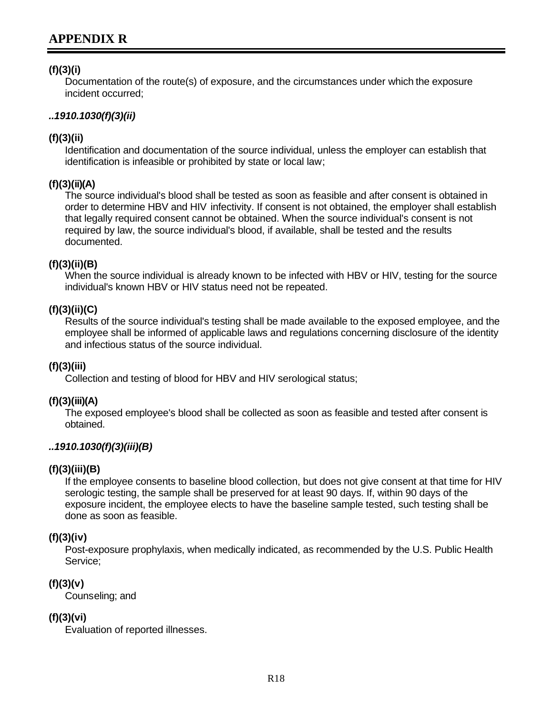# **(f)(3)(i)**

Documentation of the route(s) of exposure, and the circumstances under which the exposure incident occurred;

#### *..1910.1030(f)(3)(ii)*

#### **(f)(3)(ii)**

Identification and documentation of the source individual, unless the employer can establish that identification is infeasible or prohibited by state or local law;

#### **(f)(3)(ii)(A)**

The source individual's blood shall be tested as soon as feasible and after consent is obtained in order to determine HBV and HIV infectivity. If consent is not obtained, the employer shall establish that legally required consent cannot be obtained. When the source individual's consent is not required by law, the source individual's blood, if available, shall be tested and the results documented.

#### **(f)(3)(ii)(B)**

When the source individual is already known to be infected with HBV or HIV, testing for the source individual's known HBV or HIV status need not be repeated.

#### **(f)(3)(ii)(C)**

Results of the source individual's testing shall be made available to the exposed employee, and the employee shall be informed of applicable laws and regulations concerning disclosure of the identity and infectious status of the source individual.

#### **(f)(3)(iii)**

Collection and testing of blood for HBV and HIV serological status;

#### **(f)(3)(iii)(A)**

The exposed employee's blood shall be collected as soon as feasible and tested after consent is obtained.

#### *..1910.1030(f)(3)(iii)(B)*

#### **(f)(3)(iii)(B)**

If the employee consents to baseline blood collection, but does not give consent at that time for HIV serologic testing, the sample shall be preserved for at least 90 days. If, within 90 days of the exposure incident, the employee elects to have the baseline sample tested, such testing shall be done as soon as feasible.

#### **(f)(3)(iv)**

Post-exposure prophylaxis, when medically indicated, as recommended by the U.S. Public Health Service;

#### **(f)(3)(v)**

Counseling; and

#### **(f)(3)(vi)**

Evaluation of reported illnesses.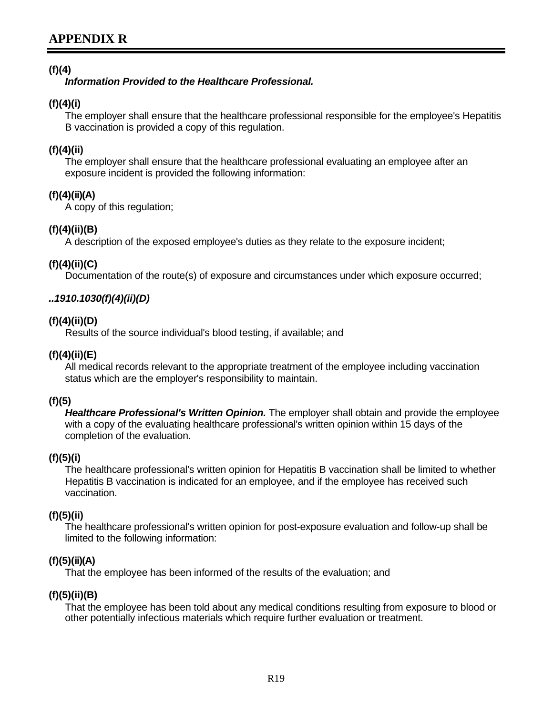# **(f)(4)**

# *Information Provided to the Healthcare Professional.*

# **(f)(4)(i)**

The employer shall ensure that the healthcare professional responsible for the employee's Hepatitis B vaccination is provided a copy of this regulation.

# **(f)(4)(ii)**

The employer shall ensure that the healthcare professional evaluating an employee after an exposure incident is provided the following information:

# **(f)(4)(ii)(A)**

A copy of this regulation;

# **(f)(4)(ii)(B)**

A description of the exposed employee's duties as they relate to the exposure incident;

# **(f)(4)(ii)(C)**

Documentation of the route(s) of exposure and circumstances under which exposure occurred;

# *..1910.1030(f)(4)(ii)(D)*

# **(f)(4)(ii)(D)**

Results of the source individual's blood testing, if available; and

# **(f)(4)(ii)(E)**

All medical records relevant to the appropriate treatment of the employee including vaccination status which are the employer's responsibility to maintain.

# **(f)(5)**

*Healthcare Professional's Written Opinion.* The employer shall obtain and provide the employee with a copy of the evaluating healthcare professional's written opinion within 15 days of the completion of the evaluation.

# **(f)(5)(i)**

The healthcare professional's written opinion for Hepatitis B vaccination shall be limited to whether Hepatitis B vaccination is indicated for an employee, and if the employee has received such vaccination.

# **(f)(5)(ii)**

The healthcare professional's written opinion for post-exposure evaluation and follow-up shall be limited to the following information:

# **(f)(5)(ii)(A)**

That the employee has been informed of the results of the evaluation; and

# **(f)(5)(ii)(B)**

That the employee has been told about any medical conditions resulting from exposure to blood or other potentially infectious materials which require further evaluation or treatment.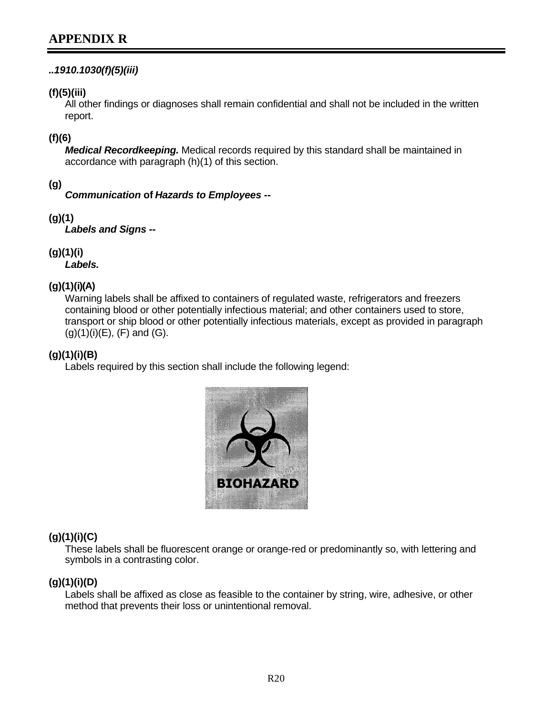# **APPENDIX R**

# *..1910.1030(f)(5)(iii)*

#### **(f)(5)(iii)**

All other findings or diagnoses shall remain confidential and shall not be included in the written report.

#### **(f)(6)**

*Medical Recordkeeping.* Medical records required by this standard shall be maintained in accordance with paragraph (h)(1) of this section.

#### **(g)**

*Communication* **of** *Hazards to Employees* **--**

#### **(g)(1)**

*Labels and Signs* **--**

**(g)(1)(i)**

*Labels.*

# **(g)(1)(i)(A)**

Warning labels shall be affixed to containers of regulated waste, refrigerators and freezers containing blood or other potentially infectious material; and other containers used to store, transport or ship blood or other potentially infectious materials, except as provided in paragraph  $(g)(1)(i)(E)$ ,  $(F)$  and  $(G)$ .

#### **(g)(1)(i)(B)**

Labels required by this section shall include the following legend:



# **(g)(1)(i)(C)**

These labels shall be fluorescent orange or orange-red or predominantly so, with lettering and symbols in a contrasting color.

#### **(g)(1)(i)(D)**

Labels shall be affixed as close as feasible to the container by string, wire, adhesive, or other method that prevents their loss or unintentional removal.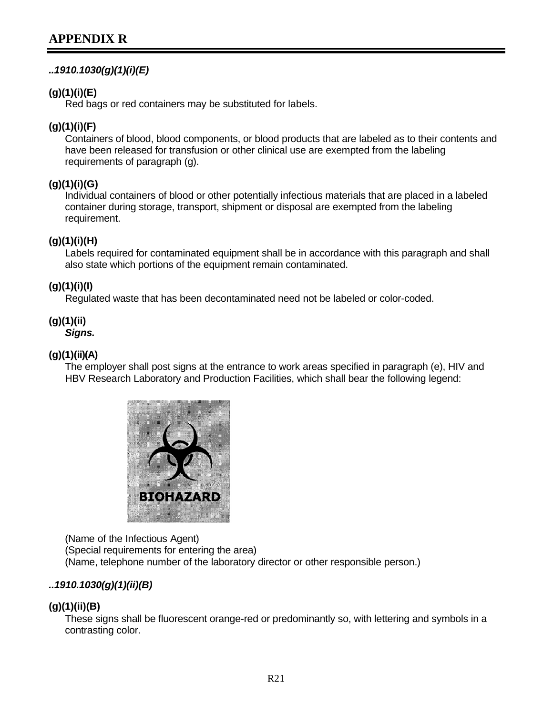# *..1910.1030(g)(1)(i)(E)*

# **(g)(1)(i)(E)**

Red bags or red containers may be substituted for labels.

# **(g)(1)(i)(F)**

Containers of blood, blood components, or blood products that are labeled as to their contents and have been released for transfusion or other clinical use are exempted from the labeling requirements of paragraph (g).

# **(g)(1)(i)(G)**

Individual containers of blood or other potentially infectious materials that are placed in a labeled container during storage, transport, shipment or disposal are exempted from the labeling requirement.

#### **(g)(1)(i)(H)**

Labels required for contaminated equipment shall be in accordance with this paragraph and shall also state which portions of the equipment remain contaminated.

#### **(g)(1)(i)(I)**

Regulated waste that has been decontaminated need not be labeled or color-coded.

**(g)(1)(ii)** *Signs.*

#### **(g)(1)(ii)(A)**

The employer shall post signs at the entrance to work areas specified in paragraph (e), HIV and HBV Research Laboratory and Production Facilities, which shall bear the following legend:



(Name of the Infectious Agent)

(Special requirements for entering the area) (Name, telephone number of the laboratory director or other responsible person.)

# *..1910.1030(g)(1)(ii)(B)*

# **(g)(1)(ii)(B)**

These signs shall be fluorescent orange-red or predominantly so, with lettering and symbols in a contrasting color.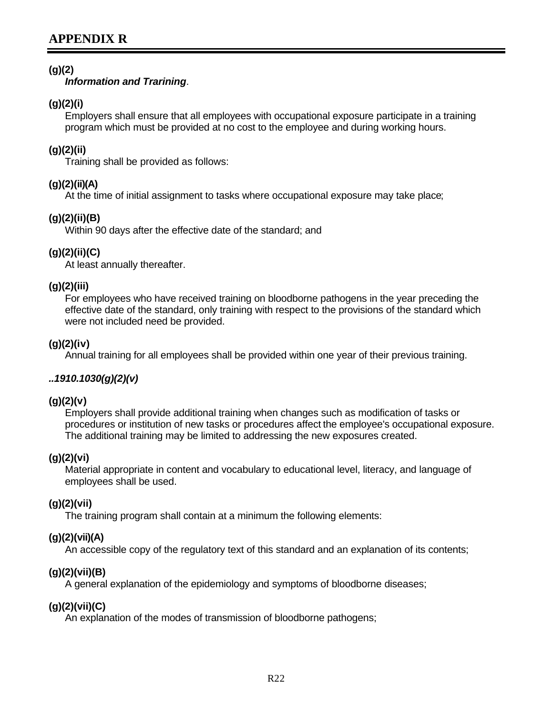# **(g)(2)**

# *Information and Trarining*.

# **(g)(2)(i)**

Employers shall ensure that all employees with occupational exposure participate in a training program which must be provided at no cost to the employee and during working hours.

# **(g)(2)(ii)**

Training shall be provided as follows:

# **(g)(2)(ii)(A)**

At the time of initial assignment to tasks where occupational exposure may take place;

# **(g)(2)(ii)(B)**

Within 90 days after the effective date of the standard; and

# **(g)(2)(ii)(C)**

At least annually thereafter.

# **(g)(2)(iii)**

For employees who have received training on bloodborne pathogens in the year preceding the effective date of the standard, only training with respect to the provisions of the standard which were not included need be provided.

# **(g)(2)(iv)**

Annual training for all employees shall be provided within one year of their previous training.

# *..1910.1030(g)(2)(v)*

# **(g)(2)(v)**

Employers shall provide additional training when changes such as modification of tasks or procedures or institution of new tasks or procedures affect the employee's occupational exposure. The additional training may be limited to addressing the new exposures created.

# **(g)(2)(vi)**

Material appropriate in content and vocabulary to educational level, literacy, and language of employees shall be used.

# **(g)(2)(vii)**

The training program shall contain at a minimum the following elements:

# **(g)(2)(vii)(A)**

An accessible copy of the regulatory text of this standard and an explanation of its contents;

# **(g)(2)(vii)(B)**

A general explanation of the epidemiology and symptoms of bloodborne diseases;

# **(g)(2)(vii)(C)**

An explanation of the modes of transmission of bloodborne pathogens;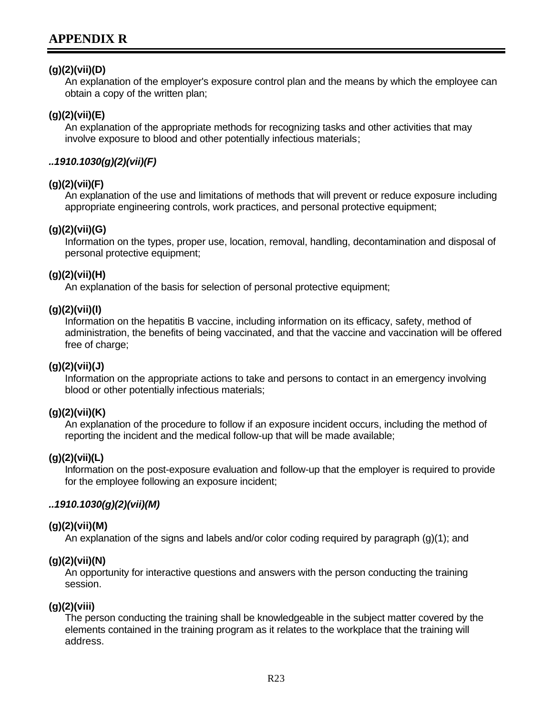#### **(g)(2)(vii)(D)**

An explanation of the employer's exposure control plan and the means by which the employee can obtain a copy of the written plan;

#### **(g)(2)(vii)(E)**

An explanation of the appropriate methods for recognizing tasks and other activities that may involve exposure to blood and other potentially infectious materials;

#### *..1910.1030(g)(2)(vii)(F)*

#### **(g)(2)(vii)(F)**

An explanation of the use and limitations of methods that will prevent or reduce exposure including appropriate engineering controls, work practices, and personal protective equipment;

#### **(g)(2)(vii)(G)**

Information on the types, proper use, location, removal, handling, decontamination and disposal of personal protective equipment;

#### **(g)(2)(vii)(H)**

An explanation of the basis for selection of personal protective equipment;

#### **(g)(2)(vii)(I)**

Information on the hepatitis B vaccine, including information on its efficacy, safety, method of administration, the benefits of being vaccinated, and that the vaccine and vaccination will be offered free of charge;

#### **(g)(2)(vii)(J)**

Information on the appropriate actions to take and persons to contact in an emergency involving blood or other potentially infectious materials;

#### **(g)(2)(vii)(K)**

An explanation of the procedure to follow if an exposure incident occurs, including the method of reporting the incident and the medical follow-up that will be made available;

#### **(g)(2)(vii)(L)**

Information on the post-exposure evaluation and follow-up that the employer is required to provide for the employee following an exposure incident;

#### *..1910.1030(g)(2)(vii)(M)*

#### **(g)(2)(vii)(M)**

An explanation of the signs and labels and/or color coding required by paragraph (g)(1); and

#### **(g)(2)(vii)(N)**

An opportunity for interactive questions and answers with the person conducting the training session.

#### **(g)(2)(viii)**

The person conducting the training shall be knowledgeable in the subject matter covered by the elements contained in the training program as it relates to the workplace that the training will address.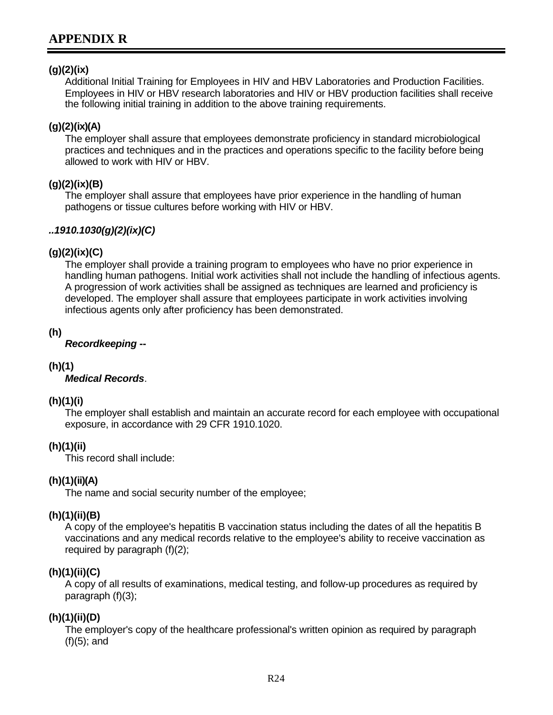# **(g)(2)(ix)**

Additional Initial Training for Employees in HIV and HBV Laboratories and Production Facilities. Employees in HIV or HBV research laboratories and HIV or HBV production facilities shall receive the following initial training in addition to the above training requirements.

# **(g)(2)(ix)(A)**

The employer shall assure that employees demonstrate proficiency in standard microbiological practices and techniques and in the practices and operations specific to the facility before being allowed to work with HIV or HBV.

# **(g)(2)(ix)(B)**

The employer shall assure that employees have prior experience in the handling of human pathogens or tissue cultures before working with HIV or HBV.

# *..1910.1030(g)(2)(ix)(C)*

# **(g)(2)(ix)(C)**

The employer shall provide a training program to employees who have no prior experience in handling human pathogens. Initial work activities shall not include the handling of infectious agents. A progression of work activities shall be assigned as techniques are learned and proficiency is developed. The employer shall assure that employees participate in work activities involving infectious agents only after proficiency has been demonstrated.

#### **(h)**

*Recordkeeping* **--**

# **(h)(1)**

# *Medical Records*.

# **(h)(1)(i)**

The employer shall establish and maintain an accurate record for each employee with occupational exposure, in accordance with 29 CFR 1910.1020.

# **(h)(1)(ii)**

This record shall include:

# **(h)(1)(ii)(A)**

The name and social security number of the employee;

# **(h)(1)(ii)(B)**

A copy of the employee's hepatitis B vaccination status including the dates of all the hepatitis B vaccinations and any medical records relative to the employee's ability to receive vaccination as required by paragraph (f)(2);

# **(h)(1)(ii)(C)**

A copy of all results of examinations, medical testing, and follow-up procedures as required by paragraph (f)(3);

# **(h)(1)(ii)(D)**

The employer's copy of the healthcare professional's written opinion as required by paragraph (f)(5); and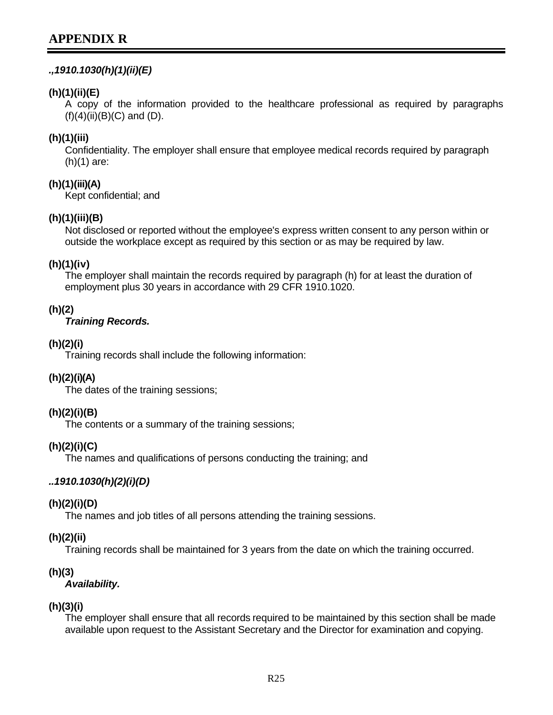# *.,1910.1030(h)(1)(ii)(E)*

# **(h)(1)(ii)(E)**

A copy of the information provided to the healthcare professional as required by paragraphs  $(f)(4)(ii)(B)(C)$  and  $(D)$ .

# **(h)(1)(iii)**

Confidentiality. The employer shall ensure that employee medical records required by paragraph (h)(1) are:

#### **(h)(1)(iii)(A)**

Kept confidential; and

#### **(h)(1)(iii)(B)**

Not disclosed or reported without the employee's express written consent to any person within or outside the workplace except as required by this section or as may be required by law.

#### **(h)(1)(iv)**

The employer shall maintain the records required by paragraph (h) for at least the duration of employment plus 30 years in accordance with 29 CFR 1910.1020.

#### **(h)(2)**

#### *Training Records.*

#### **(h)(2)(i)**

Training records shall include the following information:

# **(h)(2)(i)(A)**

The dates of the training sessions;

#### **(h)(2)(i)(B)**

The contents or a summary of the training sessions;

#### **(h)(2)(i)(C)**

The names and qualifications of persons conducting the training; and

# *..1910.1030(h)(2)(i)(D)*

#### **(h)(2)(i)(D)**

The names and job titles of all persons attending the training sessions.

#### **(h)(2)(ii)**

Training records shall be maintained for 3 years from the date on which the training occurred.

#### **(h)(3)**

#### *Availability.*

#### **(h)(3)(i)**

The employer shall ensure that all records required to be maintained by this section shall be made available upon request to the Assistant Secretary and the Director for examination and copying.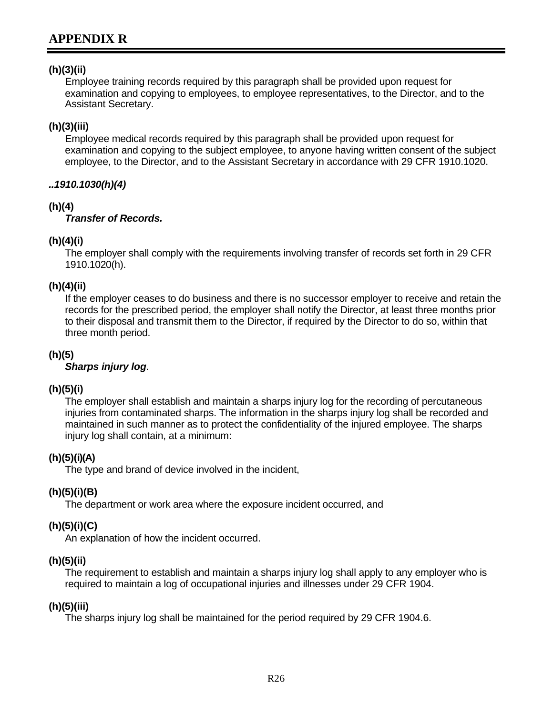# **(h)(3)(ii)**

Employee training records required by this paragraph shall be provided upon request for examination and copying to employees, to employee representatives, to the Director, and to the Assistant Secretary.

# **(h)(3)(iii)**

Employee medical records required by this paragraph shall be provided upon request for examination and copying to the subject employee, to anyone having written consent of the subject employee, to the Director, and to the Assistant Secretary in accordance with 29 CFR 1910.1020.

# *..1910.1030(h)(4)*

# **(h)(4)**

*Transfer of Records.*

# **(h)(4)(i)**

The employer shall comply with the requirements involving transfer of records set forth in 29 CFR 1910.1020(h).

# **(h)(4)(ii)**

If the employer ceases to do business and there is no successor employer to receive and retain the records for the prescribed period, the employer shall notify the Director, at least three months prior to their disposal and transmit them to the Director, if required by the Director to do so, within that three month period.

#### **(h)(5)**

*Sharps injury log*.

# **(h)(5)(i)**

The employer shall establish and maintain a sharps injury log for the recording of percutaneous injuries from contaminated sharps. The information in the sharps injury log shall be recorded and maintained in such manner as to protect the confidentiality of the injured employee. The sharps injury log shall contain, at a minimum:

# **(h)(5)(i)(A)**

The type and brand of device involved in the incident,

# **(h)(5)(i)(B)**

The department or work area where the exposure incident occurred, and

# **(h)(5)(i)(C)**

An explanation of how the incident occurred.

# **(h)(5)(ii)**

The requirement to establish and maintain a sharps injury log shall apply to any employer who is required to maintain a log of occupational injuries and illnesses under 29 CFR 1904.

# **(h)(5)(iii)**

The sharps injury log shall be maintained for the period required by 29 CFR 1904.6.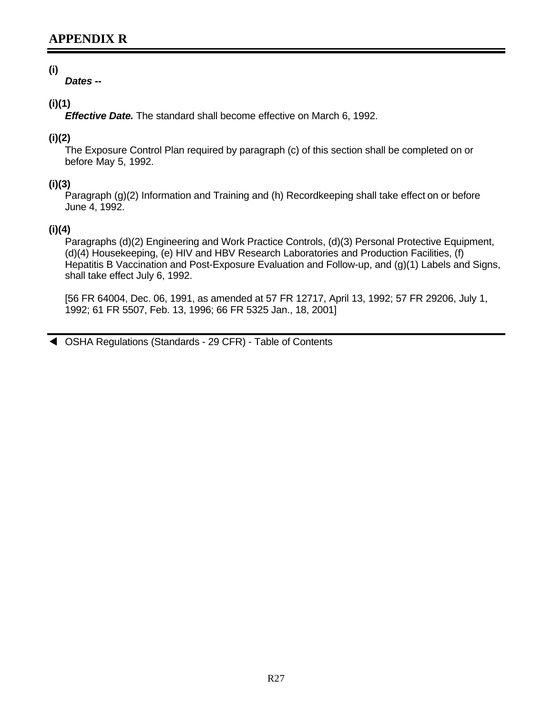# **APPENDIX R**

#### **(i)**

*Dates* **--**

# **(i)(1)**

*Effective Date.* The standard shall become effective on March 6, 1992.

# **(i)(2)**

The Exposure Control Plan required by paragraph (c) of this section shall be completed on or before May 5, 1992.

# **(i)(3)**

Paragraph (g)(2) Information and Training and (h) Recordkeeping shall take effect on or before June 4, 1992.

# **(i)(4)**

Paragraphs (d)(2) Engineering and Work Practice Controls, (d)(3) Personal Protective Equipment, (d)(4) Housekeeping, (e) HIV and HBV Research Laboratories and Production Facilities, (f) Hepatitis B Vaccination and Post-Exposure Evaluation and Follow-up, and (g)(1) Labels and Signs, shall take effect July 6, 1992.

[56 FR 64004, Dec. 06, 1991, as amended at 57 FR 12717, April 13, 1992; 57 FR 29206, July 1, 1992; 61 FR 5507, Feb. 13, 1996; 66 FR 5325 Jan., 18, 2001]

t OSHA Regulations (Standards - 29 CFR) - Table of Contents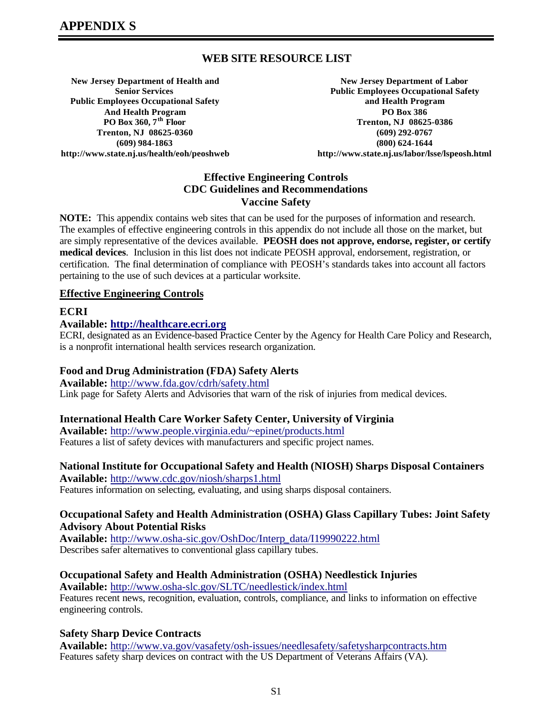# **WEB SITE RESOURCE LIST**

**New Jersey Department of Health and New Jersey Department of Labor Public Employees Occupational Safety and Health Program And Health Program PO Box 386 Trenton, NJ 08625-0360 (609) 292-0767 (609) 984-1863 (800) 624-1644 http://www.state.nj.us/health/eoh/peoshweb http://www.state.nj.us/labor/lsse/lspeosh.html**

**Senior Services Public Employees Occupational Safety PO Box 360, 7th Floor Trenton, NJ 08625-0386**

#### **Effective Engineering Controls CDC Guidelines and Recommendations Vaccine Safety**

**NOTE:** This appendix contains web sites that can be used for the purposes of information and research. The examples of effective engineering controls in this appendix do not include all those on the market, but are simply representative of the devices available. **PEOSH does not approve, endorse, register, or certify medical devices**. Inclusion in this list does not indicate PEOSH approval, endorsement, registration, or certification. The final determination of compliance with PEOSH's standards takes into account all factors pertaining to the use of such devices at a particular worksite.

#### **Effective Engineering Controls**

#### **ECRI**

#### **Available: http://healthcare.ecri.org**

ECRI, designated as an Evidence-based Practice Center by the Agency for Health Care Policy and Research, is a nonprofit international health services research organization.

#### **Food and Drug Administration (FDA) Safety Alerts**

**Available:** http://www.fda.gov/cdrh/safety.html Link page for Safety Alerts and Advisories that warn of the risk of injuries from medical devices.

#### **International Health Care Worker Safety Center, University of Virginia**

**Available:** http://www.people.virginia.edu/~epinet/products.html Features a list of safety devices with manufacturers and specific project names.

# **National Institute for Occupational Safety and Health (NIOSH) Sharps Disposal Containers**

**Available:** http://www.cdc.gov/niosh/sharps1.html Features information on selecting, evaluating, and using sharps disposal containers.

#### **Occupational Safety and Health Administration (OSHA) Glass Capillary Tubes: Joint Safety Advisory About Potential Risks**

**Available:** http://www.osha-sic.gov/OshDoc/Interp**\_**data/I19990222.html Describes safer alternatives to conventional glass capillary tubes.

# **Occupational Safety and Health Administration (OSHA) Needlestick Injuries**

**Available:** http://www.osha-slc.gov/SLTC/needlestick/index.html Features recent news, recognition, evaluation, controls, compliance, and links to information on effective engineering controls.

# **Safety Sharp Device Contracts**

**Available:** http://www.va.gov/vasafety/osh-issues/needlesafety/safetysharpcontracts.htm Features safety sharp devices on contract with the US Department of Veterans Affairs (VA).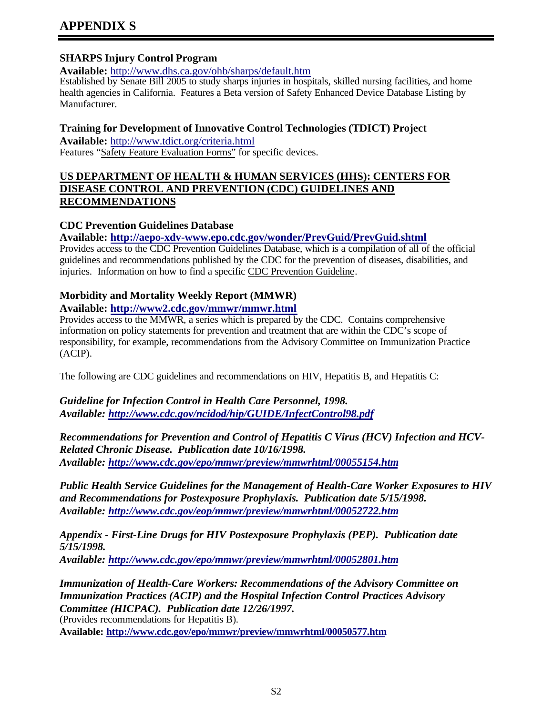# **APPENDIX S**

#### **SHARPS Injury Control Program**

**Available:** http://www.dhs.ca.gov/ohb/sharps/default.htm

Established by Senate Bill 2005 to study sharps injuries in hospitals, skilled nursing facilities, and home health agencies in California. Features a Beta version of Safety Enhanced Device Database Listing by Manufacturer.

#### **Training for Development of Innovative Control Technologies (TDICT) Project Available:** http://www.tdict.org/criteria.html Features "Safety Feature Evaluation Forms" for specific devices.

# **US DEPARTMENT OF HEALTH & HUMAN SERVICES (HHS): CENTERS FOR DISEASE CONTROL AND PREVENTION (CDC) GUIDELINES AND RECOMMENDATIONS**

#### **CDC Prevention Guidelines Database**

**Available: http://aepo-xdv-www.epo.cdc.gov/wonder/PrevGuid/PrevGuid.shtml**

Provides access to the CDC Prevention Guidelines Database, which is a compilation of all of the official guidelines and recommendations published by the CDC for the prevention of diseases, disabilities, and injuries. Information on how to find a specific CDC Prevention Guideline.

# **Morbidity and Mortality Weekly Report (MMWR)**

#### **Available: http://www2.cdc.gov/mmwr/mmwr.html**

Provides access to the MMWR, a series which is prepared by the CDC. Contains comprehensive information on policy statements for prevention and treatment that are within the CDC's scope of responsibility, for example, recommendations from the Advisory Committee on Immunization Practice (ACIP).

The following are CDC guidelines and recommendations on HIV, Hepatitis B, and Hepatitis C:

*Guideline for Infection Control in Health Care Personnel, 1998. Available: http://www.cdc.gov/ncidod/hip/GUIDE/InfectControl98.pdf*

*Recommendations for Prevention and Control of Hepatitis C Virus (HCV) Infection and HCV-Related Chronic Disease. Publication date 10/16/1998. Available: http://www.cdc.gov/epo/mmwr/preview/mmwrhtml/00055154.htm*

*Public Health Service Guidelines for the Management of Health-Care Worker Exposures to HIV and Recommendations for Postexposure Prophylaxis. Publication date 5/15/1998. Available: http://www.cdc.gov/eop/mmwr/preview/mmwrhtml/00052722.htm*

*Appendix - First-Line Drugs for HIV Postexposure Prophylaxis (PEP). Publication date 5/15/1998.*

*Available: http://www.cdc.gov/epo/mmwr/preview/mmwrhtml/00052801.htm*

*Immunization of Health-Care Workers: Recommendations of the Advisory Committee on Immunization Practices (ACIP) and the Hospital Infection Control Practices Advisory Committee (HICPAC). Publication date 12/26/1997.* (Provides recommendations for Hepatitis B).

**Available: http://www.cdc.gov/epo/mmwr/preview/mmwrhtml/00050577.htm**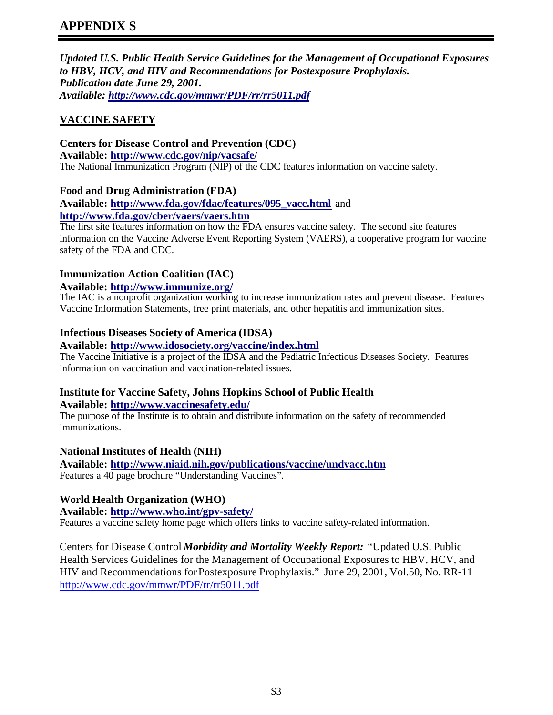# **APPENDIX S**

*Updated U.S. Public Health Service Guidelines for the Management of Occupational Exposures to HBV, HCV, and HIV and Recommendations for Postexposure Prophylaxis. Publication date June 29, 2001. Available: http://www.cdc.gov/mmwr/PDF/rr/rr5011.pdf*

# **VACCINE SAFETY**

**Centers for Disease Control and Prevention (CDC) Available: http://www.cdc.gov/nip/vacsafe/** The National Immunization Program (NIP) of the CDC features information on vaccine safety.

#### **Food and Drug Administration (FDA)**

**Available: http://www.fda.gov/fdac/features/095\_vacc.html** and

**http://www.fda.gov/cber/vaers/vaers.htm**

The first site features information on how the FDA ensures vaccine safety. The second site features information on the Vaccine Adverse Event Reporting System (VAERS), a cooperative program for vaccine safety of the FDA and CDC.

#### **Immunization Action Coalition (IAC)**

**Available: http://www.immunize.org/**

The IAC is a nonprofit organization working to increase immunization rates and prevent disease. Features Vaccine Information Statements, free print materials, and other hepatitis and immunization sites.

#### **Infectious Diseases Society of America (IDSA)**

#### **Available: http://www.idosociety.org/vaccine/index.html**

The Vaccine Initiative is a project of the IDSA and the Pediatric Infectious Diseases Society. Features information on vaccination and vaccination-related issues.

# **Institute for Vaccine Safety, Johns Hopkins School of Public Health**

#### **Available: http://www.vaccinesafety.edu/**

The purpose of the Institute is to obtain and distribute information on the safety of recommended immunizations.

#### **National Institutes of Health (NIH)**

**Available: http://www.niaid.nih.gov/publications/vaccine/undvacc.htm** Features a 40 page brochure "Understanding Vaccines".

# **World Health Organization (WHO)**

#### **Available: http://www.who.int/gpv-safety/**

Features a vaccine safety home page which offers links to vaccine safety-related information.

Centers for Disease Control *Morbidity and Mortality Weekly Report:* "Updated U.S. Public Health Services Guidelines for the Management of Occupational Exposures to HBV, HCV, and HIV and Recommendations for Postexposure Prophylaxis." June 29, 2001, Vol.50, No. RR-11 http://www.cdc.gov/mmwr/PDF/rr/rr5011.pdf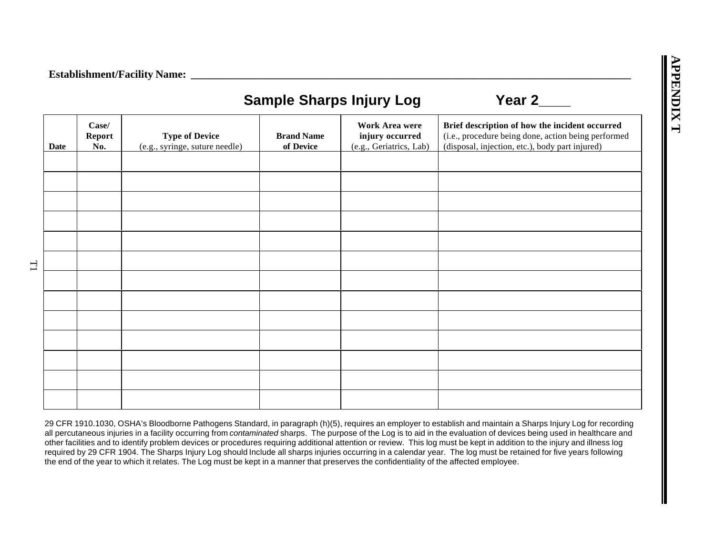# **Sample Sharps Injury Log War 2\_\_\_\_**

| Date | Case/<br>Report<br>No. | <b>Type of Device</b><br>(e.g., syringe, suture needle) | <b>Brand Name</b><br>of Device | Work Area were<br>injury occurred<br>(e.g., Geriatrics, Lab) | Brief description of how the incident occurred<br>(i.e., procedure being done, action being performed<br>(disposal, injection, etc.), body part injured) |
|------|------------------------|---------------------------------------------------------|--------------------------------|--------------------------------------------------------------|----------------------------------------------------------------------------------------------------------------------------------------------------------|
|      |                        |                                                         |                                |                                                              |                                                                                                                                                          |
|      |                        |                                                         |                                |                                                              |                                                                                                                                                          |
|      |                        |                                                         |                                |                                                              |                                                                                                                                                          |
|      |                        |                                                         |                                |                                                              |                                                                                                                                                          |
|      |                        |                                                         |                                |                                                              |                                                                                                                                                          |
|      |                        |                                                         |                                |                                                              |                                                                                                                                                          |
|      |                        |                                                         |                                |                                                              |                                                                                                                                                          |
|      |                        |                                                         |                                |                                                              |                                                                                                                                                          |
|      |                        |                                                         |                                |                                                              |                                                                                                                                                          |
|      |                        |                                                         |                                |                                                              |                                                                                                                                                          |
|      |                        |                                                         |                                |                                                              |                                                                                                                                                          |
|      |                        |                                                         |                                |                                                              |                                                                                                                                                          |
|      |                        |                                                         |                                |                                                              |                                                                                                                                                          |

29 CFR 1910.1030, OSHA's Bloodborne Pathogens Standard, in paragraph (h)(5), requires an employer to establish and maintain a Sharps Injury Log for recording all percutaneous injuries in a facility occurring from *contaminated* sharps. The purpose of the Log is to aid in the evaluation of devices being used in healthcare and other facilities and to identify problem devices or procedures requiring additional attention or review. This log must be kept in addition to the injury and illness log required by 29 CFR 1904. The Sharps Injury Log should Include all sharps injuries occurring in a calendar year. The log must be retained for five years following the end of the year to which it relates. The Log must be kept in a manner that preserves the confidentiality of the affected employee.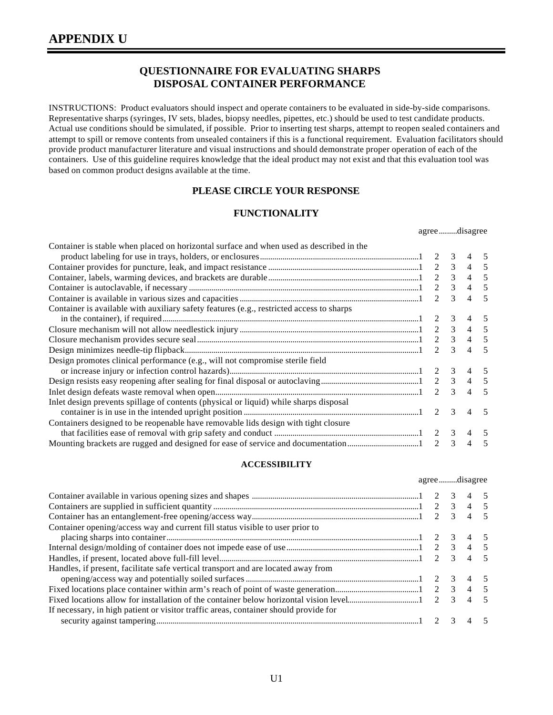# **QUESTIONNAIRE FOR EVALUATING SHARPS DISPOSAL CONTAINER PERFORMANCE**

INSTRUCTIONS: Product evaluators should inspect and operate containers to be evaluated in side-by-side comparisons. Representative sharps (syringes, IV sets, blades, biopsy needles, pipettes, etc.) should be used to test candidate products. Actual use conditions should be simulated, if possible. Prior to inserting test sharps, attempt to reopen sealed containers and attempt to spill or remove contents from unsealed containers if this is a functional requirement. Evaluation facilitators should provide product manufacturer literature and visual instructions and should demonstrate proper operation of each of the containers. Use of this guideline requires knowledge that the ideal product may not exist and that this evaluation tool was based on common product designs available at the time.

#### **PLEASE CIRCLE YOUR RESPONSE**

#### **FUNCTIONALITY**

|                                                                                          | agreedisagree |             |                |    |
|------------------------------------------------------------------------------------------|---------------|-------------|----------------|----|
| Container is stable when placed on horizontal surface and when used as described in the  |               |             |                |    |
|                                                                                          |               |             |                |    |
|                                                                                          |               |             |                |    |
|                                                                                          |               |             |                |    |
|                                                                                          |               |             |                |    |
|                                                                                          |               | $2 \quad 3$ | $4\quad 5$     |    |
| Container is available with auxiliary safety features (e.g., restricted access to sharps |               |             |                |    |
|                                                                                          |               |             | $4\quad 5$     |    |
|                                                                                          |               |             |                |    |
|                                                                                          |               |             |                |    |
|                                                                                          |               | $2 \quad 3$ | $\overline{4}$ | 5  |
| Design promotes clinical performance (e.g., will not compromise sterile field            |               |             |                |    |
|                                                                                          |               |             |                |    |
|                                                                                          |               |             |                |    |
|                                                                                          |               |             |                |    |
| Inlet design prevents spillage of contents (physical or liquid) while sharps disposal    |               |             |                |    |
|                                                                                          |               |             | $\overline{4}$ | -5 |
| Containers designed to be reopenable have removable lids design with tight closure       |               |             |                |    |
|                                                                                          |               |             |                |    |
|                                                                                          |               |             | $\overline{4}$ | .5 |

#### **ACCESSIBILITY**

|                                                                                      | agreedisagree |  |  |
|--------------------------------------------------------------------------------------|---------------|--|--|
|                                                                                      |               |  |  |
|                                                                                      |               |  |  |
|                                                                                      |               |  |  |
| Container opening/access way and current fill status visible to user prior to        |               |  |  |
|                                                                                      |               |  |  |
|                                                                                      |               |  |  |
|                                                                                      |               |  |  |
| Handles, if present, facilitate safe vertical transport and are located away from    |               |  |  |
|                                                                                      |               |  |  |
|                                                                                      |               |  |  |
|                                                                                      |               |  |  |
| If necessary, in high patient or visitor traffic areas, container should provide for |               |  |  |
|                                                                                      |               |  |  |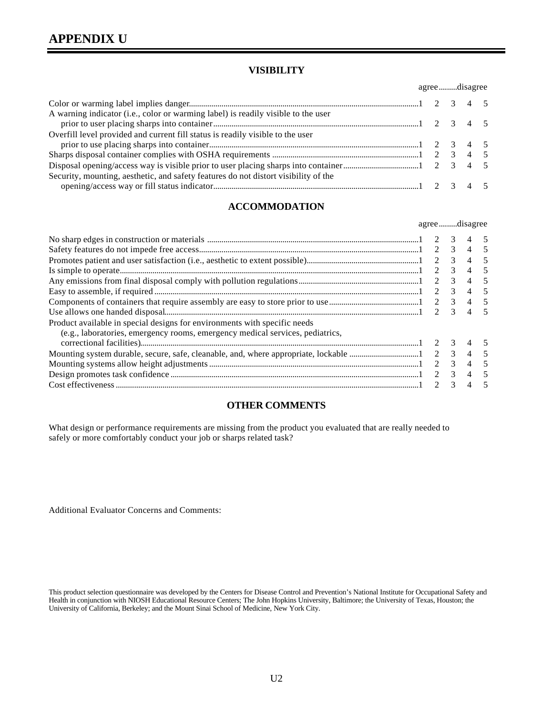**APPENDIX U**

#### **VISIBILITY**

agree.........disagree

| A warning indicator (i.e., color or warming label) is readily visible to the user   |  |  |
|-------------------------------------------------------------------------------------|--|--|
|                                                                                     |  |  |
| Overfill level provided and current fill status is readily visible to the user      |  |  |
|                                                                                     |  |  |
|                                                                                     |  |  |
|                                                                                     |  |  |
| Security, mounting, aesthetic, and safety features do not distort visibility of the |  |  |
|                                                                                     |  |  |
|                                                                                     |  |  |

#### **ACCOMMODATION**

#### agree.........disagree

|                                                                               |             | $\mathcal{E}$ | 4              | 5   |
|-------------------------------------------------------------------------------|-------------|---------------|----------------|-----|
|                                                                               |             |               | $\overline{4}$ | -5  |
|                                                                               |             |               | $\overline{4}$ | - 5 |
|                                                                               | 2           | $\mathcal{E}$ | $\overline{4}$ | .5  |
|                                                                               |             |               | $\overline{4}$ | -5  |
|                                                                               | 2           | $\mathcal{E}$ | $\overline{4}$ | - 5 |
|                                                                               |             |               | $4\quad 5$     |     |
|                                                                               |             |               | $\overline{4}$ |     |
| Product available in special designs for environments with specific needs     |             |               |                |     |
| (e.g., laboratories, emergency rooms, emergency medical services, pediatrics, |             |               |                |     |
|                                                                               |             | $\mathcal{R}$ | 4              | -5  |
|                                                                               |             |               | $4 \quad 5$    |     |
|                                                                               |             |               | $\overline{4}$ | - 5 |
|                                                                               |             |               | $\overline{4}$ | -5  |
|                                                                               | $2^{\circ}$ | $\mathcal{R}$ | 4              |     |
|                                                                               |             |               |                |     |

#### **OTHER COMMENTS**

What design or performance requirements are missing from the product you evaluated that are really needed to safely or more comfortably conduct your job or sharps related task?

Additional Evaluator Concerns and Comments:

This product selection questionnaire was developed by the Centers for Disease Control and Prevention's National Institute for Occupational Safety and Health in conjunction with NIOSH Educational Resource Centers; The John Hopkins University, Baltimore; the University of Texas, Houston; the University of California, Berkeley; and the Mount Sinai School of Medicine, New York City.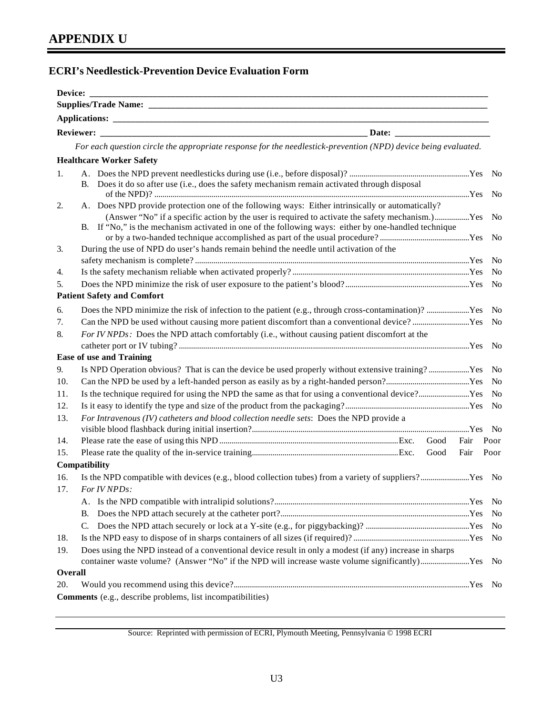# **ECRI's Needlestick-Prevention Device Evaluation Form**

|         | Reviewer:                                                                                                                                                                                                  |
|---------|------------------------------------------------------------------------------------------------------------------------------------------------------------------------------------------------------------|
|         | For each question circle the appropriate response for the needlestick-prevention (NPD) device being evaluated.                                                                                             |
|         | <b>Healthcare Worker Safety</b>                                                                                                                                                                            |
| 1.      |                                                                                                                                                                                                            |
|         | B. Does it do so after use (i.e., does the safety mechanism remain activated through disposal                                                                                                              |
| 2.      | A. Does NPD provide protection one of the following ways: Either intrinsically or automatically?                                                                                                           |
|         | (Answer "No" if a specific action by the user is required to activate the safety mechanism.)Yes No<br>B. If "No," is the mechanism activated in one of the following ways: either by one-handled technique |
| 3.      | During the use of NPD do user's hands remain behind the needle until activation of the                                                                                                                     |
|         |                                                                                                                                                                                                            |
| 4.      | No.                                                                                                                                                                                                        |
| 5.      |                                                                                                                                                                                                            |
|         | <b>Patient Safety and Comfort</b>                                                                                                                                                                          |
| 6.      | Does the NPD minimize the risk of infection to the patient (e.g., through cross-contamination)? Yes No                                                                                                     |
| 7.      | Can the NPD be used without causing more patient discomfort than a conventional device?Yes No                                                                                                              |
| 8.      | For IV NPDs: Does the NPD attach comfortably (i.e., without causing patient discomfort at the                                                                                                              |
|         |                                                                                                                                                                                                            |
|         | <b>Ease of use and Training</b>                                                                                                                                                                            |
| 9.      | Is NPD Operation obvious? That is can the device be used properly without extensive training?Yes No                                                                                                        |
| 10.     |                                                                                                                                                                                                            |
| 11.     | Is the technique required for using the NPD the same as that for using a conventional device?Yes No                                                                                                        |
| 12.     |                                                                                                                                                                                                            |
| 13.     | For Intravenous (IV) catheters and blood collection needle sets: Does the NPD provide a                                                                                                                    |
|         |                                                                                                                                                                                                            |
| 14.     | Poor<br>Fair                                                                                                                                                                                               |
| 15.     | Poor<br>Fair                                                                                                                                                                                               |
|         | Compatibility                                                                                                                                                                                              |
| 16.     |                                                                                                                                                                                                            |
| 17.     | For IV NPDs:                                                                                                                                                                                               |
|         | No                                                                                                                                                                                                         |
|         | N <sub>0</sub><br>В.                                                                                                                                                                                       |
|         | C.<br>N <sub>0</sub>                                                                                                                                                                                       |
| 18.     | N <sub>o</sub>                                                                                                                                                                                             |
| 19.     | Does using the NPD instead of a conventional device result in only a modest (if any) increase in sharps<br>N <sub>0</sub>                                                                                  |
| Overall |                                                                                                                                                                                                            |
| 20.     |                                                                                                                                                                                                            |
|         | <b>Comments</b> (e.g., describe problems, list incompatibilities)                                                                                                                                          |

Source: Reprinted with permission of ECRI, Plymouth Meeting, Pennsylvania © 1998 ECRI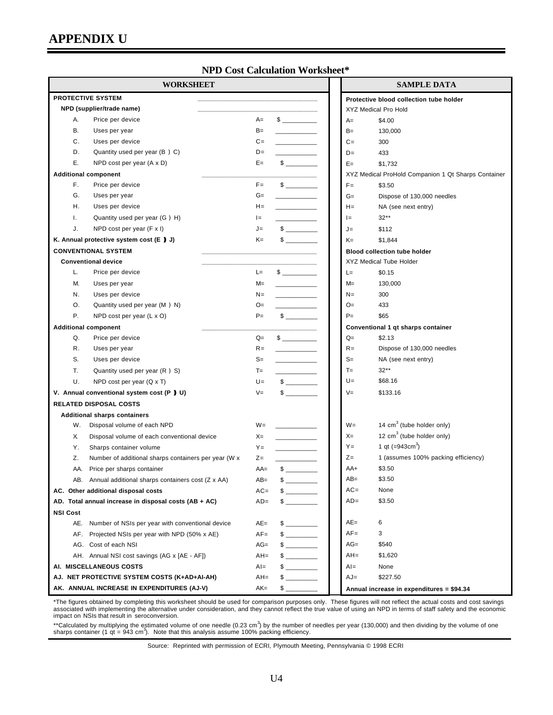|                 |                                                                    |                | <b>NPD Cost Calculation Worksheet*</b>                                                                                                                                                                                                                                                                                                              |        |        |                                                     |
|-----------------|--------------------------------------------------------------------|----------------|-----------------------------------------------------------------------------------------------------------------------------------------------------------------------------------------------------------------------------------------------------------------------------------------------------------------------------------------------------|--------|--------|-----------------------------------------------------|
|                 | <b>WORKSHEET</b>                                                   |                |                                                                                                                                                                                                                                                                                                                                                     |        |        | <b>SAMPLE DATA</b>                                  |
|                 | <b>PROTECTIVE SYSTEM</b>                                           |                |                                                                                                                                                                                                                                                                                                                                                     |        |        | Protective blood collection tube holder             |
|                 | NPD (supplier/trade name)                                          |                |                                                                                                                                                                                                                                                                                                                                                     |        |        | XYZ Medical Pro Hold                                |
| Α.              | Price per device                                                   | A=             | $\frac{1}{2}$                                                                                                                                                                                                                                                                                                                                       | A=     |        | \$4.00                                              |
| B.              | Uses per year                                                      | $B=$           | <u> 1999 - Johann John Barns</u>                                                                                                                                                                                                                                                                                                                    | $B=$   |        | 130,000                                             |
| C.              | Uses per device                                                    | $C =$          |                                                                                                                                                                                                                                                                                                                                                     | $C =$  |        | 300                                                 |
| D.              | Quantity used per year (B) C)                                      | $D=$           |                                                                                                                                                                                                                                                                                                                                                     | $D=$   |        | 433                                                 |
| Ε.              | NPD cost per year (A x D)                                          | $E =$          |                                                                                                                                                                                                                                                                                                                                                     | $E =$  |        | \$1,732                                             |
|                 | <b>Additional component</b>                                        |                |                                                                                                                                                                                                                                                                                                                                                     |        |        | XYZ Medical ProHold Companion 1 Qt Sharps Container |
| F.              | Price per device                                                   | $F =$          |                                                                                                                                                                                                                                                                                                                                                     | $F =$  |        | \$3.50                                              |
| G.              | Uses per year                                                      | $G=$           |                                                                                                                                                                                                                                                                                                                                                     | $G=$   |        | Dispose of 130,000 needles                          |
| Η.              | Uses per device                                                    | $H =$          |                                                                                                                                                                                                                                                                                                                                                     | H=     |        | NA (see next entry)                                 |
| I.              | Quantity used per year (G) H)                                      | $=$            |                                                                                                                                                                                                                                                                                                                                                     | l=     |        | $32**$                                              |
| J.              | NPD cost per year (F x I)                                          | $J =$          |                                                                                                                                                                                                                                                                                                                                                     | J=     |        | \$112                                               |
|                 | K. Annual protective system cost (E ) J)                           | $K =$          |                                                                                                                                                                                                                                                                                                                                                     | $K =$  |        | \$1,844                                             |
|                 | <b>CONVENTIONAL SYSTEM</b>                                         |                |                                                                                                                                                                                                                                                                                                                                                     |        |        | <b>Blood collection tube holder</b>                 |
|                 | <b>Conventional device</b>                                         |                |                                                                                                                                                                                                                                                                                                                                                     |        |        | <b>XYZ Medical Tube Holder</b>                      |
| L.              | Price per device                                                   | L=             | $\frac{1}{2}$                                                                                                                                                                                                                                                                                                                                       | L=     |        | \$0.15                                              |
| М.              | Uses per year                                                      | $M =$          |                                                                                                                                                                                                                                                                                                                                                     | M=     |        | 130,000                                             |
| N.              | Uses per device                                                    | $N =$          |                                                                                                                                                                                                                                                                                                                                                     | $N =$  |        | 300                                                 |
| O.              | Quantity used per year (M) N)                                      | $O=$           |                                                                                                                                                                                                                                                                                                                                                     | $O=$   |        | 433                                                 |
| Ρ.              | NPD cost per year (L x O)                                          | $P =$          | $s$ _________                                                                                                                                                                                                                                                                                                                                       | $P =$  |        | \$65                                                |
|                 | <b>Additional component</b>                                        |                |                                                                                                                                                                                                                                                                                                                                                     |        |        | Conventional 1 qt sharps container                  |
| Q.              | Price per device                                                   | $Q=$           | $\begin{picture}(20,20) \put(0,0){\line(1,0){10}} \put(15,0){\line(1,0){10}} \put(15,0){\line(1,0){10}} \put(15,0){\line(1,0){10}} \put(15,0){\line(1,0){10}} \put(15,0){\line(1,0){10}} \put(15,0){\line(1,0){10}} \put(15,0){\line(1,0){10}} \put(15,0){\line(1,0){10}} \put(15,0){\line(1,0){10}} \put(15,0){\line(1,0){10}} \put(15,0){\line(1$ | $Q=$   |        | \$2.13                                              |
| R.              | Uses per year                                                      | $R =$          |                                                                                                                                                                                                                                                                                                                                                     | $R =$  |        | Dispose of 130,000 needles                          |
| S.              | Uses per device                                                    | $S =$          |                                                                                                                                                                                                                                                                                                                                                     | $S=$   |        | NA (see next entry)                                 |
| T.              | Quantity used per year (R) S)                                      | $T =$          |                                                                                                                                                                                                                                                                                                                                                     | $T =$  |        | $32**$                                              |
| U.              | NPD cost per year $(Q \times T)$                                   | $U =$          |                                                                                                                                                                                                                                                                                                                                                     | $U =$  |        | \$68.16                                             |
|                 | V. Annual conventional system cost (P ) U)                         | $V =$          | $\frac{1}{2}$                                                                                                                                                                                                                                                                                                                                       | $V =$  |        | \$133.16                                            |
|                 | <b>RELATED DISPOSAL COSTS</b>                                      |                |                                                                                                                                                                                                                                                                                                                                                     |        |        |                                                     |
|                 |                                                                    |                |                                                                                                                                                                                                                                                                                                                                                     |        |        |                                                     |
| W.              | <b>Additional sharps containers</b><br>Disposal volume of each NPD | $W =$          |                                                                                                                                                                                                                                                                                                                                                     | $W =$  |        | 14 $cm3$ (tube holder only)                         |
|                 |                                                                    |                |                                                                                                                                                                                                                                                                                                                                                     | $X =$  |        | 12 $cm3$ (tube holder only)                         |
| Χ               | Disposal volume of each conventional device                        | $X =$<br>$Y =$ | $\overline{\phantom{a}}$                                                                                                                                                                                                                                                                                                                            | $Y =$  |        | 1 qt (=943 $cm3$ )                                  |
| Υ.<br>Z.        | Sharps container volume                                            | $Z =$          | <u> 1999 - Jan Jawa</u>                                                                                                                                                                                                                                                                                                                             | $Z =$  |        | 1 (assumes 100% packing efficiency)                 |
|                 | Number of additional sharps containers per year (W x               |                |                                                                                                                                                                                                                                                                                                                                                     | AA+    |        | \$3.50                                              |
| AA.             | Price per sharps container                                         | AA=            | \$                                                                                                                                                                                                                                                                                                                                                  |        |        |                                                     |
|                 | AB. Annual additional sharps containers cost (Z x AA)              | $AB =$         | \$ __________                                                                                                                                                                                                                                                                                                                                       |        | $AB =$ | \$3.50                                              |
|                 | AC. Other additional disposal costs                                | $AC =$         | $$$ ________                                                                                                                                                                                                                                                                                                                                        |        | $AC =$ | None                                                |
|                 | AD. Total annual increase in disposal costs (AB + AC)              | $AD =$         | \$ _________                                                                                                                                                                                                                                                                                                                                        |        | $AD =$ | \$3.50                                              |
| <b>NSI Cost</b> |                                                                    |                |                                                                                                                                                                                                                                                                                                                                                     |        |        |                                                     |
| AE.             | Number of NSIs per year with conventional device                   | $AE=$          |                                                                                                                                                                                                                                                                                                                                                     |        | $AE=$  | 6                                                   |
| AF.             | Projected NSIs per year with NPD (50% x AE)                        | $AF =$         | $$$ ________                                                                                                                                                                                                                                                                                                                                        |        | $AF =$ | 3                                                   |
|                 | AG. Cost of each NSI                                               | $AG=$          |                                                                                                                                                                                                                                                                                                                                                     |        | $AG=$  | \$540                                               |
|                 | AH. Annual NSI cost savings (AG x [AE - AF])                       | $AH=$          |                                                                                                                                                                                                                                                                                                                                                     |        | $AH=$  | \$1,620                                             |
|                 | AI. MISCELLANEOUS COSTS                                            | Al=            |                                                                                                                                                                                                                                                                                                                                                     | $Al=$  |        | None                                                |
|                 | AJ. NET PROTECTIVE SYSTEM COSTS (K+AD+AI-AH)                       | $AH=$          |                                                                                                                                                                                                                                                                                                                                                     | $AJ =$ |        | \$227.50                                            |
|                 | AK. ANNUAL INCREASE IN EXPENDITURES (AJ-V)                         | AK=            | \$ ___________                                                                                                                                                                                                                                                                                                                                      |        |        | Annual increase in expenditures = \$94.34           |

\*The figures obtained by completing this worksheet should be used for comparison purposes only. These figures will not reflect the actual costs and cost savings associated with implementing the alternative under consideration, and they cannot reflect the true value of using an NPD in terms of staff safety and the economic impact on NSIs that result in seroconversion.

\*\*Calculated by multiplying the estimated volume of one needle (0.23 cm<sup>3</sup>) by the number of needles per year (130,000) and then dividing by the volume of one<br>sharps container (1 qt = 943 cm<sup>3</sup>). Note that this analysis as

Source: Reprinted with permission of ECRI, Plymouth Meeting, Pennsylvania © 1998 ECRI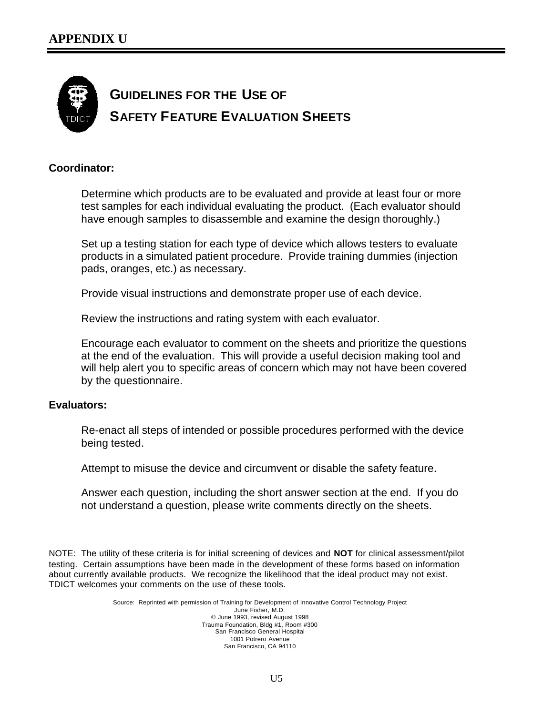

#### **Coordinator:**

Determine which products are to be evaluated and provide at least four or more test samples for each individual evaluating the product. (Each evaluator should have enough samples to disassemble and examine the design thoroughly.)

Set up a testing station for each type of device which allows testers to evaluate products in a simulated patient procedure. Provide training dummies (injection pads, oranges, etc.) as necessary.

Provide visual instructions and demonstrate proper use of each device.

Review the instructions and rating system with each evaluator.

Encourage each evaluator to comment on the sheets and prioritize the questions at the end of the evaluation. This will provide a useful decision making tool and will help alert you to specific areas of concern which may not have been covered by the questionnaire.

#### **Evaluators:**

Re-enact all steps of intended or possible procedures performed with the device being tested.

Attempt to misuse the device and circumvent or disable the safety feature.

Answer each question, including the short answer section at the end. If you do not understand a question, please write comments directly on the sheets.

NOTE: The utility of these criteria is for initial screening of devices and **NOT** for clinical assessment/pilot testing. Certain assumptions have been made in the development of these forms based on information about currently available products. We recognize the likelihood that the ideal product may not exist. TDICT welcomes your comments on the use of these tools.

> Source: Reprinted with permission of Training for Development of Innovative Control Technology Project June Fisher, M.D. © June 1993, revised August 1998 Trauma Foundation, Bldg #1, Room #300 San Francisco General Hospital 1001 Potrero Avenue San Francisco, CA 94110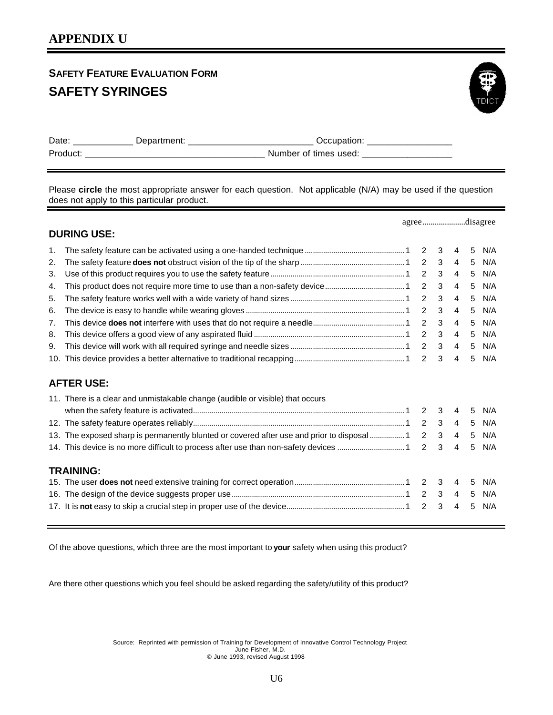# **SAFETY FEATURE EVALUATION FORM SAFETY SYRINGES**



| Date                      |                               |
|---------------------------|-------------------------------|
| Dr <sub>O</sub><br>______ | Number<br>nt times<br>_______ |

Please **circle** the most appropriate answer for each question. Not applicable (N/A) may be used if the question does not apply to this particular product.

|     |                                                                                            |  |                |   |                |   | agreedisagree |
|-----|--------------------------------------------------------------------------------------------|--|----------------|---|----------------|---|---------------|
|     | <b>DURING USE:</b>                                                                         |  |                |   |                |   |               |
| 1.  |                                                                                            |  | $\overline{2}$ | 3 | 4              | 5 | N/A           |
| 2.  |                                                                                            |  | $\overline{2}$ | 3 | $\overline{4}$ | 5 | N/A           |
| 3.  |                                                                                            |  | $\overline{2}$ | 3 | $\overline{4}$ | 5 | N/A           |
| 4.  |                                                                                            |  | 2              | 3 | $\overline{4}$ | 5 | N/A           |
| 5.  |                                                                                            |  | 2              | 3 | 4              | 5 | N/A           |
| 6.  |                                                                                            |  | 2              | 3 | 4              | 5 | N/A           |
| 7.  |                                                                                            |  | 2              | 3 | 4              | 5 | N/A           |
| 8.  |                                                                                            |  | 2              | 3 | 4              | 5 | N/A           |
| 9.  |                                                                                            |  | $\overline{2}$ | 3 | $\overline{4}$ | 5 | N/A           |
| 10. |                                                                                            |  | $\overline{2}$ | 3 | $\overline{4}$ | 5 | N/A           |
|     | <b>AFTER USE:</b>                                                                          |  |                |   |                |   |               |
|     | 11. There is a clear and unmistakable change (audible or visible) that occurs              |  |                |   |                |   |               |
|     |                                                                                            |  | 2              | 3 | 4              | 5 | N/A           |
|     |                                                                                            |  | 2              | 3 | 4              | 5 | N/A           |
|     | 13. The exposed sharp is permanently blunted or covered after use and prior to disposal  1 |  | 2              | 3 | $\overline{4}$ | 5 | N/A           |
|     | 14. This device is no more difficult to process after use than non-safety devices 1        |  | 2              | 3 | $\overline{4}$ | 5 | N/A           |
|     | <b>TRAINING:</b>                                                                           |  |                |   |                |   |               |
|     |                                                                                            |  | $\overline{2}$ | 3 | 4              | 5 | N/A           |
|     |                                                                                            |  | 2              | 3 | $\overline{4}$ | 5 | N/A           |
|     |                                                                                            |  | $\overline{2}$ | 3 | 4              | 5 | N/A           |

Of the above questions, which three are the most important to **your** safety when using this product?

Are there other questions which you feel should be asked regarding the safety/utility of this product?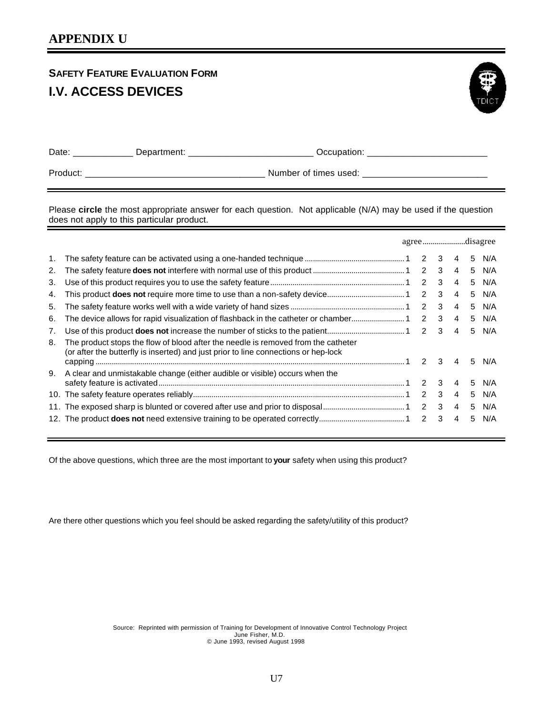# **SAFETY FEATURE EVALUATION FORM I.V. ACCESS DEVICES**



Date: \_\_\_\_\_\_\_\_\_\_\_\_\_\_\_ Department: \_\_\_\_\_\_\_\_\_\_\_\_\_\_\_\_\_\_\_\_\_\_\_\_\_\_\_\_\_\_\_\_ Occupation: \_\_\_\_\_\_\_\_\_\_\_\_\_\_\_\_\_\_\_\_\_\_\_\_\_\_\_\_\_\_\_

Product: \_\_\_\_\_\_\_\_\_\_\_\_\_\_\_\_\_\_\_\_\_\_\_\_\_\_\_\_\_\_\_\_\_\_\_\_ Number of times used: \_\_\_\_\_\_\_\_\_\_\_\_\_\_\_\_\_\_\_\_\_\_\_\_\_

Please **circle** the most appropriate answer for each question. Not applicable (N/A) may be used if the question does not apply to this particular product.

|     |                                                                                                                                                                          |                      |   |                |       | agreedisagree |
|-----|--------------------------------------------------------------------------------------------------------------------------------------------------------------------------|----------------------|---|----------------|-------|---------------|
| 1.  |                                                                                                                                                                          |                      | 3 | 4              | 5     | N/A           |
| 2.  |                                                                                                                                                                          | $\overline{2}$       | 3 | $\overline{4}$ |       | 5 N/A         |
| 3.  |                                                                                                                                                                          | 2                    | 3 | 4              | 5     | N/A           |
| 4.  |                                                                                                                                                                          | 2                    | 3 | 4              | 5     | N/A           |
| 5.  |                                                                                                                                                                          | $\mathbf{2}$         | 3 | 4              | 5     | N/A           |
| 6.  | The device allows for rapid visualization of flashback in the catheter or chamber1                                                                                       | 2                    | 3 | 4              | 5     | N/A           |
| 7.  |                                                                                                                                                                          | 2                    | 3 | $\overline{4}$ |       | 5 N/A         |
| 8.  | The product stops the flow of blood after the needle is removed from the catheter<br>(or after the butterfly is inserted) and just prior to line connections or hep-lock | $\mathcal{P} \equiv$ | 3 | 4              | 5     | N/A           |
| 9.  | A clear and unmistakable change (either audible or visible) occurs when the                                                                                              |                      |   |                |       |               |
|     |                                                                                                                                                                          | $\mathcal{P}$        | 3 | 4              | 5     | N/A           |
|     |                                                                                                                                                                          | $\mathcal{P}$        | 3 | 4              | 5     | N/A           |
| 11. |                                                                                                                                                                          | 2                    | 3 | $\overline{4}$ | $5 -$ | N/A           |
|     |                                                                                                                                                                          | $\mathcal{P}$        | 3 | 4              | 5     | N/A           |

Of the above questions, which three are the most important to **your** safety when using this product?

Are there other questions which you feel should be asked regarding the safety/utility of this product?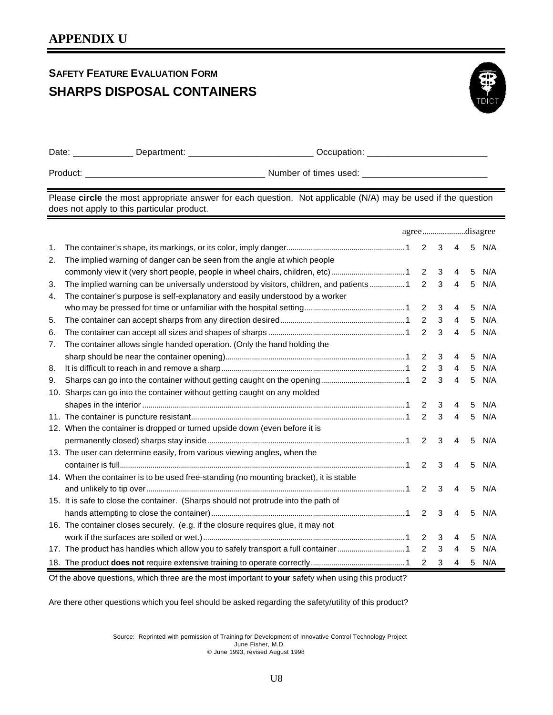# **SAFETY FEATURE EVALUATION FORM SHARPS DISPOSAL CONTAINERS**



Date: \_\_\_\_\_\_\_\_\_\_\_\_\_\_\_ Department: \_\_\_\_\_\_\_\_\_\_\_\_\_\_\_\_\_\_\_\_\_\_\_\_\_\_\_\_\_\_\_ Occupation: \_\_\_\_\_\_\_\_\_\_\_\_\_\_\_\_\_\_\_\_\_\_\_\_\_\_\_\_\_\_\_\_

| Product: |  |
|----------|--|
|          |  |

Product: \_\_\_\_\_\_\_\_\_\_\_\_\_\_\_\_\_\_\_\_\_\_\_\_\_\_\_\_\_\_\_\_\_\_\_\_ Number of times used: \_\_\_\_\_\_\_\_\_\_\_\_\_\_\_\_\_\_\_\_\_\_\_\_\_

Please **circle** the most appropriate answer for each question. Not applicable (N/A) may be used if the question does not apply to this particular product.

|    |                                                                                          | agreedisagree |              |                        |   |       |
|----|------------------------------------------------------------------------------------------|---------------|--------------|------------------------|---|-------|
| 1. |                                                                                          |               |              | $\overline{4}$         | 5 | N/A   |
| 2. | The implied warning of danger can be seen from the angle at which people                 |               |              |                        |   |       |
|    | commonly view it (very short people, people in wheel chairs, children, etc)  1 2         |               | 3            | $\overline{4}$         | 5 | N/A   |
| 3. | The implied warning can be universally understood by visitors, children, and patients  1 | 2             | 3            | $\overline{4}$         | 5 | N/A   |
| 4. | The container's purpose is self-explanatory and easily understood by a worker            |               |              |                        |   |       |
|    |                                                                                          | 2             | 3            | 4                      | 5 | N/A   |
| 5. |                                                                                          | 2             | 3            | 4                      | 5 | N/A   |
| 6. |                                                                                          | 2             | 3            | $\overline{4}$         |   | 5 N/A |
| 7. | The container allows single handed operation. (Only the hand holding the                 |               |              |                        |   |       |
|    |                                                                                          | 2             | 3            | $\overline{4}$         | 5 | N/A   |
| 8. |                                                                                          | 2             | 3            | 4                      | 5 | N/A   |
| 9. |                                                                                          | 2             | 3            | $\overline{4}$         | 5 | N/A   |
|    | 10. Sharps can go into the container without getting caught on any molded                |               |              |                        |   |       |
|    |                                                                                          | 2             | 3            | 4                      | 5 | N/A   |
|    |                                                                                          | 2             | 3            | $\overline{4}$         | 5 | N/A   |
|    | 12. When the container is dropped or turned upside down (even before it is               |               |              |                        |   |       |
|    |                                                                                          | 2             | 3            | 4                      | 5 | N/A   |
|    | 13. The user can determine easily, from various viewing angles, when the                 |               |              |                        |   |       |
|    |                                                                                          | 2             | 3            | $\boldsymbol{\Lambda}$ | 5 | N/A   |
|    | 14. When the container is to be used free-standing (no mounting bracket), it is stable   |               |              |                        |   |       |
|    |                                                                                          | $\mathcal{P}$ | 3            | 4                      |   | N/A   |
|    | 15. It is safe to close the container. (Sharps should not protrude into the path of      |               |              |                        |   |       |
|    |                                                                                          | 2             | 3            | 4                      | 5 | N/A   |
|    | 16. The container closes securely. (e.g. if the closure requires glue, it may not        |               |              |                        |   |       |
|    |                                                                                          | 2             | 3            | 4                      |   | N/A   |
|    | 17. The product has handles which allow you to safely transport a full container1        | 2             | 3            | 4                      | 5 | N/A   |
|    |                                                                                          | $2^{\circ}$   | $\mathbf{3}$ | $\overline{4}$         | 5 | N/A   |

Of the above questions, which three are the most important to **your** safety when using this product?

Are there other questions which you feel should be asked regarding the safety/utility of this product?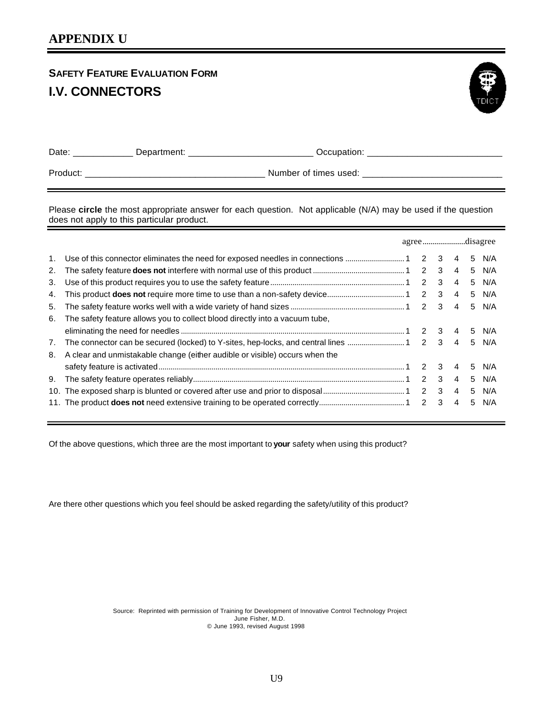# **SAFETY FEATURE EVALUATION FORM I.V. CONNECTORS**



Date: \_\_\_\_\_\_\_\_\_\_\_\_\_\_ Department: \_\_\_\_\_\_\_\_\_\_\_\_\_\_\_\_\_\_\_\_\_\_\_\_\_\_\_\_\_\_\_\_ Occupation: \_\_\_\_\_\_\_\_\_\_\_\_\_\_\_\_\_\_\_\_\_\_\_\_\_\_\_\_\_\_\_\_ Product: \_\_\_\_\_\_\_\_\_\_\_\_\_\_\_\_\_\_\_\_\_\_\_\_\_\_\_\_\_\_\_\_\_\_\_\_ Number of times used: \_\_\_\_\_\_\_\_\_\_\_\_\_\_\_\_\_\_\_\_\_\_\_\_\_\_\_\_

Please **circle** the most appropriate answer for each question. Not applicable (N/A) may be used if the question does not apply to this particular product.

|     |                                                                             | agreedisagree |             |                |   |       |
|-----|-----------------------------------------------------------------------------|---------------|-------------|----------------|---|-------|
| 1.  |                                                                             |               |             | $\overline{4}$ |   | 5 N/A |
| 2.  |                                                                             |               |             |                |   | 5 N/A |
| 3.  |                                                                             |               |             | $\overline{4}$ |   | 5 N/A |
| 4.  |                                                                             |               |             |                |   | 5 N/A |
| 5.  |                                                                             |               |             | $\overline{4}$ | 5 | N/A   |
| 6.  | The safety feature allows you to collect blood directly into a vacuum tube, |               |             |                |   |       |
|     |                                                                             |               |             | $\overline{4}$ | 5 | N/A   |
| 7.  |                                                                             |               |             |                |   | 5 N/A |
| 8.  | A clear and unmistakable change (either audible or visible) occurs when the |               |             |                |   |       |
|     |                                                                             |               |             | $\overline{4}$ |   | 5 N/A |
| 9.  |                                                                             |               | $2 \quad 3$ | $\overline{4}$ |   | 5 N/A |
| 10. |                                                                             |               |             | $\overline{4}$ |   | 5 N/A |
|     |                                                                             |               |             | 4              | 5 | N/A   |

Of the above questions, which three are the most important to **your** safety when using this product?

Are there other questions which you feel should be asked regarding the safety/utility of this product?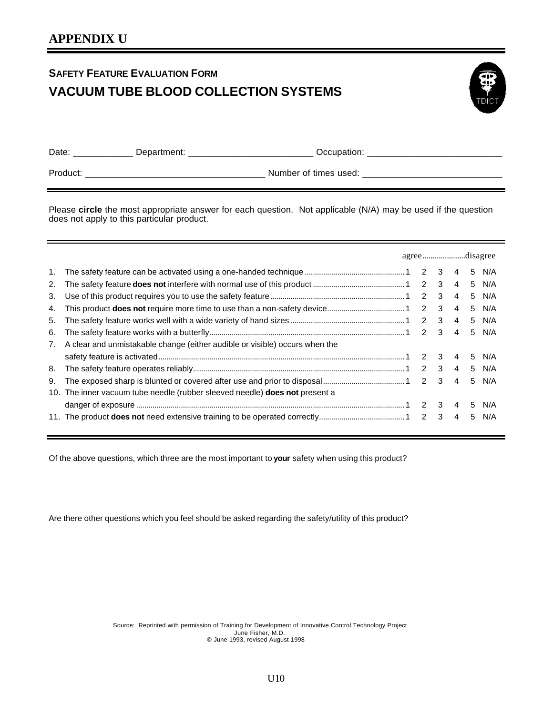# **SAFETY FEATURE EVALUATION FORM VACUUM TUBE BLOOD COLLECTION SYSTEMS**



Date: \_\_\_\_\_\_\_\_\_\_\_\_\_\_ Department: \_\_\_\_\_\_\_\_\_\_\_\_\_\_\_\_\_\_\_\_\_\_\_\_\_\_\_\_\_\_ Occupation: \_\_\_\_\_\_\_\_\_\_\_\_\_\_\_\_\_\_\_\_\_\_\_\_\_\_\_\_\_\_\_\_\_\_

| Product: |  |
|----------|--|
|----------|--|

Product: \_\_\_\_\_\_\_\_\_\_\_\_\_\_\_\_\_\_\_\_\_\_\_\_\_\_\_\_\_\_\_\_\_\_\_\_ Number of times used: \_\_\_\_\_\_\_\_\_\_\_\_\_\_\_\_\_\_\_\_\_\_\_\_\_\_\_\_

Please **circle** the most appropriate answer for each question. Not applicable (N/A) may be used if the question does not apply to this particular product.

| 1. |                                                                                    |             |             |                |   |       |
|----|------------------------------------------------------------------------------------|-------------|-------------|----------------|---|-------|
| 2. |                                                                                    |             |             |                |   | 5 N/A |
| 3. |                                                                                    |             |             |                |   | 5 N/A |
| 4. |                                                                                    |             | $2 \quad 3$ | $\overline{4}$ |   | 5 N/A |
| 5. |                                                                                    |             |             |                |   | 5 N/A |
| 6. |                                                                                    | $2 \t3 \t4$ |             |                |   | 5 N/A |
| 7. | A clear and unmistakable change (either audible or visible) occurs when the        |             |             |                |   |       |
|    |                                                                                    |             |             |                |   | 5 N/A |
| 8. |                                                                                    |             |             |                |   | 5 N/A |
| 9. |                                                                                    |             |             |                |   | 5 N/A |
|    | 10. The inner vacuum tube needle (rubber sleeved needle) <b>does not</b> present a |             |             |                |   |       |
|    |                                                                                    |             |             | $\overline{4}$ |   | 5 N/A |
|    |                                                                                    |             |             | $\overline{4}$ | 5 | N/A   |

Of the above questions, which three are the most important to **your** safety when using this product?

Are there other questions which you feel should be asked regarding the safety/utility of this product?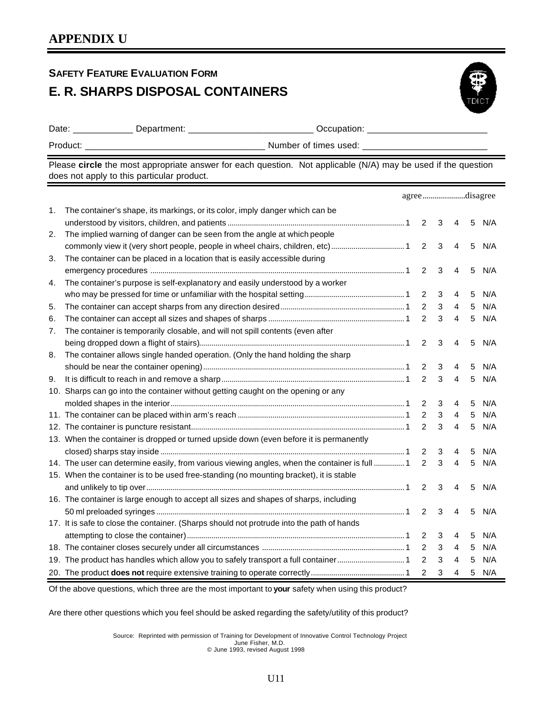# **SAFETY FEATURE EVALUATION FORM E. R. SHARPS DISPOSAL CONTAINERS**



| Date            | i∆nar<br>umen | $ -$<br>                  |
|-----------------|---------------|---------------------------|
| Dr <sub>O</sub> |               | Number of times i<br>used |

Please **circle** the most appropriate answer for each question. Not applicable (N/A) may be used if the question does not apply to this particular product.

|    |                                                                                               | agreedisagree |                |              |                |   |       |
|----|-----------------------------------------------------------------------------------------------|---------------|----------------|--------------|----------------|---|-------|
| 1. | The container's shape, its markings, or its color, imply danger which can be                  |               |                |              |                |   |       |
|    |                                                                                               |               |                | 3            | 4              | 5 | N/A   |
| 2. | The implied warning of danger can be seen from the angle at which people                      |               |                |              |                |   |       |
|    | commonly view it (very short people, people in wheel chairs, children, etc)  1 2              |               |                | 3            | $\overline{A}$ | 5 | N/A   |
| 3. | The container can be placed in a location that is easily accessible during                    |               |                |              |                |   |       |
|    |                                                                                               | 2             |                | 3            | 4              | 5 | N/A   |
| 4. | The container's purpose is self-explanatory and easily understood by a worker                 |               |                |              |                |   |       |
|    |                                                                                               | 2             |                | 3            | 4              | 5 | N/A   |
| 5. |                                                                                               |               | $\overline{2}$ | $\mathbf{3}$ | $\overline{4}$ | 5 | N/A   |
| 6. |                                                                                               |               | $\overline{2}$ | 3            | 4              |   | 5 N/A |
| 7. | The container is temporarily closable, and will not spill contents (even after                |               |                |              |                |   |       |
|    |                                                                                               |               | $\overline{2}$ | 3            | 4              | 5 | N/A   |
| 8. | The container allows single handed operation. (Only the hand holding the sharp                |               |                |              |                |   |       |
|    |                                                                                               | 2             |                | 3            | 4              | 5 | N/A   |
| 9. |                                                                                               |               | $\overline{2}$ | 3            | 4              | 5 | N/A   |
|    | 10. Sharps can go into the container without getting caught on the opening or any             |               |                |              |                |   |       |
|    |                                                                                               |               | $\overline{2}$ | 3            | 4              | 5 | N/A   |
|    |                                                                                               |               | 2              | 3            | 4              | 5 | N/A   |
|    |                                                                                               |               | $\overline{2}$ | 3            | 4              | 5 | N/A   |
|    | 13. When the container is dropped or turned upside down (even before it is permanently        |               |                |              |                |   |       |
|    |                                                                                               |               | 2              | 3            | 4              | 5 | N/A   |
|    | 14. The user can determine easily, from various viewing angles, when the container is full  1 | 2             |                | 3            | 4              | 5 | N/A   |
|    | 15. When the container is to be used free-standing (no mounting bracket), it is stable        |               |                |              |                |   |       |
|    |                                                                                               |               | $\overline{2}$ | 3            | 4              | 5 | N/A   |
|    | 16. The container is large enough to accept all sizes and shapes of sharps, including         |               |                |              |                |   |       |
|    |                                                                                               |               | $\overline{2}$ | 3            | 4              | 5 | N/A   |
|    | 17. It is safe to close the container. (Sharps should not protrude into the path of hands     |               |                |              |                |   |       |
|    |                                                                                               |               | 2              | 3            | 4              | 5 | N/A   |
|    |                                                                                               |               | $\overline{2}$ | 3            | 4              |   | 5 N/A |
|    |                                                                                               | 2             |                | 3            | 4              | 5 | N/A   |
|    |                                                                                               |               | $\overline{2}$ | 3            | 4              | 5 | N/A   |

Of the above questions, which three are the most important to **your** safety when using this product?

Are there other questions which you feel should be asked regarding the safety/utility of this product?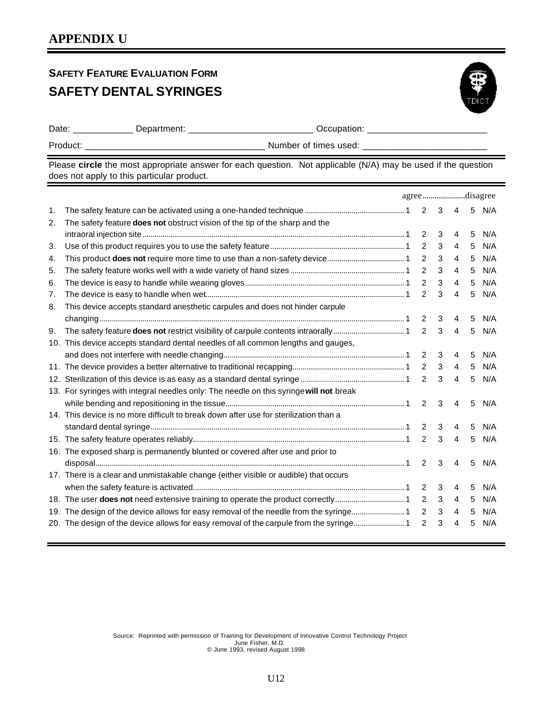# **SAFETY FEATURE EVALUATION FORM SAFETY DENTAL SYRINGES**



Date: \_\_\_\_\_\_\_\_\_\_\_\_\_\_\_ Department: \_\_\_\_\_\_\_\_\_\_\_\_\_\_\_\_\_\_\_\_\_\_\_\_\_\_\_\_\_\_\_ Occupation: \_\_\_\_\_\_\_\_\_\_\_\_\_\_\_\_\_\_\_\_\_

Product: \_\_\_\_\_\_\_\_\_\_\_\_\_\_\_\_\_\_\_\_\_\_\_\_\_\_\_\_\_\_\_\_\_\_\_\_ Number of times used: \_\_\_\_\_\_\_\_\_\_\_\_\_\_\_\_\_\_\_\_\_\_\_\_\_

Please **circle** the most appropriate answer for each question. Not applicable (N/A) may be used if the question does not apply to this particular product.

|     |                                                                                        | agreedisagree  |   |                |   |     |
|-----|----------------------------------------------------------------------------------------|----------------|---|----------------|---|-----|
| 1.  |                                                                                        | 2              | 3 | 4              | 5 | N/A |
| 2.  | The safety feature does not obstruct vision of the tip of the sharp and the            |                |   |                |   |     |
|     |                                                                                        | 2              | 3 | 4              | 5 | N/A |
| 3.  |                                                                                        | 2              | 3 | 4              | 5 | N/A |
| 4.  |                                                                                        | 2              | 3 | 4              | 5 | N/A |
| 5.  |                                                                                        | $\overline{c}$ | 3 | 4              | 5 | N/A |
| 6.  |                                                                                        | 2              | 3 | 4              | 5 | N/A |
| 7.  |                                                                                        | 2              | 3 | 4              | 5 | N/A |
| 8.  | This device accepts standard anesthetic carpules and does not hinder carpule           |                |   |                |   |     |
|     |                                                                                        | 2              | 3 | 4              | 5 | N/A |
| 9.  |                                                                                        | 2              | 3 | 4              | 5 | N/A |
|     | 10. This device accepts standard dental needles of all common lengths and gauges,      |                |   |                |   |     |
|     |                                                                                        | 2              | 3 | 4              | 5 | N/A |
|     |                                                                                        | 2              | 3 | 4              | 5 | N/A |
| 12. |                                                                                        | 2              | 3 | 4              | 5 | N/A |
|     | 13. For syringes with integral needles only: The needle on this syringe will not break |                |   |                |   |     |
|     |                                                                                        | 2              | 3 | 4              | 5 | N/A |
|     | 14. This device is no more difficult to break down after use for sterilization than a  |                |   |                |   |     |
|     |                                                                                        | 2              | 3 | 4              | 5 | N/A |
|     |                                                                                        | 2              | 3 | 4              | 5 | N/A |
|     | 16. The exposed sharp is permanently blunted or covered after use and prior to         |                |   |                |   |     |
|     |                                                                                        | 2              | 3 | 4              | 5 | N/A |
|     | 17. There is a clear and unmistakable change (either visible or audible) that occurs   |                |   |                |   |     |
|     |                                                                                        | 2              | 3 | 4              | 5 | N/A |
| 18. |                                                                                        | 2              | 3 | $\overline{4}$ | 5 | N/A |
| 19. | The design of the device allows for easy removal of the needle from the syringe        | $\overline{2}$ | 3 | 4              | 5 | N/A |
|     | 20. The design of the device allows for easy removal of the carpule from the syringe1  | 2              | 3 | 4              | 5 | N/A |
|     |                                                                                        |                |   |                |   |     |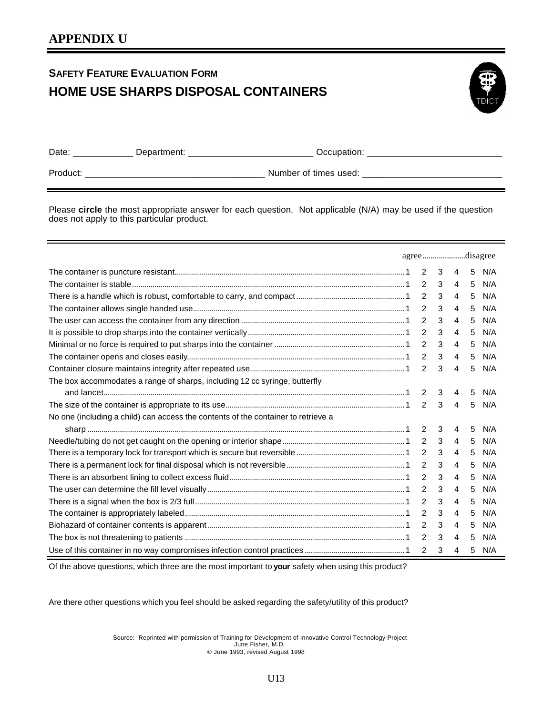# **SAFETY FEATURE EVALUATION FORM HOME USE SHARPS DISPOSAL CONTAINERS**



Date: \_\_\_\_\_\_\_\_\_\_\_\_\_\_ Department: \_\_\_\_\_\_\_\_\_\_\_\_\_\_\_\_\_\_\_\_\_\_\_\_\_\_\_\_\_\_ Occupation: \_\_\_\_\_\_\_\_\_\_\_\_\_\_\_\_\_\_\_\_\_\_\_\_\_\_\_\_\_\_\_\_\_\_ Product: \_\_\_\_\_\_\_\_\_\_\_\_\_\_\_\_\_\_\_\_\_\_\_\_\_\_\_\_\_\_\_\_\_\_\_\_ Number of times used: \_\_\_\_\_\_\_\_\_\_\_\_\_\_\_\_\_\_\_\_\_\_\_\_\_\_\_\_

Please **circle** the most appropriate answer for each question. Not applicable (N/A) may be used if the question does not apply to this particular product.

|                                                                                   | agreedisagree |                |   |                |                |       |
|-----------------------------------------------------------------------------------|---------------|----------------|---|----------------|----------------|-------|
|                                                                                   |               | 2              | 3 | 4              |                | 5 N/A |
|                                                                                   |               | 2              | 3 | $\overline{4}$ |                | 5 N/A |
|                                                                                   |               | 2              | 3 | 4              |                | 5 N/A |
|                                                                                   |               | 2              | 3 | 4              |                | 5 N/A |
|                                                                                   |               | 2              | 3 | $\overline{4}$ | $\overline{5}$ | N/A   |
|                                                                                   |               | 2              | 3 | 4              |                | 5 N/A |
|                                                                                   |               | 2              | 3 | $\overline{4}$ |                | 5 N/A |
|                                                                                   |               | 2              | 3 | 4              |                | 5 N/A |
|                                                                                   |               | 2              | 3 | 4              |                | 5 N/A |
| The box accommodates a range of sharps, including 12 cc syringe, butterfly        |               |                |   |                |                |       |
|                                                                                   |               | 2              | 3 | $\overline{4}$ | 5              | N/A   |
|                                                                                   |               | $\mathfrak{p}$ | 3 | $\overline{4}$ | 5              | N/A   |
| No one (including a child) can access the contents of the container to retrieve a |               |                |   |                |                |       |
|                                                                                   |               | 2              | 3 | 4              | 5              | N/A   |
|                                                                                   |               | 2              | 3 | $\overline{4}$ | 5              | N/A   |
|                                                                                   |               | 2              | 3 | $\overline{4}$ |                | 5 N/A |
|                                                                                   |               | 2              | 3 | 4              |                | 5 N/A |
|                                                                                   |               | 2              | 3 | 4              |                | 5 N/A |
|                                                                                   |               | 2              | 3 | 4              | 5              | N/A   |
|                                                                                   |               | 2              | 3 | $\overline{4}$ |                | 5 N/A |
|                                                                                   |               | 2              | 3 | $\overline{4}$ | 5              | N/A   |
|                                                                                   |               | 2              | 3 | $\overline{4}$ | $5^{\circ}$    | N/A   |
|                                                                                   |               | 2              | 3 | $\overline{4}$ |                | 5 N/A |
|                                                                                   |               | 2              | 3 | 4              | 5              | N/A   |

Of the above questions, which three are the most important to **your** safety when using this product?

Are there other questions which you feel should be asked regarding the safety/utility of this product?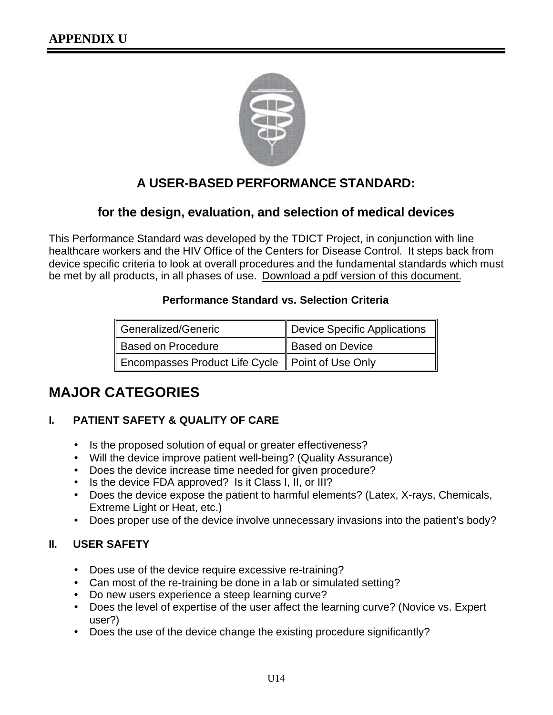

# **A USER-BASED PERFORMANCE STANDARD:**

# **for the design, evaluation, and selection of medical devices**

This Performance Standard was developed by the TDICT Project, in conjunction with line healthcare workers and the HIV Office of the Centers for Disease Control. It steps back from device specific criteria to look at overall procedures and the fundamental standards which must be met by all products, in all phases of use. Download a pdf version of this document.

# **Performance Standard vs. Selection Criteria**

| Generalized/Generic                                | Device Specific Applications |
|----------------------------------------------------|------------------------------|
| Based on Procedure                                 | Based on Device              |
| Encompasses Product Life Cycle   Point of Use Only |                              |

# **MAJOR CATEGORIES**

# **I. PATIENT SAFETY & QUALITY OF CARE**

- Is the proposed solution of equal or greater effectiveness?
- Will the device improve patient well-being? (Quality Assurance)
- Does the device increase time needed for given procedure?
- Is the device FDA approved? Is it Class I, II, or III?
- Does the device expose the patient to harmful elements? (Latex, X-rays, Chemicals, Extreme Light or Heat, etc.)
- Does proper use of the device involve unnecessary invasions into the patient's body?

# **II. USER SAFETY**

- Does use of the device require excessive re-training?
- Can most of the re-training be done in a lab or simulated setting?
- Do new users experience a steep learning curve?
- Does the level of expertise of the user affect the learning curve? (Novice vs. Expert user?)
- Does the use of the device change the existing procedure significantly?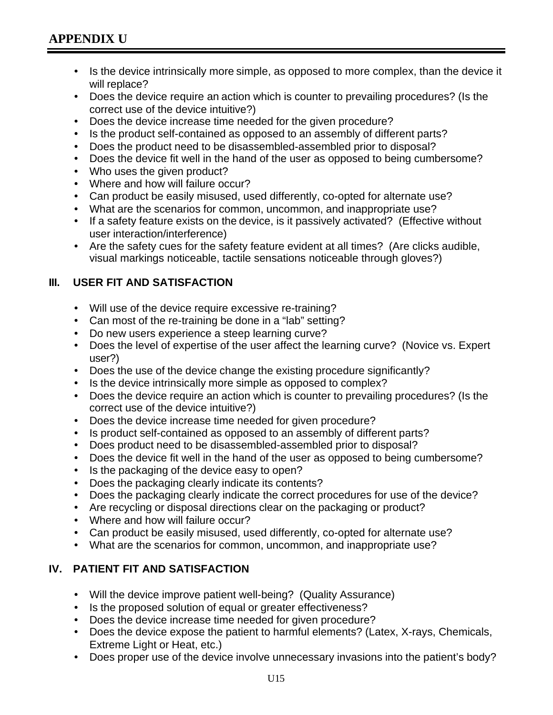- Is the device intrinsically more simple, as opposed to more complex, than the device it will replace?
- Does the device require an action which is counter to prevailing procedures? (Is the correct use of the device intuitive?)
- Does the device increase time needed for the given procedure?
- Is the product self-contained as opposed to an assembly of different parts?
- Does the product need to be disassembled-assembled prior to disposal?
- Does the device fit well in the hand of the user as opposed to being cumbersome?
- Who uses the given product?
- Where and how will failure occur?
- Can product be easily misused, used differently, co-opted for alternate use?
- What are the scenarios for common, uncommon, and inappropriate use?
- If a safety feature exists on the device, is it passively activated? (Effective without user interaction/interference)
- Are the safety cues for the safety feature evident at all times? (Are clicks audible, visual markings noticeable, tactile sensations noticeable through gloves?)

# **III. USER FIT AND SATISFACTION**

- Will use of the device require excessive re-training?
- Can most of the re-training be done in a "lab" setting?
- Do new users experience a steep learning curve?
- Does the level of expertise of the user affect the learning curve? (Novice vs. Expert user?)
- Does the use of the device change the existing procedure significantly?
- Is the device intrinsically more simple as opposed to complex?
- Does the device require an action which is counter to prevailing procedures? (Is the correct use of the device intuitive?)
- Does the device increase time needed for given procedure?
- Is product self-contained as opposed to an assembly of different parts?
- Does product need to be disassembled-assembled prior to disposal?
- Does the device fit well in the hand of the user as opposed to being cumbersome?
- Is the packaging of the device easy to open?
- Does the packaging clearly indicate its contents?
- Does the packaging clearly indicate the correct procedures for use of the device?
- Are recycling or disposal directions clear on the packaging or product?
- Where and how will failure occur?
- Can product be easily misused, used differently, co-opted for alternate use?
- What are the scenarios for common, uncommon, and inappropriate use?

# **IV. PATIENT FIT AND SATISFACTION**

- Will the device improve patient well-being? (Quality Assurance)
- Is the proposed solution of equal or greater effectiveness?
- Does the device increase time needed for given procedure?
- Does the device expose the patient to harmful elements? (Latex, X-rays, Chemicals, Extreme Light or Heat, etc.)
- Does proper use of the device involve unnecessary invasions into the patient's body?